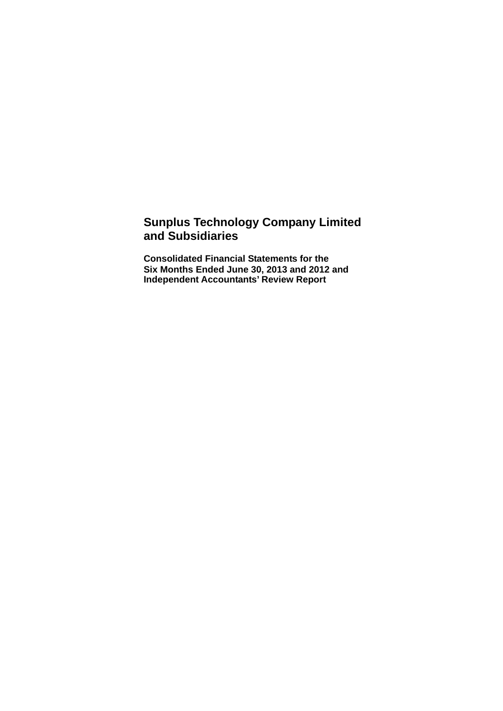### **Sunplus Technology Company Limited and Subsidiaries**

**Consolidated Financial Statements for the Six Months Ended June 30, 2013 and 2012 and Independent Accountants' Review Report**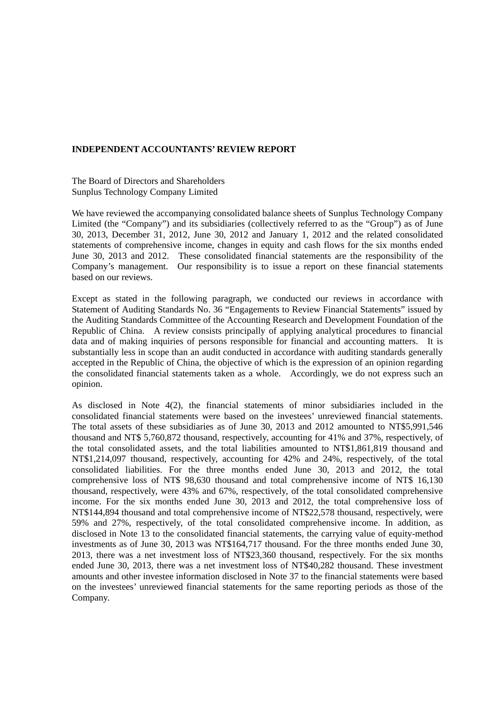#### **INDEPENDENT ACCOUNTANTS' REVIEW REPORT**

#### The Board of Directors and Shareholders Sunplus Technology Company Limited

We have reviewed the accompanying consolidated balance sheets of Sunplus Technology Company Limited (the "Company") and its subsidiaries (collectively referred to as the "Group") as of June 30, 2013, December 31, 2012, June 30, 2012 and January 1, 2012 and the related consolidated statements of comprehensive income, changes in equity and cash flows for the six months ended June 30, 2013 and 2012. These consolidated financial statements are the responsibility of the Company's management. Our responsibility is to issue a report on these financial statements based on our reviews.

Except as stated in the following paragraph, we conducted our reviews in accordance with Statement of Auditing Standards No. 36 "Engagements to Review Financial Statements" issued by the Auditing Standards Committee of the Accounting Research and Development Foundation of the Republic of China. A review consists principally of applying analytical procedures to financial data and of making inquiries of persons responsible for financial and accounting matters. It is substantially less in scope than an audit conducted in accordance with auditing standards generally accepted in the Republic of China, the objective of which is the expression of an opinion regarding the consolidated financial statements taken as a whole. Accordingly, we do not express such an opinion.

As disclosed in Note 4(2), the financial statements of minor subsidiaries included in the consolidated financial statements were based on the investees' unreviewed financial statements. The total assets of these subsidiaries as of June 30, 2013 and 2012 amounted to NT\$5,991,546 thousand and NT\$ 5,760,872 thousand, respectively, accounting for 41% and 37%, respectively, of the total consolidated assets, and the total liabilities amounted to NT\$1,861,819 thousand and NT\$1,214,097 thousand, respectively, accounting for 42% and 24%, respectively, of the total consolidated liabilities. For the three months ended June 30, 2013 and 2012, the total comprehensive loss of NT\$ 98,630 thousand and total comprehensive income of NT\$ 16,130 thousand, respectively, were 43% and 67%, respectively, of the total consolidated comprehensive income. For the six months ended June 30, 2013 and 2012, the total comprehensive loss of NT\$144,894 thousand and total comprehensive income of NT\$22,578 thousand, respectively, were 59% and 27%, respectively, of the total consolidated comprehensive income. In addition, as disclosed in Note 13 to the consolidated financial statements, the carrying value of equity-method investments as of June 30, 2013 was NT\$164,717 thousand. For the three months ended June 30, 2013, there was a net investment loss of NT\$23,360 thousand, respectively. For the six months ended June 30, 2013, there was a net investment loss of NT\$40,282 thousand. These investment amounts and other investee information disclosed in Note 37 to the financial statements were based on the investees' unreviewed financial statements for the same reporting periods as those of the Company.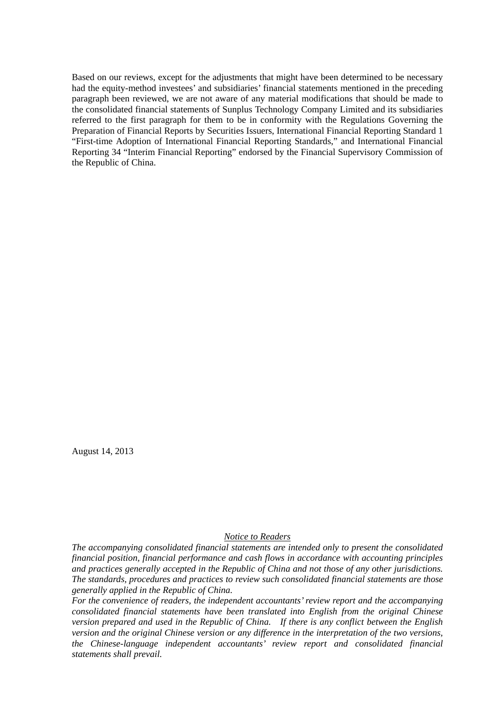Based on our reviews, except for the adjustments that might have been determined to be necessary had the equity-method investees' and subsidiaries' financial statements mentioned in the preceding paragraph been reviewed, we are not aware of any material modifications that should be made to the consolidated financial statements of Sunplus Technology Company Limited and its subsidiaries referred to the first paragraph for them to be in conformity with the Regulations Governing the Preparation of Financial Reports by Securities Issuers, International Financial Reporting Standard 1 "First-time Adoption of International Financial Reporting Standards," and International Financial Reporting 34 "Interim Financial Reporting" endorsed by the Financial Supervisory Commission of the Republic of China.

August 14, 2013

#### *Notice to Readers*

*The accompanying consolidated financial statements are intended only to present the consolidated financial position, financial performance and cash flows in accordance with accounting principles and practices generally accepted in the Republic of China and not those of any other jurisdictions. The standards, procedures and practices to review such consolidated financial statements are those generally applied in the Republic of China.* 

*For the convenience of readers, the independent accountants' review report and the accompanying consolidated financial statements have been translated into English from the original Chinese version prepared and used in the Republic of China. If there is any conflict between the English version and the original Chinese version or any difference in the interpretation of the two versions, the Chinese-language independent accountants' review report and consolidated financial statements shall prevail.*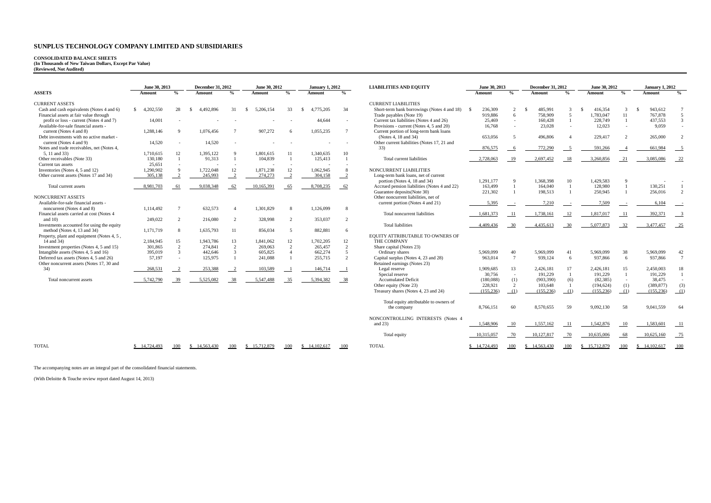# **CONSOLIDATED BALANCE SHEETS (In Thousands of New Taiwan Dollars, Except Par Value) (Reviewed, Not Audited)**

|                                            | June 30, 2013   |                | <b>December 31, 2012</b> |                | June 30, 2012   |                | <b>January 1, 2012</b> |                    | <b>LIABILITIES AND EQUITY</b>                  | June 30, 2013 |                    | <b>December 31, 2012</b> |                | June 30, 2012            |                    |                 | <b>January 1, 2012</b>     |
|--------------------------------------------|-----------------|----------------|--------------------------|----------------|-----------------|----------------|------------------------|--------------------|------------------------------------------------|---------------|--------------------|--------------------------|----------------|--------------------------|--------------------|-----------------|----------------------------|
| <b>ASSETS</b>                              | Amount          | $\frac{0}{2}$  | Amount                   | $\frac{0}{n}$  | Amount          | $\frac{0}{2}$  | Amount                 | $\frac{0}{\alpha}$ |                                                | Amount        | $\frac{0}{\alpha}$ | Amount                   | $\frac{0}{2}$  | Amount                   | $\frac{0}{\alpha}$ | Amount          | $\frac{0}{2}$              |
| <b>CURRENT ASSETS</b>                      |                 |                |                          |                |                 |                |                        |                    | <b>CURRENT LIABILITIES</b>                     |               |                    |                          |                |                          |                    |                 |                            |
| Cash and cash equivalents (Notes 4 and 6)  | 4.202.550<br>S. | 28             | 4.492.896<br>-S          | 31             | 5.206.154<br>-S | 33             | 4,775,205<br>-S        | 34                 | Short-term bank borrowings (Notes 4 and 18) \$ | 236,309       | $\overline{2}$     | 485,991<br>- \$          | 3              | 416.354<br>$\mathcal{S}$ | 3                  | 943,612<br>- \$ | $\overline{7}$             |
| Financial assets at fair value through     |                 |                |                          |                |                 |                |                        |                    | Trade payables (Note 19)                       | 919,886       | 6                  | 758,909                  | 5              | 1.783.047                | 11                 | 767,878         | 5                          |
| profit or loss - current (Notes 4 and 7)   | 14,001          |                |                          |                |                 |                | 44.644                 |                    | Current tax liabilities (Notes 4 and 26)       | 25,469        | $\sim$             | 160.428                  |                | 228,749                  | $\overline{1}$     | 437,553         | $\overline{3}$             |
| Available-for-sale financial assets -      |                 |                |                          |                |                 |                |                        |                    | Provisions - current (Notes 4, 5 and 20)       | 16.768        |                    | 23,028                   | $\sim$         | 12.023                   | $\sim$             | 9,059           |                            |
| current (Notes 4 and 8)                    | 1.288.146       | $\mathbf{q}$   | 1,076,456                |                | 907,272         | 6              | 1,055,235              | $\overline{7}$     | Current portion of long-term bank loans        |               |                    |                          |                |                          |                    |                 |                            |
| Debt investments with no active market -   |                 |                |                          |                |                 |                |                        |                    | (Notes 4, 18 and 34)                           | 653,056       | $\sim$             | 496,806                  | $\mathbf{A}$   | 229,417                  | $\mathcal{L}$      | 265,000         | $\sqrt{2}$                 |
| current (Notes 4 and 9)                    | 14.520          |                | 14.520                   |                |                 |                |                        |                    | Other current liabilities (Notes 17, 21 and    |               |                    |                          |                |                          |                    |                 |                            |
| Notes and trade receivables, net (Notes 4, |                 |                |                          |                |                 |                |                        |                    | 33)                                            | 876,575       | - 6                | 772,290                  |                | 591.266                  |                    | 661,984         | $\overline{\phantom{0}}^5$ |
| 5.11 and 33)                               | 1,710,615       | 12             | 1,395,122                | $\mathbf Q$    | 1,801,615       | 11             | 1,340,635              | 10                 |                                                |               |                    |                          |                |                          |                    |                 |                            |
| Other receivables (Note 33)                | 130,180         | $\mathbf{1}$   | 91,313                   | $\mathbf{1}$   | 104,839         |                | 125,413                | $\overline{1}$     | Total current liabilities                      | 2,728,063     | 19                 | 2,697,452                | 18             | 3,260,856                | 21                 | 3.085.086       | 22                         |
| Current tax assets                         | 25.651          |                |                          |                |                 |                |                        |                    |                                                |               |                    |                          |                |                          |                    |                 |                            |
| Inventories (Notes 4, 5 and 12)            | 1,290,902       | 9              | 1,722,048                | 12             | 1,871,238       | 12             | 1,062,945              | 8                  | NONCURRENT LIABILITIES                         |               |                    |                          |                |                          |                    |                 |                            |
| Other current assets (Notes 17 and 34)     | 305,138         | 2              | 245,993                  | $\gamma$       | 274,273         |                | 304,158                | $-2$               | Long-term bank loans, net of current           |               |                    |                          |                |                          |                    |                 |                            |
|                                            |                 |                |                          |                |                 |                |                        |                    | portion (Notes 4, 18 and 34)                   | 1.291.177     | 9                  | 1.368.398                | 10             | 1.429.583                | Q                  |                 |                            |
| Total current assets                       | 8,981,703       | -61            | 9,038,348                | 62             | 10,165,391      | 65             | 8,708,235              | 62                 | Accrued pension liabilities (Notes 4 and 22)   | 163,499       |                    | 164,040                  |                | 128,980                  |                    | 130,251         |                            |
|                                            |                 |                |                          |                |                 |                |                        |                    | Guarantee deposits (Note 30)                   | 221,302       |                    | 198.513                  |                | 250,945                  | $\overline{1}$     | 256,016         | $\overline{2}$             |
| NONCURRENT ASSETS                          |                 |                |                          |                |                 |                |                        |                    | Other noncurrent liabilities, net of           |               |                    |                          |                |                          |                    |                 |                            |
| Available-for-sale financial assets -      |                 |                |                          |                |                 |                |                        |                    | current portion (Notes 4 and 21)               | 5,395         |                    | 7.210                    |                | 7.509                    |                    | 6.104           |                            |
| noncurrent (Notes 4 and 8)                 | 1,114,492       | $\overline{7}$ | 632,573                  |                | 1,301,829       | $\mathbf{8}$   | 1,126,099              | 8                  |                                                |               |                    |                          |                |                          |                    |                 |                            |
| Financial assets carried at cost (Notes 4  |                 |                |                          |                |                 |                |                        |                    | Total noncurrent liabilities                   | 1,681,373     | -11                | 1.738.161                | 12             | 1,817,017                | -11                | 392,371         |                            |
| and $10$                                   | 249,022         | 2              | 216,080                  | $\overline{2}$ | 328,998         | $\overline{2}$ | 353,037                | 2                  |                                                |               |                    |                          |                |                          |                    |                 |                            |
| Investments accounted for using the equity |                 |                |                          |                |                 |                |                        |                    | <b>Total liabilities</b>                       | 4,409,436     | 30                 | 4.435.613                | -30            | 5.077.873                | 32                 | 3,477,457       | $-25$                      |
| method (Notes 4, 13 and 34)                | 1,171,719       | 8              | 1,635,793                | 11             | 856,034         | $\sim$         | 882,881                | 6                  |                                                |               |                    |                          |                |                          |                    |                 |                            |
| Property, plant and equipment (Notes 4, 5, |                 |                |                          |                |                 |                |                        |                    | EQUITY ATTRIBUTABLE TO OWNERS OF               |               |                    |                          |                |                          |                    |                 |                            |
| 14 and 34)                                 | 2,184,945       | 15             | 1,943,786                | 13             | 1,841,062       | 12             | 1,702,205              | 12                 | THE COMPANY                                    |               |                    |                          |                |                          |                    |                 |                            |
| Investment properties (Notes 4, 5 and 15)  | 301.865         | 2              | 274,841                  | 2              | 269,063         | 2              | 265,457                | 2                  | Share capital (Notes 23)                       |               |                    |                          |                |                          |                    |                 |                            |
| Intangible assets (Notes 4, 5 and 16)      | 395,019         | $\overline{3}$ | 442,646                  | $\mathcal{R}$  | 605.825         |                | 662,274                | 5                  | Ordinary shares                                | 5,969,099     | 40                 | 5,969,099                | 41             | 5,969,099                | 38                 | 5,969,099       | 42                         |
| Deferred tax assets (Notes 4, 5 and 26)    | 57.197          | $\sim$         | 125,975                  |                | 241,088         |                | 255,715                | 2                  | Capital surplus (Notes 4, 23 and 28)           | 963,014       | $7\phantom{.0}$    | 939,124                  | 6              | 937.866                  | - 6                | 937,866         | $7\phantom{.0}$            |
| Other noncurrent assets (Notes 17, 30 and  |                 |                |                          |                |                 |                |                        |                    | Retained earnings (Notes 23)                   |               |                    |                          |                |                          |                    |                 |                            |
| 34)                                        | 268,531         |                | 253,388                  |                | 103.589         |                | 146,714                | $\blacksquare$     | Legal reserve                                  | 1,909,685     | 13                 | 2,426,181                | 17             | 2,426,181                | 15                 | 2,450,003       | 18                         |
|                                            |                 |                |                          |                |                 |                |                        |                    | Special reserve                                | 30,756        | $\sim$             | 191,229                  | $\overline{1}$ | 191,229                  | $\overline{1}$     | 191,229         | $\overline{1}$             |
| Total noncurrent assets                    | 5,742,790       | 39             | 5.525.082                | 38             | 5,547,488       | 35             | 5,394,382              | 38                 | <b>Accumulated Deficit</b>                     | (180,088)     | (1)                | (903, 390)               | (6)            | (82, 385)                | $\sim$             | 38,475          |                            |
|                                            |                 |                |                          |                |                 |                |                        |                    | Other equity (Note 23)                         | 228,921       | 2                  | 103,648                  |                | (194, 624)               | (1)                | (389, 877)      | (3)                        |
|                                            |                 |                |                          |                |                 |                |                        |                    | Treasury shares (Notes 4, 23 and 24)           | (155, 236)    | (1)                | (155, 236)               | (1)            | (155.236)                | (1)                | (155, 236)      | (1)                        |
|                                            |                 |                |                          |                |                 |                |                        |                    | Total equity attributable to owners of         |               |                    |                          |                |                          |                    |                 |                            |
|                                            |                 |                |                          |                |                 |                |                        |                    | the company                                    | 8,766,151     | 60                 | 8,570,655                | 59             | 9,092,130                | 58                 | 9,041,559       | 64                         |
|                                            |                 |                |                          |                |                 |                |                        |                    |                                                |               |                    |                          |                |                          |                    |                 |                            |
|                                            |                 |                |                          |                |                 |                |                        |                    | NONCONTROLLING INTERESTS (Notes 4              |               |                    |                          |                |                          |                    |                 |                            |
|                                            |                 |                |                          |                |                 |                |                        |                    | and $23$ )                                     | 1,548,906     | 10                 | 1,557,162                | -11            | 1,542,876                | 10                 | 1.583,601       | - 11                       |
|                                            |                 |                |                          |                |                 |                |                        |                    | Total equity                                   | 10,315,057    | 70                 | 10,127,817               | 70             | 10.635,006               | 68                 | 10,625,160      | $-75$                      |
|                                            |                 |                | \$14,563,430             |                | \$15,712,879    |                | \$14.102.617           | 100                | <b>TOTAL</b>                                   | \$ 14,724,493 |                    | 14.563,430               |                |                          |                    | \$14.102.617    | 100                        |

The accompanying notes are an integral part of the consolidated financial statements.

(With Deloitte & Touche review report dated August 14, 2013)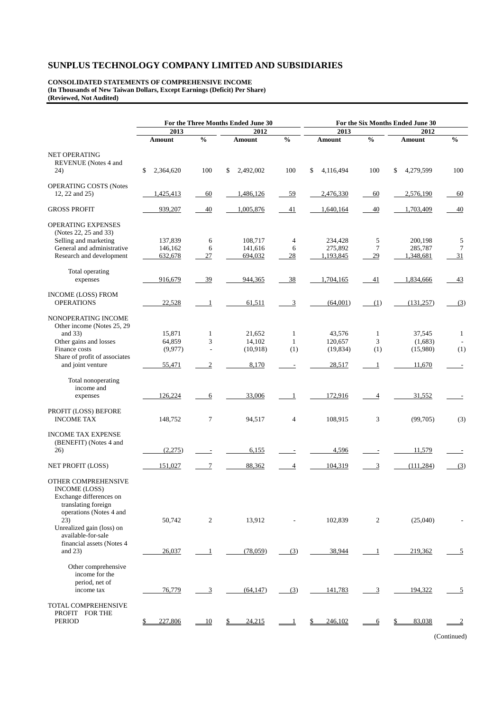**CONSOLIDATED STATEMENTS OF COMPREHENSIVE INCOME (In Thousands of New Taiwan Dollars, Except Earnings (Deficit) Per Share) (Reviewed, Not Audited)** 

|                                                                                                                          |                 |                          | For the Three Months Ended June 30 | For the Six Months Ended June 30 |                 |               |                 |               |  |
|--------------------------------------------------------------------------------------------------------------------------|-----------------|--------------------------|------------------------------------|----------------------------------|-----------------|---------------|-----------------|---------------|--|
|                                                                                                                          | 2013            |                          | 2012                               |                                  | 2013            |               | 2012            |               |  |
|                                                                                                                          | <b>Amount</b>   | $\frac{0}{0}$            | Amount                             | $\frac{0}{0}$                    | Amount          | $\frac{0}{6}$ | Amount          | $\frac{0}{0}$ |  |
| <b>NET OPERATING</b><br>REVENUE (Notes 4 and                                                                             |                 |                          |                                    |                                  |                 |               |                 |               |  |
| 24)                                                                                                                      | \$<br>2,364,620 | 100                      | \$<br>2,492,002                    | 100                              | \$<br>4,116,494 | 100           | \$<br>4,279,599 | 100           |  |
| <b>OPERATING COSTS (Notes</b><br>12, 22 and 25)                                                                          | 1,425,413       | 60                       | 1,486,126                          | 59                               | 2,476,330       | 60            | 2,576,190       | 60            |  |
| <b>GROSS PROFIT</b>                                                                                                      | 939,207         | 40                       | 1,005,876                          | 41                               | 1,640,164       | 40            | 1.703.409       | 40            |  |
| <b>OPERATING EXPENSES</b><br>(Notes 22, 25 and 33)                                                                       |                 |                          |                                    |                                  |                 |               |                 |               |  |
| Selling and marketing                                                                                                    | 137,839         | 6                        | 108,717                            | $\overline{4}$                   | 234,428         | 5             | 200,198         | 5             |  |
| General and administrative                                                                                               | 146,162         | 6                        | 141,616                            | 6                                | 275,892         | $\tau$        | 285,787         | 7             |  |
| Research and development                                                                                                 | 632,678         | 27                       | 694,032                            | 28                               | 1,193,845       | 29            | 1,348,681       | 31            |  |
| Total operating                                                                                                          |                 |                          |                                    |                                  |                 |               |                 |               |  |
| expenses                                                                                                                 | 916,679         | 39                       | 944,365                            | 38                               | 1,704,165       | 41            | 1,834,666       | 43            |  |
| <b>INCOME (LOSS) FROM</b><br><b>OPERATIONS</b>                                                                           | 22,528          | -1                       | 61,511                             | 3                                | (64,001)        | (1)           | (131, 257)      | (3)           |  |
| NONOPERATING INCOME<br>Other income (Notes 25, 29)                                                                       |                 |                          |                                    |                                  |                 |               |                 |               |  |
| and $33)$                                                                                                                | 15,871          | $\mathbf{1}$             | 21,652                             | $\mathbf{1}$                     | 43,576          | $\mathbf{1}$  | 37,545          | $\mathbf{1}$  |  |
| Other gains and losses                                                                                                   | 64,859          | 3                        | 14,102                             | $\mathbf{1}$                     | 120,657         | 3             | (1,683)         |               |  |
| Finance costs                                                                                                            | (9,977)         | $\overline{\phantom{a}}$ | (10,918)                           | (1)                              | (19, 834)       | (1)           | (15,980)        | (1)           |  |
| Share of profit of associates<br>and joint venture                                                                       | 55,471          | 2                        | 8,170                              |                                  | 28,517          | 1             | 11,670          |               |  |
| Total nonoperating<br>income and<br>expenses                                                                             | 126,224         | 6                        | 33,006                             | 1                                | 172,916         | 4             | 31,552          |               |  |
|                                                                                                                          |                 |                          |                                    |                                  |                 |               |                 |               |  |
| PROFIT (LOSS) BEFORE<br><b>INCOME TAX</b>                                                                                | 148,752         | 7                        | 94,517                             | 4                                | 108,915         | 3             | (99,705)        | (3)           |  |
| <b>INCOME TAX EXPENSE</b><br>(BENEFIT) (Notes 4 and<br>26)                                                               | (2,275)         |                          | 6,155                              |                                  | 4,596           |               | 11,579          |               |  |
|                                                                                                                          |                 |                          |                                    |                                  |                 |               |                 |               |  |
| NET PROFIT (LOSS)                                                                                                        | 151,027         | 7                        | 88,362                             | 4                                | 104,319         | 3             | (111, 284)      | (3)           |  |
| OTHER COMPREHENSIVE<br><b>INCOME (LOSS)</b><br>Exchange differences on<br>translating foreign<br>operations (Notes 4 and |                 |                          |                                    |                                  |                 |               |                 |               |  |
| 23)<br>Unrealized gain (loss) on<br>available-for-sale                                                                   | 50,742          | $\overline{c}$           | 13,912                             |                                  | 102,839         | 2             | (25,040)        |               |  |
| financial assets (Notes 4)<br>and $23$ )                                                                                 | 26,037          | -1                       | (78,059)                           | (3)                              | 38,944          | 1             | 219,362         | 5             |  |
| Other comprehensive<br>income for the<br>period, net of                                                                  |                 |                          |                                    |                                  |                 |               |                 |               |  |
| income tax                                                                                                               | 76,779          | 3                        | (64, 147)                          | (3)                              | 141,783         | 3             | 194,322         | 5             |  |
| TOTAL COMPREHENSIVE<br>PROFIT FOR THE<br>PERIOD                                                                          | 227,806         | 10                       | 24,215                             |                                  | 246,102         | 6             | 83,038          |               |  |

(Continued)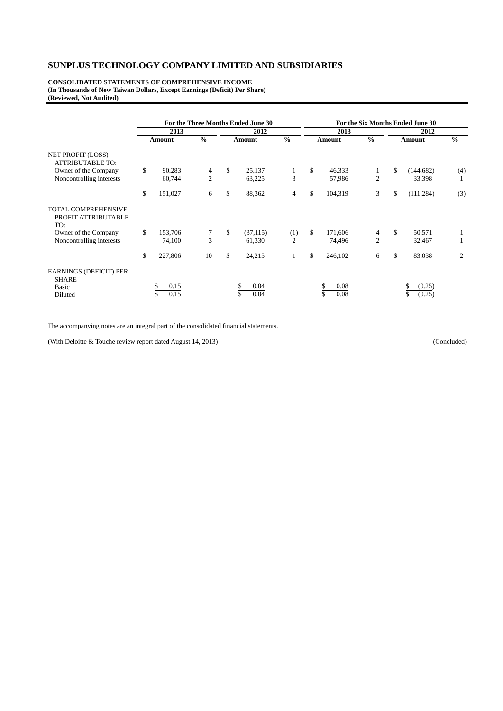**CONSOLIDATED STATEMENTS OF COMPREHENSIVE INCOME (In Thousands of New Taiwan Dollars, Except Earnings (Deficit) Per Share) (Reviewed, Not Audited)** 

|                                                                   |               |               | For the Three Months Ended June 30 | For the Six Months Ended June 30 |                          |               |                  |               |  |
|-------------------------------------------------------------------|---------------|---------------|------------------------------------|----------------------------------|--------------------------|---------------|------------------|---------------|--|
|                                                                   | 2013          |               | 2012                               |                                  | 2013                     |               | 2012             |               |  |
|                                                                   | Amount        | $\frac{0}{0}$ | Amount                             | $\frac{0}{0}$                    | Amount                   | $\frac{0}{0}$ | Amount           | $\frac{0}{0}$ |  |
| <b>NET PROFIT (LOSS)</b><br><b>ATTRIBUTABLE TO:</b>               |               |               |                                    |                                  |                          |               |                  |               |  |
| Owner of the Company                                              | \$<br>90,283  | 4             | \$<br>25,137                       |                                  | \$.<br>46,333            |               | \$<br>(144, 682) | (4)           |  |
| Noncontrolling interests                                          | 60,744        | 2             | 63,225                             | 3                                | 57,986                   | 2             | 33,398           |               |  |
|                                                                   | 151,027       | <sub>6</sub>  | 88,362                             |                                  | 104,319                  |               | (111, 284)       | (3)           |  |
| <b>TOTAL COMPREHENSIVE</b><br>PROFIT ATTRIBUTABLE<br>TO:          |               |               |                                    |                                  |                          |               |                  |               |  |
| Owner of the Company                                              | \$<br>153,706 |               | \$<br>(37, 115)                    | (1)                              | <sup>\$</sup><br>171,606 | 4             | \$<br>50,571     |               |  |
| Noncontrolling interests                                          | 74,100        |               | 61,330                             | 2                                | 74,496                   |               | 32,467           |               |  |
|                                                                   | 227,806       | 10            | 24,215                             |                                  | 246,102                  |               | 83,038           |               |  |
| <b>EARNINGS (DEFICIT) PER</b><br><b>SHARE</b><br>Basic<br>Diluted | 0.15<br>0.15  |               | 0.04<br>0.04                       |                                  | 0.08<br>0.08             |               | (0.25)<br>(0.25) |               |  |

The accompanying notes are an integral part of the consolidated financial statements.

(With Deloitte & Touche review report dated August 14, 2013) (Concluded)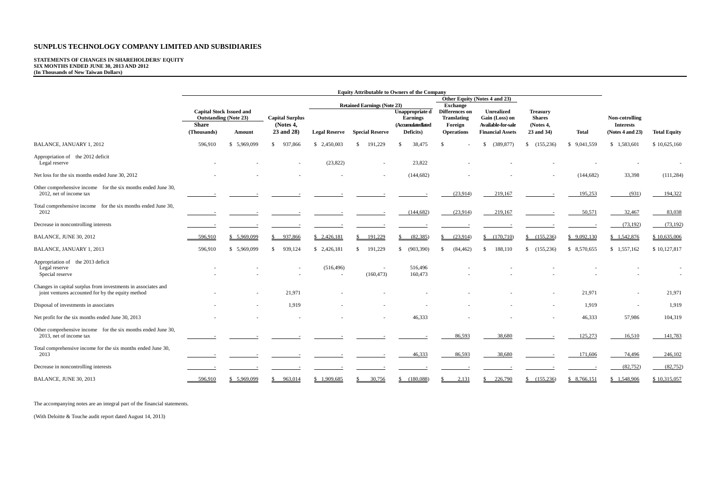# **STATEMENTS OF CHANGES IN SHAREHOLDERS' EQUITY SIX MONTHS ENDED JUNE 30, 2013 AND 2012 (In Thousands of New Taiwan Dollars)**

|                                                                                                                    | <b>Equity Attributable to Owners of the Company</b>                             |              |                                     |                      |                                    |                                                         |                                                                    |                                                    |                                               |              |                                    |                     |  |
|--------------------------------------------------------------------------------------------------------------------|---------------------------------------------------------------------------------|--------------|-------------------------------------|----------------------|------------------------------------|---------------------------------------------------------|--------------------------------------------------------------------|----------------------------------------------------|-----------------------------------------------|--------------|------------------------------------|---------------------|--|
|                                                                                                                    |                                                                                 |              |                                     |                      |                                    |                                                         |                                                                    | Other Equity (Notes 4 and 23)                      |                                               |              |                                    |                     |  |
|                                                                                                                    | <b>Capital Stock Issued and</b><br><b>Outstanding (Note 23)</b><br><b>Share</b> |              | <b>Capital Surplus</b><br>(Notes 4, |                      | <b>Retained Earnings (Note 23)</b> | Unappropriate d<br><b>Earnings</b><br>(Accumulatedlated | <b>Exchange</b><br>Differences on<br><b>Translating</b><br>Foreign | Unrealized<br>Gain (Loss) on<br>Available-for-sale | <b>Treasury</b><br><b>Shares</b><br>(Notes 4, |              | Non-cotrolling<br><b>Interests</b> |                     |  |
|                                                                                                                    | (Thousands)                                                                     | Amount       | 23 and 28)                          | <b>Legal Reserve</b> | <b>Special Reserve</b>             | Deficits)                                               | <b>Operations</b>                                                  | <b>Financial Assets</b>                            | 23 and 34)                                    | <b>Total</b> | (Notes 4 and 23)                   | <b>Total Equity</b> |  |
| BALANCE, JANUARY 1, 2012                                                                                           | 596,910                                                                         | \$ 5,969,099 | 937,866<br><sup>\$</sup>            | \$2,450,003          | 191,229<br>-S                      | 38,475<br>-\$                                           | \$.                                                                | (389, 877)<br>S.                                   | \$(155,236)                                   | \$9,041,559  | \$1,583,601                        | \$10,625,160        |  |
| Appropriation of the 2012 deficit<br>Legal reserve                                                                 |                                                                                 |              |                                     | (23, 822)            | $\overline{\phantom{a}}$           | 23,822                                                  |                                                                    |                                                    |                                               |              |                                    |                     |  |
| Net loss for the six months ended June 30, 2012                                                                    |                                                                                 |              |                                     |                      |                                    | (144, 682)                                              |                                                                    |                                                    |                                               | (144, 682)   | 33,398                             | (111, 284)          |  |
| Other comprehensive income for the six months ended June 30,<br>2012, net of income tax                            |                                                                                 |              |                                     |                      |                                    |                                                         | (23,914)                                                           | 219,167                                            |                                               | 195,253      | (931)                              | 194,322             |  |
| Total comprehensive income for the six months ended June 30,<br>2012                                               |                                                                                 |              |                                     |                      |                                    | (144, 682)                                              | (23,914)                                                           | 219,167                                            |                                               | 50,571       | 32,467                             | 83,038              |  |
| Decrease in noncontrolling interests                                                                               |                                                                                 |              |                                     |                      |                                    |                                                         |                                                                    |                                                    |                                               |              | (73, 192)                          | (73, 192)           |  |
| BALANCE, JUNE 30, 2012                                                                                             | 596,910                                                                         | \$ 5,969,099 | 937,866                             | \$2,426,181          | 191,229                            | (82, 385)                                               | (23,914)<br>\$                                                     | (170, 710)                                         | \$(155,236)                                   | \$9,092,130  | \$1,542,876                        | \$10,635,006        |  |
| BALANCE, JANUARY 1, 2013                                                                                           | 596,910                                                                         | \$ 5,969,099 | 939,124<br>-\$                      | \$2,426,181          | 191,229<br>\$.                     | (903, 390)<br>\$.                                       | $\mathbb{S}$<br>(84, 462)                                          | 188,110<br>-8                                      | \$(155,236)                                   | \$ 8,570,655 | \$1,557,162                        | \$10,127,817        |  |
| Appropriation of the 2013 deficit<br>Legal reserve<br>Special reserve                                              |                                                                                 |              |                                     | (516, 496)           | (160, 473)                         | 516,496<br>160,473                                      |                                                                    |                                                    |                                               |              |                                    |                     |  |
| Changes in capital surplus from investments in associates and<br>joint ventures accounted for by the equity method |                                                                                 |              | 21,971                              |                      |                                    |                                                         |                                                                    |                                                    |                                               | 21,971       | $\overline{\phantom{a}}$           | 21,971              |  |
| Disposal of investments in associates                                                                              |                                                                                 |              | 1,919                               |                      |                                    |                                                         |                                                                    |                                                    |                                               | 1,919        | $\overline{\phantom{a}}$           | 1,919               |  |
| Net profit for the six months ended June 30, 2013                                                                  |                                                                                 |              |                                     |                      |                                    | 46,333                                                  |                                                                    |                                                    |                                               | 46,333       | 57,986                             | 104,319             |  |
| Other comprehensive income for the six months ended June 30,<br>2013, net of income tax                            |                                                                                 |              |                                     |                      |                                    |                                                         | 86,593                                                             | 38,680                                             |                                               | 125,273      | 16,510                             | 141,783             |  |
| Total comprehensive income for the six months ended June 30,<br>2013                                               |                                                                                 |              |                                     |                      |                                    | 46,333                                                  | 86,593                                                             | 38,680                                             |                                               | 171,606      | 74,496                             | 246,102             |  |
| Decrease in noncontrolling interests                                                                               |                                                                                 |              |                                     |                      |                                    |                                                         |                                                                    |                                                    |                                               |              | (82, 752)                          | (82, 752)           |  |
| BALANCE, JUNE 30, 2013                                                                                             | 596,910                                                                         | \$ 5,969,099 | 963,014<br>\$                       | \$1.909,685          | 30.756                             | (180.088)<br>\$.                                        | 2.131<br>\$.                                                       | 226,790<br>-8                                      | $$-(155,236)$                                 | \$ 8.766,151 | \$1.548,906                        | \$10,315,057        |  |

The accompanying notes are an integral part of the financial statements.

(With Deloitte & Touche audit report dated August 14, 2013)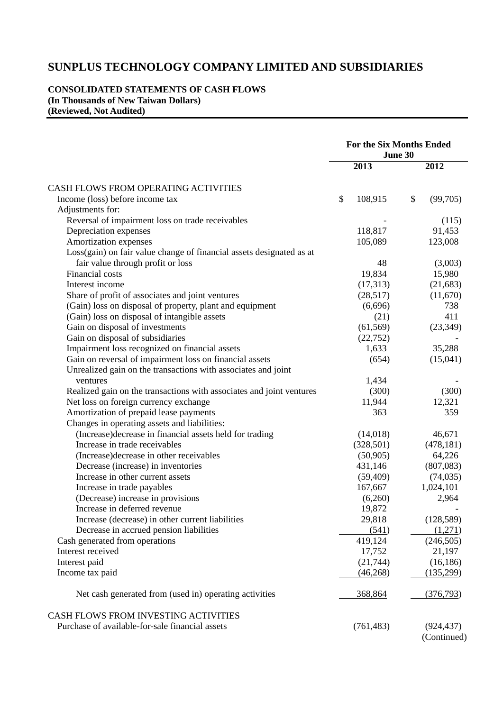### **CONSOLIDATED STATEMENTS OF CASH FLOWS (In Thousands of New Taiwan Dollars) (Reviewed, Not Audited)**

|                                                                      | <b>For the Six Months Ended</b><br>June 30 |                |
|----------------------------------------------------------------------|--------------------------------------------|----------------|
|                                                                      | 2013                                       | 2012           |
| CASH FLOWS FROM OPERATING ACTIVITIES                                 |                                            |                |
| Income (loss) before income tax                                      | \$<br>108,915                              | \$<br>(99,705) |
| Adjustments for:                                                     |                                            |                |
| Reversal of impairment loss on trade receivables                     |                                            | (115)          |
| Depreciation expenses                                                | 118,817                                    | 91,453         |
| Amortization expenses                                                | 105,089                                    | 123,008        |
| Loss(gain) on fair value change of financial assets designated as at |                                            |                |
| fair value through profit or loss                                    | 48                                         | (3,003)        |
| Financial costs                                                      | 19,834                                     | 15,980         |
| Interest income                                                      | (17,313)                                   | (21, 683)      |
| Share of profit of associates and joint ventures                     | (28,517)                                   | (11,670)       |
| (Gain) loss on disposal of property, plant and equipment             | (6,696)                                    | 738            |
| (Gain) loss on disposal of intangible assets                         | (21)                                       | 411            |
| Gain on disposal of investments                                      | (61, 569)                                  | (23, 349)      |
| Gain on disposal of subsidiaries                                     | (22, 752)                                  |                |
| Impairment loss recognized on financial assets                       | 1,633                                      | 35,288         |
| Gain on reversal of impairment loss on financial assets              | (654)                                      |                |
|                                                                      |                                            | (15,041)       |
| Unrealized gain on the transactions with associates and joint        |                                            |                |
| ventures                                                             | 1,434                                      |                |
| Realized gain on the transactions with associates and joint ventures | (300)                                      | (300)          |
| Net loss on foreign currency exchange                                | 11,944                                     | 12,321         |
| Amortization of prepaid lease payments                               | 363                                        | 359            |
| Changes in operating assets and liabilities:                         |                                            |                |
| (Increase) decrease in financial assets held for trading             | (14,018)                                   | 46,671         |
| Increase in trade receivables                                        | (328, 501)                                 | (478, 181)     |
| (Increase) decrease in other receivables                             | (50, 905)                                  | 64,226         |
| Decrease (increase) in inventories                                   | 431,146                                    | (807,083)      |
| Increase in other current assets                                     | (59, 409)                                  | (74, 035)      |
| Increase in trade payables                                           | 167,667                                    | 1,024,101      |
| (Decrease) increase in provisions                                    | (6,260)                                    | 2,964          |
| Increase in deferred revenue                                         | 19,872                                     |                |
| Increase (decrease) in other current liabilities                     | 29,818                                     | (128, 589)     |
| Decrease in accrued pension liabilities                              | (541)                                      | (1,271)        |
| Cash generated from operations                                       | 419,124                                    | (246, 505)     |
| Interest received                                                    | 17,752                                     | 21,197         |
| Interest paid                                                        | (21, 744)                                  | (16, 186)      |
| Income tax paid                                                      | (46,268)                                   | (135,299)      |
| Net cash generated from (used in) operating activities               | 368,864                                    | (376, 793)     |
| CASH FLOWS FROM INVESTING ACTIVITIES                                 |                                            |                |
| Purchase of available-for-sale financial assets                      | (761, 483)                                 | (924, 437)     |
|                                                                      |                                            |                |

(Continued)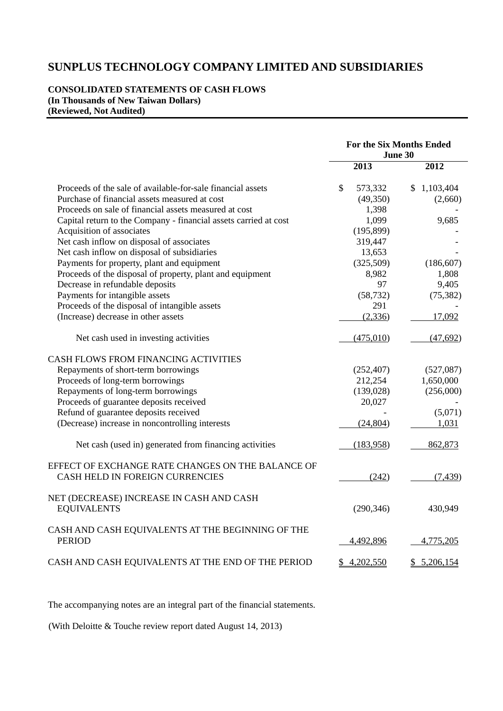#### **CONSOLIDATED STATEMENTS OF CASH FLOWS (In Thousands of New Taiwan Dollars) (Reviewed, Not Audited)**

|                                                                                      |               | June 30     | <b>For the Six Months Ended</b> |
|--------------------------------------------------------------------------------------|---------------|-------------|---------------------------------|
|                                                                                      |               | 2013        | 2012                            |
| Proceeds of the sale of available-for-sale financial assets                          | $\mathcal{S}$ | 573,332     | \$1,103,404                     |
| Purchase of financial assets measured at cost                                        |               | (49,350)    | (2,660)                         |
| Proceeds on sale of financial assets measured at cost                                |               | 1,398       |                                 |
| Capital return to the Company - financial assets carried at cost                     |               | 1,099       | 9,685                           |
| Acquisition of associates                                                            |               | (195, 899)  |                                 |
| Net cash inflow on disposal of associates                                            |               | 319,447     |                                 |
| Net cash inflow on disposal of subsidiaries                                          |               | 13,653      |                                 |
| Payments for property, plant and equipment                                           |               | (325,509)   | (186, 607)                      |
| Proceeds of the disposal of property, plant and equipment                            |               | 8,982       | 1,808                           |
| Decrease in refundable deposits                                                      |               | 97          | 9,405                           |
| Payments for intangible assets                                                       |               | (58, 732)   | (75, 382)                       |
| Proceeds of the disposal of intangible assets                                        |               | 291         |                                 |
| (Increase) decrease in other assets                                                  |               | (2, 336)    | 17,092                          |
| Net cash used in investing activities                                                |               | (475,010)   | (47,692)                        |
| CASH FLOWS FROM FINANCING ACTIVITIES                                                 |               |             |                                 |
| Repayments of short-term borrowings                                                  |               | (252, 407)  | (527,087)                       |
| Proceeds of long-term borrowings                                                     |               | 212,254     | 1,650,000                       |
| Repayments of long-term borrowings                                                   |               | (139, 028)  | (256,000)                       |
| Proceeds of guarantee deposits received                                              |               | 20,027      |                                 |
| Refund of guarantee deposits received                                                |               |             | (5,071)                         |
| (Decrease) increase in noncontrolling interests                                      |               | (24, 804)   | 1,031                           |
| Net cash (used in) generated from financing activities                               |               | (183,958)   | 862,873                         |
| EFFECT OF EXCHANGE RATE CHANGES ON THE BALANCE OF<br>CASH HELD IN FOREIGN CURRENCIES |               | (242)       | (7, 439)                        |
| NET (DECREASE) INCREASE IN CASH AND CASH<br><b>EQUIVALENTS</b>                       |               | (290, 346)  | 430,949                         |
| CASH AND CASH EQUIVALENTS AT THE BEGINNING OF THE<br><b>PERIOD</b>                   |               | 4,492,896   | 4,775,205                       |
| CASH AND CASH EQUIVALENTS AT THE END OF THE PERIOD                                   |               | \$4,202,550 | \$5,206,154                     |

The accompanying notes are an integral part of the financial statements.

(With Deloitte & Touche review report dated August 14, 2013)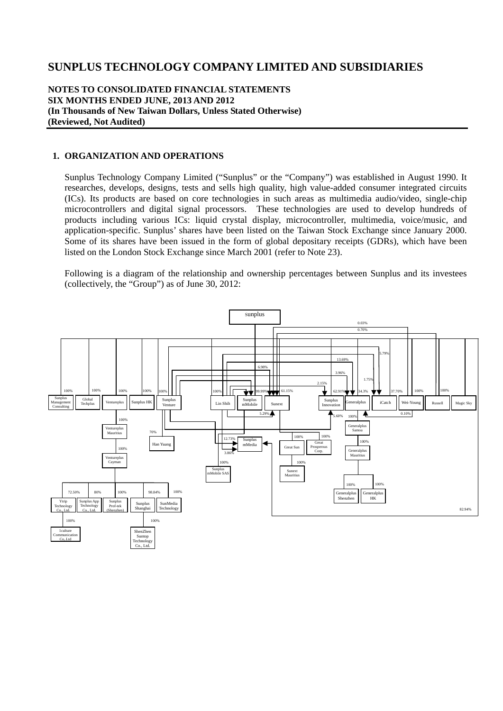#### **NOTES TO CONSOLIDATED FINANCIAL STATEMENTS SIX MONTHS ENDED JUNE, 2013 AND 2012 (In Thousands of New Taiwan Dollars, Unless Stated Otherwise) (Reviewed, Not Audited)**

#### **1. ORGANIZATION AND OPERATIONS**

Sunplus Technology Company Limited ("Sunplus" or the "Company") was established in August 1990. It researches, develops, designs, tests and sells high quality, high value-added consumer integrated circuits (ICs). Its products are based on core technologies in such areas as multimedia audio/video, single-chip microcontrollers and digital signal processors. These technologies are used to develop hundreds of products including various ICs: liquid crystal display, microcontroller, multimedia, voice/music, and application-specific. Sunplus' shares have been listed on the Taiwan Stock Exchange since January 2000. Some of its shares have been issued in the form of global depositary receipts (GDRs), which have been listed on the London Stock Exchange since March 2001 (refer to Note 23).

Following is a diagram of the relationship and ownership percentages between Sunplus and its investees (collectively, the "Group") as of June 30, 2012:

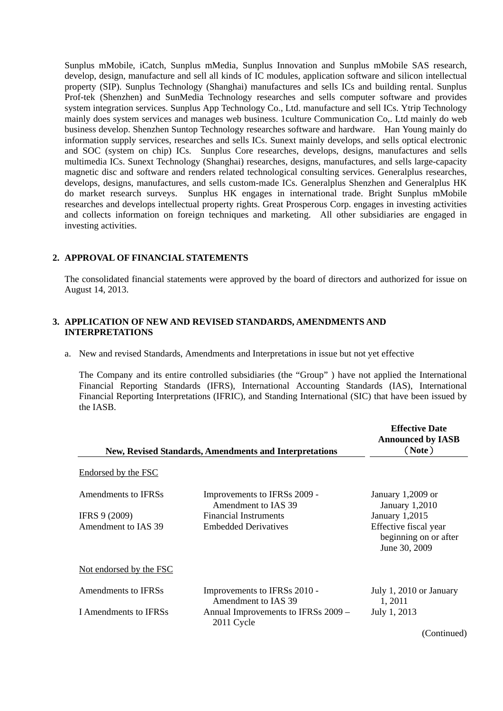Sunplus mMobile, iCatch, Sunplus mMedia, Sunplus Innovation and Sunplus mMobile SAS research, develop, design, manufacture and sell all kinds of IC modules, application software and silicon intellectual property (SIP). Sunplus Technology (Shanghai) manufactures and sells ICs and building rental. Sunplus Prof-tek (Shenzhen) and SunMedia Technology researches and sells computer software and provides system integration services. Sunplus App Technology Co., Ltd. manufacture and sell ICs. Ytrip Technology mainly does system services and manages web business. 1culture Communication Co,. Ltd mainly do web business develop. Shenzhen Suntop Technology researches software and hardware. Han Young mainly do information supply services, researches and sells ICs. Sunext mainly develops, and sells optical electronic and SOC (system on chip) ICs. Sunplus Core researches, develops, designs, manufactures and sells multimedia ICs. Sunext Technology (Shanghai) researches, designs, manufactures, and sells large-capacity magnetic disc and software and renders related technological consulting services. Generalplus researches, develops, designs, manufactures, and sells custom-made ICs. Generalplus Shenzhen and Generalplus HK do market research surveys. Sunplus HK engages in international trade. Bright Sunplus mMobile researches and develops intellectual property rights. Great Prosperous Corp. engages in investing activities and collects information on foreign techniques and marketing. All other subsidiaries are engaged in investing activities.

#### **2. APPROVAL OF FINANCIAL STATEMENTS**

The consolidated financial statements were approved by the board of directors and authorized for issue on August 14, 2013.

#### **3. APPLICATION OF NEW AND REVISED STANDARDS, AMENDMENTS AND INTERPRETATIONS**

a. New and revised Standards, Amendments and Interpretations in issue but not yet effective

The Company and its entire controlled subsidiaries (the "Group" ) have not applied the International Financial Reporting Standards (IFRS), International Accounting Standards (IAS), International Financial Reporting Interpretations (IFRIC), and Standing International (SIC) that have been issued by the IASB.

|                         | <b>New, Revised Standards, Amendments and Interpretations</b> | <b>Effective Date</b><br><b>Announced by IASB</b><br>(Note)     |
|-------------------------|---------------------------------------------------------------|-----------------------------------------------------------------|
| Endorsed by the FSC     |                                                               |                                                                 |
| Amendments to IFRSs     | Improvements to IFRSs 2009 -<br>Amendment to IAS 39           | January $1,2009$ or<br><b>January 1,2010</b>                    |
| IFRS 9 (2009)           | <b>Financial Instruments</b>                                  | January 1,2015                                                  |
| Amendment to IAS 39     | <b>Embedded Derivatives</b>                                   | Effective fiscal year<br>beginning on or after<br>June 30, 2009 |
| Not endorsed by the FSC |                                                               |                                                                 |
| Amendments to IFRSs     | Improvements to IFRSs 2010 -<br>Amendment to IAS 39           | July 1, 2010 or January<br>1, 2011                              |
| I Amendments to IFRSs   | Annual Improvements to IFRSs 2009 -<br>2011 Cycle             | July 1, 2013                                                    |
|                         |                                                               | (Continued)                                                     |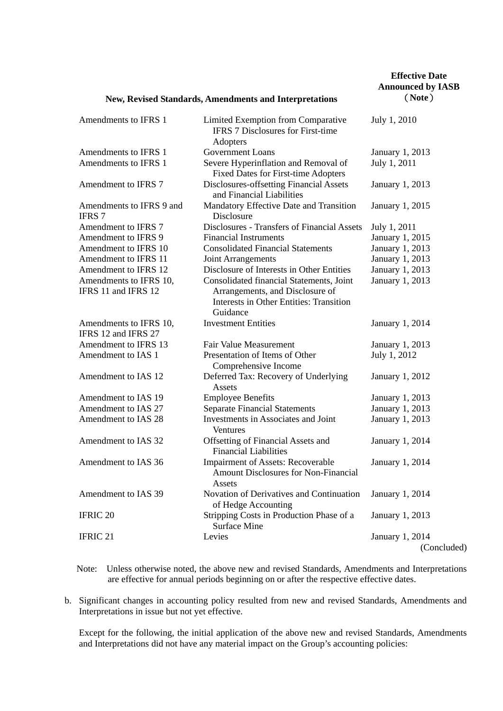|                                               | <b>New, Revised Standards, Amendments and Interpretations</b>                                     |                                |  |  |  |  |  |  |
|-----------------------------------------------|---------------------------------------------------------------------------------------------------|--------------------------------|--|--|--|--|--|--|
| Amendments to IFRS 1                          | Limited Exemption from Comparative<br><b>IFRS 7 Disclosures for First-time</b><br>Adopters        | July 1, 2010                   |  |  |  |  |  |  |
| Amendments to IFRS 1                          | <b>Government Loans</b>                                                                           | January 1, 2013                |  |  |  |  |  |  |
| Amendments to IFRS 1                          | Severe Hyperinflation and Removal of<br><b>Fixed Dates for First-time Adopters</b>                | July 1, 2011                   |  |  |  |  |  |  |
| Amendment to IFRS 7                           | Disclosures-offsetting Financial Assets<br>and Financial Liabilities                              | <b>January 1, 2013</b>         |  |  |  |  |  |  |
| Amendments to IFRS 9 and<br><b>IFRS 7</b>     | Mandatory Effective Date and Transition<br>Disclosure                                             | January 1, 2015                |  |  |  |  |  |  |
| Amendment to IFRS 7                           | Disclosures - Transfers of Financial Assets                                                       | July 1, 2011                   |  |  |  |  |  |  |
| Amendment to IFRS 9                           | <b>Financial Instruments</b>                                                                      | January 1, 2015                |  |  |  |  |  |  |
| Amendment to IFRS 10                          | <b>Consolidated Financial Statements</b>                                                          | January 1, 2013                |  |  |  |  |  |  |
| Amendment to IFRS 11                          | <b>Joint Arrangements</b>                                                                         | January 1, 2013                |  |  |  |  |  |  |
| Amendment to IFRS 12                          | Disclosure of Interests in Other Entities                                                         | January 1, 2013                |  |  |  |  |  |  |
| Amendments to IFRS 10,                        | Consolidated financial Statements, Joint                                                          | January 1, 2013                |  |  |  |  |  |  |
| IFRS 11 and IFRS 12                           | Arrangements, and Disclosure of<br><b>Interests in Other Entities: Transition</b><br>Guidance     |                                |  |  |  |  |  |  |
| Amendments to IFRS 10,<br>IFRS 12 and IFRS 27 | <b>Investment Entities</b>                                                                        | January 1, 2014                |  |  |  |  |  |  |
| Amendment to IFRS 13                          | <b>Fair Value Measurement</b>                                                                     | January 1, 2013                |  |  |  |  |  |  |
| Amendment to IAS 1                            | Presentation of Items of Other<br>Comprehensive Income                                            | July 1, 2012                   |  |  |  |  |  |  |
| Amendment to IAS 12                           | Deferred Tax: Recovery of Underlying<br>Assets                                                    | January 1, 2012                |  |  |  |  |  |  |
| Amendment to IAS 19                           | <b>Employee Benefits</b>                                                                          | January 1, 2013                |  |  |  |  |  |  |
| Amendment to IAS 27                           | <b>Separate Financial Statements</b>                                                              | January 1, 2013                |  |  |  |  |  |  |
| Amendment to IAS 28                           | Investments in Associates and Joint<br>Ventures                                                   | January 1, 2013                |  |  |  |  |  |  |
| Amendment to IAS 32                           | Offsetting of Financial Assets and<br><b>Financial Liabilities</b>                                | January 1, 2014                |  |  |  |  |  |  |
| Amendment to IAS 36                           | <b>Impairment of Assets: Recoverable</b><br><b>Amount Disclosures for Non-Financial</b><br>Assets | January 1, 2014                |  |  |  |  |  |  |
| Amendment to IAS 39                           | Novation of Derivatives and Continuation<br>of Hedge Accounting                                   | January 1, 2014                |  |  |  |  |  |  |
| IFRIC <sub>20</sub>                           | Stripping Costs in Production Phase of a<br><b>Surface Mine</b>                                   | January 1, 2013                |  |  |  |  |  |  |
| IFRIC <sub>21</sub>                           | Levies                                                                                            | January 1, 2014<br>(Concluded) |  |  |  |  |  |  |

Note: Unless otherwise noted, the above new and revised Standards, Amendments and Interpretations are effective for annual periods beginning on or after the respective effective dates.

b. Significant changes in accounting policy resulted from new and revised Standards, Amendments and Interpretations in issue but not yet effective.

Except for the following, the initial application of the above new and revised Standards, Amendments and Interpretations did not have any material impact on the Group's accounting policies: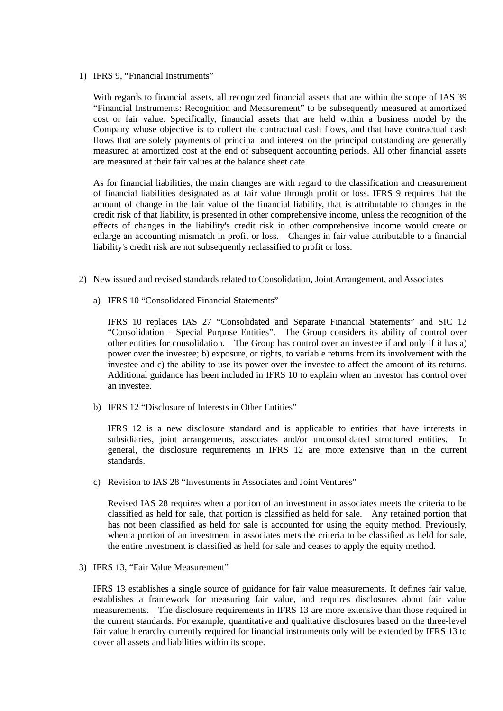1) IFRS 9, "Financial Instruments"

With regards to financial assets, all recognized financial assets that are within the scope of IAS 39 "Financial Instruments: Recognition and Measurement" to be subsequently measured at amortized cost or fair value. Specifically, financial assets that are held within a business model by the Company whose objective is to collect the contractual cash flows, and that have contractual cash flows that are solely payments of principal and interest on the principal outstanding are generally measured at amortized cost at the end of subsequent accounting periods. All other financial assets are measured at their fair values at the balance sheet date.

As for financial liabilities, the main changes are with regard to the classification and measurement of financial liabilities designated as at fair value through profit or loss. IFRS 9 requires that the amount of change in the fair value of the financial liability, that is attributable to changes in the credit risk of that liability, is presented in other comprehensive income, unless the recognition of the effects of changes in the liability's credit risk in other comprehensive income would create or enlarge an accounting mismatch in profit or loss. Changes in fair value attributable to a financial liability's credit risk are not subsequently reclassified to profit or loss.

- 2) New issued and revised standards related to Consolidation, Joint Arrangement, and Associates
	- a) IFRS 10 "Consolidated Financial Statements"

IFRS 10 replaces IAS 27 "Consolidated and Separate Financial Statements" and SIC 12 "Consolidation – Special Purpose Entities". The Group considers its ability of control over other entities for consolidation. The Group has control over an investee if and only if it has a) power over the investee; b) exposure, or rights, to variable returns from its involvement with the investee and c) the ability to use its power over the investee to affect the amount of its returns. Additional guidance has been included in IFRS 10 to explain when an investor has control over an investee.

b) IFRS 12 "Disclosure of Interests in Other Entities"

IFRS 12 is a new disclosure standard and is applicable to entities that have interests in subsidiaries, joint arrangements, associates and/or unconsolidated structured entities. In general, the disclosure requirements in IFRS 12 are more extensive than in the current standards.

c) Revision to IAS 28 "Investments in Associates and Joint Ventures"

Revised IAS 28 requires when a portion of an investment in associates meets the criteria to be classified as held for sale, that portion is classified as held for sale. Any retained portion that has not been classified as held for sale is accounted for using the equity method. Previously, when a portion of an investment in associates mets the criteria to be classified as held for sale, the entire investment is classified as held for sale and ceases to apply the equity method.

3) IFRS 13, "Fair Value Measurement"

IFRS 13 establishes a single source of guidance for fair value measurements. It defines fair value, establishes a framework for measuring fair value, and requires disclosures about fair value measurements. The disclosure requirements in IFRS 13 are more extensive than those required in the current standards. For example, quantitative and qualitative disclosures based on the three-level fair value hierarchy currently required for financial instruments only will be extended by IFRS 13 to cover all assets and liabilities within its scope.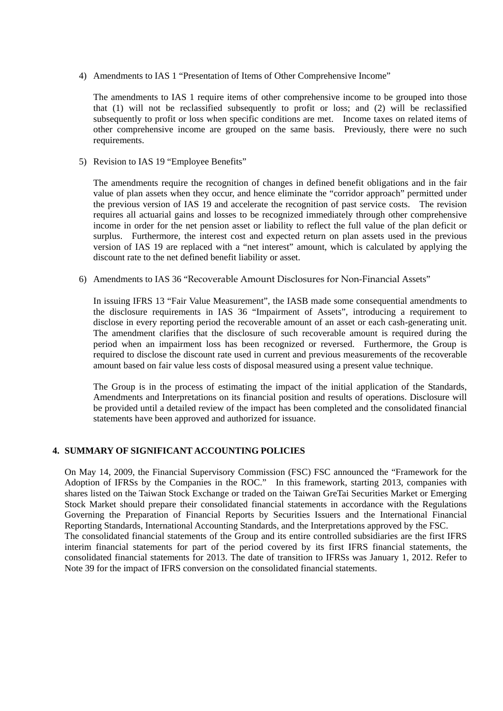4) Amendments to IAS 1 "Presentation of Items of Other Comprehensive Income"

The amendments to IAS 1 require items of other comprehensive income to be grouped into those that (1) will not be reclassified subsequently to profit or loss; and (2) will be reclassified subsequently to profit or loss when specific conditions are met. Income taxes on related items of other comprehensive income are grouped on the same basis. Previously, there were no such requirements.

5) Revision to IAS 19 "Employee Benefits"

The amendments require the recognition of changes in defined benefit obligations and in the fair value of plan assets when they occur, and hence eliminate the "corridor approach" permitted under the previous version of IAS 19 and accelerate the recognition of past service costs. The revision requires all actuarial gains and losses to be recognized immediately through other comprehensive income in order for the net pension asset or liability to reflect the full value of the plan deficit or surplus. Furthermore, the interest cost and expected return on plan assets used in the previous version of IAS 19 are replaced with a "net interest" amount, which is calculated by applying the discount rate to the net defined benefit liability or asset.

6) Amendments to IAS 36 "Recoverable Amount Disclosures for Non-Financial Assets"

In issuing IFRS 13 "Fair Value Measurement", the IASB made some consequential amendments to the disclosure requirements in IAS 36 "Impairment of Assets", introducing a requirement to disclose in every reporting period the recoverable amount of an asset or each cash-generating unit. The amendment clarifies that the disclosure of such recoverable amount is required during the period when an impairment loss has been recognized or reversed. Furthermore, the Group is required to disclose the discount rate used in current and previous measurements of the recoverable amount based on fair value less costs of disposal measured using a present value technique.

The Group is in the process of estimating the impact of the initial application of the Standards, Amendments and Interpretations on its financial position and results of operations. Disclosure will be provided until a detailed review of the impact has been completed and the consolidated financial statements have been approved and authorized for issuance.

#### **4. SUMMARY OF SIGNIFICANT ACCOUNTING POLICIES**

On May 14, 2009, the Financial Supervisory Commission (FSC) FSC announced the "Framework for the Adoption of IFRSs by the Companies in the ROC." In this framework, starting 2013, companies with shares listed on the Taiwan Stock Exchange or traded on the Taiwan GreTai Securities Market or Emerging Stock Market should prepare their consolidated financial statements in accordance with the Regulations Governing the Preparation of Financial Reports by Securities Issuers and the International Financial Reporting Standards, International Accounting Standards, and the Interpretations approved by the FSC. The consolidated financial statements of the Group and its entire controlled subsidiaries are the first IFRS interim financial statements for part of the period covered by its first IFRS financial statements, the

consolidated financial statements for 2013. The date of transition to IFRSs was January 1, 2012. Refer to Note 39 for the impact of IFRS conversion on the consolidated financial statements.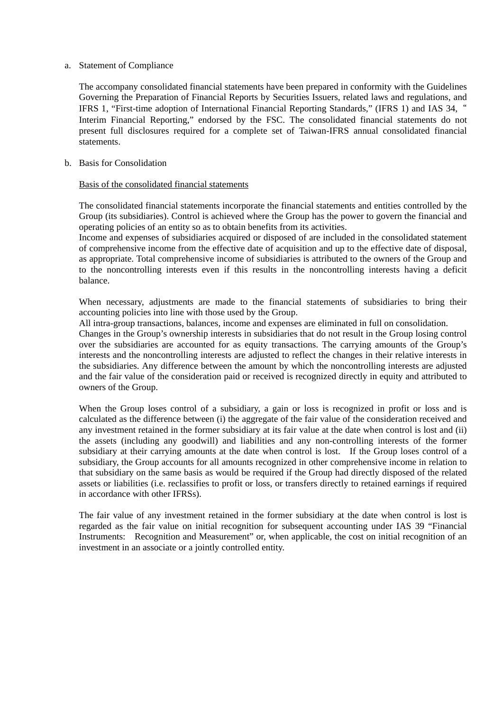#### a. Statement of Compliance

The accompany consolidated financial statements have been prepared in conformity with the Guidelines Governing the Preparation of Financial Reports by Securities Issuers, related laws and regulations, and IFRS 1, "First-time adoption of International Financial Reporting Standards," (IFRS 1) and IAS 34," Interim Financial Reporting," endorsed by the FSC. The consolidated financial statements do not present full disclosures required for a complete set of Taiwan-IFRS annual consolidated financial statements.

#### b. Basis for Consolidation

#### Basis of the consolidated financial statements

The consolidated financial statements incorporate the financial statements and entities controlled by the Group (its subsidiaries). Control is achieved where the Group has the power to govern the financial and operating policies of an entity so as to obtain benefits from its activities.

Income and expenses of subsidiaries acquired or disposed of are included in the consolidated statement of comprehensive income from the effective date of acquisition and up to the effective date of disposal, as appropriate. Total comprehensive income of subsidiaries is attributed to the owners of the Group and to the noncontrolling interests even if this results in the noncontrolling interests having a deficit balance.

When necessary, adjustments are made to the financial statements of subsidiaries to bring their accounting policies into line with those used by the Group.

All intra-group transactions, balances, income and expenses are eliminated in full on consolidation.

Changes in the Group's ownership interests in subsidiaries that do not result in the Group losing control over the subsidiaries are accounted for as equity transactions. The carrying amounts of the Group's interests and the noncontrolling interests are adjusted to reflect the changes in their relative interests in the subsidiaries. Any difference between the amount by which the noncontrolling interests are adjusted and the fair value of the consideration paid or received is recognized directly in equity and attributed to owners of the Group.

When the Group loses control of a subsidiary, a gain or loss is recognized in profit or loss and is calculated as the difference between (i) the aggregate of the fair value of the consideration received and any investment retained in the former subsidiary at its fair value at the date when control is lost and (ii) the assets (including any goodwill) and liabilities and any non-controlling interests of the former subsidiary at their carrying amounts at the date when control is lost. If the Group loses control of a subsidiary, the Group accounts for all amounts recognized in other comprehensive income in relation to that subsidiary on the same basis as would be required if the Group had directly disposed of the related assets or liabilities (i.e. reclassifies to profit or loss, or transfers directly to retained earnings if required in accordance with other IFRSs).

The fair value of any investment retained in the former subsidiary at the date when control is lost is regarded as the fair value on initial recognition for subsequent accounting under IAS 39 "Financial Instruments: Recognition and Measurement" or, when applicable, the cost on initial recognition of an investment in an associate or a jointly controlled entity.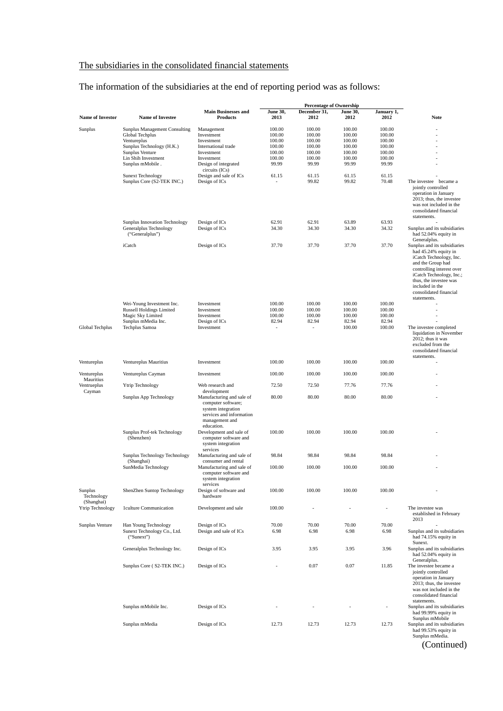### The subsidiaries in the consolidated financial statements

The information of the subsidiaries at the end of reporting period was as follows:

|                                     |                                                                                                                                                                   |                                                                                                                                    |                                                                   | <b>Percentage of Ownership</b>                                    |                                                                   |                                                                   |                                                                                                                                                                                                                                                                     |
|-------------------------------------|-------------------------------------------------------------------------------------------------------------------------------------------------------------------|------------------------------------------------------------------------------------------------------------------------------------|-------------------------------------------------------------------|-------------------------------------------------------------------|-------------------------------------------------------------------|-------------------------------------------------------------------|---------------------------------------------------------------------------------------------------------------------------------------------------------------------------------------------------------------------------------------------------------------------|
| <b>Name of Investor</b>             | <b>Name of Investee</b>                                                                                                                                           | <b>Main Businesses and</b><br><b>Products</b>                                                                                      | <b>June 30,</b><br>2013                                           | December 31,<br>2012                                              | <b>June 30,</b><br>2012                                           | January 1,<br>2012                                                | <b>Note</b>                                                                                                                                                                                                                                                         |
| Sunplus                             | <b>Sunplus Management Consulting</b><br>Global Techplus<br>Ventureplus<br>Sunplus Technology (H.K.)<br>Sunplus Venture<br>Lin Shih Investment<br>Sunplus mMobile. | Management<br>Investment<br>Investment<br>International trade<br>Investment<br>Investment<br>Design of integrated                  | 100.00<br>100.00<br>100.00<br>100.00<br>100.00<br>100.00<br>99.99 | 100.00<br>100.00<br>100.00<br>100.00<br>100.00<br>100.00<br>99.99 | 100.00<br>100.00<br>100.00<br>100.00<br>100.00<br>100.00<br>99.99 | 100.00<br>100.00<br>100.00<br>100.00<br>100.00<br>100.00<br>99.99 |                                                                                                                                                                                                                                                                     |
|                                     | Sunext Technology<br>Sunplus Core (S2-TEK INC.)                                                                                                                   | circuits (ICs)<br>Design and sale of ICs<br>Design of ICs                                                                          | 61.15                                                             | 61.15<br>99.82                                                    | 61.15<br>99.82                                                    | 61.15<br>70.48                                                    | The investee became a<br>jointly controlled<br>operation in January<br>2013; thus, the investee<br>was not included in the<br>consolidated financial<br>statements.                                                                                                 |
|                                     | Sunplus Innovation Technology<br>Generalplus Technology<br>("Generalplus")                                                                                        | Design of ICs<br>Design of ICs                                                                                                     | 62.91<br>34.30                                                    | 62.91<br>34.30                                                    | 63.89<br>34.30                                                    | 63.93<br>34.32                                                    | Sunplus and its subsidiaries<br>had 52.04% equity in                                                                                                                                                                                                                |
|                                     | iCatch                                                                                                                                                            | Design of ICs                                                                                                                      | 37.70                                                             | 37.70                                                             | 37.70                                                             | 37.70                                                             | Generalplus.<br>Sunplus and its subsidiaries<br>had 45.24% equity in<br>iCatch Technology, Inc.<br>and the Group had<br>controlling interest over<br>iCatch Technology, Inc.;<br>thus, the investee was<br>included in the<br>consolidated financial<br>statements. |
| Global Techplus                     | Wei-Young Investment Inc.<br><b>Russell Holdings Limited</b><br>Magic Sky Limited<br>Sunplus mMedia Inc.<br>Techplus Samoa                                        | Investment<br>Investment<br>Investment<br>Design of ICs<br>Investment                                                              | 100.00<br>100.00<br>100.00<br>82.94<br>$\overline{\phantom{a}}$   | 100.00<br>100.00<br>100.00<br>82.94<br>$\overline{a}$             | 100.00<br>100.00<br>100.00<br>82.94<br>100.00                     | 100.00<br>100.00<br>100.00<br>82.94<br>100.00                     | The investee completed<br>liquidation in November<br>2012; thus it was<br>excluded from the<br>consolidated financial<br>statements.                                                                                                                                |
| Ventureplus                         | Ventureplus Mauritius                                                                                                                                             | Investment                                                                                                                         | 100.00                                                            | 100.00                                                            | 100.00                                                            | 100.00                                                            |                                                                                                                                                                                                                                                                     |
| Ventureplus                         | Ventureplus Cayman                                                                                                                                                | Investment                                                                                                                         | 100.00                                                            | 100.00                                                            | 100.00                                                            | 100.00                                                            |                                                                                                                                                                                                                                                                     |
| Mauritius<br>Ventrueplus            | Ytrip Technology                                                                                                                                                  | Web research and                                                                                                                   | 72.50                                                             | 72.50                                                             | 77.76                                                             | 77.76                                                             |                                                                                                                                                                                                                                                                     |
| Cayman                              | Sunplus App Technology                                                                                                                                            | development<br>Manufacturing and sale of<br>computer software;<br>system integration<br>services and information<br>management and | 80.00                                                             | 80.00                                                             | 80.00                                                             | 80.00                                                             |                                                                                                                                                                                                                                                                     |
|                                     | Sunplus Prof-tek Technology<br>(Shenzhen)                                                                                                                         | education.<br>Development and sale of<br>computer software and<br>system integration<br>services                                   | 100.00                                                            | 100.00                                                            | 100.00                                                            | 100.00                                                            |                                                                                                                                                                                                                                                                     |
|                                     | Sunplus Technology Technology<br>(Shanghai)                                                                                                                       | Manufacturing and sale of<br>consumer and rental                                                                                   | 98.84                                                             | 98.84                                                             | 98.84                                                             | 98.84                                                             |                                                                                                                                                                                                                                                                     |
|                                     | SunMedia Technology                                                                                                                                               | Manufacturing and sale of<br>computer software and<br>system integration<br>services                                               | 100.00                                                            | 100.00                                                            | 100.00                                                            | 100.00                                                            |                                                                                                                                                                                                                                                                     |
| Sunplus<br>Technology<br>(Shanghai) | ShenZhen Suntop Technology                                                                                                                                        | Design of software and<br>hardware                                                                                                 | 100.00                                                            | 100.00                                                            | 100.00                                                            | 100.00                                                            |                                                                                                                                                                                                                                                                     |
| Ytrip Technology                    | 1culture Communication                                                                                                                                            | Development and sale                                                                                                               | 100.00                                                            |                                                                   |                                                                   |                                                                   | The investee was<br>established in February<br>2013                                                                                                                                                                                                                 |
| Sunplus Venture                     | Han Young Technology<br>Sunext Technology Co., Ltd.<br>("Sunext")                                                                                                 | Design of ICs<br>Design and sale of ICs                                                                                            | 70.00<br>6.98                                                     | 70.00<br>6.98                                                     | 70.00<br>6.98                                                     | 70.00<br>6.98                                                     | Sunplus and its subsidiaries<br>had 74.15% equity in<br>Sunext.                                                                                                                                                                                                     |
|                                     | Generalplus Technology Inc.                                                                                                                                       | Design of ICs                                                                                                                      | 3.95                                                              | 3.95                                                              | 3.95                                                              | 3.96                                                              | Sunplus and its subsidiaries<br>had 52.04% equity in<br>Generalplus.                                                                                                                                                                                                |
|                                     | Sunplus Core (S2-TEK INC.)                                                                                                                                        | Design of ICs                                                                                                                      |                                                                   | 0.07                                                              | 0.07                                                              | 11.85                                                             | The investee became a<br>jointly controlled<br>operation in January<br>2013; thus, the investee<br>was not included in the<br>consolidated financial<br>statements.                                                                                                 |
|                                     | Sunplus mMobile Inc.                                                                                                                                              | Design of ICs                                                                                                                      | 12.73                                                             | 12.73                                                             | 12.73                                                             | 12.73                                                             | Sunplus and its subsidiaries<br>had 99.99% equity in<br>Sunplus mMobile<br>Sunplus and its subsidiaries                                                                                                                                                             |
|                                     | Sunplus mMedia                                                                                                                                                    | Design of ICs                                                                                                                      |                                                                   |                                                                   |                                                                   |                                                                   | had 99.53% equity in<br>Sunplus mMedia.<br>(Continued)                                                                                                                                                                                                              |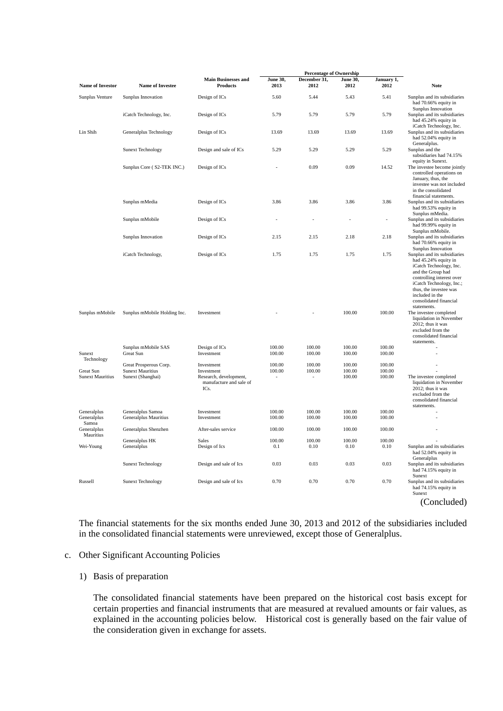|                                      |                                                                        |                                                                                       |                  | <b>Percentage of Ownership</b> |                            |                            |                                                                                                                                                                                                                                                     |
|--------------------------------------|------------------------------------------------------------------------|---------------------------------------------------------------------------------------|------------------|--------------------------------|----------------------------|----------------------------|-----------------------------------------------------------------------------------------------------------------------------------------------------------------------------------------------------------------------------------------------------|
| <b>Name of Investor</b>              | <b>Name of Investee</b>                                                | <b>Main Businesses and</b><br><b>Products</b>                                         | June 30,<br>2013 | December 31,<br>2012           | June 30,<br>2012           | January 1,<br>2012         | <b>Note</b>                                                                                                                                                                                                                                         |
| Sunplus Venture                      | Sunplus Innovation                                                     | Design of ICs                                                                         | 5.60             | 5.44                           | 5.43                       | 5.41                       | Sunplus and its subsidiaries<br>had 70.66% equity in                                                                                                                                                                                                |
|                                      | iCatch Technology, Inc.                                                | Design of ICs                                                                         | 5.79             | 5.79                           | 5.79                       | 5.79                       | Sunplus Innovation<br>Sunplus and its subsidiaries<br>had 45.24% equity in<br>iCatch Technology, Inc.                                                                                                                                               |
| Lin Shih                             | Generalplus Technology                                                 | Design of ICs                                                                         | 13.69            | 13.69                          | 13.69                      | 13.69                      | Sunplus and its subsidiaries<br>had 52.04% equity in<br>Generalplus.                                                                                                                                                                                |
|                                      | <b>Sunext Technology</b>                                               | Design and sale of ICs                                                                | 5.29             | 5.29                           | 5.29                       | 5.29                       | Sunplus and the<br>subsidiaries had 74.15%<br>equity in Sunext.                                                                                                                                                                                     |
|                                      | Sunplus Core (S2-TEK INC.)                                             | Design of ICs                                                                         |                  | 0.09                           | 0.09                       | 14.52                      | The investee become jointly<br>controlled operations on<br>January, thus, the<br>investee was not included<br>in the consolidated<br>financial statements.                                                                                          |
|                                      | Sunplus mMedia                                                         | Design of ICs                                                                         | 3.86             | 3.86                           | 3.86                       | 3.86                       | Sunplus and its subsidiaries<br>had 99.53% equity in<br>Sunplus mMedia.                                                                                                                                                                             |
|                                      | Sunplus mMobile                                                        | Design of ICs                                                                         |                  |                                |                            | ÷,                         | Sunplus and its subsidiaries<br>had 99.99% equity in<br>Sunplus mMobile.                                                                                                                                                                            |
|                                      | Sunplus Innovation                                                     | Design of ICs                                                                         | 2.15             | 2.15                           | 2.18                       | 2.18                       | Sunplus and its subsidiaries<br>had 70.66% equity in<br>Sunplus Innovation                                                                                                                                                                          |
|                                      | iCatch Technology,                                                     | Design of ICs                                                                         | 1.75             | 1.75                           | 1.75                       | 1.75                       | Sunplus and its subsidiaries<br>had 45.24% equity in<br>iCatch Technology, Inc.<br>and the Group had<br>controlling interest over<br>iCatch Technology, Inc.;<br>thus, the investee was<br>included in the<br>consolidated financial<br>statements. |
| Sunplus mMobile                      | Sunplus mMobile Holding Inc.                                           | Investment                                                                            |                  |                                | 100.00                     | 100.00                     | The investee completed<br>liquidation in November<br>2012; thus it was<br>excluded from the<br>consolidated financial<br>statements.                                                                                                                |
| Sunext<br>Technology                 | Sunplus mMobile SAS<br>Great Sun                                       | Design of ICs<br>Investment                                                           | 100.00<br>100.00 | 100.00<br>100.00               | 100.00<br>100.00           | 100.00<br>100.00           |                                                                                                                                                                                                                                                     |
| Great Sun<br><b>Sunext Mauritius</b> | Great Prosperous Corp.<br><b>Sunext Mauritius</b><br>Sunext (Shanghai) | Investment<br>Investment<br>Research, development,<br>manufacture and sale of<br>ICs. | 100.00<br>100.00 | 100.00<br>100.00               | 100.00<br>100.00<br>100.00 | 100.00<br>100.00<br>100.00 | The investee completed<br>liquidation in November<br>2012; thus it was<br>excluded from the<br>consolidated financial<br>statements.                                                                                                                |
| Generalplus<br>Generalplus<br>Samoa  | Generalplus Samoa<br>Generalplus Mauritius                             | Investment<br>Investment                                                              | 100.00<br>100.00 | 100.00<br>100.00               | 100.00<br>100.00           | 100.00<br>100.00           |                                                                                                                                                                                                                                                     |
| Generalplus<br>Mauritius             | Generalplus Shenzhen                                                   | After-sales service                                                                   | 100.00           | 100.00                         | 100.00                     | 100.00                     |                                                                                                                                                                                                                                                     |
| Wei-Young                            | Generalplus HK<br>Generalplus                                          | Sales<br>Design of Ics                                                                | 100.00<br>0.1    | 100.00<br>0.10                 | 100.00<br>0.10             | 100.00<br>0.10             | Sunplus and its subsidiaries<br>had 52.04% equity in<br>Generalplus                                                                                                                                                                                 |
|                                      | <b>Sunext Technology</b>                                               | Design and sale of Ics                                                                | 0.03             | 0.03                           | 0.03                       | 0.03                       | Sunplus and its subsidiaries<br>had 74.15% equity in<br>Sunext                                                                                                                                                                                      |
| Russell                              | <b>Sunext Technology</b>                                               | Design and sale of Ics                                                                | 0.70             | 0.70                           | 0.70                       | 0.70                       | Sunplus and its subsidiaries<br>had 74.15% equity in<br>Sunext<br>(Concluded)                                                                                                                                                                       |

The financial statements for the six months ended June 30, 2013 and 2012 of the subsidiaries included in the consolidated financial statements were unreviewed, except those of Generalplus.

#### c. Other Significant Accounting Policies

#### 1) Basis of preparation

The consolidated financial statements have been prepared on the historical cost basis except for certain properties and financial instruments that are measured at revalued amounts or fair values, as explained in the accounting policies below. Historical cost is generally based on the fair value of the consideration given in exchange for assets.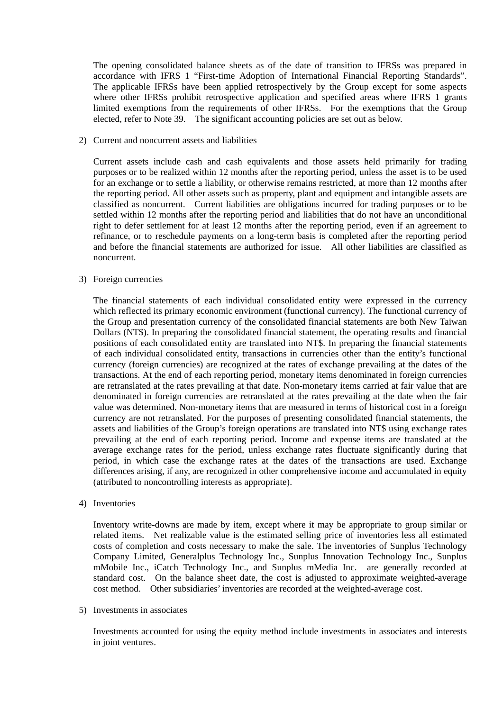The opening consolidated balance sheets as of the date of transition to IFRSs was prepared in accordance with IFRS 1 "First-time Adoption of International Financial Reporting Standards". The applicable IFRSs have been applied retrospectively by the Group except for some aspects where other IFRSs prohibit retrospective application and specified areas where IFRS 1 grants limited exemptions from the requirements of other IFRSs. For the exemptions that the Group elected, refer to Note 39. The significant accounting policies are set out as below.

2) Current and noncurrent assets and liabilities

Current assets include cash and cash equivalents and those assets held primarily for trading purposes or to be realized within 12 months after the reporting period, unless the asset is to be used for an exchange or to settle a liability, or otherwise remains restricted, at more than 12 months after the reporting period. All other assets such as property, plant and equipment and intangible assets are classified as noncurrent. Current liabilities are obligations incurred for trading purposes or to be settled within 12 months after the reporting period and liabilities that do not have an unconditional right to defer settlement for at least 12 months after the reporting period, even if an agreement to refinance, or to reschedule payments on a long-term basis is completed after the reporting period and before the financial statements are authorized for issue. All other liabilities are classified as noncurrent.

#### 3) Foreign currencies

The financial statements of each individual consolidated entity were expressed in the currency which reflected its primary economic environment (functional currency). The functional currency of the Group and presentation currency of the consolidated financial statements are both New Taiwan Dollars (NT\$). In preparing the consolidated financial statement, the operating results and financial positions of each consolidated entity are translated into NT\$. In preparing the financial statements of each individual consolidated entity, transactions in currencies other than the entity's functional currency (foreign currencies) are recognized at the rates of exchange prevailing at the dates of the transactions. At the end of each reporting period, monetary items denominated in foreign currencies are retranslated at the rates prevailing at that date. Non-monetary items carried at fair value that are denominated in foreign currencies are retranslated at the rates prevailing at the date when the fair value was determined. Non-monetary items that are measured in terms of historical cost in a foreign currency are not retranslated. For the purposes of presenting consolidated financial statements, the assets and liabilities of the Group's foreign operations are translated into NT\$ using exchange rates prevailing at the end of each reporting period. Income and expense items are translated at the average exchange rates for the period, unless exchange rates fluctuate significantly during that period, in which case the exchange rates at the dates of the transactions are used. Exchange differences arising, if any, are recognized in other comprehensive income and accumulated in equity (attributed to noncontrolling interests as appropriate).

4) Inventories

Inventory write-downs are made by item, except where it may be appropriate to group similar or related items. Net realizable value is the estimated selling price of inventories less all estimated costs of completion and costs necessary to make the sale. The inventories of Sunplus Technology Company Limited, Generalplus Technology Inc., Sunplus Innovation Technology Inc., Sunplus mMobile Inc., iCatch Technology Inc., and Sunplus mMedia Inc. are generally recorded at standard cost. On the balance sheet date, the cost is adjusted to approximate weighted-average cost method. Other subsidiaries' inventories are recorded at the weighted-average cost.

#### 5) Investments in associates

Investments accounted for using the equity method include investments in associates and interests in joint ventures.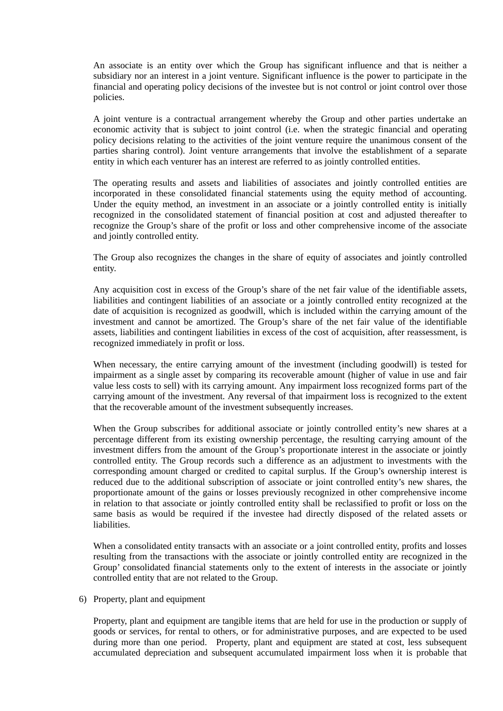An associate is an entity over which the Group has significant influence and that is neither a subsidiary nor an interest in a joint venture. Significant influence is the power to participate in the financial and operating policy decisions of the investee but is not control or joint control over those policies.

A joint venture is a contractual arrangement whereby the Group and other parties undertake an economic activity that is subject to joint control (i.e. when the strategic financial and operating policy decisions relating to the activities of the joint venture require the unanimous consent of the parties sharing control). Joint venture arrangements that involve the establishment of a separate entity in which each venturer has an interest are referred to as jointly controlled entities.

The operating results and assets and liabilities of associates and jointly controlled entities are incorporated in these consolidated financial statements using the equity method of accounting. Under the equity method, an investment in an associate or a jointly controlled entity is initially recognized in the consolidated statement of financial position at cost and adjusted thereafter to recognize the Group's share of the profit or loss and other comprehensive income of the associate and jointly controlled entity.

The Group also recognizes the changes in the share of equity of associates and jointly controlled entity.

Any acquisition cost in excess of the Group's share of the net fair value of the identifiable assets, liabilities and contingent liabilities of an associate or a jointly controlled entity recognized at the date of acquisition is recognized as goodwill, which is included within the carrying amount of the investment and cannot be amortized. The Group's share of the net fair value of the identifiable assets, liabilities and contingent liabilities in excess of the cost of acquisition, after reassessment, is recognized immediately in profit or loss.

When necessary, the entire carrying amount of the investment (including goodwill) is tested for impairment as a single asset by comparing its recoverable amount (higher of value in use and fair value less costs to sell) with its carrying amount. Any impairment loss recognized forms part of the carrying amount of the investment. Any reversal of that impairment loss is recognized to the extent that the recoverable amount of the investment subsequently increases.

When the Group subscribes for additional associate or jointly controlled entity's new shares at a percentage different from its existing ownership percentage, the resulting carrying amount of the investment differs from the amount of the Group's proportionate interest in the associate or jointly controlled entity. The Group records such a difference as an adjustment to investments with the corresponding amount charged or credited to capital surplus. If the Group's ownership interest is reduced due to the additional subscription of associate or joint controlled entity's new shares, the proportionate amount of the gains or losses previously recognized in other comprehensive income in relation to that associate or jointly controlled entity shall be reclassified to profit or loss on the same basis as would be required if the investee had directly disposed of the related assets or liabilities.

When a consolidated entity transacts with an associate or a joint controlled entity, profits and losses resulting from the transactions with the associate or jointly controlled entity are recognized in the Group' consolidated financial statements only to the extent of interests in the associate or jointly controlled entity that are not related to the Group.

6) Property, plant and equipment

Property, plant and equipment are tangible items that are held for use in the production or supply of goods or services, for rental to others, or for administrative purposes, and are expected to be used during more than one period. Property, plant and equipment are stated at cost, less subsequent accumulated depreciation and subsequent accumulated impairment loss when it is probable that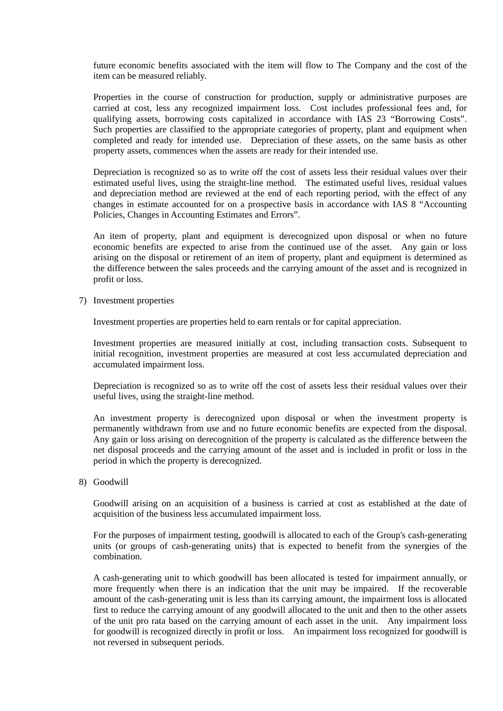future economic benefits associated with the item will flow to The Company and the cost of the item can be measured reliably.

Properties in the course of construction for production, supply or administrative purposes are carried at cost, less any recognized impairment loss. Cost includes professional fees and, for qualifying assets, borrowing costs capitalized in accordance with IAS 23 "Borrowing Costs". Such properties are classified to the appropriate categories of property, plant and equipment when completed and ready for intended use. Depreciation of these assets, on the same basis as other property assets, commences when the assets are ready for their intended use.

Depreciation is recognized so as to write off the cost of assets less their residual values over their estimated useful lives, using the straight-line method. The estimated useful lives, residual values and depreciation method are reviewed at the end of each reporting period, with the effect of any changes in estimate accounted for on a prospective basis in accordance with IAS 8 "Accounting Policies, Changes in Accounting Estimates and Errors".

An item of property, plant and equipment is derecognized upon disposal or when no future economic benefits are expected to arise from the continued use of the asset. Any gain or loss arising on the disposal or retirement of an item of property, plant and equipment is determined as the difference between the sales proceeds and the carrying amount of the asset and is recognized in profit or loss.

7) Investment properties

Investment properties are properties held to earn rentals or for capital appreciation.

Investment properties are measured initially at cost, including transaction costs. Subsequent to initial recognition, investment properties are measured at cost less accumulated depreciation and accumulated impairment loss.

Depreciation is recognized so as to write off the cost of assets less their residual values over their useful lives, using the straight-line method.

An investment property is derecognized upon disposal or when the investment property is permanently withdrawn from use and no future economic benefits are expected from the disposal. Any gain or loss arising on derecognition of the property is calculated as the difference between the net disposal proceeds and the carrying amount of the asset and is included in profit or loss in the period in which the property is derecognized.

8) Goodwill

Goodwill arising on an acquisition of a business is carried at cost as established at the date of acquisition of the business less accumulated impairment loss.

For the purposes of impairment testing, goodwill is allocated to each of the Group's cash-generating units (or groups of cash-generating units) that is expected to benefit from the synergies of the combination.

A cash-generating unit to which goodwill has been allocated is tested for impairment annually, or more frequently when there is an indication that the unit may be impaired. If the recoverable amount of the cash-generating unit is less than its carrying amount, the impairment loss is allocated first to reduce the carrying amount of any goodwill allocated to the unit and then to the other assets of the unit pro rata based on the carrying amount of each asset in the unit. Any impairment loss for goodwill is recognized directly in profit or loss. An impairment loss recognized for goodwill is not reversed in subsequent periods.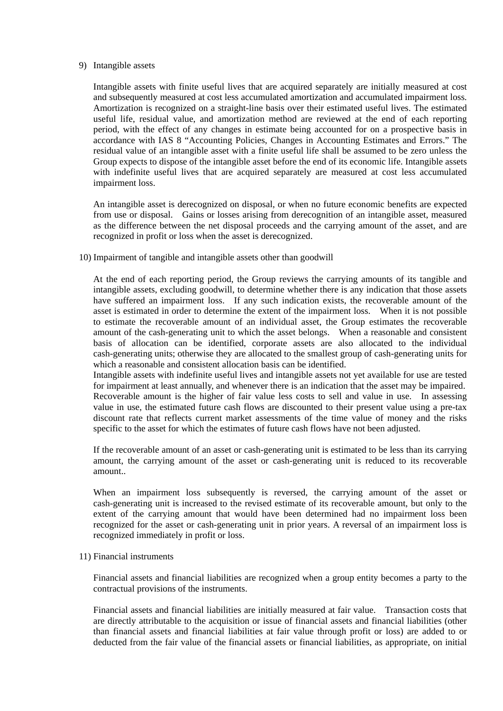#### 9) Intangible assets

Intangible assets with finite useful lives that are acquired separately are initially measured at cost and subsequently measured at cost less accumulated amortization and accumulated impairment loss. Amortization is recognized on a straight-line basis over their estimated useful lives. The estimated useful life, residual value, and amortization method are reviewed at the end of each reporting period, with the effect of any changes in estimate being accounted for on a prospective basis in accordance with IAS 8 "Accounting Policies, Changes in Accounting Estimates and Errors." The residual value of an intangible asset with a finite useful life shall be assumed to be zero unless the Group expects to dispose of the intangible asset before the end of its economic life. Intangible assets with indefinite useful lives that are acquired separately are measured at cost less accumulated impairment loss.

An intangible asset is derecognized on disposal, or when no future economic benefits are expected from use or disposal. Gains or losses arising from derecognition of an intangible asset, measured as the difference between the net disposal proceeds and the carrying amount of the asset, and are recognized in profit or loss when the asset is derecognized.

10) Impairment of tangible and intangible assets other than goodwill

At the end of each reporting period, the Group reviews the carrying amounts of its tangible and intangible assets, excluding goodwill, to determine whether there is any indication that those assets have suffered an impairment loss. If any such indication exists, the recoverable amount of the asset is estimated in order to determine the extent of the impairment loss. When it is not possible to estimate the recoverable amount of an individual asset, the Group estimates the recoverable amount of the cash-generating unit to which the asset belongs. When a reasonable and consistent basis of allocation can be identified, corporate assets are also allocated to the individual cash-generating units; otherwise they are allocated to the smallest group of cash-generating units for which a reasonable and consistent allocation basis can be identified.

Intangible assets with indefinite useful lives and intangible assets not yet available for use are tested for impairment at least annually, and whenever there is an indication that the asset may be impaired. Recoverable amount is the higher of fair value less costs to sell and value in use. In assessing value in use, the estimated future cash flows are discounted to their present value using a pre-tax discount rate that reflects current market assessments of the time value of money and the risks specific to the asset for which the estimates of future cash flows have not been adjusted.

If the recoverable amount of an asset or cash-generating unit is estimated to be less than its carrying amount, the carrying amount of the asset or cash-generating unit is reduced to its recoverable amount..

When an impairment loss subsequently is reversed, the carrying amount of the asset or cash-generating unit is increased to the revised estimate of its recoverable amount, but only to the extent of the carrying amount that would have been determined had no impairment loss been recognized for the asset or cash-generating unit in prior years. A reversal of an impairment loss is recognized immediately in profit or loss.

#### 11) Financial instruments

Financial assets and financial liabilities are recognized when a group entity becomes a party to the contractual provisions of the instruments.

Financial assets and financial liabilities are initially measured at fair value. Transaction costs that are directly attributable to the acquisition or issue of financial assets and financial liabilities (other than financial assets and financial liabilities at fair value through profit or loss) are added to or deducted from the fair value of the financial assets or financial liabilities, as appropriate, on initial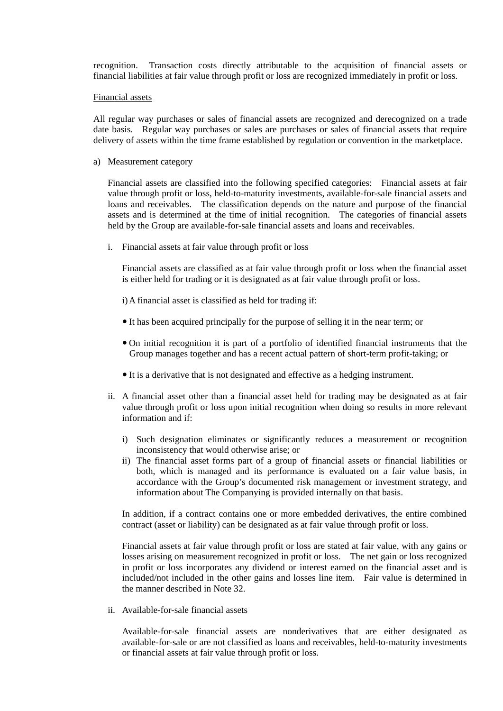recognition. Transaction costs directly attributable to the acquisition of financial assets or financial liabilities at fair value through profit or loss are recognized immediately in profit or loss.

#### Financial assets

All regular way purchases or sales of financial assets are recognized and derecognized on a trade date basis. Regular way purchases or sales are purchases or sales of financial assets that require delivery of assets within the time frame established by regulation or convention in the marketplace.

a) Measurement category

Financial assets are classified into the following specified categories: Financial assets at fair value through profit or loss, held-to-maturity investments, available-for-sale financial assets and loans and receivables. The classification depends on the nature and purpose of the financial assets and is determined at the time of initial recognition. The categories of financial assets held by the Group are available-for-sale financial assets and loans and receivables.

i. Financial assets at fair value through profit or loss

Financial assets are classified as at fair value through profit or loss when the financial asset is either held for trading or it is designated as at fair value through profit or loss.

- i) A financial asset is classified as held for trading if:
- It has been acquired principally for the purpose of selling it in the near term; or
- On initial recognition it is part of a portfolio of identified financial instruments that the Group manages together and has a recent actual pattern of short-term profit-taking; or
- It is a derivative that is not designated and effective as a hedging instrument.
- ii. A financial asset other than a financial asset held for trading may be designated as at fair value through profit or loss upon initial recognition when doing so results in more relevant information and if:
	- i) Such designation eliminates or significantly reduces a measurement or recognition inconsistency that would otherwise arise; or
	- ii) The financial asset forms part of a group of financial assets or financial liabilities or both, which is managed and its performance is evaluated on a fair value basis, in accordance with the Group's documented risk management or investment strategy, and information about The Companying is provided internally on that basis.

In addition, if a contract contains one or more embedded derivatives, the entire combined contract (asset or liability) can be designated as at fair value through profit or loss.

Financial assets at fair value through profit or loss are stated at fair value, with any gains or losses arising on measurement recognized in profit or loss. The net gain or loss recognized in profit or loss incorporates any dividend or interest earned on the financial asset and is included/not included in the other gains and losses line item. Fair value is determined in the manner described in Note 32.

ii. Available-for-sale financial assets

Available-for-sale financial assets are nonderivatives that are either designated as available-for-sale or are not classified as loans and receivables, held-to-maturity investments or financial assets at fair value through profit or loss.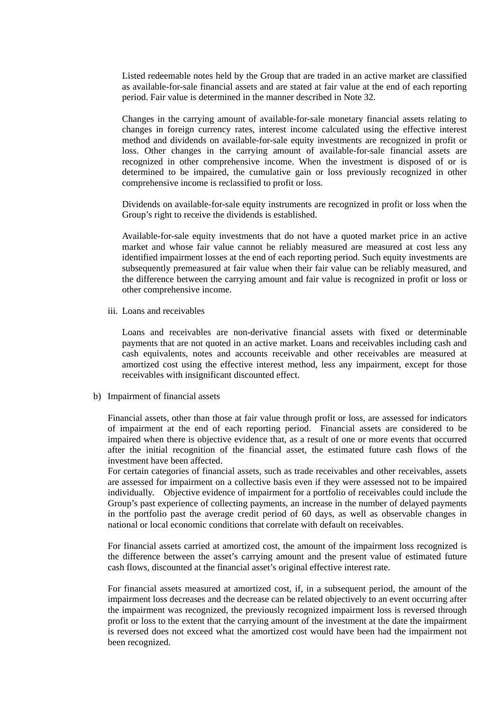Listed redeemable notes held by the Group that are traded in an active market are classified as available-for-sale financial assets and are stated at fair value at the end of each reporting period. Fair value is determined in the manner described in Note 32.

Changes in the carrying amount of available-for-sale monetary financial assets relating to changes in foreign currency rates, interest income calculated using the effective interest method and dividends on available-for-sale equity investments are recognized in profit or loss. Other changes in the carrying amount of available-for-sale financial assets are recognized in other comprehensive income. When the investment is disposed of or is determined to be impaired, the cumulative gain or loss previously recognized in other comprehensive income is reclassified to profit or loss.

Dividends on available-for-sale equity instruments are recognized in profit or loss when the Group's right to receive the dividends is established.

Available-for-sale equity investments that do not have a quoted market price in an active market and whose fair value cannot be reliably measured are measured at cost less any identified impairment losses at the end of each reporting period. Such equity investments are subsequently premeasured at fair value when their fair value can be reliably measured, and the difference between the carrying amount and fair value is recognized in profit or loss or other comprehensive income.

iii. Loans and receivables

Loans and receivables are non-derivative financial assets with fixed or determinable payments that are not quoted in an active market. Loans and receivables including cash and cash equivalents, notes and accounts receivable and other receivables are measured at amortized cost using the effective interest method, less any impairment, except for those receivables with insignificant discounted effect.

b) Impairment of financial assets

Financial assets, other than those at fair value through profit or loss, are assessed for indicators of impairment at the end of each reporting period. Financial assets are considered to be impaired when there is objective evidence that, as a result of one or more events that occurred after the initial recognition of the financial asset, the estimated future cash flows of the investment have been affected.

For certain categories of financial assets, such as trade receivables and other receivables, assets are assessed for impairment on a collective basis even if they were assessed not to be impaired individually. Objective evidence of impairment for a portfolio of receivables could include the Group's past experience of collecting payments, an increase in the number of delayed payments in the portfolio past the average credit period of 60 days, as well as observable changes in national or local economic conditions that correlate with default on receivables.

For financial assets carried at amortized cost, the amount of the impairment loss recognized is the difference between the asset's carrying amount and the present value of estimated future cash flows, discounted at the financial asset's original effective interest rate.

For financial assets measured at amortized cost, if, in a subsequent period, the amount of the impairment loss decreases and the decrease can be related objectively to an event occurring after the impairment was recognized, the previously recognized impairment loss is reversed through profit or loss to the extent that the carrying amount of the investment at the date the impairment is reversed does not exceed what the amortized cost would have been had the impairment not been recognized.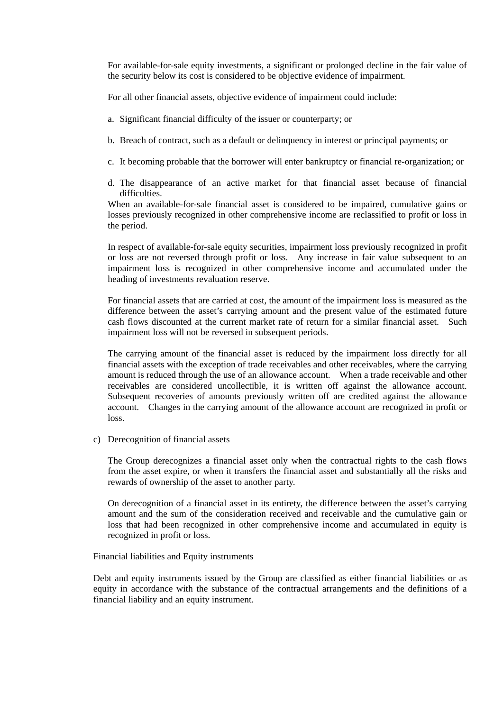For available-for-sale equity investments, a significant or prolonged decline in the fair value of the security below its cost is considered to be objective evidence of impairment.

For all other financial assets, objective evidence of impairment could include:

- a. Significant financial difficulty of the issuer or counterparty; or
- b. Breach of contract, such as a default or delinquency in interest or principal payments; or
- c. It becoming probable that the borrower will enter bankruptcy or financial re-organization; or
- d. The disappearance of an active market for that financial asset because of financial difficulties.

When an available-for-sale financial asset is considered to be impaired, cumulative gains or losses previously recognized in other comprehensive income are reclassified to profit or loss in the period.

In respect of available-for-sale equity securities, impairment loss previously recognized in profit or loss are not reversed through profit or loss. Any increase in fair value subsequent to an impairment loss is recognized in other comprehensive income and accumulated under the heading of investments revaluation reserve.

For financial assets that are carried at cost, the amount of the impairment loss is measured as the difference between the asset's carrying amount and the present value of the estimated future cash flows discounted at the current market rate of return for a similar financial asset. Such impairment loss will not be reversed in subsequent periods.

The carrying amount of the financial asset is reduced by the impairment loss directly for all financial assets with the exception of trade receivables and other receivables, where the carrying amount is reduced through the use of an allowance account. When a trade receivable and other receivables are considered uncollectible, it is written off against the allowance account. Subsequent recoveries of amounts previously written off are credited against the allowance account. Changes in the carrying amount of the allowance account are recognized in profit or loss.

c) Derecognition of financial assets

The Group derecognizes a financial asset only when the contractual rights to the cash flows from the asset expire, or when it transfers the financial asset and substantially all the risks and rewards of ownership of the asset to another party.

On derecognition of a financial asset in its entirety, the difference between the asset's carrying amount and the sum of the consideration received and receivable and the cumulative gain or loss that had been recognized in other comprehensive income and accumulated in equity is recognized in profit or loss.

#### Financial liabilities and Equity instruments

Debt and equity instruments issued by the Group are classified as either financial liabilities or as equity in accordance with the substance of the contractual arrangements and the definitions of a financial liability and an equity instrument.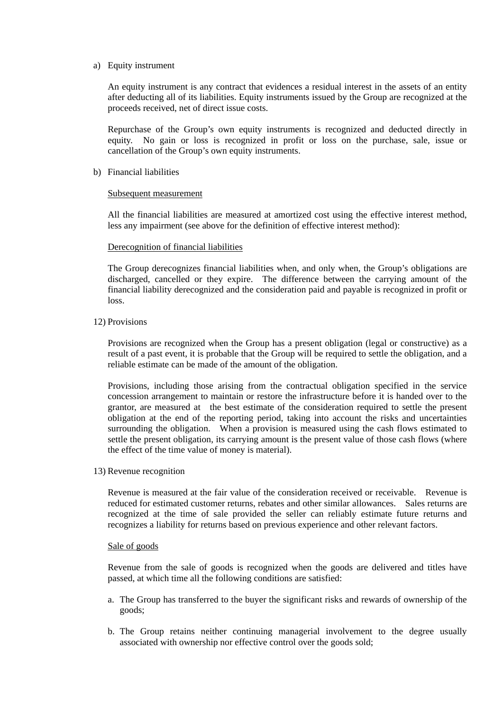#### a) Equity instrument

An equity instrument is any contract that evidences a residual interest in the assets of an entity after deducting all of its liabilities. Equity instruments issued by the Group are recognized at the proceeds received, net of direct issue costs.

Repurchase of the Group's own equity instruments is recognized and deducted directly in equity. No gain or loss is recognized in profit or loss on the purchase, sale, issue or cancellation of the Group's own equity instruments.

#### b) Financial liabilities

#### Subsequent measurement

All the financial liabilities are measured at amortized cost using the effective interest method, less any impairment (see above for the definition of effective interest method):

#### Derecognition of financial liabilities

The Group derecognizes financial liabilities when, and only when, the Group's obligations are discharged, cancelled or they expire. The difference between the carrying amount of the financial liability derecognized and the consideration paid and payable is recognized in profit or loss.

#### 12) Provisions

Provisions are recognized when the Group has a present obligation (legal or constructive) as a result of a past event, it is probable that the Group will be required to settle the obligation, and a reliable estimate can be made of the amount of the obligation.

Provisions, including those arising from the contractual obligation specified in the service concession arrangement to maintain or restore the infrastructure before it is handed over to the grantor, are measured at the best estimate of the consideration required to settle the present obligation at the end of the reporting period, taking into account the risks and uncertainties surrounding the obligation. When a provision is measured using the cash flows estimated to settle the present obligation, its carrying amount is the present value of those cash flows (where the effect of the time value of money is material).

#### 13) Revenue recognition

Revenue is measured at the fair value of the consideration received or receivable. Revenue is reduced for estimated customer returns, rebates and other similar allowances. Sales returns are recognized at the time of sale provided the seller can reliably estimate future returns and recognizes a liability for returns based on previous experience and other relevant factors.

#### Sale of goods

Revenue from the sale of goods is recognized when the goods are delivered and titles have passed, at which time all the following conditions are satisfied:

- a. The Group has transferred to the buyer the significant risks and rewards of ownership of the goods;
- b. The Group retains neither continuing managerial involvement to the degree usually associated with ownership nor effective control over the goods sold;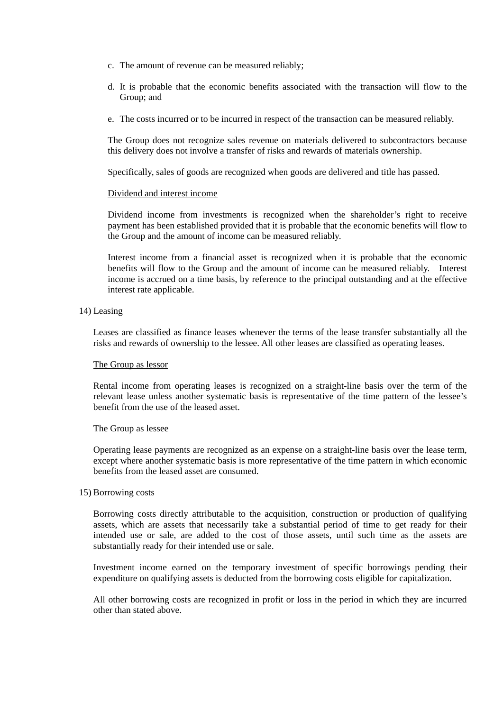- c. The amount of revenue can be measured reliably;
- d. It is probable that the economic benefits associated with the transaction will flow to the Group; and
- e. The costs incurred or to be incurred in respect of the transaction can be measured reliably.

The Group does not recognize sales revenue on materials delivered to subcontractors because this delivery does not involve a transfer of risks and rewards of materials ownership.

Specifically, sales of goods are recognized when goods are delivered and title has passed.

#### Dividend and interest income

Dividend income from investments is recognized when the shareholder's right to receive payment has been established provided that it is probable that the economic benefits will flow to the Group and the amount of income can be measured reliably.

Interest income from a financial asset is recognized when it is probable that the economic benefits will flow to the Group and the amount of income can be measured reliably. Interest income is accrued on a time basis, by reference to the principal outstanding and at the effective interest rate applicable.

#### 14) Leasing

Leases are classified as finance leases whenever the terms of the lease transfer substantially all the risks and rewards of ownership to the lessee. All other leases are classified as operating leases.

#### The Group as lessor

Rental income from operating leases is recognized on a straight-line basis over the term of the relevant lease unless another systematic basis is representative of the time pattern of the lessee's benefit from the use of the leased asset.

#### The Group as lessee

Operating lease payments are recognized as an expense on a straight-line basis over the lease term, except where another systematic basis is more representative of the time pattern in which economic benefits from the leased asset are consumed.

#### 15) Borrowing costs

Borrowing costs directly attributable to the acquisition, construction or production of qualifying assets, which are assets that necessarily take a substantial period of time to get ready for their intended use or sale, are added to the cost of those assets, until such time as the assets are substantially ready for their intended use or sale.

Investment income earned on the temporary investment of specific borrowings pending their expenditure on qualifying assets is deducted from the borrowing costs eligible for capitalization.

All other borrowing costs are recognized in profit or loss in the period in which they are incurred other than stated above.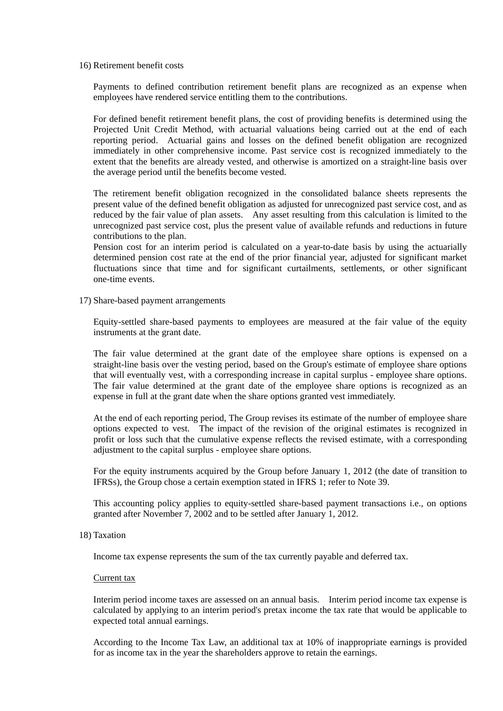16) Retirement benefit costs

Payments to defined contribution retirement benefit plans are recognized as an expense when employees have rendered service entitling them to the contributions.

For defined benefit retirement benefit plans, the cost of providing benefits is determined using the Projected Unit Credit Method, with actuarial valuations being carried out at the end of each reporting period. Actuarial gains and losses on the defined benefit obligation are recognized immediately in other comprehensive income. Past service cost is recognized immediately to the extent that the benefits are already vested, and otherwise is amortized on a straight-line basis over the average period until the benefits become vested.

The retirement benefit obligation recognized in the consolidated balance sheets represents the present value of the defined benefit obligation as adjusted for unrecognized past service cost, and as reduced by the fair value of plan assets. Any asset resulting from this calculation is limited to the unrecognized past service cost, plus the present value of available refunds and reductions in future contributions to the plan.

Pension cost for an interim period is calculated on a year-to-date basis by using the actuarially determined pension cost rate at the end of the prior financial year, adjusted for significant market fluctuations since that time and for significant curtailments, settlements, or other significant one-time events.

17) Share-based payment arrangements

Equity-settled share-based payments to employees are measured at the fair value of the equity instruments at the grant date.

The fair value determined at the grant date of the employee share options is expensed on a straight-line basis over the vesting period, based on the Group's estimate of employee share options that will eventually vest, with a corresponding increase in capital surplus - employee share options. The fair value determined at the grant date of the employee share options is recognized as an expense in full at the grant date when the share options granted vest immediately.

At the end of each reporting period, The Group revises its estimate of the number of employee share options expected to vest. The impact of the revision of the original estimates is recognized in profit or loss such that the cumulative expense reflects the revised estimate, with a corresponding adjustment to the capital surplus - employee share options.

For the equity instruments acquired by the Group before January 1, 2012 (the date of transition to IFRSs), the Group chose a certain exemption stated in IFRS 1; refer to Note 39.

This accounting policy applies to equity-settled share-based payment transactions i.e., on options granted after November 7, 2002 and to be settled after January 1, 2012.

18) Taxation

Income tax expense represents the sum of the tax currently payable and deferred tax.

#### Current tax

Interim period income taxes are assessed on an annual basis. Interim period income tax expense is calculated by applying to an interim period's pretax income the tax rate that would be applicable to expected total annual earnings.

According to the Income Tax Law, an additional tax at 10% of inappropriate earnings is provided for as income tax in the year the shareholders approve to retain the earnings.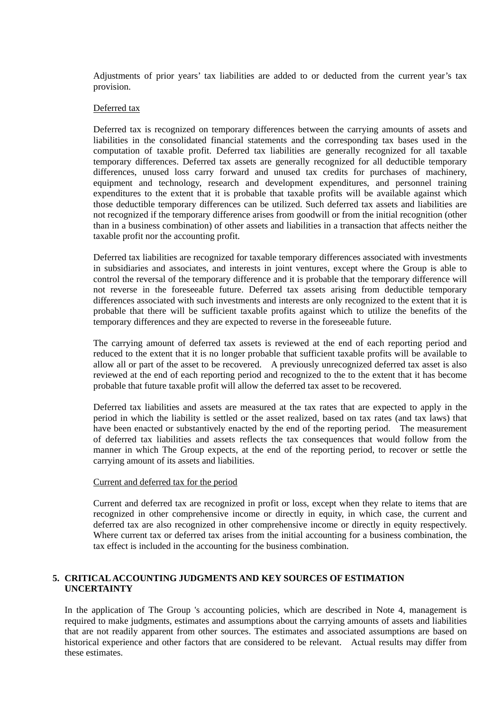Adjustments of prior years' tax liabilities are added to or deducted from the current year's tax provision.

#### Deferred tax

Deferred tax is recognized on temporary differences between the carrying amounts of assets and liabilities in the consolidated financial statements and the corresponding tax bases used in the computation of taxable profit. Deferred tax liabilities are generally recognized for all taxable temporary differences. Deferred tax assets are generally recognized for all deductible temporary differences, unused loss carry forward and unused tax credits for purchases of machinery, equipment and technology, research and development expenditures, and personnel training expenditures to the extent that it is probable that taxable profits will be available against which those deductible temporary differences can be utilized. Such deferred tax assets and liabilities are not recognized if the temporary difference arises from goodwill or from the initial recognition (other than in a business combination) of other assets and liabilities in a transaction that affects neither the taxable profit nor the accounting profit.

Deferred tax liabilities are recognized for taxable temporary differences associated with investments in subsidiaries and associates, and interests in joint ventures, except where the Group is able to control the reversal of the temporary difference and it is probable that the temporary difference will not reverse in the foreseeable future. Deferred tax assets arising from deductible temporary differences associated with such investments and interests are only recognized to the extent that it is probable that there will be sufficient taxable profits against which to utilize the benefits of the temporary differences and they are expected to reverse in the foreseeable future.

The carrying amount of deferred tax assets is reviewed at the end of each reporting period and reduced to the extent that it is no longer probable that sufficient taxable profits will be available to allow all or part of the asset to be recovered. A previously unrecognized deferred tax asset is also reviewed at the end of each reporting period and recognized to the to the extent that it has become probable that future taxable profit will allow the deferred tax asset to be recovered.

Deferred tax liabilities and assets are measured at the tax rates that are expected to apply in the period in which the liability is settled or the asset realized, based on tax rates (and tax laws) that have been enacted or substantively enacted by the end of the reporting period. The measurement of deferred tax liabilities and assets reflects the tax consequences that would follow from the manner in which The Group expects, at the end of the reporting period, to recover or settle the carrying amount of its assets and liabilities.

#### Current and deferred tax for the period

Current and deferred tax are recognized in profit or loss, except when they relate to items that are recognized in other comprehensive income or directly in equity, in which case, the current and deferred tax are also recognized in other comprehensive income or directly in equity respectively. Where current tax or deferred tax arises from the initial accounting for a business combination, the tax effect is included in the accounting for the business combination.

#### **5. CRITICAL ACCOUNTING JUDGMENTS AND KEY SOURCES OF ESTIMATION UNCERTAINTY**

In the application of The Group 's accounting policies, which are described in Note 4, management is required to make judgments, estimates and assumptions about the carrying amounts of assets and liabilities that are not readily apparent from other sources. The estimates and associated assumptions are based on historical experience and other factors that are considered to be relevant. Actual results may differ from these estimates.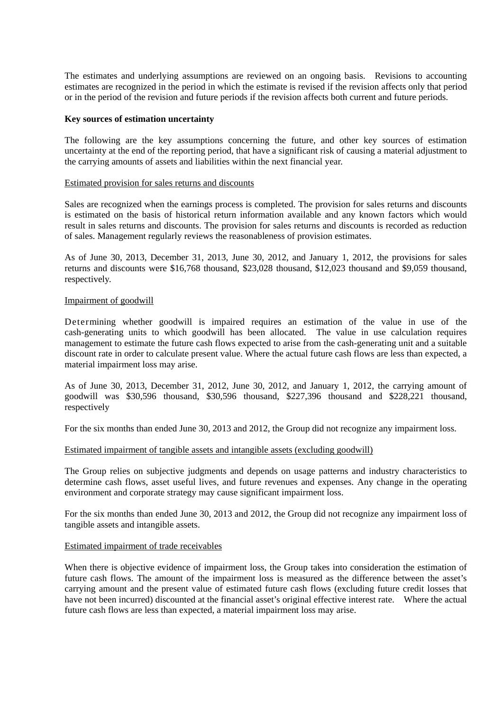The estimates and underlying assumptions are reviewed on an ongoing basis. Revisions to accounting estimates are recognized in the period in which the estimate is revised if the revision affects only that period or in the period of the revision and future periods if the revision affects both current and future periods.

#### **Key sources of estimation uncertainty**

The following are the key assumptions concerning the future, and other key sources of estimation uncertainty at the end of the reporting period, that have a significant risk of causing a material adjustment to the carrying amounts of assets and liabilities within the next financial year.

#### Estimated provision for sales returns and discounts

Sales are recognized when the earnings process is completed. The provision for sales returns and discounts is estimated on the basis of historical return information available and any known factors which would result in sales returns and discounts. The provision for sales returns and discounts is recorded as reduction of sales. Management regularly reviews the reasonableness of provision estimates.

As of June 30, 2013, December 31, 2013, June 30, 2012, and January 1, 2012, the provisions for sales returns and discounts were \$16,768 thousand, \$23,028 thousand, \$12,023 thousand and \$9,059 thousand, respectively.

#### Impairment of goodwill

Determining whether goodwill is impaired requires an estimation of the value in use of the cash-generating units to which goodwill has been allocated. The value in use calculation requires management to estimate the future cash flows expected to arise from the cash-generating unit and a suitable discount rate in order to calculate present value. Where the actual future cash flows are less than expected, a material impairment loss may arise.

As of June 30, 2013, December 31, 2012, June 30, 2012, and January 1, 2012, the carrying amount of goodwill was \$30,596 thousand, \$30,596 thousand, \$227,396 thousand and \$228,221 thousand, respectively

For the six months than ended June 30, 2013 and 2012, the Group did not recognize any impairment loss.

#### Estimated impairment of tangible assets and intangible assets (excluding goodwill)

The Group relies on subjective judgments and depends on usage patterns and industry characteristics to determine cash flows, asset useful lives, and future revenues and expenses. Any change in the operating environment and corporate strategy may cause significant impairment loss.

For the six months than ended June 30, 2013 and 2012, the Group did not recognize any impairment loss of tangible assets and intangible assets.

#### Estimated impairment of trade receivables

When there is objective evidence of impairment loss, the Group takes into consideration the estimation of future cash flows. The amount of the impairment loss is measured as the difference between the asset's carrying amount and the present value of estimated future cash flows (excluding future credit losses that have not been incurred) discounted at the financial asset's original effective interest rate. Where the actual future cash flows are less than expected, a material impairment loss may arise.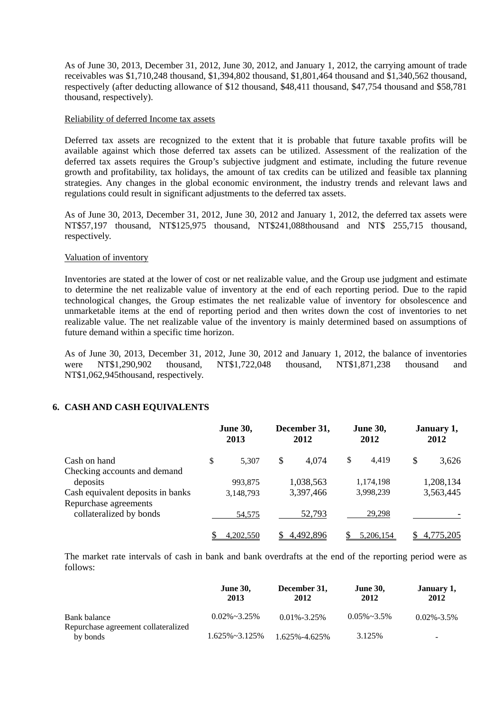As of June 30, 2013, December 31, 2012, June 30, 2012, and January 1, 2012, the carrying amount of trade receivables was \$1,710,248 thousand, \$1,394,802 thousand, \$1,801,464 thousand and \$1,340,562 thousand, respectively (after deducting allowance of \$12 thousand, \$48,411 thousand, \$47,754 thousand and \$58,781 thousand, respectively).

#### Reliability of deferred Income tax assets

Deferred tax assets are recognized to the extent that it is probable that future taxable profits will be available against which those deferred tax assets can be utilized. Assessment of the realization of the deferred tax assets requires the Group's subjective judgment and estimate, including the future revenue growth and profitability, tax holidays, the amount of tax credits can be utilized and feasible tax planning strategies. Any changes in the global economic environment, the industry trends and relevant laws and regulations could result in significant adjustments to the deferred tax assets.

As of June 30, 2013, December 31, 2012, June 30, 2012 and January 1, 2012, the deferred tax assets were NT\$57,197 thousand, NT\$125,975 thousand, NT\$241,088thousand and NT\$ 255,715 thousand, respectively.

#### Valuation of inventory

Inventories are stated at the lower of cost or net realizable value, and the Group use judgment and estimate to determine the net realizable value of inventory at the end of each reporting period. Due to the rapid technological changes, the Group estimates the net realizable value of inventory for obsolescence and unmarketable items at the end of reporting period and then writes down the cost of inventories to net realizable value. The net realizable value of the inventory is mainly determined based on assumptions of future demand within a specific time horizon.

As of June 30, 2013, December 31, 2012, June 30, 2012 and January 1, 2012, the balance of inventories were NT\$1,290,902 thousand, NT\$1,722,048 thousand, NT\$1,871,238 thousand and NT\$1,062,945thousand, respectively.

#### **6. CASH AND CASH EQUIVALENTS**

|                                   | <b>June 30,</b><br>2013 |           | December 31,<br>2012 |           | <b>June 30,</b><br>2012 |           | January 1,<br>2012 |           |
|-----------------------------------|-------------------------|-----------|----------------------|-----------|-------------------------|-----------|--------------------|-----------|
| Cash on hand                      | \$                      | 5.307     | \$                   | 4,074     | \$                      | 4.419     | \$                 | 3,626     |
| Checking accounts and demand      |                         |           |                      |           |                         |           |                    |           |
| deposits                          |                         | 993,875   |                      | 1,038,563 |                         | 1,174,198 |                    | 1,208,134 |
| Cash equivalent deposits in banks |                         | 3,148,793 |                      | 3,397,466 |                         | 3,998,239 |                    | 3,563,445 |
| Repurchase agreements             |                         |           |                      |           |                         |           |                    |           |
| collateralized by bonds           |                         | 54,575    |                      | 52,793    |                         | 29.298    |                    |           |
|                                   |                         | 4,202,550 |                      | 4,492,896 |                         | 5.206.154 |                    | 4,775,205 |

The market rate intervals of cash in bank and bank overdrafts at the end of the reporting period were as follows:

|                                                 | <b>June 30,</b><br>2013 | December 31,<br>2012 | <b>June 30,</b><br>2012 | January 1,<br>2012 |
|-------------------------------------------------|-------------------------|----------------------|-------------------------|--------------------|
| Bank balance                                    | $0.02\% \sim 3.25\%$    | $0.01\% - 3.25\%$    | $0.05\% \sim 3.5\%$     | $0.02\% - 3.5\%$   |
| Repurchase agreement collateralized<br>by bonds | $1.625\% \sim 3.125\%$  | 1.625%-4.625%        | 3.125%                  | -                  |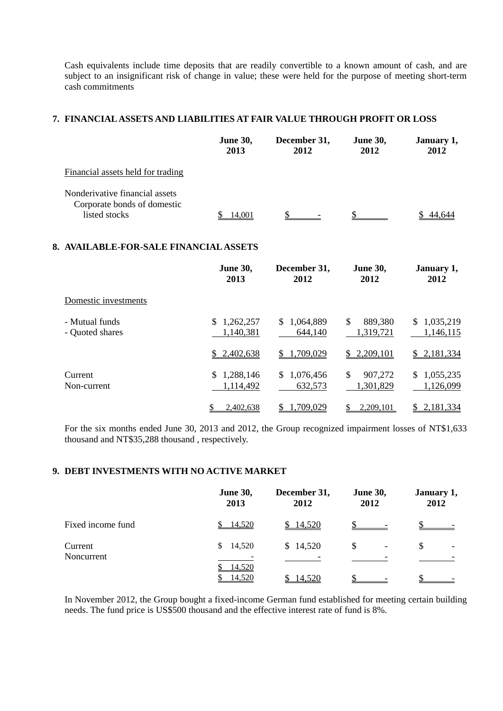Cash equivalents include time deposits that are readily convertible to a known amount of cash, and are subject to an insignificant risk of change in value; these were held for the purpose of meeting short-term cash commitments

### **7. FINANCIAL ASSETS AND LIABILITIES AT FAIR VALUE THROUGH PROFIT OR LOSS**

|                                                                                | <b>June 30,</b><br>2013 | December 31,<br>2012 | <b>June 30,</b><br>2012 | January 1,<br>2012 |
|--------------------------------------------------------------------------------|-------------------------|----------------------|-------------------------|--------------------|
| Financial assets held for trading                                              |                         |                      |                         |                    |
| Nonderivative financial assets<br>Corporate bonds of domestic<br>listed stocks | 14.001                  |                      |                         |                    |

#### **8. AVAILABLE-FOR-SALE FINANCIAL ASSETS**

|                                   | <b>June 30,</b><br>2013      | December 31,<br>2012       | <b>June 30,</b><br>2012    | January 1,<br>2012           |
|-----------------------------------|------------------------------|----------------------------|----------------------------|------------------------------|
| Domestic investments              |                              |                            |                            |                              |
| - Mutual funds<br>- Quoted shares | \$<br>1,262,257<br>1,140,381 | 1,064,889<br>S.<br>644,140 | \$<br>889,380<br>1,319,721 | 1,035,219<br>S.<br>1,146,115 |
|                                   | \$2,402,638                  | \$1,709,029                | \$2,209,101                | \$2,181,334                  |
| Current<br>Non-current            | 1,288,146<br>\$<br>1,114,492 | \$1,076,456<br>632,573     | \$<br>907,272<br>1,301,829 | 1,055,235<br>S.<br>1,126,099 |
|                                   | 2,402,638                    | 1,709,029                  | 2.209.101                  | 2,181,334                    |

For the six months ended June 30, 2013 and 2012, the Group recognized impairment losses of NT\$1,633 thousand and NT\$35,288 thousand , respectively.

#### **9. DEBT INVESTMENTS WITH NO ACTIVE MARKET**

|                       | <b>June 30,</b><br>2013 | December 31,<br>2012 | <b>June 30,</b><br>2012 | January 1,<br>2012 |
|-----------------------|-------------------------|----------------------|-------------------------|--------------------|
| Fixed income fund     | 14,520                  | \$14,520             |                         |                    |
| Current<br>Noncurrent | 14,520<br>\$<br>14,520  | \$14,520             | \$<br>-                 | \$                 |
|                       | 14,520                  | 14,520               |                         |                    |

In November 2012, the Group bought a fixed-income German fund established for meeting certain building needs. The fund price is US\$500 thousand and the effective interest rate of fund is 8%.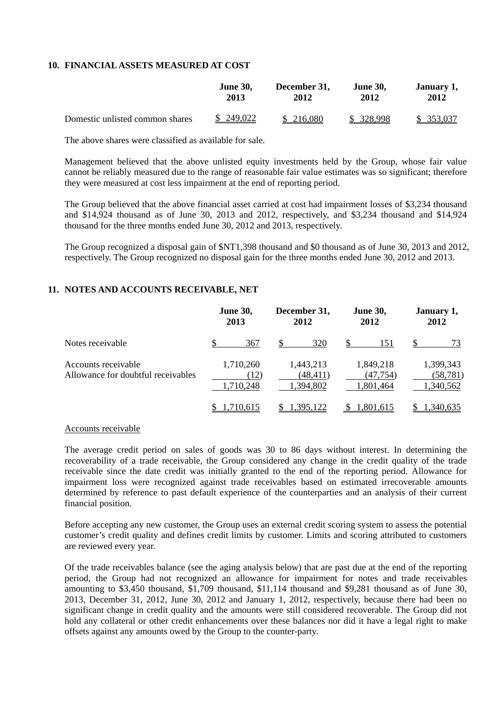#### **10. FINANCIAL ASSETS MEASURED AT COST**

|                                 | <b>June 30.</b> | December 31, | <b>June 30.</b> | January 1, |
|---------------------------------|-----------------|--------------|-----------------|------------|
|                                 | 2013            | 2012         | 2012            | 2012       |
| Domestic unlisted common shares | \$ 249,022      | \$ 216,080   | \$ 328,998      | \$ 353,037 |

The above shares were classified as available for sale.

Management believed that the above unlisted equity investments held by the Group, whose fair value cannot be reliably measured due to the range of reasonable fair value estimates was so significant; therefore they were measured at cost less impairment at the end of reporting period.

The Group believed that the above financial asset carried at cost had impairment losses of \$3,234 thousand and \$14,924 thousand as of June 30, 2013 and 2012, respectively, and \$3,234 thousand and \$14,924 thousand for the three months ended June 30, 2012 and 2013, respectively.

The Group recognized a disposal gain of \$NT1,398 thousand and \$0 thousand as of June 30, 2013 and 2012, respectively. The Group recognized no disposal gain for the three months ended June 30, 2012 and 2013.

### **11. NOTES AND ACCOUNTS RECEIVABLE, NET**

|                                                           | <b>June 30,</b><br>2013        | December 31,<br>2012               | <b>June 30,</b><br>2012            | January 1,<br>2012                  |
|-----------------------------------------------------------|--------------------------------|------------------------------------|------------------------------------|-------------------------------------|
| Notes receivable                                          | 367                            | 320                                | 151                                | 73                                  |
| Accounts receivable<br>Allowance for doubtful receivables | 1,710,260<br>(12)<br>1,710,248 | 1,443,213<br>(48,411)<br>1,394,802 | 1,849,218<br>(47,754)<br>1,801,464 | 1,399,343<br>(58, 781)<br>1,340,562 |
|                                                           | l.710.615                      | 1.395.122                          | 1,801,615                          | 1,340,635                           |

#### Accounts receivable

The average credit period on sales of goods was 30 to 86 days without interest. In determining the recoverability of a trade receivable, the Group considered any change in the credit quality of the trade receivable since the date credit was initially granted to the end of the reporting period. Allowance for impairment loss were recognized against trade receivables based on estimated irrecoverable amounts determined by reference to past default experience of the counterparties and an analysis of their current financial position.

Before accepting any new customer, the Group uses an external credit scoring system to assess the potential customer's credit quality and defines credit limits by customer. Limits and scoring attributed to customers are reviewed every year.

Of the trade receivables balance (see the aging analysis below) that are past due at the end of the reporting period, the Group had not recognized an allowance for impairment for notes and trade receivables amounting to \$3,450 thousand, \$1,709 thousand, \$11,114 thousand and \$9,281 thousand as of June 30, 2013, December 31, 2012, June 30, 2012 and January 1, 2012, respectively, because there had been no significant change in credit quality and the amounts were still considered recoverable. The Group did not hold any collateral or other credit enhancements over these balances nor did it have a legal right to make offsets against any amounts owed by the Group to the counter-party.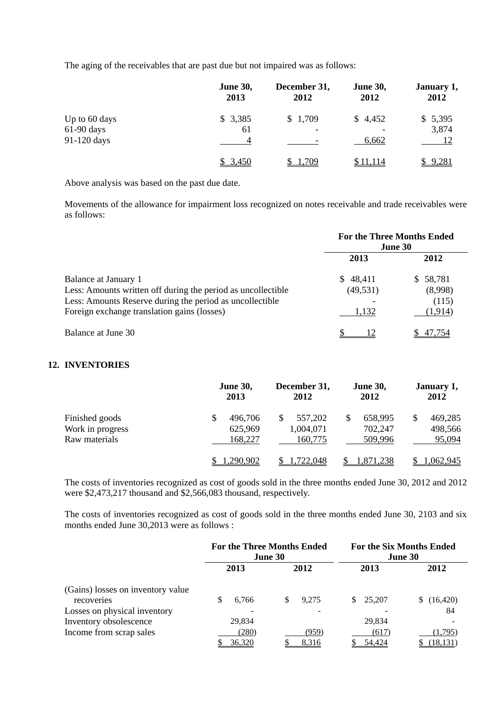The aging of the receivables that are past due but not impaired was as follows:

|               | <b>June 30,</b><br>2013 | December 31,<br>2012 | <b>June 30,</b><br>2012 | January 1,<br>2012 |
|---------------|-------------------------|----------------------|-------------------------|--------------------|
| Up to 60 days | \$3,385                 | \$1,709              | \$4,452                 | \$5,395            |
| $61-90$ days  | 61                      |                      |                         | 3,874              |
| 91-120 days   |                         |                      | 6,662                   |                    |
|               | 3,450                   | .709                 | \$11,114                | \$9,281            |

Above analysis was based on the past due date.

Movements of the allowance for impairment loss recognized on notes receivable and trade receivables were as follows:

|                                                              |           | <b>For the Three Months Ended</b><br><b>June 30</b> |
|--------------------------------------------------------------|-----------|-----------------------------------------------------|
|                                                              | 2013      | 2012                                                |
| Balance at January 1                                         | \$48,411  | \$58,781                                            |
| Less: Amounts written off during the period as uncollectible | (49, 531) | (8,998)                                             |
| Less: Amounts Reserve during the period as uncollectible     |           | (115)                                               |
| Foreign exchange translation gains (losses)                  | 1,132     | (1,914)                                             |
| Balance at June 30                                           |           | 47.754                                              |

#### **12. INVENTORIES**

|                                                     | <b>June 30,</b><br>2013             | December 31,<br>2012            | <b>June 30,</b><br>2012       | January 1,<br>2012                 |
|-----------------------------------------------------|-------------------------------------|---------------------------------|-------------------------------|------------------------------------|
| Finished goods<br>Work in progress<br>Raw materials | \$<br>496,706<br>625,969<br>168,227 | 557,202<br>1,004,071<br>160,775 | 658,995<br>702,247<br>509,996 | 469,285<br>\$<br>498,566<br>95,094 |
|                                                     | ,290,902                            | 1,722,048                       | <u>1,871,238</u>              | 1,062,945                          |

The costs of inventories recognized as cost of goods sold in the three months ended June 30, 2012 and 2012 were \$2,473,217 thousand and \$2,566,083 thousand, respectively.

The costs of inventories recognized as cost of goods sold in the three months ended June 30, 2103 and six months ended June 30,2013 were as follows :

|                                                 | <b>For the Three Months Ended</b><br><b>June 30</b> |                | <b>For the Six Months Ended</b><br><b>June 30</b> |                      |
|-------------------------------------------------|-----------------------------------------------------|----------------|---------------------------------------------------|----------------------|
|                                                 | 2013                                                | 2012           | 2013                                              | 2012                 |
| (Gains) losses on inventory value<br>recoveries | 6,766<br>\$                                         | 9.275<br>S.    | \$25,207                                          | (16, 420)            |
| Losses on physical inventory                    |                                                     |                |                                                   | 84                   |
| Inventory obsolescence                          | 29,834                                              |                | 29,834                                            |                      |
| Income from scrap sales                         | (280)<br>36,320                                     | (959)<br>8,316 | (617)<br>54,424                                   | (1,795)<br>(18, 131) |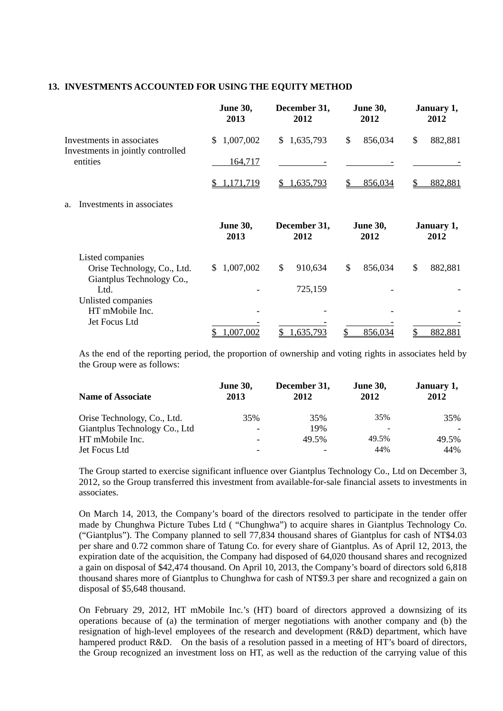#### **13. INVESTMENTS ACCOUNTED FOR USING THE EQUITY METHOD**

|                                                                | <b>June 30,</b><br>2013    | December 31,<br>2012        | <b>June 30,</b><br>2012 | January 1,<br>2012      |
|----------------------------------------------------------------|----------------------------|-----------------------------|-------------------------|-------------------------|
| Investments in associates<br>Investments in jointly controlled | 1,007,002<br>S.            | 1,635,793<br>$\mathbb{S}^-$ | \$<br>856,034           | \$<br>882,881           |
| entities                                                       | 164,717                    |                             |                         |                         |
|                                                                | 1,171,719                  | 1,635,793                   | 856,034                 | 882,881                 |
| Investments in associates<br>a.                                |                            |                             |                         |                         |
|                                                                | <b>June 30,</b><br>2013    | December 31,<br>2012        | <b>June 30,</b><br>2012 | January 1,<br>2012      |
| Listed companies                                               |                            |                             |                         |                         |
| Orise Technology, Co., Ltd.<br>Giantplus Technology Co.,       | 1,007,002<br><sup>\$</sup> | \$<br>910,634               | \$<br>856,034           | $\mathbb{S}$<br>882,881 |
| Ltd.                                                           |                            | 725,159                     |                         |                         |
| Unlisted companies                                             |                            |                             |                         |                         |
| HT mMobile Inc.                                                |                            |                             |                         |                         |
| Jet Focus Ltd                                                  |                            |                             |                         |                         |
|                                                                | ,007,002                   | .635,793                    | 856,034                 | 882,881                 |

As the end of the reporting period, the proportion of ownership and voting rights in associates held by the Group were as follows:

| <b>Name of Associate</b>      | <b>June 30,</b><br>2013 | December 31,<br>2012 | <b>June 30,</b><br>2012 | January 1,<br>2012 |
|-------------------------------|-------------------------|----------------------|-------------------------|--------------------|
| Orise Technology, Co., Ltd.   | 35%                     | 35%                  | 35%                     | 35%                |
| Giantplus Technology Co., Ltd |                         | 19%                  | -                       |                    |
| HT mMobile Inc.               |                         | 49.5%                | 49.5%                   | 49.5%              |
| Jet Focus Ltd                 |                         |                      | 44%                     | 44%                |

The Group started to exercise significant influence over Giantplus Technology Co., Ltd on December 3, 2012, so the Group transferred this investment from available-for-sale financial assets to investments in associates.

On March 14, 2013, the Company's board of the directors resolved to participate in the tender offer made by Chunghwa Picture Tubes Ltd ( "Chunghwa") to acquire shares in Giantplus Technology Co. ("Giantplus"). The Company planned to sell 77,834 thousand shares of Giantplus for cash of NT\$4.03 per share and 0.72 common share of Tatung Co. for every share of Giantplus. As of April 12, 2013, the expiration date of the acquisition, the Company had disposed of 64,020 thousand shares and recognized a gain on disposal of \$42,474 thousand. On April 10, 2013, the Company's board of directors sold 6,818 thousand shares more of Giantplus to Chunghwa for cash of NT\$9.3 per share and recognized a gain on disposal of \$5,648 thousand.

On February 29, 2012, HT mMobile Inc.'s (HT) board of directors approved a downsizing of its operations because of (a) the termination of merger negotiations with another company and (b) the resignation of high-level employees of the research and development (R&D) department, which have hampered product R&D. On the basis of a resolution passed in a meeting of HT's board of directors, the Group recognized an investment loss on HT, as well as the reduction of the carrying value of this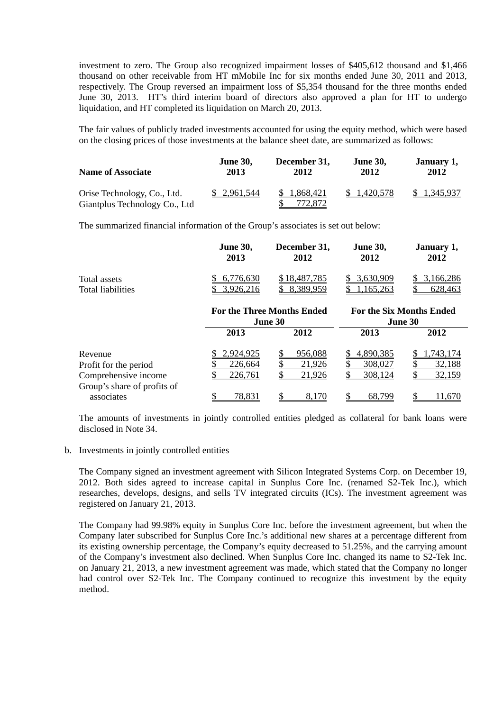investment to zero. The Group also recognized impairment losses of \$405,612 thousand and \$1,466 thousand on other receivable from HT mMobile Inc for six months ended June 30, 2011 and 2013, respectively. The Group reversed an impairment loss of \$5,354 thousand for the three months ended June 30, 2013. HT's third interim board of directors also approved a plan for HT to undergo liquidation, and HT completed its liquidation on March 20, 2013.

The fair values of publicly traded investments accounted for using the equity method, which were based on the closing prices of those investments at the balance sheet date, are summarized as follows:

| <b>Name of Associate</b>                                     | <b>June 30,</b> | December 31,            | <b>June 30,</b> | January 1,   |
|--------------------------------------------------------------|-----------------|-------------------------|-----------------|--------------|
|                                                              | 2013            | 2012                    | 2012            | 2012         |
| Orise Technology, Co., Ltd.<br>Giantplus Technology Co., Ltd | \$ 2,961,544    | \$ 1,868,421<br>772,872 | 1,420,578       | \$ 1,345,937 |

The summarized financial information of the Group's associates is set out below:

|                                                          | <b>June 30,</b><br>2013                      | December 31,<br>2012        | <b>June 30,</b><br>2012                    | January 1,<br>2012           |
|----------------------------------------------------------|----------------------------------------------|-----------------------------|--------------------------------------------|------------------------------|
| Total assets<br><b>Total liabilities</b>                 | 6,776,630<br>3,926,216                       | \$18,487,785<br>8,389,959   | 3,630,909<br>S<br>165,263                  | 3,166,286<br>628,463         |
|                                                          | <b>For the Three Months Ended</b><br>June 30 |                             | <b>For the Six Months Ended</b><br>June 30 |                              |
|                                                          | 2013                                         | 2012                        | 2013                                       | 2012                         |
| Revenue<br>Profit for the period<br>Comprehensive income | 2,924,925<br>226,664<br>226,761              | 956,088<br>21,926<br>21,926 | 4,890,385<br>308,027<br>308,124            | .743,174<br>32,188<br>32,159 |
| Group's share of profits of<br>associates                | 78,831<br>\$                                 | 8,170                       | 68,799<br>S                                | 11,670                       |

The amounts of investments in jointly controlled entities pledged as collateral for bank loans were disclosed in Note 34.

b. Investments in jointly controlled entities

The Company signed an investment agreement with Silicon Integrated Systems Corp. on December 19, 2012. Both sides agreed to increase capital in Sunplus Core Inc. (renamed S2-Tek Inc.), which researches, develops, designs, and sells TV integrated circuits (ICs). The investment agreement was registered on January 21, 2013.

The Company had 99.98% equity in Sunplus Core Inc. before the investment agreement, but when the Company later subscribed for Sunplus Core Inc.'s additional new shares at a percentage different from its existing ownership percentage, the Company's equity decreased to 51.25%, and the carrying amount of the Company's investment also declined. When Sunplus Core Inc. changed its name to S2-Tek Inc. on January 21, 2013, a new investment agreement was made, which stated that the Company no longer had control over S2-Tek Inc. The Company continued to recognize this investment by the equity method.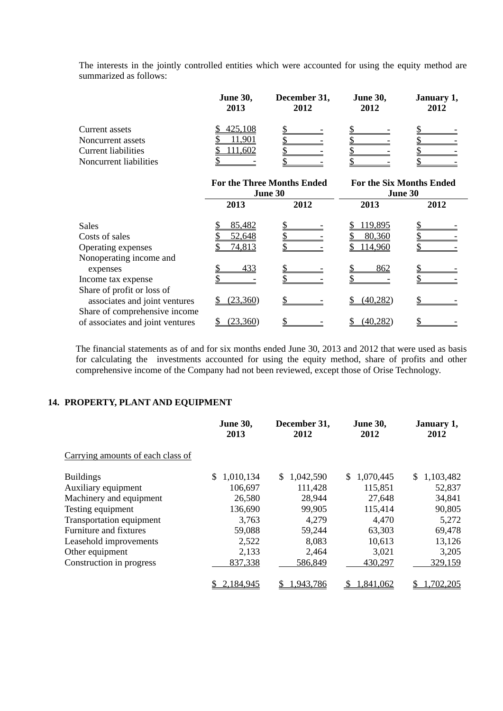The interests in the jointly controlled entities which were accounted for using the equity method are summarized as follows:

|                        | <b>June 30,</b><br>2013 | December 31,<br>2012 | <b>June 30,</b><br>2012 | January 1,<br>2012 |
|------------------------|-------------------------|----------------------|-------------------------|--------------------|
| Current assets         | 425,108                 |                      |                         |                    |
| Noncurrent assets      | .901                    |                      |                         |                    |
| Current liabilities    | 11,602                  |                      |                         |                    |
| Noncurrent liabilities |                         |                      |                         |                    |

|                                  | <b>For the Three Months Ended</b><br>June 30 |      | <b>For the Six Months Ended</b><br>June 30 |      |
|----------------------------------|----------------------------------------------|------|--------------------------------------------|------|
|                                  | 2013                                         | 2012 | 2013                                       | 2012 |
| <b>Sales</b>                     | 85,482                                       |      | <u>119,895</u>                             |      |
| Costs of sales                   | 52,648                                       |      | 80,360                                     |      |
| Operating expenses               | 74,813                                       |      | 114,960                                    |      |
| Nonoperating income and          |                                              |      |                                            |      |
| expenses                         | 433                                          |      | <u>862</u>                                 |      |
| Income tax expense               |                                              |      |                                            |      |
| Share of profit or loss of       |                                              |      |                                            |      |
| associates and joint ventures    | (23,360)                                     |      | (40, 282)                                  |      |
| Share of comprehensive income    |                                              |      |                                            |      |
| of associates and joint ventures | (23, 360)                                    |      | (40, 282)                                  |      |

The financial statements as of and for six months ended June 30, 2013 and 2012 that were used as basis for calculating the investments accounted for using the equity method, share of profits and other comprehensive income of the Company had not been reviewed, except those of Orise Technology.

### **14. PROPERTY, PLANT AND EQUIPMENT**

|                                   | <b>June 30,</b><br>2013 | December 31,<br>2012 | <b>June 30,</b><br>2012 | January 1,<br>2012 |
|-----------------------------------|-------------------------|----------------------|-------------------------|--------------------|
| Carrying amounts of each class of |                         |                      |                         |                    |
| <b>Buildings</b>                  | \$<br>1,010,134         | 1,042,590<br>S.      | \$<br>1,070,445         | \$1,103,482        |
| Auxiliary equipment               | 106,697                 | 111,428              | 115,851                 | 52,837             |
| Machinery and equipment           | 26,580                  | 28,944               | 27,648                  | 34,841             |
| Testing equipment                 | 136,690                 | 99,905               | 115,414                 | 90,805             |
| Transportation equipment          | 3,763                   | 4,279                | 4,470                   | 5,272              |
| Furniture and fixtures            | 59,088                  | 59,244               | 63,303                  | 69,478             |
| Leasehold improvements            | 2,522                   | 8,083                | 10,613                  | 13,126             |
| Other equipment                   | 2,133                   | 2,464                | 3,021                   | 3,205              |
| Construction in progress          | 837,338                 | 586,849              | 430,297                 | 329,159            |
|                                   | 2,184,945               | 1,943,786            | 1,841,062               | .702,205           |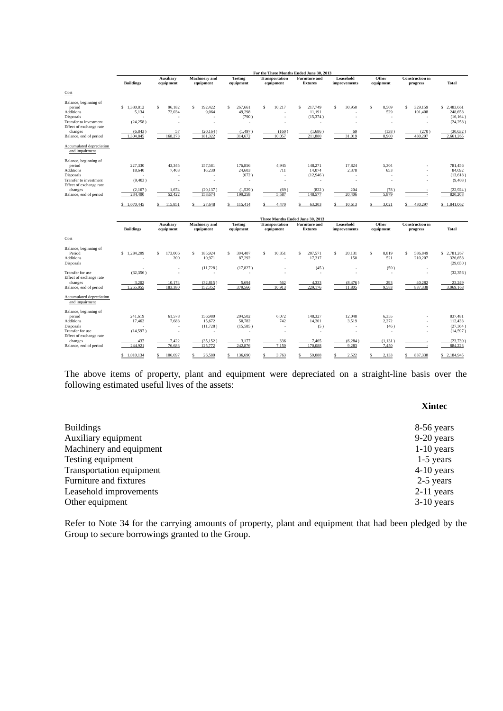|                                                                                     |                                   |                               |                                   |                                             | For the Three Months Ended June 30, 2013 |                                         |                           |                         |                                               |                                                  |  |
|-------------------------------------------------------------------------------------|-----------------------------------|-------------------------------|-----------------------------------|---------------------------------------------|------------------------------------------|-----------------------------------------|---------------------------|-------------------------|-----------------------------------------------|--------------------------------------------------|--|
|                                                                                     | <b>Buildings</b>                  | <b>Auxiliary</b><br>equipment | <b>Machinery</b> and<br>equipment | <b>Testing</b><br>equipment                 | <b>Transportation</b><br>equipment       | <b>Furniture</b> and<br>fixtures        | Leasehold<br>improvements | Other<br>equipment      | <b>Construction</b> in<br>progress            | <b>Total</b>                                     |  |
| Cost                                                                                |                                   |                               |                                   |                                             |                                          |                                         |                           |                         |                                               |                                                  |  |
| Balance, beginning of<br>period<br>Additions<br>Disposals<br>Transfer to investment | \$1,330,812<br>5,134<br>(24, 258) | Ŝ.<br>96,182<br>72,034<br>٠   | 192,422<br>S<br>9,064<br>٠        | <sup>\$</sup><br>267,661<br>49,298<br>(790) | $\mathsf{s}$<br>10,217<br>ä,<br>٠        | 217,749<br>S<br>11.191<br>(15,374)<br>× | s<br>30,950               | 8,509<br>\$<br>529<br>٠ | $\mathbf{\hat{S}}$<br>329,159<br>101,408<br>٠ | \$2,483,661<br>248,658<br>(16, 164)<br>(24, 258) |  |
| Effect of exchange rate<br>changes                                                  | (6, 843)                          | 57                            | (20, 164)                         | (1, 497)                                    | (160)                                    | (1,686)                                 | 69                        | (138)                   | (270)                                         | (30, 632)                                        |  |
| Balance, end of period                                                              | 1.304.845                         | 168,273                       | 181.322                           | 314.672                                     | 10.057                                   | 211.880                                 | 31.019                    | 8.900                   | 430.297                                       | 2,661,265                                        |  |
| Accumulated depreciation<br>and impairment                                          |                                   |                               |                                   |                                             |                                          |                                         |                           |                         |                                               |                                                  |  |
| Balance, beginning of                                                               |                                   |                               |                                   |                                             |                                          |                                         |                           |                         |                                               |                                                  |  |
| period<br><b>Additions</b>                                                          | 227,330<br>18,640                 | 43,345<br>7,403               | 157,581<br>16,230                 | 176,856<br>24,603                           | 4,945<br>711                             | 148,271<br>14.074                       | 17,824<br>2,378           | 5,304<br>653            |                                               | 781,456<br>84.692                                |  |
| <b>Disposals</b>                                                                    |                                   |                               | ٠                                 | (672)                                       | ×                                        | (12,946)                                |                           |                         |                                               | (13,618)                                         |  |
| Transfer to investment<br>Effect of exchange rate                                   | (9, 403)                          | ä,                            | ä,                                |                                             | ä,                                       | ٠                                       |                           | ×                       |                                               | (9, 403)                                         |  |
| changes                                                                             | (2,167)                           | 1,674                         | (20, 137)                         | (1,529)                                     | (69)                                     | (822)                                   | 204                       | (78)                    |                                               | (22, 924)                                        |  |
| Balance, end of period                                                              | 234,400                           | 52,422                        | 153,674                           | 199,258                                     | 5,587                                    | 148,577                                 | 20.406                    | 5,879                   |                                               | 820,203                                          |  |
|                                                                                     | \$1,070,445                       | 115,851<br>S                  | 27,648                            | 115,414<br>S                                | 4,470                                    | 63,303                                  | Ś<br>10,613               | 3.021                   | 430,297                                       | \$1,841,062                                      |  |
|                                                                                     |                                   |                               |                                   |                                             |                                          | Three Months Ended June 30, 2013        |                           |                         |                                               |                                                  |  |
|                                                                                     | <b>Buildings</b>                  | <b>Auxiliary</b><br>equipment | <b>Machinery</b> and<br>equipment | <b>Testing</b><br>equipment                 | <b>Transportation</b><br>equipment       | <b>Furniture</b> and<br>fixtures        | Leasehold<br>improvements | Other<br>equipment      | <b>Construction</b> in<br>progress            | Total                                            |  |
| Cost                                                                                |                                   |                               |                                   |                                             |                                          |                                         |                           |                         |                                               |                                                  |  |
| Balance, beginning of<br>Period<br><b>Additions</b>                                 | \$1,284,209                       | \$<br>173,006<br>200          | S<br>185.924<br>10,971            | s<br>304,407<br>87,292                      | 10,351<br>S<br>٠                         | S<br>207,571<br>17,317                  | s<br>20.131<br>150        | 8,819<br>\$<br>521      | \$<br>586,849<br>210,207                      | \$2,781,267<br>326,658                           |  |
| <b>Disposals</b>                                                                    |                                   | ٠                             | (11, 728)                         | (17, 827)                                   |                                          | (45)                                    |                           | (50)                    |                                               | (29,650)                                         |  |
| Transfer for use<br>Effect of exchange rate                                         | (32, 356)                         | ٠                             | ٠                                 |                                             | ä,                                       | ٠                                       | ٠                         | ٠                       | ÷.                                            | (32, 356)                                        |  |
| changes                                                                             | 3,202                             | 10,174                        | (32, 815)                         | 5,694                                       | 562                                      | 4,333                                   | (8, 476)                  | 293                     | 40,282                                        | 23,249                                           |  |
| Balance, end of period                                                              | 1,255,055                         | 183,380                       | 152,352                           | 379,566                                     | 10,913                                   | 229,176                                 | 11,805                    | 9,583                   | 837,338                                       | 3,069,168                                        |  |
| Accumulated depreciation<br>and impairment                                          |                                   |                               |                                   |                                             |                                          |                                         |                           |                         |                                               |                                                  |  |
| Balance, beginning of<br>period                                                     | 241,619                           | 61,578                        | 156,980                           | 204,502                                     | 6,072                                    | 148,327                                 | 12,048                    | 6,355                   |                                               | 837,481                                          |  |
| <b>Additions</b>                                                                    | 17,462                            | 7,683                         | 15,672                            | 50,782                                      | 742                                      | 14,301                                  | 3,519                     | 2,272                   |                                               | 112,433                                          |  |
| <b>Disposals</b>                                                                    |                                   |                               | (11, 728)                         | (15,585)                                    | ä,                                       | (5)                                     |                           | (46)                    |                                               | (27, 364)                                        |  |
| Transfer for use<br>Effect of exchange rate                                         | (14, 597)                         | i,                            | ٠                                 |                                             | ä,                                       | $\sim$                                  | ٠                         | ٠                       |                                               | (14, 597)                                        |  |
| changes                                                                             | 437                               | 7,422                         | (35, 152)                         | 3,177                                       | 336                                      | 7,465                                   | (6, 284)                  | (1, 131)                |                                               | (23,730)                                         |  |
| Balance, end of period                                                              | 244,921                           | 76,683                        | 125,772                           | 242,876                                     | 7,150                                    | 170,088                                 | 9,283                     | 7,450                   |                                               | 884,223                                          |  |
|                                                                                     | \$1.010.134                       | 106.697                       | 26,580                            | 136,690                                     | 3.763                                    | 59.088                                  | 2.522                     | 2.133                   | 837,338<br>Ś                                  | 2.184.945<br>S                                   |  |

The above items of property, plant and equipment were depreciated on a straight-line basis over the following estimated useful lives of the assets:

#### **Xintec**

| 8-56 years   |
|--------------|
| $9-20$ years |
| $1-10$ years |
| $1-5$ years  |
| $4-10$ years |
| 2-5 years    |
| $2-11$ years |
| $3-10$ years |
|              |

Refer to Note 34 for the carrying amounts of property, plant and equipment that had been pledged by the Group to secure borrowings granted to the Group.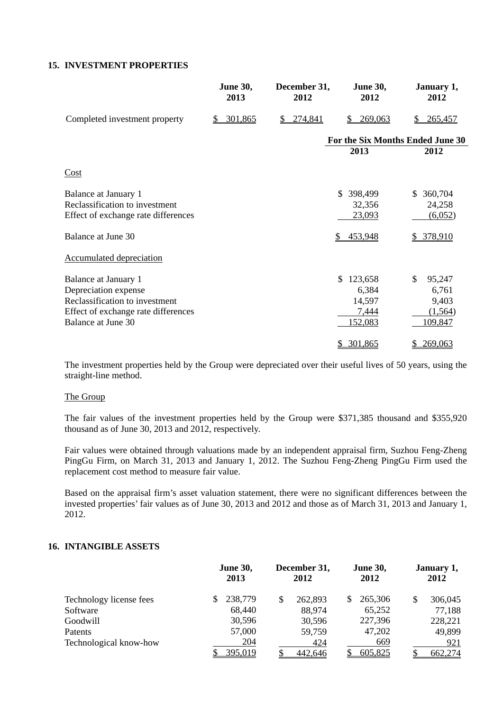## **15. INVESTMENT PROPERTIES**

|                                                                                                                                             | <b>June 30,</b><br>2013 | December 31,<br>2012 | <b>June 30,</b><br>2012                              | January 1,<br>2012                                               |
|---------------------------------------------------------------------------------------------------------------------------------------------|-------------------------|----------------------|------------------------------------------------------|------------------------------------------------------------------|
| Completed investment property                                                                                                               | 301,865<br>S            | 274,841<br>S.        | 269,063<br>S                                         | 265,457                                                          |
|                                                                                                                                             |                         |                      |                                                      | For the Six Months Ended June 30                                 |
|                                                                                                                                             |                         |                      | 2013                                                 | 2012                                                             |
| Cost                                                                                                                                        |                         |                      |                                                      |                                                                  |
| Balance at January 1<br>Reclassification to investment<br>Effect of exchange rate differences                                               |                         |                      | \$398,499<br>32,356<br>23,093                        | \$ 360,704<br>24,258<br>(6,052)                                  |
| Balance at June 30                                                                                                                          |                         |                      | 453,948<br>\$.                                       | \$ 378,910                                                       |
| <b>Accumulated depreciation</b>                                                                                                             |                         |                      |                                                      |                                                                  |
| Balance at January 1<br>Depreciation expense<br>Reclassification to investment<br>Effect of exchange rate differences<br>Balance at June 30 |                         |                      | 123,658<br>\$<br>6,384<br>14,597<br>7,444<br>152,083 | $\mathcal{S}$<br>95,247<br>6,761<br>9,403<br>(1, 564)<br>109,847 |
|                                                                                                                                             |                         |                      | \$301,865                                            | \$269,063                                                        |

The investment properties held by the Group were depreciated over their useful lives of 50 years, using the straight-line method.

## The Group

The fair values of the investment properties held by the Group were \$371,385 thousand and \$355,920 thousand as of June 30, 2013 and 2012, respectively.

Fair values were obtained through valuations made by an independent appraisal firm, Suzhou Feng-Zheng PingGu Firm, on March 31, 2013 and January 1, 2012. The Suzhou Feng-Zheng PingGu Firm used the replacement cost method to measure fair value.

Based on the appraisal firm's asset valuation statement, there were no significant differences between the invested properties' fair values as of June 30, 2013 and 2012 and those as of March 31, 2013 and January 1, 2012.

## **16. INTANGIBLE ASSETS**

|                         | <b>June 30,</b><br>2013 | December 31,<br>2012 | <b>June 30,</b><br>2012 | January 1,<br>2012 |  |
|-------------------------|-------------------------|----------------------|-------------------------|--------------------|--|
| Technology license fees | 238,779                 | 262,893              | 265,306                 | 306,045<br>\$      |  |
| Software                | 68,440                  | 88,974               | 65,252                  | 77,188             |  |
| Goodwill                | 30,596                  | 30,596               | 227,396                 | 228,221            |  |
| Patents                 | 57,000                  | 59,759               | 47,202                  | 49,899             |  |
| Technological know-how  | 204                     | 424                  | 669                     | 921                |  |
|                         | 395,019                 | 442,646              | 605,825                 | 662,274            |  |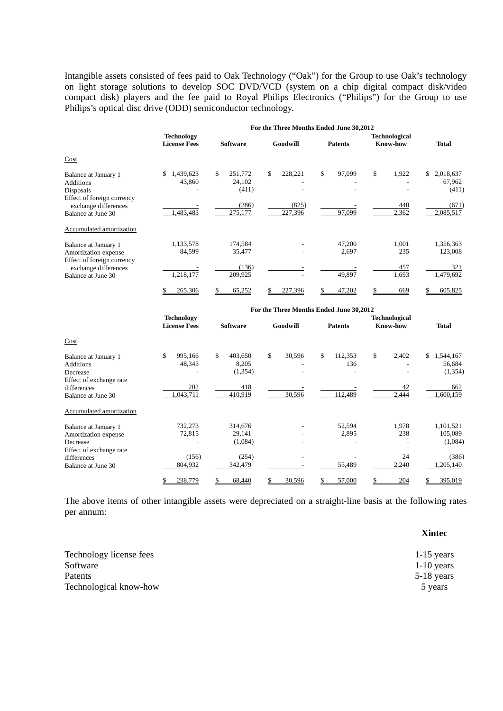Intangible assets consisted of fees paid to Oak Technology ("Oak") for the Group to use Oak's technology on light storage solutions to develop SOC DVD/VCD (system on a chip digital compact disk/video compact disk) players and the fee paid to Royal Philips Electronics ("Philips") for the Group to use Philips's optical disc drive (ODD) semiconductor technology.

|                                                                                     | For the Three Months Ended June 30,2012  |                                  |                |                                         |                                         |                                    |  |  |  |
|-------------------------------------------------------------------------------------|------------------------------------------|----------------------------------|----------------|-----------------------------------------|-----------------------------------------|------------------------------------|--|--|--|
|                                                                                     | <b>Technology</b><br><b>License Fees</b> | <b>Software</b>                  | Goodwill       | <b>Patents</b>                          | <b>Technological</b><br><b>Know-how</b> | <b>Total</b>                       |  |  |  |
| Cost                                                                                |                                          |                                  |                |                                         |                                         |                                    |  |  |  |
| Balance at January 1<br><b>Additions</b><br>Disposals<br>Effect of foreign currency | 1,439,623<br>\$<br>43,860                | \$<br>251,772<br>24,102<br>(411) | \$<br>228,221  | \$<br>97,099                            | \$<br>1,922                             | \$<br>2,018,637<br>67,962<br>(411) |  |  |  |
| exchange differences                                                                |                                          | (286)                            | (825)          |                                         | 440                                     | (671)                              |  |  |  |
| Balance at June 30                                                                  | 1,483,483                                | 275,177                          | 227,396        | 97,099                                  | 2,362                                   | 2,085,517                          |  |  |  |
| Accumulated amortization                                                            |                                          |                                  |                |                                         |                                         |                                    |  |  |  |
| Balance at January 1<br>Amortization expense<br>Effect of foreign currency          | 1,133,578<br>84,599                      | 174,584<br>35,477                |                | 47,200<br>2,697                         | 1,001<br>235                            | 1,356,363<br>123,008               |  |  |  |
| exchange differences                                                                |                                          | (136)                            |                |                                         | 457                                     | 321                                |  |  |  |
| Balance at June 30                                                                  | ,218,177                                 | 209,925                          |                | 49,897                                  | 1,693                                   | 1,479,692                          |  |  |  |
|                                                                                     | 265,306                                  | 65,252                           | 227,396<br>\$. | 47,202                                  | 669                                     | 605,825                            |  |  |  |
|                                                                                     |                                          |                                  |                | For the Three Months Ended June 30,2012 |                                         |                                    |  |  |  |

|                                                                                 | <b>Technology</b><br><b>License Fees</b> | <b>Software</b>                    | Goodwill     | <b>Patents</b>       | <b>Technological</b><br><b>Know-how</b> | <b>Total</b>                         |
|---------------------------------------------------------------------------------|------------------------------------------|------------------------------------|--------------|----------------------|-----------------------------------------|--------------------------------------|
| Cost                                                                            |                                          |                                    |              |                      |                                         |                                      |
| Balance at January 1<br><b>Additions</b><br>Decrease<br>Effect of exchange rate | \$<br>995,166<br>48,343                  | \$<br>403,650<br>8,205<br>(1, 354) | \$<br>30,596 | \$<br>112,353<br>136 | \$<br>2,402                             | \$<br>1,544,167<br>56,684<br>(1,354) |
| differences                                                                     | 202                                      | 418                                |              |                      | 42                                      | 662                                  |
| Balance at June 30                                                              | ,043,711                                 | 410,919                            | 30,596       | 112,489              | 2,444                                   | 1,600,159                            |
| Accumulated amortization                                                        |                                          |                                    |              |                      |                                         |                                      |
| Balance at January 1                                                            | 732,273                                  | 314,676                            |              | 52,594               | 1,978                                   | 1,101,521                            |
| Amortization expense                                                            | 72,815                                   | 29,141                             |              | 2,895                | 238                                     | 105,089                              |
| Decrease                                                                        |                                          | (1,084)                            |              |                      |                                         | (1,084)                              |
| Effect of exchange rate                                                         |                                          |                                    |              |                      |                                         |                                      |
| differences                                                                     | (156)                                    | (254)                              |              |                      | 24                                      | (386)                                |
| Balance at June 30                                                              | 804,932                                  | 342,479                            |              | 55,489               | 2,240                                   | ,205,140                             |
|                                                                                 | 238,779<br>\$                            | 68,440<br>\$                       | \$<br>30,596 | 57,000<br>\$         | 204<br>\$                               | 395,019<br>S.                        |

The above items of other intangible assets were depreciated on a straight-line basis at the following rates per annum:

**Xintec** 

| Technology license fees | $1-15$ years |
|-------------------------|--------------|
| Software                | $1-10$ years |
| <b>Patents</b>          | $5-18$ years |
| Technological know-how  | 5 years      |
|                         |              |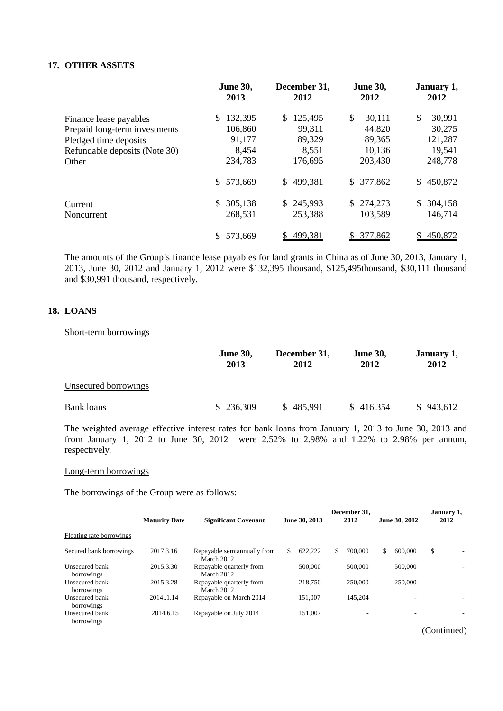## **17. OTHER ASSETS**

|                               | June 30,<br>2013 | December 31,<br>2012 | <b>June 30,</b><br>2012 | January 1,<br>2012 |
|-------------------------------|------------------|----------------------|-------------------------|--------------------|
| Finance lease payables        | 132,395          | 125,495<br>S         | \$<br>30,111            | \$<br>30,991       |
| Prepaid long-term investments | 106,860          | 99,311               | 44,820                  | 30,275             |
| Pledged time deposits         | 91,177           | 89,329               | 89,365                  | 121,287            |
| Refundable deposits (Note 30) | 8,454            | 8,551                | 10,136                  | 19,541             |
| Other                         | 234,783          | 176,695              | 203,430                 | 248,778            |
|                               | 573,669<br>S.    | 499,381<br>S.        | \$377,862               | 450,872<br>\$      |
| Current                       | 305,138<br>S.    | 245,993<br>S.        | 274,273<br>\$.          | 304,158            |
| Noncurrent                    | 268,531          | 253,388              | 103,589                 | 146,714            |
|                               | 573,669          | 499,381              | 377,862<br>\$           | 450,872            |

The amounts of the Group's finance lease payables for land grants in China as of June 30, 2013, January 1, 2013, June 30, 2012 and January 1, 2012 were \$132,395 thousand, \$125,495thousand, \$30,111 thousand and \$30,991 thousand, respectively.

## **18. LOANS**

## Short-term borrowings

|                      | <b>June 30,</b><br>2013 | December 31,<br>2012 | <b>June 30,</b><br>2012 | January 1,<br>2012 |
|----------------------|-------------------------|----------------------|-------------------------|--------------------|
| Unsecured borrowings |                         |                      |                         |                    |
| Bank loans           | 236,309                 | 485,991              | 416,354                 | 943,612            |

The weighted average effective interest rates for bank loans from January 1, 2013 to June 30, 2013 and from January 1, 2012 to June 30, 2012 were 2.52% to 2.98% and 1.22% to 2.98% per annum, respectively.

## Long-term borrowings

The borrowings of the Group were as follows:

|                              | <b>Maturity Date</b> | <b>Significant Covenant</b>                |     | June 30, 2013 |    | December 31.<br>2012 | June 30, 2012            | January 1,<br>2012 |
|------------------------------|----------------------|--------------------------------------------|-----|---------------|----|----------------------|--------------------------|--------------------|
| Floating rate borrowings     |                      |                                            |     |               |    |                      |                          |                    |
| Secured bank borrowings      | 2017.3.16            | Repayable semian nually from<br>March 2012 | \$. | 622.222       | S. | 700,000              | \$<br>600,000            | \$                 |
| Unsecured bank<br>borrowings | 2015.3.30            | Repayable quarterly from<br>March 2012     |     | 500,000       |    | 500,000              | 500,000                  |                    |
| Unsecured bank<br>borrowings | 2015.3.28            | Repayable quarterly from<br>March 2012     |     | 218,750       |    | 250,000              | 250,000                  |                    |
| Unsecured bank<br>borrowings | 2014.1.14            | Repayable on March 2014                    |     | 151.007       |    | 145.204              | ۰                        |                    |
| Unsecured bank<br>borrowings | 2014.6.15            | Repayable on July 2014                     |     | 151.007       |    |                      | $\overline{\phantom{a}}$ |                    |

(Continued)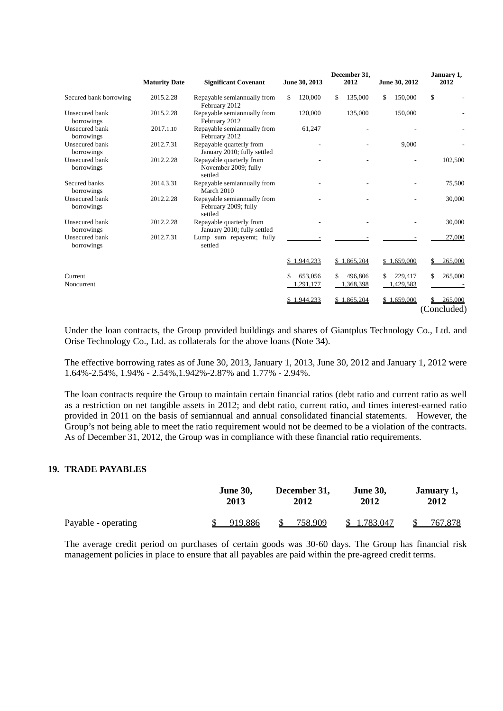|                              |                      |                                                                |                      | December 31,         | January 1,          |               |
|------------------------------|----------------------|----------------------------------------------------------------|----------------------|----------------------|---------------------|---------------|
|                              | <b>Maturity Date</b> | <b>Significant Covenant</b>                                    | June 30, 2013        | 2012                 | June 30, 2012       | 2012          |
| Secured bank borrowing       | 2015.2.28            | Repayable semiannually from<br>February 2012                   | 120,000<br>\$        | \$<br>135,000        | 150,000<br>\$       | \$            |
| Unsecured bank<br>borrowings | 2015.2.28            | Repayable semiannually from<br>February 2012                   | 120,000              | 135,000              | 150,000             |               |
| Unsecured bank<br>borrowings | 2017.1.10            | Repayable semiannually from<br>February 2012                   | 61,247               |                      |                     |               |
| Unsecured bank<br>borrowings | 2012.7.31            | Repayable quarterly from<br>January 2010; fully settled        |                      |                      | 9,000               |               |
| Unsecured bank<br>borrowings | 2012.2.28            | Repayable quarterly from<br>November 2009; fully<br>settled    |                      |                      |                     | 102,500       |
| Secured banks<br>borrowings  | 2014.3.31            | Repayable semiannually from<br>March 2010                      |                      |                      |                     | 75,500        |
| Unsecured bank<br>borrowings | 2012.2.28            | Repayable semiannually from<br>February 2009; fully<br>settled |                      |                      |                     | 30,000        |
| Unsecured bank<br>borrowings | 2012.2.28            | Repayable quarterly from<br>January 2010; fully settled        |                      |                      |                     | 30,000        |
| Unsecured bank<br>borrowings | 2012.7.31            | Lump sum repayemt; fully<br>settled                            |                      |                      |                     | 27,000        |
|                              |                      |                                                                | 1,944,233            | \$1,865,204          | \$1,659,000         | 265,000       |
| Current<br>Noncurrent        |                      |                                                                | 653.056<br>1,291,177 | 496,806<br>1,368,398 | 229,417<br>.429,583 | 265,000<br>\$ |
|                              |                      |                                                                | 1,944,233            | \$1,865,204          | \$1,659,000         | 265,000<br>S. |
|                              |                      |                                                                |                      |                      |                     | (Concluded)   |

Under the loan contracts, the Group provided buildings and shares of Giantplus Technology Co., Ltd. and Orise Technology Co., Ltd. as collaterals for the above loans (Note 34).

The effective borrowing rates as of June 30, 2013, January 1, 2013, June 30, 2012 and January 1, 2012 were 1.64%-2.54%, 1.94% - 2.54%,1.942%-2.87% and 1.77% - 2.94%.

The loan contracts require the Group to maintain certain financial ratios (debt ratio and current ratio as well as a restriction on net tangible assets in 2012; and debt ratio, current ratio, and times interest-earned ratio provided in 2011 on the basis of semiannual and annual consolidated financial statements. However, the Group's not being able to meet the ratio requirement would not be deemed to be a violation of the contracts. As of December 31, 2012, the Group was in compliance with these financial ratio requirements.

#### **19. TRADE PAYABLES**

|                     | <b>June 30,</b> | December 31,             | <b>June 30.</b> | January 1, |  |
|---------------------|-----------------|--------------------------|-----------------|------------|--|
|                     | 2013            | 2012                     | 2012            | 2012       |  |
| Payable - operating | 919,886         | 758.909<br><sup>\$</sup> | \$1,783,047     | 767,878    |  |

The average credit period on purchases of certain goods was 30-60 days. The Group has financial risk management policies in place to ensure that all payables are paid within the pre-agreed credit terms.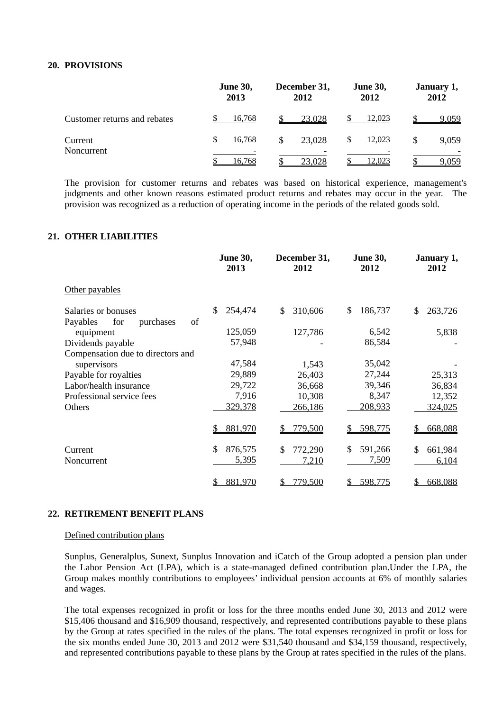## **20. PROVISIONS**

|                              | <b>June 30,</b><br>2013 | December 31,<br>2012 | <b>June 30,</b><br>2012 | January 1,<br>2012 |
|------------------------------|-------------------------|----------------------|-------------------------|--------------------|
| Customer returns and rebates | 16,768                  | 23,028               | <u>12,023</u>           | 9,059              |
| Current                      | \$<br>16.768            | 23,028               | 12,023                  | 9,059              |
| Noncurrent                   | 16.768                  | 23,028               | 12,023                  | <u>9.059</u>       |

The provision for customer returns and rebates was based on historical experience, management's judgments and other known reasons estimated product returns and rebates may occur in the year. The provision was recognized as a reduction of operating income in the periods of the related goods sold.

## **21. OTHER LIABILITIES**

|                                    | <b>June 30,</b><br>2013 | December 31,<br>2012 | <b>June 30,</b><br>2012 | January 1,<br>2012 |
|------------------------------------|-------------------------|----------------------|-------------------------|--------------------|
| Other payables                     |                         |                      |                         |                    |
| Salaries or bonuses                | 254,474<br>\$           | \$<br>310,606        | \$<br>186,737           | \$<br>263,726      |
| Payables<br>for<br>of<br>purchases |                         |                      |                         |                    |
| equipment                          | 125,059                 | 127,786              | 6,542                   | 5,838              |
| Dividends payable                  | 57,948                  |                      | 86,584                  |                    |
| Compensation due to directors and  |                         |                      |                         |                    |
| supervisors                        | 47,584                  | 1,543                | 35,042                  |                    |
| Payable for royalties              | 29,889                  | 26,403               | 27,244                  | 25,313             |
| Labor/health insurance             | 29,722                  | 36,668               | 39,346                  | 36,834             |
| Professional service fees          | 7,916                   | 10,308               | 8,347                   | 12,352             |
| Others                             | 329,378                 | 266,186              | 208,933                 | 324,025            |
|                                    | 881,970<br>\$           | 779,500<br>\$        | 598,775<br>\$           | \$<br>668,088      |
| Current                            | 876,575<br>\$           | \$<br>772,290        | \$<br>591,266           | \$<br>661,984      |
| Noncurrent                         | 5,395                   | 7,210                | 7,509                   | 6,104              |
|                                    | 881,970                 | 779,500              | 598,775                 | 668,088            |

## **22. RETIREMENT BENEFIT PLANS**

#### Defined contribution plans

Sunplus, Generalplus, Sunext, Sunplus Innovation and iCatch of the Group adopted a pension plan under the Labor Pension Act (LPA), which is a state-managed defined contribution plan.Under the LPA, the Group makes monthly contributions to employees' individual pension accounts at 6% of monthly salaries and wages.

The total expenses recognized in profit or loss for the three months ended June 30, 2013 and 2012 were \$15,406 thousand and \$16,909 thousand, respectively, and represented contributions payable to these plans by the Group at rates specified in the rules of the plans. The total expenses recognized in profit or loss for the six months ended June 30, 2013 and 2012 were \$31,540 thousand and \$34,159 thousand, respectively, and represented contributions payable to these plans by the Group at rates specified in the rules of the plans.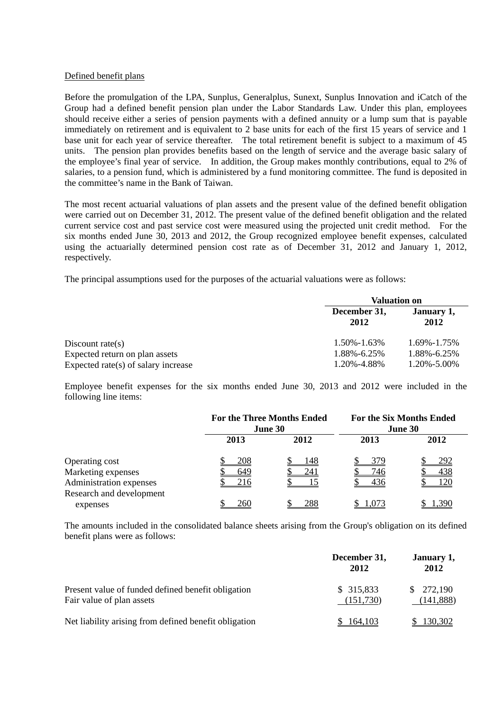### Defined benefit plans

Before the promulgation of the LPA, Sunplus, Generalplus, Sunext, Sunplus Innovation and iCatch of the Group had a defined benefit pension plan under the Labor Standards Law. Under this plan, employees should receive either a series of pension payments with a defined annuity or a lump sum that is payable immediately on retirement and is equivalent to 2 base units for each of the first 15 years of service and 1 base unit for each year of service thereafter. The total retirement benefit is subject to a maximum of 45 units. The pension plan provides benefits based on the length of service and the average basic salary of the employee's final year of service. In addition, the Group makes monthly contributions, equal to 2% of salaries, to a pension fund, which is administered by a fund monitoring committee. The fund is deposited in the committee's name in the Bank of Taiwan.

The most recent actuarial valuations of plan assets and the present value of the defined benefit obligation were carried out on December 31, 2012. The present value of the defined benefit obligation and the related current service cost and past service cost were measured using the projected unit credit method. For the six months ended June 30, 2013 and 2012, the Group recognized employee benefit expenses, calculated using the actuarially determined pension cost rate as of December 31, 2012 and January 1, 2012, respectively.

The principal assumptions used for the purposes of the actuarial valuations were as follows:

|                                        | <b>Valuation on</b>  |                    |  |
|----------------------------------------|----------------------|--------------------|--|
|                                        | December 31,<br>2012 | January 1,<br>2012 |  |
| Discount rate(s)                       | $1.50\% - 1.63\%$    | 1.69%-1.75%        |  |
| Expected return on plan assets         | 1.88%-6.25%          | 1.88%-6.25%        |  |
| Expected rate $(s)$ of salary increase | 1.20%-4.88%          | 1.20%-5.00%        |  |

Employee benefit expenses for the six months ended June 30, 2013 and 2012 were included in the following line items:

|                          | <b>For the Three Months Ended</b><br>June 30 |      | <b>For the Six Months Ended</b><br>June 30 |       |
|--------------------------|----------------------------------------------|------|--------------------------------------------|-------|
|                          | 2013                                         | 2012 | 2013                                       | 2012  |
| Operating cost           | 208                                          | 148  | 379                                        | 292   |
| Marketing expenses       | 649                                          | 241  | 746                                        | 438   |
| Administration expenses  | 216                                          |      | 436                                        |       |
| Research and development |                                              |      |                                            |       |
| expenses                 | 260                                          | 288  | 1,073                                      | 1.390 |

The amounts included in the consolidated balance sheets arising from the Group's obligation on its defined benefit plans were as follows:

|                                                                                 | December 31,<br>2012    | January 1,<br>2012     |
|---------------------------------------------------------------------------------|-------------------------|------------------------|
| Present value of funded defined benefit obligation<br>Fair value of plan assets | \$315,833<br>(151, 730) | \$272,190<br>(141,888) |
| Net liability arising from defined benefit obligation                           | 164,103                 | 130,302                |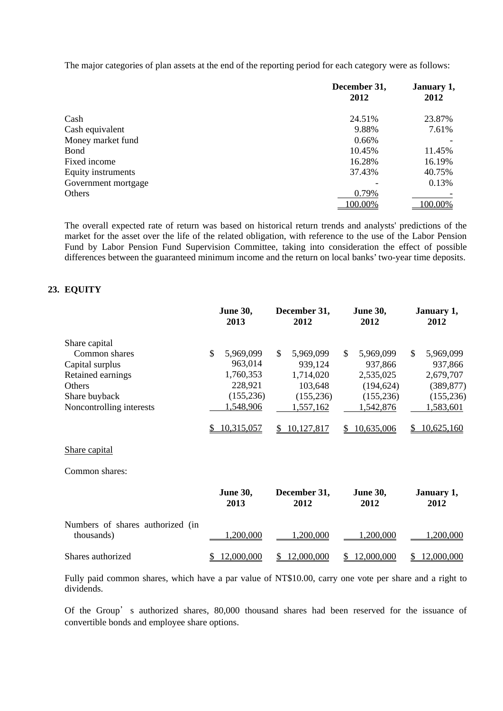The major categories of plan assets at the end of the reporting period for each category were as follows:

|                     | December 31,<br>2012 | January 1,<br>2012 |
|---------------------|----------------------|--------------------|
|                     |                      |                    |
| Cash                | 24.51%               | 23.87%             |
| Cash equivalent     | 9.88%                | 7.61%              |
| Money market fund   | 0.66%                |                    |
| Bond                | 10.45%               | 11.45%             |
| Fixed income        | 16.28%               | 16.19%             |
| Equity instruments  | 37.43%               | 40.75%             |
| Government mortgage |                      | 0.13%              |
| Others              | 0.79%                |                    |
|                     | 100.00%              | 100.00%            |

The overall expected rate of return was based on historical return trends and analysts' predictions of the market for the asset over the life of the related obligation, with reference to the use of the Labor Pension Fund by Labor Pension Fund Supervision Committee, taking into consideration the effect of possible differences between the guaranteed minimum income and the return on local banks' two-year time deposits.

## **23. EQUITY**

|                                                                                                                               | <b>June 30,</b><br>2013                                                       | December 31,<br>2012                                                                     | <b>June 30,</b><br>2012                                                                    | January 1,<br>2012                                                               |
|-------------------------------------------------------------------------------------------------------------------------------|-------------------------------------------------------------------------------|------------------------------------------------------------------------------------------|--------------------------------------------------------------------------------------------|----------------------------------------------------------------------------------|
| Share capital<br>Common shares<br>Capital surplus<br>Retained earnings<br>Others<br>Share buyback<br>Noncontrolling interests | \$<br>5,969,099<br>963,014<br>1,760,353<br>228,921<br>(155, 236)<br>1,548,906 | $\mathcal{S}$<br>5,969,099<br>939,124<br>1,714,020<br>103,648<br>(155, 236)<br>1,557,162 | $\mathbb{S}$<br>5,969,099<br>937,866<br>2,535,025<br>(194, 624)<br>(155, 236)<br>1,542,876 | \$<br>5,969,099<br>937,866<br>2,679,707<br>(389, 877)<br>(155, 236)<br>1,583,601 |
|                                                                                                                               | 10,315,057                                                                    | 10,127,817<br>S.                                                                         | 10,635,006<br>\$                                                                           | 10,625,160<br>S                                                                  |
| Share capital                                                                                                                 |                                                                               |                                                                                          |                                                                                            |                                                                                  |
| Common shares:                                                                                                                |                                                                               |                                                                                          |                                                                                            |                                                                                  |
|                                                                                                                               | <b>June 30,</b><br>2013                                                       | December 31,<br>2012                                                                     | <b>June 30,</b><br>2012                                                                    | January 1,<br>2012                                                               |
| Numbers of shares authorized (in<br>thousands)                                                                                | ,200,000                                                                      | 1,200,000                                                                                | 1,200,000                                                                                  | ,200,000                                                                         |
| Shares authorized                                                                                                             | 12,000,000                                                                    | 12,000,000<br>S                                                                          | 12,000,000<br>S.                                                                           | 12,000,000<br>\$                                                                 |

Fully paid common shares, which have a par value of NT\$10.00, carry one vote per share and a right to dividends.

Of the Group's authorized shares, 80,000 thousand shares had been reserved for the issuance of convertible bonds and employee share options.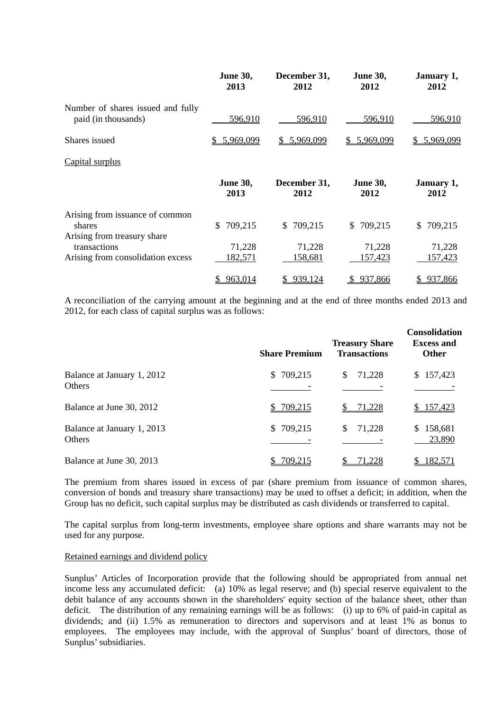|                                                                          | <b>June 30,</b><br>2013 | December 31,<br>2012 | <b>June 30,</b><br>2012 | January 1,<br>2012 |
|--------------------------------------------------------------------------|-------------------------|----------------------|-------------------------|--------------------|
| Number of shares issued and fully<br>paid (in thousands)                 | <u>596,910</u>          | 596,910              | 596,910                 | 596,910            |
| Shares issued                                                            | \$5,969,099             | \$5,969,099          | \$5,969,099             | \$5,969,099        |
| Capital surplus                                                          |                         |                      |                         |                    |
|                                                                          | <b>June 30,</b><br>2013 | December 31,<br>2012 | <b>June 30,</b><br>2012 | January 1,<br>2012 |
| Arising from issuance of common<br>shares<br>Arising from treasury share | 709,215<br>S.           | \$709,215            | \$709,215               | 709,215<br>S.      |
| transactions<br>Arising from consolidation excess                        | 71,228<br>182,571       | 71,228<br>158,681    | 71,228<br>157,423       | 71,228<br>157,423  |
|                                                                          | 963,014                 | 939,124              | 937,866                 | 937,866            |

A reconciliation of the carrying amount at the beginning and at the end of three months ended 2013 and 2012, for each class of capital surplus was as follows:

|                                             | <b>Share Premium</b>    | <b>Treasury Share</b><br><b>Transactions</b> | <b>Consolidation</b><br><b>Excess and</b><br><b>Other</b> |
|---------------------------------------------|-------------------------|----------------------------------------------|-----------------------------------------------------------|
| Balance at January 1, 2012<br><b>Others</b> | 709,215<br>S.           | 71,228<br>\$                                 | \$157,423                                                 |
| Balance at June 30, 2012                    | 709,215                 | 71,228                                       | 157,423                                                   |
| Balance at January 1, 2013<br>Others        | 709,215<br><sup>S</sup> | 71,228<br>\$                                 | 158,681<br>23,890                                         |
| Balance at June 30, 2013                    | 709,215                 | 71,228                                       | 182,571                                                   |

The premium from shares issued in excess of par (share premium from issuance of common shares, conversion of bonds and treasury share transactions) may be used to offset a deficit; in addition, when the Group has no deficit, such capital surplus may be distributed as cash dividends or transferred to capital.

The capital surplus from long-term investments, employee share options and share warrants may not be used for any purpose.

#### Retained earnings and dividend policy

Sunplus' Articles of Incorporation provide that the following should be appropriated from annual net income less any accumulated deficit: (a) 10% as legal reserve; and (b) special reserve equivalent to the debit balance of any accounts shown in the shareholders' equity section of the balance sheet, other than deficit. The distribution of any remaining earnings will be as follows: (i) up to 6% of paid-in capital as dividends; and (ii) 1.5% as remuneration to directors and supervisors and at least 1% as bonus to employees. The employees may include, with the approval of Sunplus' board of directors, those of Sunplus' subsidiaries.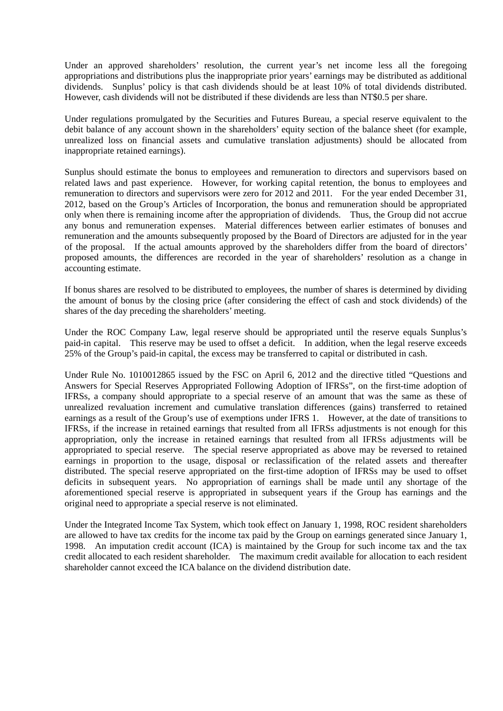Under an approved shareholders' resolution, the current year's net income less all the foregoing appropriations and distributions plus the inappropriate prior years' earnings may be distributed as additional dividends. Sunplus' policy is that cash dividends should be at least 10% of total dividends distributed. However, cash dividends will not be distributed if these dividends are less than NT\$0.5 per share.

Under regulations promulgated by the Securities and Futures Bureau, a special reserve equivalent to the debit balance of any account shown in the shareholders' equity section of the balance sheet (for example, unrealized loss on financial assets and cumulative translation adjustments) should be allocated from inappropriate retained earnings).

Sunplus should estimate the bonus to employees and remuneration to directors and supervisors based on related laws and past experience. However, for working capital retention, the bonus to employees and remuneration to directors and supervisors were zero for 2012 and 2011. For the year ended December 31, 2012, based on the Group's Articles of Incorporation, the bonus and remuneration should be appropriated only when there is remaining income after the appropriation of dividends. Thus, the Group did not accrue any bonus and remuneration expenses. Material differences between earlier estimates of bonuses and remuneration and the amounts subsequently proposed by the Board of Directors are adjusted for in the year of the proposal. If the actual amounts approved by the shareholders differ from the board of directors' proposed amounts, the differences are recorded in the year of shareholders' resolution as a change in accounting estimate.

If bonus shares are resolved to be distributed to employees, the number of shares is determined by dividing the amount of bonus by the closing price (after considering the effect of cash and stock dividends) of the shares of the day preceding the shareholders' meeting.

Under the ROC Company Law, legal reserve should be appropriated until the reserve equals Sunplus's paid-in capital. This reserve may be used to offset a deficit. In addition, when the legal reserve exceeds 25% of the Group's paid-in capital, the excess may be transferred to capital or distributed in cash.

Under Rule No. 1010012865 issued by the FSC on April 6, 2012 and the directive titled "Questions and Answers for Special Reserves Appropriated Following Adoption of IFRSs", on the first-time adoption of IFRSs, a company should appropriate to a special reserve of an amount that was the same as these of unrealized revaluation increment and cumulative translation differences (gains) transferred to retained earnings as a result of the Group's use of exemptions under IFRS 1. However, at the date of transitions to IFRSs, if the increase in retained earnings that resulted from all IFRSs adjustments is not enough for this appropriation, only the increase in retained earnings that resulted from all IFRSs adjustments will be appropriated to special reserve. The special reserve appropriated as above may be reversed to retained earnings in proportion to the usage, disposal or reclassification of the related assets and thereafter distributed. The special reserve appropriated on the first-time adoption of IFRSs may be used to offset deficits in subsequent years. No appropriation of earnings shall be made until any shortage of the aforementioned special reserve is appropriated in subsequent years if the Group has earnings and the original need to appropriate a special reserve is not eliminated.

Under the Integrated Income Tax System, which took effect on January 1, 1998, ROC resident shareholders are allowed to have tax credits for the income tax paid by the Group on earnings generated since January 1, 1998. An imputation credit account (ICA) is maintained by the Group for such income tax and the tax credit allocated to each resident shareholder. The maximum credit available for allocation to each resident shareholder cannot exceed the ICA balance on the dividend distribution date.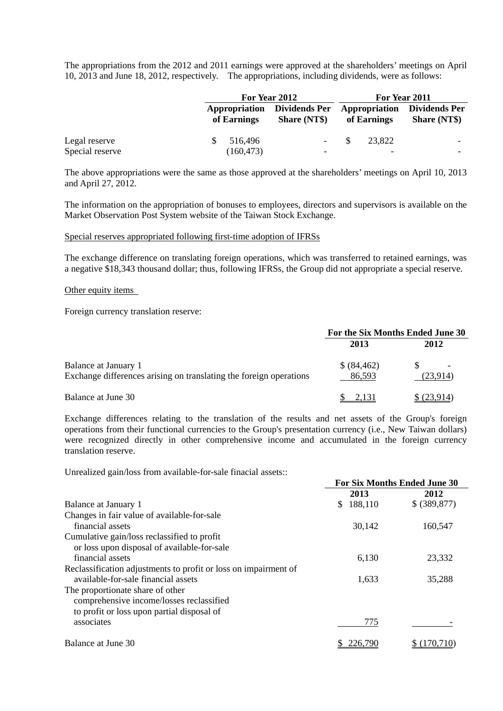The appropriations from the 2012 and 2011 earnings were approved at the shareholders' meetings on April 10, 2013 and June 18, 2012, respectively. The appropriations, including dividends, were as follows:

|                 |             | For Year 2012                                             |      | For Year 2011 |                                                           |
|-----------------|-------------|-----------------------------------------------------------|------|---------------|-----------------------------------------------------------|
|                 | of Earnings | <b>Appropriation</b> Dividends Per<br><b>Share (NT\$)</b> |      | of Earnings   | <b>Appropriation</b> Dividends Per<br><b>Share (NT\$)</b> |
| Legal reserve   | 516,496     | $\overline{\phantom{a}}$                                  | - \$ | 23.822        |                                                           |
| Special reserve | (160, 473)  | $\overline{\phantom{0}}$                                  |      |               | -                                                         |

The above appropriations were the same as those approved at the shareholders' meetings on April 10, 2013 and April 27, 2012.

The information on the appropriation of bonuses to employees, directors and supervisors is available on the Market Observation Post System website of the Taiwan Stock Exchange.

#### Special reserves appropriated following first-time adoption of IFRSs

The exchange difference on translating foreign operations, which was transferred to retained earnings, was a negative \$18,343 thousand dollar; thus, following IFRSs, the Group did not appropriate a special reserve.

#### Other equity items

Foreign currency translation reserve:

|                                                                                            | For the Six Months Ended June 30 |            |  |
|--------------------------------------------------------------------------------------------|----------------------------------|------------|--|
|                                                                                            | 2013                             | 2012       |  |
| Balance at January 1<br>Exchange differences arising on translating the foreign operations | \$ (84, 462)<br>86,593           | (23,914)   |  |
| Balance at June 30                                                                         |                                  | \$(23,914) |  |

Exchange differences relating to the translation of the results and net assets of the Group's foreign operations from their functional currencies to the Group's presentation currency (i.e., New Taiwan dollars) were recognized directly in other comprehensive income and accumulated in the foreign currency translation reserve.

Unrealized gain/loss from available-for-sale finacial assets::

|                                                                 | <b>For Six Months Ended June 30</b> |               |  |
|-----------------------------------------------------------------|-------------------------------------|---------------|--|
|                                                                 | 2013                                | 2012          |  |
| Balance at January 1                                            | 188,110<br>S.                       | \$ (389, 877) |  |
| Changes in fair value of available-for-sale                     |                                     |               |  |
| financial assets                                                | 30,142                              | 160,547       |  |
| Cumulative gain/loss reclassified to profit                     |                                     |               |  |
| or loss upon disposal of available-for-sale                     |                                     |               |  |
| financial assets                                                | 6,130                               | 23,332        |  |
| Reclassification adjustments to profit or loss on impairment of |                                     |               |  |
| available-for-sale financial assets                             | 1,633                               | 35,288        |  |
| The proportionate share of other                                |                                     |               |  |
| comprehensive income/losses reclassified                        |                                     |               |  |
| to profit or loss upon partial disposal of                      |                                     |               |  |
| associates                                                      | 775                                 |               |  |
| Balance at June 30                                              | 226,790                             | (170, 710)    |  |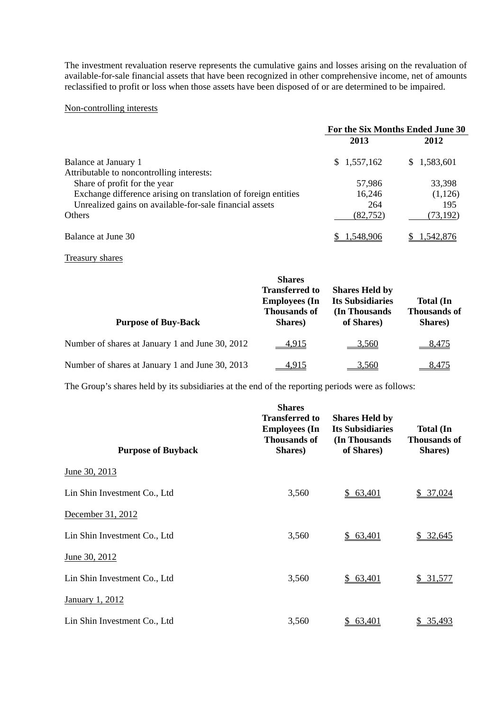The investment revaluation reserve represents the cumulative gains and losses arising on the revaluation of available-for-sale financial assets that have been recognized in other comprehensive income, net of amounts reclassified to profit or loss when those assets have been disposed of or are determined to be impaired.

## Non-controlling interests

|                                                                | For the Six Months Ended June 30 |             |  |  |
|----------------------------------------------------------------|----------------------------------|-------------|--|--|
|                                                                | 2013                             | 2012        |  |  |
| Balance at January 1                                           | \$1,557,162                      | \$1,583,601 |  |  |
| Attributable to noncontrolling interests:                      |                                  |             |  |  |
| Share of profit for the year                                   | 57,986                           | 33,398      |  |  |
| Exchange difference arising on translation of foreign entities | 16,246                           | (1,126)     |  |  |
| Unrealized gains on available-for-sale financial assets        | 264                              | 195         |  |  |
| <b>Others</b>                                                  | (82, 752)                        | (73,192)    |  |  |
| Balance at June 30                                             | 1.548.906                        | .542.87     |  |  |

## Treasury shares

| <b>Purpose of Buy-Back</b>                      | <b>Shares</b><br><b>Transferred to</b><br><b>Employees</b> (In<br><b>Thousands of</b><br>Shares) | <b>Shares Held by</b><br><b>Its Subsidiaries</b><br>(In Thousands)<br>of Shares) | <b>Total</b> (In<br><b>Thousands of</b><br>Shares) |
|-------------------------------------------------|--------------------------------------------------------------------------------------------------|----------------------------------------------------------------------------------|----------------------------------------------------|
| Number of shares at January 1 and June 30, 2012 | <u>4.915</u>                                                                                     | 3,560                                                                            | 8,475                                              |
| Number of shares at January 1 and June 30, 2013 | 4.915                                                                                            | 3.560                                                                            | 8.475                                              |

The Group's shares held by its subsidiaries at the end of the reporting periods were as follows:

| <b>Purpose of Buyback</b>    | <b>Shares</b><br><b>Transferred to</b><br><b>Employees</b> (In<br><b>Thousands of</b><br>Shares) | <b>Shares Held by</b><br><b>Its Subsidiaries</b><br>(In Thousands<br>of Shares) | <b>Total</b> (In<br><b>Thousands of</b><br>Shares) |
|------------------------------|--------------------------------------------------------------------------------------------------|---------------------------------------------------------------------------------|----------------------------------------------------|
| June 30, 2013                |                                                                                                  |                                                                                 |                                                    |
| Lin Shin Investment Co., Ltd | 3,560                                                                                            | \$63,401                                                                        | \$37,024                                           |
| December 31, 2012            |                                                                                                  |                                                                                 |                                                    |
| Lin Shin Investment Co., Ltd | 3,560                                                                                            | 63,401<br>S.                                                                    | 32,645<br>\$                                       |
| June 30, 2012                |                                                                                                  |                                                                                 |                                                    |
| Lin Shin Investment Co., Ltd | 3,560                                                                                            | \$63,401                                                                        | \$31,577                                           |
| January 1, 2012              |                                                                                                  |                                                                                 |                                                    |
| Lin Shin Investment Co., Ltd | 3,560                                                                                            | 63,401                                                                          | 35,493<br>SS.                                      |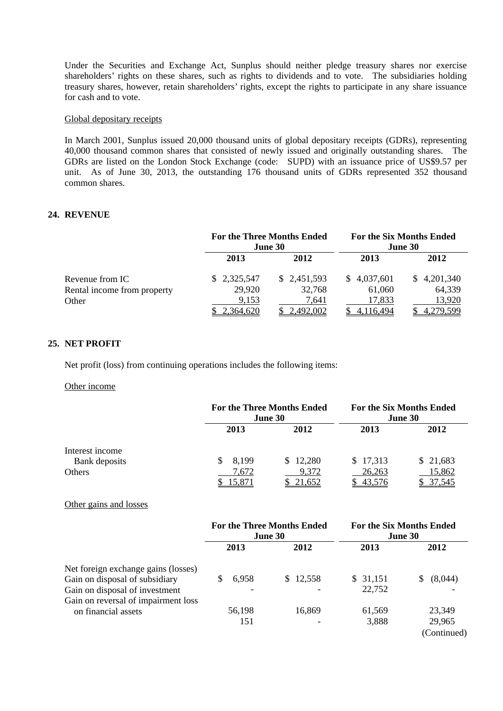Under the Securities and Exchange Act, Sunplus should neither pledge treasury shares nor exercise shareholders' rights on these shares, such as rights to dividends and to vote. The subsidiaries holding treasury shares, however, retain shareholders' rights, except the rights to participate in any share issuance for cash and to vote.

## Global depositary receipts

In March 2001, Sunplus issued 20,000 thousand units of global depositary receipts (GDRs), representing 40,000 thousand common shares that consisted of newly issued and originally outstanding shares. The GDRs are listed on the London Stock Exchange (code: SUPD) with an issuance price of US\$9.57 per unit. As of June 30, 2013, the outstanding 176 thousand units of GDRs represented 352 thousand common shares.

## **24. REVENUE**

|                             |             | <b>For the Three Months Ended</b><br><b>June 30</b> | <b>For the Six Months Ended</b><br>June 30 |             |  |
|-----------------------------|-------------|-----------------------------------------------------|--------------------------------------------|-------------|--|
|                             | 2013        | 2012                                                | 2013                                       | 2012        |  |
| Revenue from IC             | \$2,325,547 | \$2,451,593                                         | \$4,037,601                                | \$4,201,340 |  |
| Rental income from property | 29,920      | 32,768                                              | 61,060                                     | 64,339      |  |
| Other                       | 9,153       | 7,641                                               | 17,833                                     | 13,920      |  |
|                             | 2,364,620   | 2,492,002                                           | 4,116,494                                  | 4.279.599   |  |

#### **25. NET PROFIT**

Net profit (loss) from continuing operations includes the following items:

#### Other income

|                 |                  | <b>For the Three Months Ended</b><br>June 30 | <b>For the Six Months Ended</b><br>June 30 |                  |  |
|-----------------|------------------|----------------------------------------------|--------------------------------------------|------------------|--|
|                 | 2013             | 2012                                         | 2013                                       | 2012             |  |
| Interest income |                  |                                              |                                            |                  |  |
| Bank deposits   | 8,199<br>S.      | \$12,280                                     | \$17,313                                   | \$21,683         |  |
| Others          | 7,672<br>15.87 I | 9,372<br><u>21,652</u>                       | 26,263<br>43,576                           | 15,862<br>37.545 |  |

## Other gains and losses

|                                     | <b>For the Three Months Ended</b><br><b>June 30</b> |          | <b>For the Six Months Ended</b><br><b>June 30</b> |             |  |
|-------------------------------------|-----------------------------------------------------|----------|---------------------------------------------------|-------------|--|
|                                     | 2013                                                | 2012     | 2013                                              | 2012        |  |
| Net foreign exchange gains (losses) |                                                     |          |                                                   |             |  |
| Gain on disposal of subsidiary      | 6,958                                               | \$12,558 | \$ 31,151                                         | (8,044)     |  |
| Gain on disposal of investment      | ۰                                                   |          | 22,752                                            |             |  |
| Gain on reversal of impairment loss |                                                     |          |                                                   |             |  |
| on financial assets                 | 56,198                                              | 16,869   | 61,569                                            | 23,349      |  |
|                                     | 151                                                 |          | 3,888                                             | 29,965      |  |
|                                     |                                                     |          |                                                   | (Continued) |  |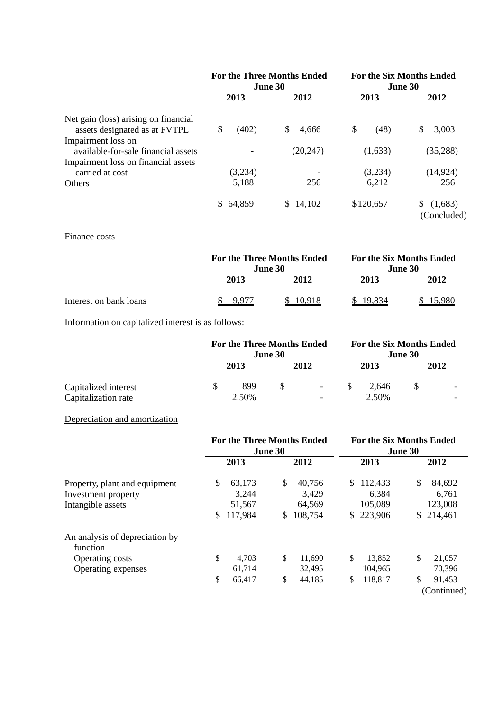|                                      | <b>For the Three Months Ended</b><br><b>June 30</b> |             | <b>For the Six Months Ended</b><br>June 30 |             |  |
|--------------------------------------|-----------------------------------------------------|-------------|--------------------------------------------|-------------|--|
|                                      | 2013                                                | 2012        | 2013                                       | 2012        |  |
| Net gain (loss) arising on financial |                                                     |             |                                            |             |  |
| assets designated as at FVTPL        | \$<br>(402)                                         | \$<br>4,666 | \$<br>(48)                                 | 3,003<br>S  |  |
| Impairment loss on                   |                                                     |             |                                            |             |  |
| available-for-sale financial assets  |                                                     | (20, 247)   | (1,633)                                    | (35, 288)   |  |
| Impairment loss on financial assets  |                                                     |             |                                            |             |  |
| carried at cost                      | (3,234)                                             |             | (3,234)                                    | (14, 924)   |  |
| <b>Others</b>                        | 5,188                                               | 256         | 6,212                                      | 256         |  |
|                                      | \$64,859                                            | \$14,102    | \$120,657                                  | (1,683)     |  |
|                                      |                                                     |             |                                            | (Concluded) |  |

# Finance costs

|                        |         | <b>For the Three Months Ended</b><br><b>June 30</b> |      | <b>For the Six Months Ended</b><br><b>June 30</b> |  |
|------------------------|---------|-----------------------------------------------------|------|---------------------------------------------------|--|
|                        | 2013    | 2012                                                | 2013 | 2012                                              |  |
| Interest on bank loans | -9.97'. | 10.918                                              |      | 5.980                                             |  |

Information on capitalized interest is as follows:

|                      | <b>For the Three Months Ended</b><br><b>June 30</b> |       |    | <b>For the Six Months Ended</b><br><b>June 30</b> |  |       |  |                          |
|----------------------|-----------------------------------------------------|-------|----|---------------------------------------------------|--|-------|--|--------------------------|
|                      |                                                     | 2013  |    | 2012                                              |  | 2013  |  | 2012                     |
| Capitalized interest |                                                     | 899   | -S | $\sim$                                            |  | 2.646 |  | $\overline{\phantom{0}}$ |
| Capitalization rate  |                                                     | 2.50% |    | ۰                                                 |  | 2.50% |  |                          |

## Depreciation and amortization

|                                            |                       | <b>For the Three Months Ended</b><br>June 30 | <b>For the Six Months Ended</b><br>June 30 |                       |  |
|--------------------------------------------|-----------------------|----------------------------------------------|--------------------------------------------|-----------------------|--|
| Property, plant and equipment              | 2013                  | 2012                                         | 2013                                       | 2012                  |  |
|                                            | \$<br>63,173<br>3,244 | \$<br>40,756<br>3,429                        | 112,433<br>S.<br>6,384                     | \$<br>84,692<br>6,761 |  |
| Investment property<br>Intangible assets   | 51,567                | 64,569                                       | 105,089                                    | 123,008               |  |
|                                            | 117,984               | 108,754                                      | 223,906                                    | 214,461               |  |
| An analysis of depreciation by<br>function |                       |                                              |                                            |                       |  |
| Operating costs                            | \$<br>4,703           | \$<br>11,690                                 | \$<br>13,852                               | \$<br>21,057          |  |
| Operating expenses                         | 61,714                | 32,495                                       | 104.965                                    | 70,396                |  |
|                                            | 66,417                | 44,185                                       | 118,817                                    | 91,453<br>(Continued) |  |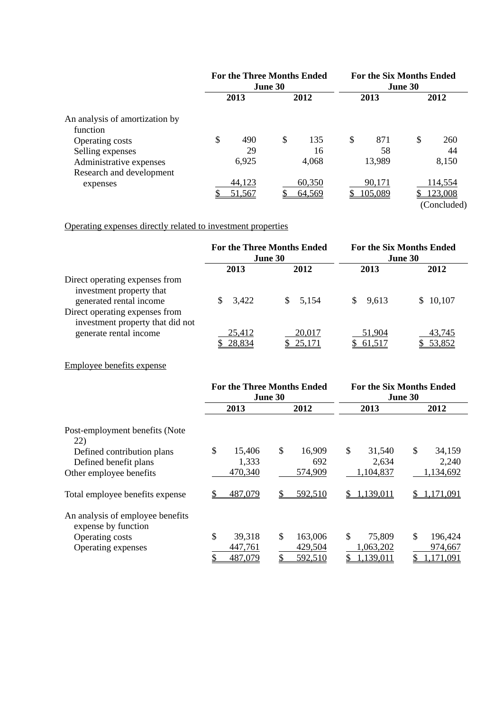|                                | <b>For the Three Months Ended</b><br><b>June 30</b> |        |      | <b>For the Six Months Ended</b><br>June 30 |      |         |      |             |
|--------------------------------|-----------------------------------------------------|--------|------|--------------------------------------------|------|---------|------|-------------|
|                                | 2013                                                |        | 2012 |                                            | 2013 |         | 2012 |             |
| An analysis of amortization by |                                                     |        |      |                                            |      |         |      |             |
| function                       |                                                     |        |      |                                            |      |         |      |             |
| Operating costs                | \$                                                  | 490    | \$   | 135                                        | \$   | 871     | \$   | 260         |
| Selling expenses               |                                                     | 29     |      | 16                                         |      | 58      |      | 44          |
| Administrative expenses        |                                                     | 6,925  |      | 4,068                                      |      | 13,989  |      | 8,150       |
| Research and development       |                                                     |        |      |                                            |      |         |      |             |
| expenses                       |                                                     | 44,123 |      | 60,350                                     |      | 90,171  |      | 114,554     |
|                                |                                                     | 51,567 |      | 64,569                                     |      | 105,089 |      | 123,008     |
|                                |                                                     |        |      |                                            |      |         |      | (Concluded) |

Operating expenses directly related to investment properties

|                                                                    | <b>For the Three Months Ended</b><br><b>June 30</b> |         | <b>For the Six Months Ended</b><br><b>June 30</b> |          |  |
|--------------------------------------------------------------------|-----------------------------------------------------|---------|---------------------------------------------------|----------|--|
|                                                                    | 2013                                                | 2012    | 2013                                              | 2012     |  |
| Direct operating expenses from<br>investment property that         |                                                     |         |                                                   |          |  |
| generated rental income                                            | 3,422<br>S.                                         | \$5,154 | \$9,613                                           | \$10,107 |  |
| Direct operating expenses from<br>investment property that did not |                                                     |         |                                                   |          |  |
| generate rental income                                             | 25,412                                              | 20,017  | 51,904                                            | 43,745   |  |
|                                                                    | 28,834                                              | 25,171  | 61,517                                            | \$53,852 |  |

## Employee benefits expense

|                                                         |                       | <b>For the Three Months Ended</b><br>June 30 | <b>For the Six Months Ended</b><br>June 30 |                       |  |
|---------------------------------------------------------|-----------------------|----------------------------------------------|--------------------------------------------|-----------------------|--|
|                                                         | 2013                  | 2012                                         | 2013                                       | 2012                  |  |
| Post-employment benefits (Note<br>22)                   |                       |                                              |                                            |                       |  |
| Defined contribution plans<br>Defined benefit plans     | \$<br>15,406<br>1,333 | \$<br>16,909<br>692                          | \$<br>31,540<br>2,634                      | \$<br>34,159<br>2,240 |  |
| Other employee benefits                                 | 470,340               | 574,909                                      | 1,104,837                                  | 1,134,692             |  |
| Total employee benefits expense                         | 487,079               | \$<br>592,510                                | 1,139,011<br>S.                            | 1,171,091<br>S.       |  |
| An analysis of employee benefits<br>expense by function |                       |                                              |                                            |                       |  |
| Operating costs                                         | \$<br>39,318          | \$<br>163,006                                | \$<br>75,809                               | \$<br>196,424         |  |
| Operating expenses                                      | 447,761               | 429,504                                      | 1,063,202                                  | 974,667               |  |
|                                                         | 487,079               | 592,510                                      | 1,139,011                                  | ,171,091              |  |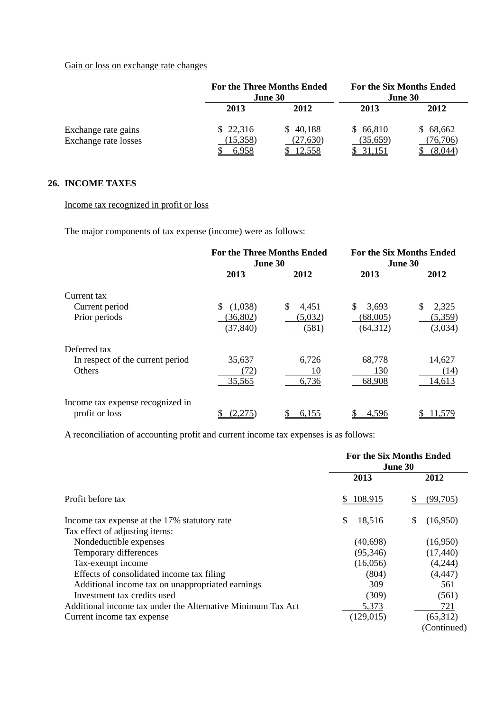## Gain or loss on exchange rate changes

|                      | <b>For the Three Months Ended</b><br><b>June 30</b> |               | <b>For the Six Months Ended</b><br><b>June 30</b> |          |
|----------------------|-----------------------------------------------------|---------------|---------------------------------------------------|----------|
|                      | 2013                                                | 2012          | 2013                                              | 2012     |
| Exchange rate gains  | \$22,316                                            | \$40,188      | \$66,810                                          | \$68,662 |
| Exchange rate losses | (15,358)                                            | (27, 630)     | (35,659)                                          | (76,706) |
|                      |                                                     | <u>12.558</u> | 31,151                                            | (8.044)  |

## **26. INCOME TAXES**

Income tax recognized in profit or loss

The major components of tax expense (income) were as follows:

|                                  | <b>For the Three Months Ended</b><br>June 30 |             | <b>For the Six Months Ended</b><br>June 30 |             |
|----------------------------------|----------------------------------------------|-------------|--------------------------------------------|-------------|
|                                  | 2013                                         | 2012        | 2013                                       | 2012        |
| Current tax                      |                                              |             |                                            |             |
| Current period                   | (1,038)<br>\$                                | \$<br>4,451 | \$<br>3,693                                | \$<br>2,325 |
| Prior periods                    | (36, 802)                                    | (5,032)     | (68,005)                                   | (5,359)     |
|                                  | (37, 840)                                    | (581)       | (64, 312)                                  | (3,034)     |
| Deferred tax                     |                                              |             |                                            |             |
| In respect of the current period | 35,637                                       | 6,726       | 68,778                                     | 14,627      |
| <b>Others</b>                    | (72)                                         | 10          | 130                                        | (14)        |
|                                  | 35,565                                       | 6,736       | 68,908                                     | 14,613      |
| Income tax expense recognized in |                                              |             |                                            |             |
| profit or loss                   | (2,275)                                      | 6,155       | 4,596                                      | 11,579      |

A reconciliation of accounting profit and current income tax expenses is as follows:

|                                                             | <b>For the Six Months Ended</b><br>June 30 |             |  |
|-------------------------------------------------------------|--------------------------------------------|-------------|--|
|                                                             | 2013                                       | 2012        |  |
| Profit before tax                                           | 108,915                                    | (99,705)    |  |
| Income tax expense at the 17% statutory rate                | \$<br>18,516                               | (16,950)    |  |
| Tax effect of adjusting items:                              |                                            |             |  |
| Nondeductible expenses                                      | (40, 698)                                  | (16,950)    |  |
| Temporary differences                                       | (95,346)                                   | (17, 440)   |  |
| Tax-exempt income                                           | (16,056)                                   | (4,244)     |  |
| Effects of consolidated income tax filing                   | (804)                                      | (4, 447)    |  |
| Additional income tax on unappropriated earnings            | 309                                        | 561         |  |
| Investment tax credits used                                 | (309)                                      | (561)       |  |
| Additional income tax under the Alternative Minimum Tax Act | 5,373                                      | 721         |  |
| Current income tax expense                                  | (129, 015)                                 | (65,312)    |  |
|                                                             |                                            | (Continued) |  |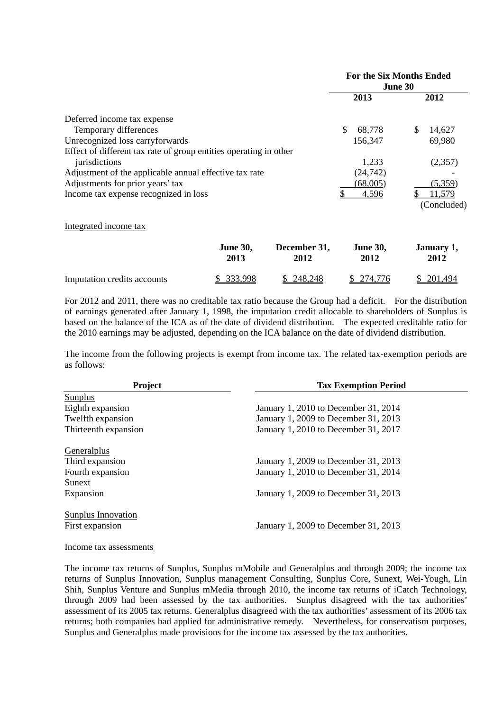|                                                                   |         |             | <b>For the Six Months Ended</b><br><b>June 30</b> |           |   |             |
|-------------------------------------------------------------------|---------|-------------|---------------------------------------------------|-----------|---|-------------|
|                                                                   |         |             |                                                   | 2013      |   | 2012        |
| Deferred income tax expense                                       |         |             |                                                   |           |   |             |
| Temporary differences                                             |         |             | \$                                                | 68,778    | S | 14,627      |
| Unrecognized loss carryforwards                                   |         |             |                                                   | 156,347   |   | 69,980      |
| Effect of different tax rate of group entities operating in other |         |             |                                                   |           |   |             |
| jurisdictions                                                     |         |             |                                                   | 1,233     |   | (2,357)     |
| Adjustment of the applicable annual effective tax rate            |         |             |                                                   | (24, 742) |   |             |
| Adjustments for prior years' tax                                  |         |             |                                                   | (68,005)  |   | (5,359)     |
| Income tax expense recognized in loss                             |         |             |                                                   | 4,596     |   | 11,579      |
|                                                                   |         |             |                                                   |           |   | (Concluded) |
| Integrated income tax                                             |         |             |                                                   |           |   |             |
|                                                                   | Iune 30 | December 31 |                                                   | Iune 30   |   | Ianuarv 1   |

|                             | June Jv,   | Deceniber 31, | June Jv.   | Janual V 1, |
|-----------------------------|------------|---------------|------------|-------------|
|                             | 2013       | 2012          | 2012       | 2012        |
| Imputation credits accounts | \$ 333,998 | \$248,248     | \$ 274,776 | \$ 201,494  |

For 2012 and 2011, there was no creditable tax ratio because the Group had a deficit. For the distribution of earnings generated after January 1, 1998, the imputation credit allocable to shareholders of Sunplus is based on the balance of the ICA as of the date of dividend distribution. The expected creditable ratio for the 2010 earnings may be adjusted, depending on the ICA balance on the date of dividend distribution.

The income from the following projects is exempt from income tax. The related tax-exemption periods are as follows:

| Project                   | <b>Tax Exemption Period</b>          |  |  |
|---------------------------|--------------------------------------|--|--|
| Sunplus                   |                                      |  |  |
| Eighth expansion          | January 1, 2010 to December 31, 2014 |  |  |
| Twelfth expansion         | January 1, 2009 to December 31, 2013 |  |  |
| Thirteenth expansion      | January 1, 2010 to December 31, 2017 |  |  |
| Generalplus               |                                      |  |  |
| Third expansion           | January 1, 2009 to December 31, 2013 |  |  |
| Fourth expansion          | January 1, 2010 to December 31, 2014 |  |  |
| Sunext                    |                                      |  |  |
| Expansion                 | January 1, 2009 to December 31, 2013 |  |  |
| <b>Sunplus Innovation</b> |                                      |  |  |
| First expansion           | January 1, 2009 to December 31, 2013 |  |  |
|                           |                                      |  |  |

#### Income tax assessments

The income tax returns of Sunplus, Sunplus mMobile and Generalplus and through 2009; the income tax returns of Sunplus Innovation, Sunplus management Consulting, Sunplus Core, Sunext, Wei-Yough, Lin Shih, Sunplus Venture and Sunplus mMedia through 2010, the income tax returns of iCatch Technology, through 2009 had been assessed by the tax authorities. Sunplus disagreed with the tax authorities' assessment of its 2005 tax returns. Generalplus disagreed with the tax authorities' assessment of its 2006 tax returns; both companies had applied for administrative remedy. Nevertheless, for conservatism purposes, Sunplus and Generalplus made provisions for the income tax assessed by the tax authorities.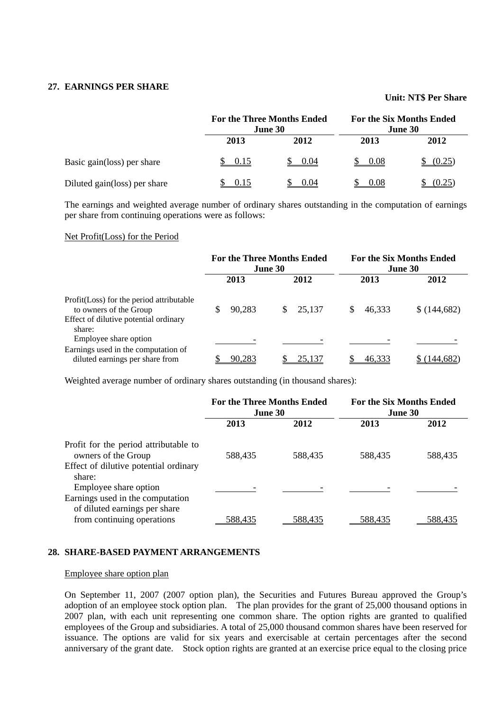## **27. EARNINGS PER SHARE**

## **Unit: NT\$ Per Share**

|                              | <b>For the Three Months Ended</b><br>June 30 |      | <b>For the Six Months Ended</b><br>June 30 |        |
|------------------------------|----------------------------------------------|------|--------------------------------------------|--------|
|                              | 2013                                         | 2012 | 2013                                       | 2012   |
| Basic gain(loss) per share   | 0.15                                         | 0.04 | 0.08                                       | (0.25) |
| Diluted gain(loss) per share | 0.15                                         | 0.04 | 0.08                                       | (0.25) |

The earnings and weighted average number of ordinary shares outstanding in the computation of earnings per share from continuing operations were as follows:

#### Net Profit(Loss) for the Period

|                                                                                                                        | <b>For the Three Months Ended</b><br><b>June 30</b> |    | <b>For the Six Months Ended</b><br>June 30 |  |        |             |
|------------------------------------------------------------------------------------------------------------------------|-----------------------------------------------------|----|--------------------------------------------|--|--------|-------------|
|                                                                                                                        | 2013                                                |    | 2012                                       |  | 2013   | 2012        |
| Profit (Loss) for the period attributable<br>to owners of the Group<br>Effect of dilutive potential ordinary<br>share: | 90,283                                              | S. | 25,137                                     |  | 46,333 | \$(144,682) |
| Employee share option<br>Earnings used in the computation of<br>diluted earnings per share from                        | 90.283                                              |    | 25,137                                     |  | 46,333 | 144.682)    |

Weighted average number of ordinary shares outstanding (in thousand shares):

|                                                                          | <b>For the Three Months Ended</b><br><b>June 30</b> |         | <b>For the Six Months Ended</b><br><b>June 30</b> |         |
|--------------------------------------------------------------------------|-----------------------------------------------------|---------|---------------------------------------------------|---------|
|                                                                          | 2013                                                | 2012    | 2013                                              | 2012    |
| Profit for the period attributable to<br>owners of the Group             | 588,435                                             | 588,435 | 588,435                                           | 588,435 |
| Effect of dilutive potential ordinary<br>share:<br>Employee share option |                                                     |         |                                                   |         |
| Earnings used in the computation<br>of diluted earnings per share        |                                                     |         |                                                   |         |
| from continuing operations                                               | <u>588,435</u>                                      | 588.435 | 588.435                                           | 588.435 |

## **28. SHARE-BASED PAYMENT ARRANGEMENTS**

#### Employee share option plan

On September 11, 2007 (2007 option plan), the Securities and Futures Bureau approved the Group's adoption of an employee stock option plan. The plan provides for the grant of 25,000 thousand options in 2007 plan, with each unit representing one common share. The option rights are granted to qualified employees of the Group and subsidiaries. A total of 25,000 thousand common shares have been reserved for issuance. The options are valid for six years and exercisable at certain percentages after the second anniversary of the grant date. Stock option rights are granted at an exercise price equal to the closing price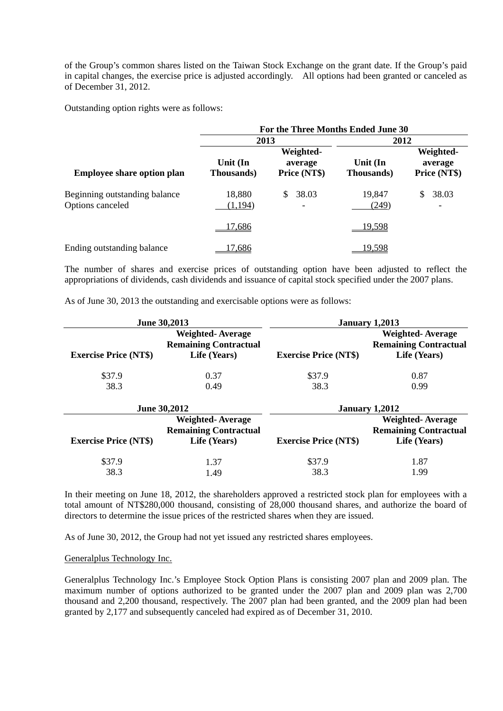of the Group's common shares listed on the Taiwan Stock Exchange on the grant date. If the Group's paid in capital changes, the exercise price is adjusted accordingly. All options had been granted or canceled as of December 31, 2012.

Outstanding option rights were as follows:

|                                                   | For the Three Months Ended June 30 |                                          |                        |                                      |  |  |
|---------------------------------------------------|------------------------------------|------------------------------------------|------------------------|--------------------------------------|--|--|
|                                                   | 2013                               |                                          | 2012                   |                                      |  |  |
| <b>Employee share option plan</b>                 | Unit (In<br><b>Thousands</b> )     | Weighted-<br>average<br>Price (NT\$)     | Unit (In<br>Thousands) | Weighted-<br>average<br>Price (NT\$) |  |  |
| Beginning outstanding balance<br>Options canceled | 18,880<br>(1, 194)                 | 38.03<br>\$.<br>$\overline{\phantom{a}}$ | 19,847<br>(249)        | 38.03<br>$\overline{\phantom{a}}$    |  |  |
|                                                   | 17,686                             |                                          | <u>19,598</u>          |                                      |  |  |
| Ending outstanding balance                        | 17,686                             |                                          | 19,598                 |                                      |  |  |

The number of shares and exercise prices of outstanding option have been adjusted to reflect the appropriations of dividends, cash dividends and issuance of capital stock specified under the 2007 plans.

As of June 30, 2013 the outstanding and exercisable options were as follows:

|                                                                                                         | <b>June 30,2013</b> |                              | <b>January 1,2013</b>                                                   |  |
|---------------------------------------------------------------------------------------------------------|---------------------|------------------------------|-------------------------------------------------------------------------|--|
| <b>Weighted-Average</b><br><b>Remaining Contractual</b><br><b>Exercise Price (NT\$)</b><br>Life (Years) |                     | <b>Exercise Price (NT\$)</b> | <b>Weighted-Average</b><br><b>Remaining Contractual</b><br>Life (Years) |  |
| \$37.9<br>38.3                                                                                          | 0.37<br>0.49        | \$37.9<br>38.3               | 0.87<br>0.99                                                            |  |

|                                                                                                         | <b>June 30,2012</b><br>January 1,2012 |                                                                                                         |      |
|---------------------------------------------------------------------------------------------------------|---------------------------------------|---------------------------------------------------------------------------------------------------------|------|
| <b>Weighted-Average</b><br><b>Remaining Contractual</b><br><b>Exercise Price (NT\$)</b><br>Life (Years) |                                       | <b>Weighted-Average</b><br><b>Remaining Contractual</b><br><b>Exercise Price (NT\$)</b><br>Life (Years) |      |
| \$37.9                                                                                                  | 1.37                                  | \$37.9                                                                                                  | 1.87 |
| 38.3                                                                                                    | 1.49                                  | 38.3                                                                                                    | 1.99 |

In their meeting on June 18, 2012, the shareholders approved a restricted stock plan for employees with a total amount of NT\$280,000 thousand, consisting of 28,000 thousand shares, and authorize the board of directors to determine the issue prices of the restricted shares when they are issued.

As of June 30, 2012, the Group had not yet issued any restricted shares employees.

#### Generalplus Technology Inc.

Generalplus Technology Inc.'s Employee Stock Option Plans is consisting 2007 plan and 2009 plan. The maximum number of options authorized to be granted under the 2007 plan and 2009 plan was 2,700 thousand and 2,200 thousand, respectively. The 2007 plan had been granted, and the 2009 plan had been granted by 2,177 and subsequently canceled had expired as of December 31, 2010.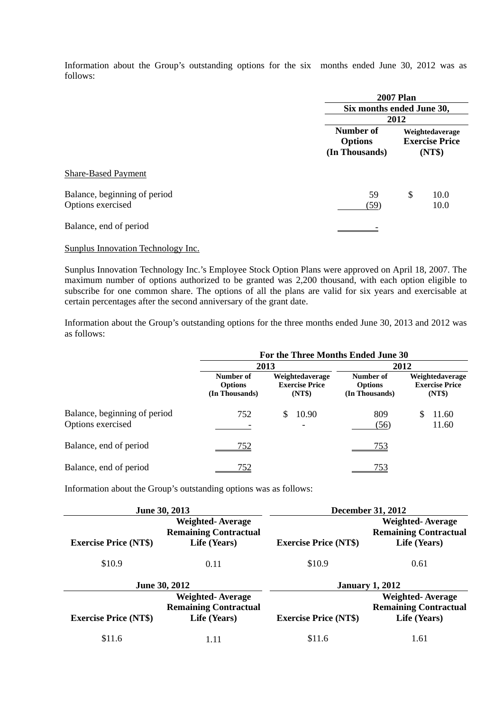Information about the Group's outstanding options for the six months ended June 30, 2012 was as follows:

|                                                   | <b>2007 Plan</b>                              |                                                    |  |  |
|---------------------------------------------------|-----------------------------------------------|----------------------------------------------------|--|--|
|                                                   |                                               | Six months ended June 30,                          |  |  |
|                                                   |                                               | 2012                                               |  |  |
|                                                   | Number of<br><b>Options</b><br>(In Thousands) | Weightedaverage<br><b>Exercise Price</b><br>(NT\$) |  |  |
| <b>Share-Based Payment</b>                        |                                               |                                                    |  |  |
| Balance, beginning of period<br>Options exercised | 59<br>(59)                                    | \$<br>10.0<br>10.0                                 |  |  |
| Balance, end of period                            |                                               |                                                    |  |  |

Sunplus Innovation Technology Inc.

Sunplus Innovation Technology Inc.'s Employee Stock Option Plans were approved on April 18, 2007. The maximum number of options authorized to be granted was 2,200 thousand, with each option eligible to subscribe for one common share. The options of all the plans are valid for six years and exercisable at certain percentages after the second anniversary of the grant date.

Information about the Group's outstanding options for the three months ended June 30, 2013 and 2012 was as follows:

|                                                   | For the Three Months Ended June 30            |                                                    |                                               |                                                    |  |  |
|---------------------------------------------------|-----------------------------------------------|----------------------------------------------------|-----------------------------------------------|----------------------------------------------------|--|--|
|                                                   |                                               | 2013                                               | 2012                                          |                                                    |  |  |
|                                                   | Number of<br><b>Options</b><br>(In Thousands) | Weightedaverage<br><b>Exercise Price</b><br>(NT\$) | Number of<br><b>Options</b><br>(In Thousands) | Weightedaverage<br><b>Exercise Price</b><br>(NT\$) |  |  |
| Balance, beginning of period<br>Options exercised | 752                                           | 10.90<br>$\overline{\phantom{a}}$                  | 809<br>(56)                                   | 11.60<br>11.60                                     |  |  |
| Balance, end of period                            | 752                                           |                                                    | 753                                           |                                                    |  |  |
| Balance, end of period                            | 152                                           |                                                    | 753                                           |                                                    |  |  |

Information about the Group's outstanding options was as follows:

|                              | June 30, 2013                                           | <b>December 31, 2012</b>     |                                                         |  |
|------------------------------|---------------------------------------------------------|------------------------------|---------------------------------------------------------|--|
|                              | <b>Weighted-Average</b><br><b>Remaining Contractual</b> |                              | <b>Weighted-Average</b><br><b>Remaining Contractual</b> |  |
| <b>Exercise Price (NT\$)</b> | Life (Years)                                            | <b>Exercise Price (NT\$)</b> | Life (Years)                                            |  |
| \$10.9                       | 0.11                                                    | \$10.9                       | 0.61                                                    |  |
|                              | <b>June 30, 2012</b>                                    |                              | <b>January 1, 2012</b>                                  |  |
|                              | <b>Weighted-Average</b>                                 |                              | <b>Weighted-Average</b>                                 |  |
|                              | <b>Remaining Contractual</b>                            |                              | <b>Remaining Contractual</b>                            |  |
| <b>Exercise Price (NT\$)</b> | Life (Years)                                            | <b>Exercise Price (NT\$)</b> | Life (Years)                                            |  |
| \$11.6                       | l.11                                                    | \$11.6                       | 1.61                                                    |  |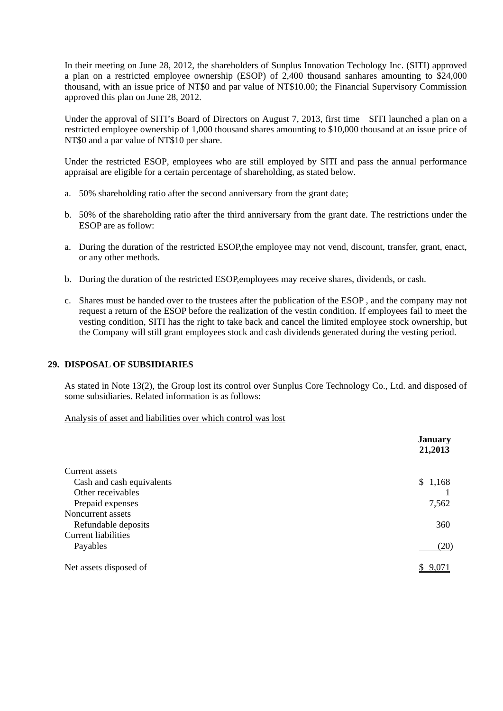In their meeting on June 28, 2012, the shareholders of Sunplus Innovation Techology Inc. (SITI) approved a plan on a restricted employee ownership (ESOP) of 2,400 thousand sanhares amounting to \$24,000 thousand, with an issue price of NT\$0 and par value of NT\$10.00; the Financial Supervisory Commission approved this plan on June 28, 2012.

Under the approval of SITI's Board of Directors on August 7, 2013, first time SITI launched a plan on a restricted employee ownership of 1,000 thousand shares amounting to \$10,000 thousand at an issue price of NT\$0 and a par value of NT\$10 per share.

Under the restricted ESOP, employees who are still employed by SITI and pass the annual performance appraisal are eligible for a certain percentage of shareholding, as stated below.

- a. 50% shareholding ratio after the second anniversary from the grant date;
- b. 50% of the shareholding ratio after the third anniversary from the grant date. The restrictions under the ESOP are as follow:
- a. During the duration of the restricted ESOP,the employee may not vend, discount, transfer, grant, enact, or any other methods.
- b. During the duration of the restricted ESOP,employees may receive shares, dividends, or cash.
- c. Shares must be handed over to the trustees after the publication of the ESOP , and the company may not request a return of the ESOP before the realization of the vestin condition. If employees fail to meet the vesting condition, SITI has the right to take back and cancel the limited employee stock ownership, but the Company will still grant employees stock and cash dividends generated during the vesting period.

## **29. DISPOSAL OF SUBSIDIARIES**

As stated in Note 13(2), the Group lost its control over Sunplus Core Technology Co., Ltd. and disposed of some subsidiaries. Related information is as follows:

Analysis of asset and liabilities over which control was lost

|                            | <b>January</b><br>21,2013 |
|----------------------------|---------------------------|
| Current assets             |                           |
| Cash and cash equivalents  | \$1,168                   |
| Other receivables          |                           |
| Prepaid expenses           | 7,562                     |
| Noncurrent assets          |                           |
| Refundable deposits        | 360                       |
| <b>Current liabilities</b> |                           |
| Payables                   | (20)                      |
| Net assets disposed of     | 9.071<br>S.               |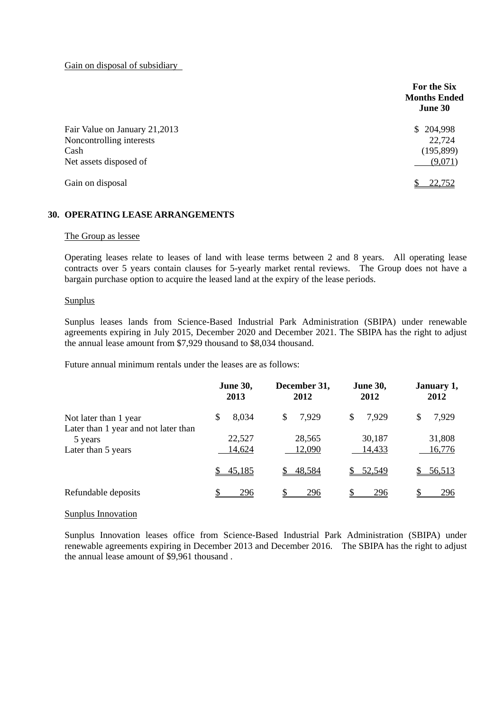Gain on disposal of subsidiary

|                                                                                             | For the Six<br><b>Months Ended</b><br>June 30 |
|---------------------------------------------------------------------------------------------|-----------------------------------------------|
| Fair Value on January 21,2013<br>Noncontrolling interests<br>Cash<br>Net assets disposed of | \$204,998<br>22,724<br>(195, 899)<br>(9,071)  |
| Gain on disposal                                                                            | 22,752                                        |

## **30. OPERATING LEASE ARRANGEMENTS**

#### The Group as lessee

Operating leases relate to leases of land with lease terms between 2 and 8 years. All operating lease contracts over 5 years contain clauses for 5-yearly market rental reviews. The Group does not have a bargain purchase option to acquire the leased land at the expiry of the lease periods.

#### Sunplus

Sunplus leases lands from Science-Based Industrial Park Administration (SBIPA) under renewable agreements expiring in July 2015, December 2020 and December 2021. The SBIPA has the right to adjust the annual lease amount from \$7,929 thousand to \$8,034 thousand.

Future annual minimum rentals under the leases are as follows:

|                                                               | December 31,<br><b>June 30,</b><br>2013<br>2012 |                  | <b>June 30,</b><br>2012 | January 1,<br>2012 |  |
|---------------------------------------------------------------|-------------------------------------------------|------------------|-------------------------|--------------------|--|
| Not later than 1 year<br>Later than 1 year and not later than | 8,034<br>S                                      | 7,929<br>\$      | \$<br>7,929             | 7,929<br>S         |  |
| 5 years<br>Later than 5 years                                 | 22,527<br>14,624                                | 28,565<br>12,090 | 30,187<br>14,433        | 31,808<br>16,776   |  |
|                                                               | 45,185                                          | 48,584           | 52,549                  | 56,513             |  |
| Refundable deposits                                           | 296                                             | 296              | 296                     | 296                |  |

### Sunplus Innovation

Sunplus Innovation leases office from Science-Based Industrial Park Administration (SBIPA) under renewable agreements expiring in December 2013 and December 2016. The SBIPA has the right to adjust the annual lease amount of \$9,961 thousand .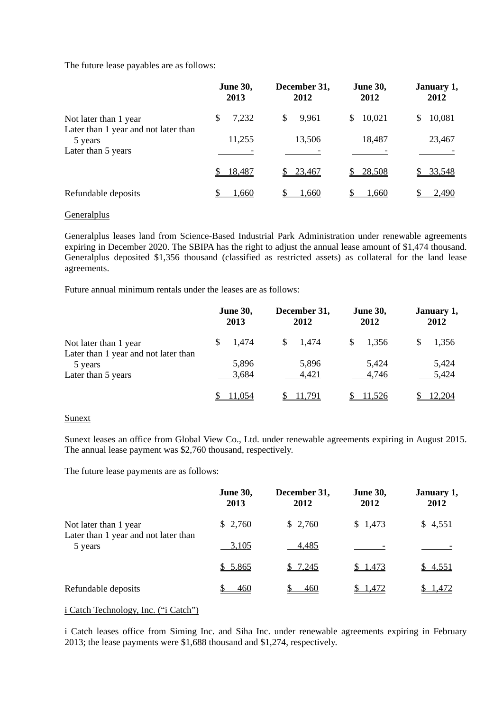The future lease payables are as follows:

|                                                                       | December 31,<br><b>June 30,</b><br>2013<br>2012 |            | <b>June 30,</b><br>2012 | January 1,<br>2012 |  |
|-----------------------------------------------------------------------|-------------------------------------------------|------------|-------------------------|--------------------|--|
| Not later than 1 year                                                 | 7,232                                           | 9,961<br>S | 10,021<br>\$            | 10,081<br>S        |  |
| Later than 1 year and not later than<br>5 years<br>Later than 5 years | 11,255                                          | 13,506     | 18,487                  | 23,467             |  |
|                                                                       | 18,487                                          | 23,467     | 28,508<br>\$            | 33,548             |  |
| Refundable deposits                                                   | 1,660                                           | 1,660      | 1,660                   | 2,490              |  |

#### **Generalplus**

Generalplus leases land from Science-Based Industrial Park Administration under renewable agreements expiring in December 2020. The SBIPA has the right to adjust the annual lease amount of \$1,474 thousand. Generalplus deposited \$1,356 thousand (classified as restricted assets) as collateral for the land lease agreements.

Future annual minimum rentals under the leases are as follows:

|                                      |  | <b>June 30,</b><br>2013 | December 31,<br>2012 |        | <b>June 30,</b><br>2012 |        | January 1,<br>2012 |        |
|--------------------------------------|--|-------------------------|----------------------|--------|-------------------------|--------|--------------------|--------|
| Not later than 1 year                |  | 1,474                   | \$.                  | 1,474  | S                       | 1,356  |                    | 1,356  |
| Later than 1 year and not later than |  |                         |                      |        |                         |        |                    |        |
| 5 years                              |  | 5,896                   |                      | 5,896  |                         | 5,424  |                    | 5,424  |
| Later than 5 years                   |  | 3,684                   |                      | 4,421  |                         | 4,746  |                    | 5,424  |
|                                      |  | 11.054                  |                      | 11.791 |                         | 11,526 |                    | 12.204 |

## Sunext

Sunext leases an office from Global View Co., Ltd. under renewable agreements expiring in August 2015. The annual lease payment was \$2,760 thousand, respectively.

The future lease payments are as follows:

|                                                 | <b>June 30,</b><br>2013 | December 31,<br>2012 | <b>June 30,</b><br>2012 | January 1,<br>2012 |
|-------------------------------------------------|-------------------------|----------------------|-------------------------|--------------------|
| Not later than 1 year                           | \$2,760                 | \$2,760              | \$1,473                 | \$4,551            |
| Later than 1 year and not later than<br>5 years | 3,105                   | 4,485                |                         |                    |
|                                                 | \$5,865                 | \$7,245              | \$1,473                 | \$4,551            |
| Refundable deposits                             | 460                     | 460                  | \$1,472                 | \$ 1,472           |

## i Catch Technology, Inc. ("i Catch")

i Catch leases office from Siming Inc. and Siha Inc. under renewable agreements expiring in February 2013; the lease payments were \$1,688 thousand and \$1,274, respectively.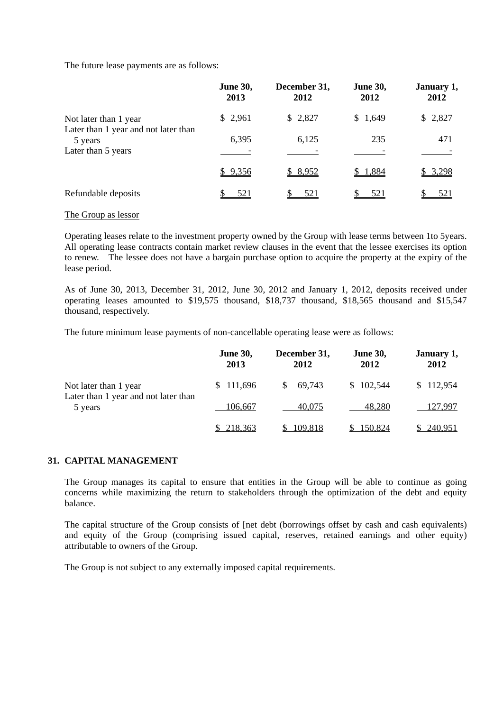The future lease payments are as follows:

|                                                               | June 30,<br>2013 | December 31,<br>2012 | <b>June 30,</b><br>2012 | January 1,<br>2012 |
|---------------------------------------------------------------|------------------|----------------------|-------------------------|--------------------|
| Not later than 1 year<br>Later than 1 year and not later than | \$2,961          | \$2,827              | \$1,649                 | \$2,827            |
| 5 years                                                       | 6,395            | 6,125                | 235                     | 471                |
| Later than 5 years                                            |                  |                      |                         |                    |
|                                                               | \$9,356          | \$8,952              | \$1,884                 | <u>\$3,298</u>     |
| Refundable deposits                                           | <u>521</u>       | <u>521</u>           | 521                     | <u>521</u>         |

#### The Group as lessor

Operating leases relate to the investment property owned by the Group with lease terms between 1to 5years. All operating lease contracts contain market review clauses in the event that the lessee exercises its option to renew. The lessee does not have a bargain purchase option to acquire the property at the expiry of the lease period.

As of June 30, 2013, December 31, 2012, June 30, 2012 and January 1, 2012, deposits received under operating leases amounted to \$19,575 thousand, \$18,737 thousand, \$18,565 thousand and \$15,547 thousand, respectively.

The future minimum lease payments of non-cancellable operating lease were as follows:

|                                                 | <b>June 30,</b><br>2013 | December 31,<br>2012 | <b>June 30,</b><br>2012 | January 1,<br>2012 |
|-------------------------------------------------|-------------------------|----------------------|-------------------------|--------------------|
| Not later than 1 year                           | \$111,696               | 69,743               | \$102,544               | \$112,954          |
| Later than 1 year and not later than<br>5 years | 106,667                 | 40.075               | 48.280                  | 127,997            |
|                                                 | \$218,363               | 109,818              | 150,824                 | \$240,951          |

### **31. CAPITAL MANAGEMENT**

The Group manages its capital to ensure that entities in the Group will be able to continue as going concerns while maximizing the return to stakeholders through the optimization of the debt and equity balance.

The capital structure of the Group consists of [net debt (borrowings offset by cash and cash equivalents) and equity of the Group (comprising issued capital, reserves, retained earnings and other equity) attributable to owners of the Group.

The Group is not subject to any externally imposed capital requirements.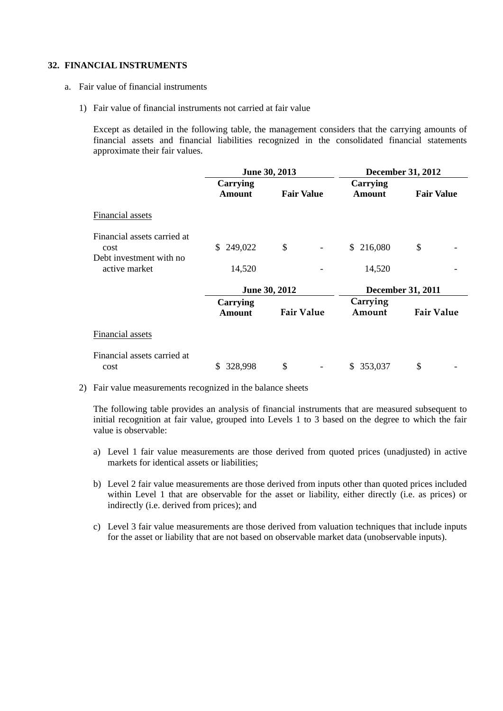## **32. FINANCIAL INSTRUMENTS**

- a. Fair value of financial instruments
	- 1) Fair value of financial instruments not carried at fair value

Except as detailed in the following table, the management considers that the carrying amounts of financial assets and financial liabilities recognized in the consolidated financial statements approximate their fair values.

|                                          | June 30, 2013             |                   |  | <b>December 31, 2012</b>  |                          |  |
|------------------------------------------|---------------------------|-------------------|--|---------------------------|--------------------------|--|
|                                          | Carrying<br><b>Amount</b> | <b>Fair Value</b> |  | Carrying<br><b>Amount</b> | <b>Fair Value</b>        |  |
| Financial assets                         |                           |                   |  |                           |                          |  |
| Financial assets carried at              |                           |                   |  |                           |                          |  |
| cost                                     | 249,022<br>S.             | \$                |  | \$216,080                 | \$                       |  |
| Debt investment with no<br>active market | 14,520                    |                   |  | 14,520                    |                          |  |
|                                          |                           | June 30, 2012     |  |                           | <b>December 31, 2011</b> |  |
|                                          | Carrying<br><b>Amount</b> | <b>Fair Value</b> |  | Carrying<br>Amount        | <b>Fair Value</b>        |  |
| Financial assets                         |                           |                   |  |                           |                          |  |
| Financial assets carried at              |                           |                   |  |                           |                          |  |
| cost                                     | 328,998<br>S.             | \$                |  | \$ 353,037                | \$                       |  |

2) Fair value measurements recognized in the balance sheets

The following table provides an analysis of financial instruments that are measured subsequent to initial recognition at fair value, grouped into Levels 1 to 3 based on the degree to which the fair value is observable:

- a) Level 1 fair value measurements are those derived from quoted prices (unadjusted) in active markets for identical assets or liabilities;
- b) Level 2 fair value measurements are those derived from inputs other than quoted prices included within Level 1 that are observable for the asset or liability, either directly (i.e. as prices) or indirectly (i.e. derived from prices); and
- c) Level 3 fair value measurements are those derived from valuation techniques that include inputs for the asset or liability that are not based on observable market data (unobservable inputs).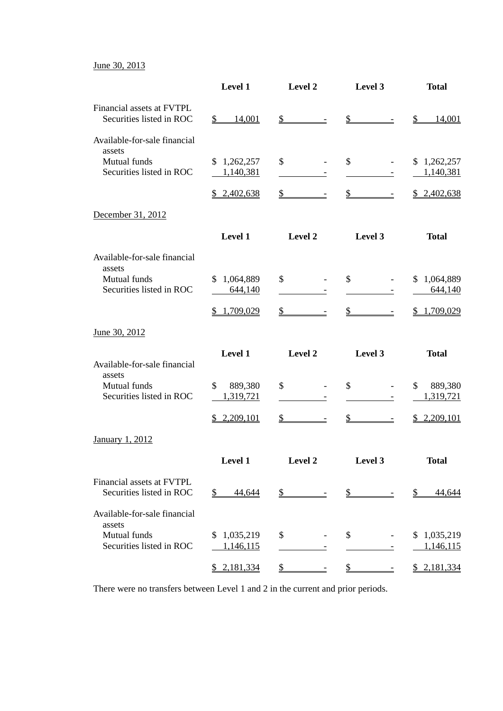June 30, 2013

|                                                       | Level 1                    | Level 2                                   | Level 3                                                    | <b>Total</b>                   |
|-------------------------------------------------------|----------------------------|-------------------------------------------|------------------------------------------------------------|--------------------------------|
| Financial assets at FVTPL<br>Securities listed in ROC | 14,001<br>$\mathbb{S}$     | $s$ –                                     | $s$ –                                                      | $\mathcal{S}$<br><u>14,001</u> |
| Available-for-sale financial                          |                            |                                           |                                                            |                                |
| assets<br>Mutual funds<br>Securities listed in ROC    | \$1,262,257<br>1,140,381   | $\mathcal{S}$                             | \$                                                         | \$1,262,257<br>1,140,381       |
|                                                       | \$2,402,638                | $\frac{1}{2}$                             | $\frac{\text{S}}{\text{S}}$<br>$\equiv$                    | \$2,402,638                    |
| December 31, 2012                                     |                            |                                           |                                                            |                                |
|                                                       | Level 1                    | Level 2                                   | Level 3                                                    | <b>Total</b>                   |
| Available-for-sale financial<br>assets                |                            |                                           |                                                            |                                |
| Mutual funds<br>Securities listed in ROC              | 1,064,889<br>\$<br>644,140 | $\mathcal{S}$                             | \$                                                         | \$1,064,889<br>644,140         |
|                                                       | \$1,709,029                | $\frac{1}{2}$                             | $\frac{1}{2}$<br>$\equiv$                                  | \$1,709,029                    |
| June 30, 2012                                         |                            |                                           |                                                            |                                |
| Available-for-sale financial<br>assets                | Level 1                    | Level 2                                   | Level 3                                                    | <b>Total</b>                   |
| Mutual funds<br>Securities listed in ROC              | \$<br>889,380<br>1,319,721 | \$<br>$\overline{\phantom{a}}$<br>-       | \$<br>$\overline{\phantom{a}}$<br>$\overline{\phantom{a}}$ | \$<br>889,380<br>1,319,721     |
|                                                       | \$2,209,101                | $\frac{1}{2}$<br>$\overline{\phantom{a}}$ | $\frac{1}{2}$                                              | \$2,209,101                    |
| <b>January 1, 2012</b>                                |                            |                                           |                                                            |                                |
|                                                       | Level 1                    |                                           | Level 2 Level 3                                            | <b>Total</b>                   |
| Financial assets at FVTPL<br>Securities listed in ROC | 44,644<br>$\mathfrak{D}$   | $\frac{1}{2}$                             | $\frac{\mathcal{S}}{\mathcal{S}}$                          | 44,644<br>$\mathbb{S}$         |
| Available-for-sale financial                          |                            |                                           |                                                            |                                |
| assets<br>Mutual funds<br>Securities listed in ROC    | \$1,035,219<br>1,146,115   | \$                                        | \$                                                         | \$1,035,219<br>1,146,115       |
|                                                       | \$2,181,334                | $\frac{1}{2}$                             | $\mathcal{S}$                                              | \$2,181,334                    |

There were no transfers between Level 1 and 2 in the current and prior periods.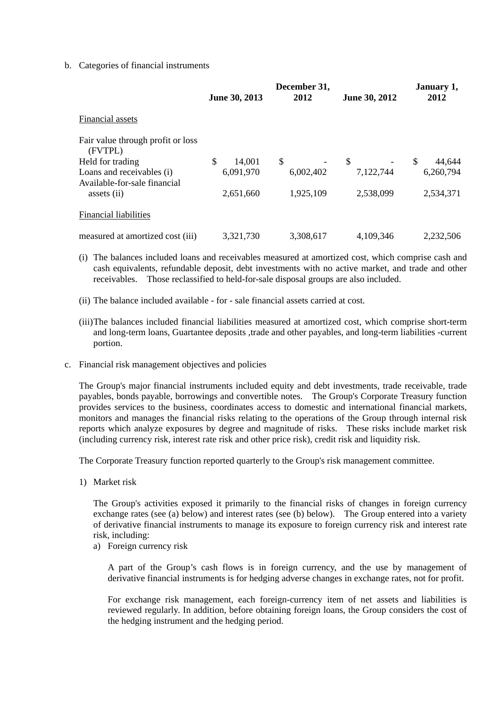## b. Categories of financial instruments

|                                                           | June 30, 2013 | December 31,<br>2012 | June 30, 2012 | January 1,<br>2012     |
|-----------------------------------------------------------|---------------|----------------------|---------------|------------------------|
| Financial assets                                          |               |                      |               |                        |
| Fair value through profit or loss<br>(FVTPL)              |               |                      |               |                        |
| Held for trading                                          | \$<br>14,001  | S.                   | \$            | <sup>S</sup><br>44,644 |
| Loans and receivables (i)<br>Available-for-sale financial | 6,091,970     | 6,002,402            | 7,122,744     | 6,260,794              |
| assets (ii)                                               | 2,651,660     | 1,925,109            | 2,538,099     | 2,534,371              |
| <b>Financial liabilities</b>                              |               |                      |               |                        |
| measured at amortized cost (iii)                          | 3,321,730     | 3,308,617            | 4,109,346     | 2.232.506              |

(i) The balances included loans and receivables measured at amortized cost, which comprise cash and cash equivalents, refundable deposit, debt investments with no active market, and trade and other receivables. Those reclassified to held-for-sale disposal groups are also included.

- (ii) The balance included available for sale financial assets carried at cost.
- (iii) The balances included financial liabilities measured at amortized cost, which comprise short-term and long-term loans, Guartantee deposits ,trade and other payables, and long-term liabilities -current portion.
- c. Financial risk management objectives and policies

The Group's major financial instruments included equity and debt investments, trade receivable, trade payables, bonds payable, borrowings and convertible notes. The Group's Corporate Treasury function provides services to the business, coordinates access to domestic and international financial markets, monitors and manages the financial risks relating to the operations of the Group through internal risk reports which analyze exposures by degree and magnitude of risks. These risks include market risk (including currency risk, interest rate risk and other price risk), credit risk and liquidity risk.

The Corporate Treasury function reported quarterly to the Group's risk management committee.

1) Market risk

The Group's activities exposed it primarily to the financial risks of changes in foreign currency exchange rates (see (a) below) and interest rates (see (b) below). The Group entered into a variety of derivative financial instruments to manage its exposure to foreign currency risk and interest rate risk, including:

a) Foreign currency risk

A part of the Group's cash flows is in foreign currency, and the use by management of derivative financial instruments is for hedging adverse changes in exchange rates, not for profit.

For exchange risk management, each foreign-currency item of net assets and liabilities is reviewed regularly. In addition, before obtaining foreign loans, the Group considers the cost of the hedging instrument and the hedging period.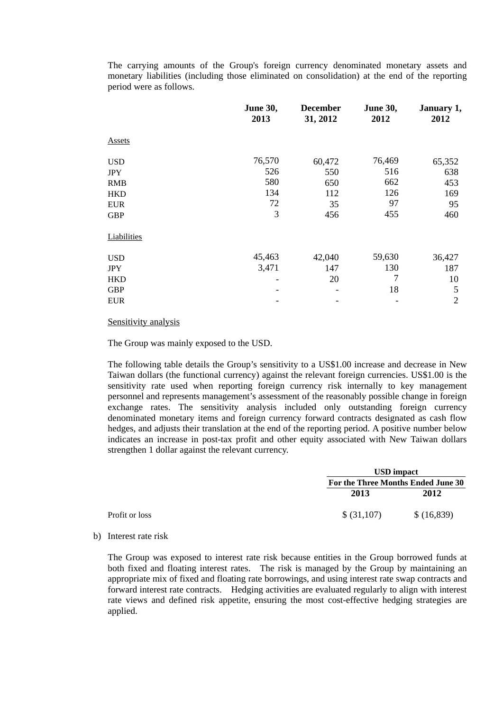The carrying amounts of the Group's foreign currency denominated monetary assets and monetary liabilities (including those eliminated on consolidation) at the end of the reporting period were as follows.

|               | <b>June 30,</b><br>2013 | <b>December</b><br>31, 2012 | <b>June 30,</b><br>2012 | January 1,<br>2012 |
|---------------|-------------------------|-----------------------------|-------------------------|--------------------|
| <b>Assets</b> |                         |                             |                         |                    |
| <b>USD</b>    | 76,570                  | 60,472                      | 76,469                  | 65,352             |
| <b>JPY</b>    | 526                     | 550                         | 516                     | 638                |
| <b>RMB</b>    | 580                     | 650                         | 662                     | 453                |
| <b>HKD</b>    | 134                     | 112                         | 126                     | 169                |
| <b>EUR</b>    | 72                      | 35                          | 97                      | 95                 |
| <b>GBP</b>    | 3                       | 456                         | 455                     | 460                |
| Liabilities   |                         |                             |                         |                    |
| <b>USD</b>    | 45,463                  | 42,040                      | 59,630                  | 36,427             |
| <b>JPY</b>    | 3,471                   | 147                         | 130                     | 187                |
| <b>HKD</b>    |                         | 20                          | 7                       | 10                 |
| <b>GBP</b>    |                         |                             | 18                      | 5                  |
| <b>EUR</b>    |                         |                             |                         | $\overline{2}$     |

### Sensitivity analysis

The Group was mainly exposed to the USD.

The following table details the Group's sensitivity to a US\$1.00 increase and decrease in New Taiwan dollars (the functional currency) against the relevant foreign currencies. US\$1.00 is the sensitivity rate used when reporting foreign currency risk internally to key management personnel and represents management's assessment of the reasonably possible change in foreign exchange rates. The sensitivity analysis included only outstanding foreign currency denominated monetary items and foreign currency forward contracts designated as cash flow hedges, and adjusts their translation at the end of the reporting period. A positive number below indicates an increase in post-tax profit and other equity associated with New Taiwan dollars strengthen 1 dollar against the relevant currency.

|                |             | <b>USD</b> impact                  |  |  |  |
|----------------|-------------|------------------------------------|--|--|--|
|                |             | For the Three Months Ended June 30 |  |  |  |
|                | 2013        | 2012                               |  |  |  |
| Profit or loss | \$ (31,107) | \$ (16,839)                        |  |  |  |

b) Interest rate risk

The Group was exposed to interest rate risk because entities in the Group borrowed funds at both fixed and floating interest rates. The risk is managed by the Group by maintaining an appropriate mix of fixed and floating rate borrowings, and using interest rate swap contracts and forward interest rate contracts. Hedging activities are evaluated regularly to align with interest rate views and defined risk appetite, ensuring the most cost-effective hedging strategies are applied.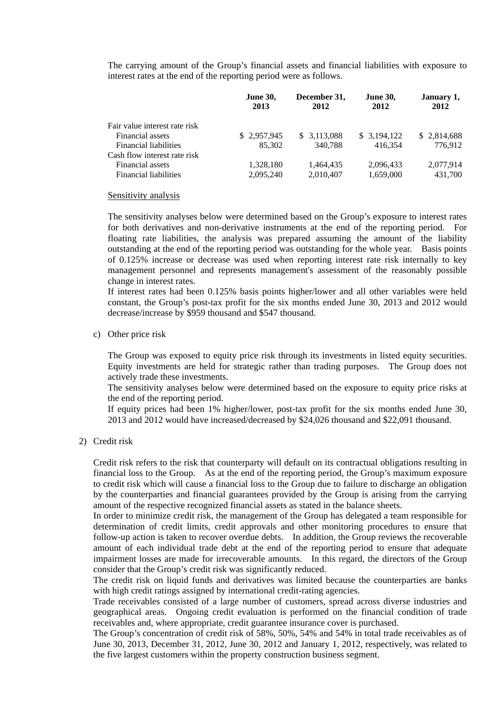The carrying amount of the Group's financial assets and financial liabilities with exposure to interest rates at the end of the reporting period were as follows.

|                               | <b>June 30,</b><br>2013 | December 31,<br>2012 | <b>June 30,</b><br>2012 | January 1,<br>2012 |
|-------------------------------|-------------------------|----------------------|-------------------------|--------------------|
| Fair value interest rate risk |                         |                      |                         |                    |
| Financial assets              | \$2,957,945             | \$3,113,088          | \$3,194,122             | \$2,814,688        |
| <b>Financial liabilities</b>  | 85,302                  | 340.788              | 416.354                 | 776.912            |
| Cash flow interest rate risk  |                         |                      |                         |                    |
| Financial assets              | 1,328,180               | 1,464,435            | 2,096,433               | 2,077,914          |
| Financial liabilities         | 2,095,240               | 2,010,407            | 1,659,000               | 431,700            |

#### Sensitivity analysis

The sensitivity analyses below were determined based on the Group's exposure to interest rates for both derivatives and non-derivative instruments at the end of the reporting period. For floating rate liabilities, the analysis was prepared assuming the amount of the liability outstanding at the end of the reporting period was outstanding for the whole year. Basis points of 0.125% increase or decrease was used when reporting interest rate risk internally to key management personnel and represents management's assessment of the reasonably possible change in interest rates.

If interest rates had been 0.125% basis points higher/lower and all other variables were held constant, the Group's post-tax profit for the six months ended June 30, 2013 and 2012 would decrease/increase by \$959 thousand and \$547 thousand.

c) Other price risk

The Group was exposed to equity price risk through its investments in listed equity securities. Equity investments are held for strategic rather than trading purposes. The Group does not actively trade these investments.

The sensitivity analyses below were determined based on the exposure to equity price risks at the end of the reporting period.

If equity prices had been 1% higher/lower, post-tax profit for the six months ended June 30, 2013 and 2012 would have increased/decreased by \$24,026 thousand and \$22,091 thousand.

2) Credit risk

Credit risk refers to the risk that counterparty will default on its contractual obligations resulting in financial loss to the Group. As at the end of the reporting period, the Group's maximum exposure to credit risk which will cause a financial loss to the Group due to failure to discharge an obligation by the counterparties and financial guarantees provided by the Group is arising from the carrying amount of the respective recognized financial assets as stated in the balance sheets.

In order to minimize credit risk, the management of the Group has delegated a team responsible for determination of credit limits, credit approvals and other monitoring procedures to ensure that follow-up action is taken to recover overdue debts. In addition, the Group reviews the recoverable amount of each individual trade debt at the end of the reporting period to ensure that adequate impairment losses are made for irrecoverable amounts. In this regard, the directors of the Group consider that the Group's credit risk was significantly reduced.

The credit risk on liquid funds and derivatives was limited because the counterparties are banks with high credit ratings assigned by international credit-rating agencies.

Trade receivables consisted of a large number of customers, spread across diverse industries and geographical areas. Ongoing credit evaluation is performed on the financial condition of trade receivables and, where appropriate, credit guarantee insurance cover is purchased.

The Group's concentration of credit risk of 58%, 50%, 54% and 54% in total trade receivables as of June 30, 2013, December 31, 2012, June 30, 2012 and January 1, 2012, respectively, was related to the five largest customers within the property construction business segment.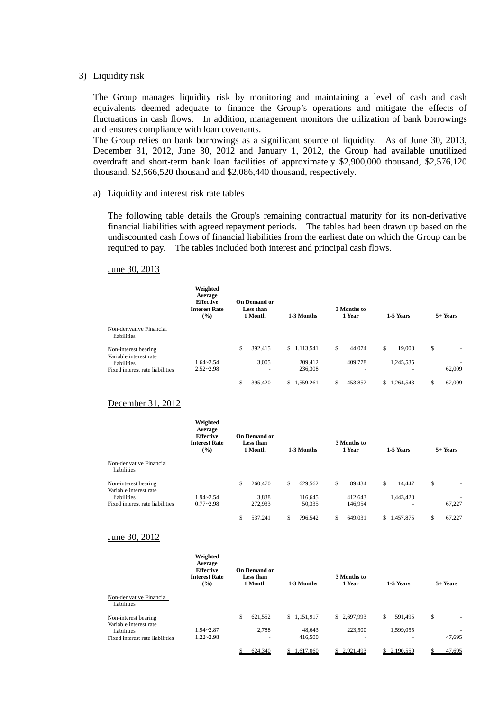#### 3) Liquidity risk

The Group manages liquidity risk by monitoring and maintaining a level of cash and cash equivalents deemed adequate to finance the Group's operations and mitigate the effects of fluctuations in cash flows. In addition, management monitors the utilization of bank borrowings and ensures compliance with loan covenants.

The Group relies on bank borrowings as a significant source of liquidity. As of June 30, 2013, December 31, 2012, June 30, 2012 and January 1, 2012, the Group had available unutilized overdraft and short-term bank loan facilities of approximately \$2,900,000 thousand, \$2,576,120 thousand, \$2,566,520 thousand and \$2,086,440 thousand, respectively.

#### a) Liquidity and interest risk rate tables

The following table details the Group's remaining contractual maturity for its non-derivative financial liabilities with agreed repayment periods. The tables had been drawn up based on the undiscounted cash flows of financial liabilities from the earliest date on which the Group can be required to pay. The tables included both interest and principal cash flows.

#### June 30, 2013

|                                                | Weighted<br>Average<br><b>Effective</b><br><b>Interest Rate</b><br>$($ %) | <b>On Demand or</b><br>Less than<br>1 Month | 1-3 Months             | 3 Months to<br>1 Year   | 1-5 Years                 | $5+$ Years                     |
|------------------------------------------------|---------------------------------------------------------------------------|---------------------------------------------|------------------------|-------------------------|---------------------------|--------------------------------|
| Non-derivative Financial<br>liabilities        |                                                                           |                                             |                        |                         |                           |                                |
| Non-interest bearing<br>Variable interest rate | $1.64 - 2.54$                                                             | \$<br>392,415<br>3.005                      | \$1,113,541<br>209,412 | \$<br>44.074<br>409,778 | \$<br>19.008<br>1,245,535 | \$<br>$\overline{\phantom{a}}$ |
| liabilities<br>Fixed interest rate liabilities | $2.52 - 2.98$                                                             |                                             | 236,308                |                         |                           | 62,009                         |
|                                                |                                                                           | 395,420                                     | 1,559,261              | 453,852                 | 1.264.543                 | 62,009                         |

## December 31, 2012

|                                                               | Weighted<br>Average<br><b>Effective</b><br><b>Interest Rate</b><br>$\frac{9}{6}$ | <b>On Demand or</b><br>Less than<br>1 Month | 1-3 Months               | 3 Months to<br>1 Year   | 1-5 Years                 | 5+ Years |
|---------------------------------------------------------------|----------------------------------------------------------------------------------|---------------------------------------------|--------------------------|-------------------------|---------------------------|----------|
| Non-derivative Financial<br>liabilities                       |                                                                                  |                                             |                          |                         |                           |          |
| Non-interest bearing<br>Variable interest rate<br>liabilities | $1.94 - 2.54$                                                                    | \$<br>260,470<br>3,838                      | \$<br>629.562<br>116,645 | \$<br>89.434<br>412.643 | \$<br>14.447<br>1,443,428 | \$<br>٠  |
| Fixed interest rate liabilities                               | $0.77 - 2.98$                                                                    | 272,933                                     | 50,335                   | 146,954                 |                           | 67.227   |
|                                                               |                                                                                  | 537.241                                     | 796.542                  | 649.031                 | .457.875<br>\$.           | 67.227   |

#### June 30, 2012

|                                                | Weighted<br>Average<br><b>Effective</b><br><b>Interest Rate</b><br>$($ %) | <b>On Demand or</b><br>Less than<br>1 Month | 1-3 Months  | 3 Months to<br>1 Year | 1-5 Years     | 5+ Years |
|------------------------------------------------|---------------------------------------------------------------------------|---------------------------------------------|-------------|-----------------------|---------------|----------|
| Non-derivative Financial<br>liabilities        |                                                                           |                                             |             |                       |               |          |
| Non-interest bearing<br>Variable interest rate |                                                                           | \$<br>621,552                               | \$1.151.917 | \$2.697.993           | \$<br>591.495 | \$       |
| liabilities                                    | $1.94 - 2.87$                                                             | 2.788                                       | 48.643      | 223,500               | 1,599,055     |          |
| Fixed interest rate liabilities                | $1.22 - 2.98$                                                             |                                             | 416,500     |                       |               | 47,695   |
|                                                |                                                                           | 624.340                                     | 1.617.060   | \$2.921.493           | 2.190.550     | 47.695   |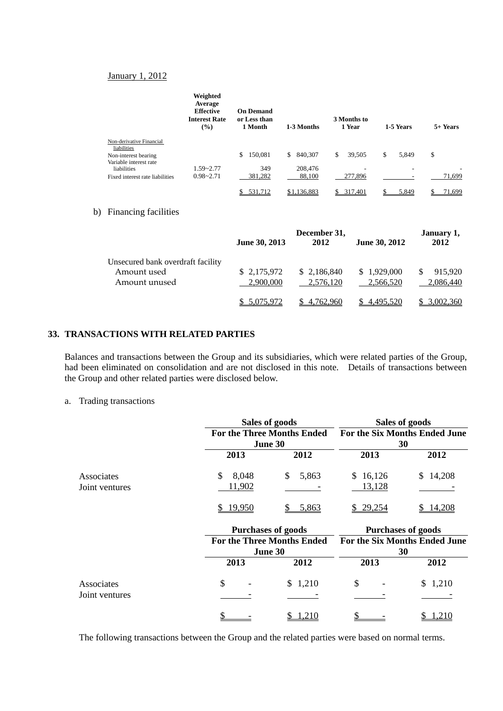#### January 1, 2012

|                                                | Weighted<br>Average<br><b>Effective</b><br><b>Interest Rate</b><br>$(\%)$ | <b>On Demand</b><br>or Less than<br>1 Month | 1-3 Months    | 3 Months to<br>1 Year | 1-5 Years   | 5+ Years    |
|------------------------------------------------|---------------------------------------------------------------------------|---------------------------------------------|---------------|-----------------------|-------------|-------------|
| Non-derivative Financial<br>liabilities        |                                                                           |                                             |               |                       |             |             |
| Non-interest bearing<br>Variable interest rate |                                                                           | 150,081<br>\$                               | 840,307<br>\$ | \$<br>39,505          | \$<br>5,849 | \$          |
| liabilities                                    | $1.59 - 2.77$                                                             | 349                                         | 208,476       |                       | -           |             |
| Fixed interest rate liabilities                | $0.98 - 2.71$                                                             | 381,282                                     | 88,100        | 277,896               | -           | 71,699      |
|                                                |                                                                           | 531.712<br>\$                               | \$1,136,883   | 317,401<br>S.         | 5,849       | 71.699<br>S |

## b) Financing facilities

|                                                                   | June 30, 2013            | December 31,<br>2012     | June 30, 2012            | January 1,<br>2012        |
|-------------------------------------------------------------------|--------------------------|--------------------------|--------------------------|---------------------------|
| Unsecured bank overdraft facility<br>Amount used<br>Amount unused | \$2,175,972<br>2,900,000 | \$2,186,840<br>2.576.120 | \$1,929,000<br>2.566.520 | 915,920<br>S<br>2.086.440 |
|                                                                   | 5.075.972                | 4.762,960                | 4.495.520                | 3.002.360                 |

## **33. TRANSACTIONS WITH RELATED PARTIES**

Balances and transactions between the Group and its subsidiaries, which were related parties of the Group, had been eliminated on consolidation and are not disclosed in this note. Details of transactions between the Group and other related parties were disclosed below.

a. Trading transactions

|                              |                      | Sales of goods<br><b>For the Three Months Ended</b><br><b>June 30</b> |                    | Sales of goods                             |
|------------------------------|----------------------|-----------------------------------------------------------------------|--------------------|--------------------------------------------|
|                              |                      |                                                                       |                    | <b>For the Six Months Ended June</b><br>30 |
|                              | 2013                 | 2012                                                                  | 2013               | 2012                                       |
| Associates<br>Joint ventures | 8,048<br>S<br>11,902 | 5,863<br>S                                                            | \$16,126<br>13,128 | 14,208<br>\$                               |
|                              | \$19,950             | 5,863                                                                 | \$29,254           | 14,208                                     |
|                              |                      | <b>Purchases of goods</b>                                             |                    | <b>Purchases of goods</b>                  |

|                              | Purchases of goods                                  |         | Purchases of goods       |                                     |  |  |
|------------------------------|-----------------------------------------------------|---------|--------------------------|-------------------------------------|--|--|
|                              | <b>For the Three Months Ended</b><br><b>June 30</b> |         |                          | For the Six Months Ended June<br>30 |  |  |
| Associates<br>Joint ventures | 2013                                                | 2012    | 2013                     | 2012                                |  |  |
|                              | S<br>$\overline{\phantom{0}}$                       | \$1,210 | $\overline{\phantom{a}}$ | \$1,210                             |  |  |
|                              |                                                     | .210    |                          |                                     |  |  |

The following transactions between the Group and the related parties were based on normal terms.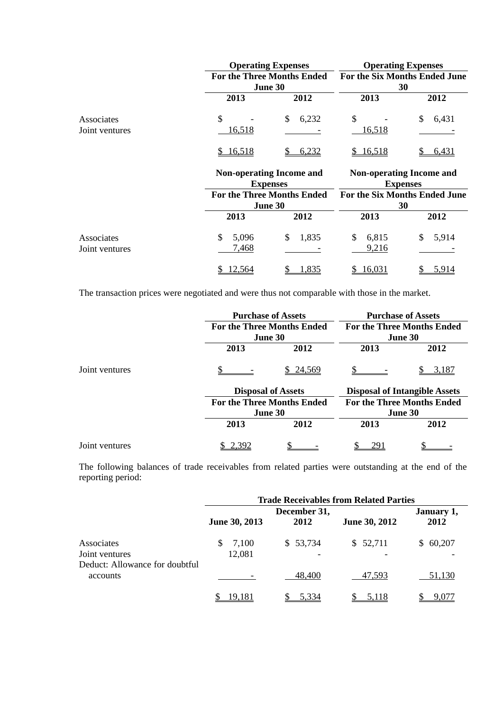|                              |                      | <b>Operating Expenses</b>                          | <b>Operating Expenses</b><br>For the Six Months Ended June<br>30                    |             |  |  |
|------------------------------|----------------------|----------------------------------------------------|-------------------------------------------------------------------------------------|-------------|--|--|
|                              |                      | <b>For the Three Months Ended</b><br>June 30       |                                                                                     |             |  |  |
|                              | 2013                 | 2012                                               | 2013                                                                                | 2012        |  |  |
| Associates<br>Joint ventures | \$<br><u>16,518</u>  | 6,232<br>\$                                        | \$<br><u>16,518</u>                                                                 | \$<br>6,431 |  |  |
|                              | 16,518<br>S          | 6,232                                              | 16,518<br>S.                                                                        | 6,431       |  |  |
|                              |                      | <b>Non-operating Income and</b><br><b>Expenses</b> | <b>Non-operating Income and</b><br><b>Expenses</b><br>For the Six Months Ended June |             |  |  |
|                              |                      | <b>For the Three Months Ended</b>                  |                                                                                     |             |  |  |
|                              |                      | June 30                                            | 30                                                                                  |             |  |  |
|                              | 2013                 | 2012                                               | 2013                                                                                | 2012        |  |  |
| Associates<br>Joint ventures | \$<br>5,096<br>7,468 | 1,835<br>\$                                        | \$<br>6,815<br>9,216                                                                | \$<br>5,914 |  |  |
|                              | 12,564<br>S.         | 1.835                                              | 16,031                                                                              | 5,914       |  |  |

The transaction prices were negotiated and were thus not comparable with those in the market.

|                | <b>Purchase of Assets</b>                           |                           | <b>Purchase of Assets</b><br><b>For the Three Months Ended</b><br>June 30 |       |  |  |
|----------------|-----------------------------------------------------|---------------------------|---------------------------------------------------------------------------|-------|--|--|
|                | <b>For the Three Months Ended</b><br><b>June 30</b> |                           |                                                                           |       |  |  |
|                | 2013<br>2012                                        |                           | 2013                                                                      | 2012  |  |  |
| Joint ventures |                                                     | \$24,569                  |                                                                           | 3,187 |  |  |
|                |                                                     | <b>Disposal of Assets</b> | <b>Disposal of Intangible Assets</b><br><b>For the Three Months Ended</b> |       |  |  |
|                | <b>For the Three Months Ended</b>                   |                           |                                                                           |       |  |  |
|                |                                                     | <b>June 30</b>            | <b>June 30</b>                                                            |       |  |  |
|                | 2013                                                | 2012                      | 2013                                                                      | 2012  |  |  |
| Joint ventures | 2.392                                               |                           |                                                                           |       |  |  |

The following balances of trade receivables from related parties were outstanding at the end of the reporting period:

|                                                                | <b>Trade Receivables from Related Parties</b> |                    |          |          |  |  |
|----------------------------------------------------------------|-----------------------------------------------|--------------------|----------|----------|--|--|
|                                                                | June 30, 2013                                 | January 1,<br>2012 |          |          |  |  |
| Associates<br>Joint ventures<br>Deduct: Allowance for doubtful | 7,100<br>S.<br>12,081                         | \$53,734           | \$52,711 | \$60,207 |  |  |
| accounts                                                       |                                               | 48,400             | 47,593   | 51,130   |  |  |
|                                                                | 19.181                                        | 5,334              | 5.118    | 9.077    |  |  |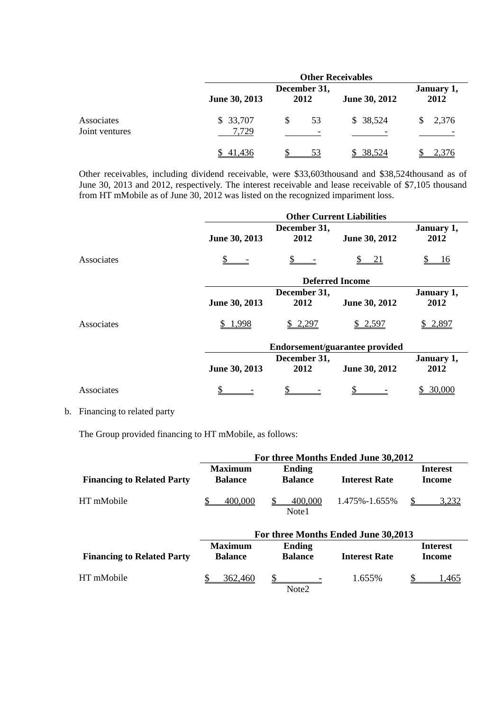|                              | <b>Other Receivables</b> |                                      |                      |                    |  |  |  |
|------------------------------|--------------------------|--------------------------------------|----------------------|--------------------|--|--|--|
| Associates<br>Joint ventures | June 30, 2013            | December 31,<br>2012                 | <b>June 30, 2012</b> | January 1,<br>2012 |  |  |  |
|                              | \$33,707<br>7,729        | \$<br>53<br>$\overline{\phantom{0}}$ | \$38,524             | 2,376<br>S.        |  |  |  |
|                              | 41,436                   |                                      | \$ 38,524            | 2.376              |  |  |  |

Other receivables, including dividend receivable, were \$33,603thousand and \$38,524thousand as of June 30, 2013 and 2012, respectively. The interest receivable and lease receivable of \$7,105 thousand from HT mMobile as of June 30, 2012 was listed on the recognized impariment loss.

|            | <b>Other Current Liabilities</b> |                                |               |            |  |  |  |
|------------|----------------------------------|--------------------------------|---------------|------------|--|--|--|
|            |                                  | December 31,                   |               | January 1, |  |  |  |
|            | June 30, 2013                    | 2012                           | June 30, 2012 | 2012       |  |  |  |
| Associates |                                  |                                | 21            | <u>16</u>  |  |  |  |
|            |                                  | <b>Deferred Income</b>         |               |            |  |  |  |
|            |                                  | December 31,                   |               | January 1, |  |  |  |
|            | June 30, 2013                    | 2012                           | June 30, 2012 | 2012       |  |  |  |
| Associates | \$1,998                          | \$2,297                        | \$2,597       | \$2,897    |  |  |  |
|            |                                  | Endorsement/guarantee provided |               |            |  |  |  |
|            |                                  | December 31,                   |               | January 1, |  |  |  |
|            | June 30, 2013                    | 2012                           | June 30, 2012 | 2012       |  |  |  |
| Associates |                                  |                                |               | \$ 30,000  |  |  |  |

## b. Financing to related party

The Group provided financing to HT mMobile, as follows:

|                                   | For three Months Ended June 30,2012 |                                 |                      |              |  |  |
|-----------------------------------|-------------------------------------|---------------------------------|----------------------|--------------|--|--|
| <b>Financing to Related Party</b> | <b>Maximum</b><br><b>Balance</b>    | <b>Ending</b><br><b>Balance</b> | <b>Interest Rate</b> |              |  |  |
| HT mMobile                        | 400,000                             | 400,000<br>Note1                | 1.475%-1.655%        | <u>3.232</u> |  |  |

|                                   |                                  | For three Months Ended June 30,2013 |                      |                           |  |
|-----------------------------------|----------------------------------|-------------------------------------|----------------------|---------------------------|--|
| <b>Financing to Related Party</b> | <b>Maximum</b><br><b>Balance</b> | <b>Ending</b><br><b>Balance</b>     | <b>Interest Rate</b> | <b>Interest</b><br>Income |  |
| HT mMobile                        | 362,460                          | $\sim$<br>Note <sub>2</sub>         | 1.655%               | .465                      |  |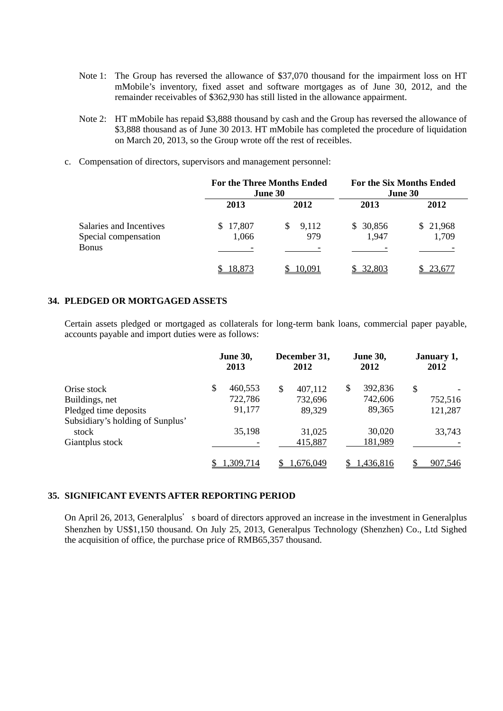- Note 1: The Group has reversed the allowance of \$37,070 thousand for the impairment loss on HT mMobile's inventory, fixed asset and software mortgages as of June 30, 2012, and the remainder receivables of \$362,930 has still listed in the allowance appairment.
- Note 2: HT mMobile has repaid \$3,888 thousand by cash and the Group has reversed the allowance of \$3,888 thousand as of June 30 2013. HT mMobile has completed the procedure of liquidation on March 20, 2013, so the Group wrote off the rest of receibles.
- c. Compensation of directors, supervisors and management personnel:

|                                                          | <b>For the Three Months Ended</b> | <b>June 30</b>     | <b>For the Six Months Ended</b><br>June 30 |                   |  |
|----------------------------------------------------------|-----------------------------------|--------------------|--------------------------------------------|-------------------|--|
|                                                          | 2013                              | 2012               | 2013                                       | 2012              |  |
| Salaries and Incentives<br>Special compensation<br>Bonus | \$17,807<br>1,066                 | 9,112<br>S.<br>979 | \$30,856<br>1,947                          | \$21,968<br>1,709 |  |
|                                                          | 18,873                            | 10,091             | \$32,803                                   | \$23,677          |  |

## **34. PLEDGED OR MORTGAGED ASSETS**

Certain assets pledged or mortgaged as collaterals for long-term bank loans, commercial paper payable, accounts payable and import duties were as follows:

|                                  | <b>June 30,</b><br>2013 |          | December 31,<br>2012 |           | <b>June 30,</b><br>2012 |           | January 1,<br>2012 |         |
|----------------------------------|-------------------------|----------|----------------------|-----------|-------------------------|-----------|--------------------|---------|
| Orise stock                      | \$                      | 460,553  | \$                   | 407,112   | S                       | 392,836   | \$                 |         |
| Buildings, net                   |                         | 722,786  |                      | 732,696   |                         | 742,606   |                    | 752,516 |
| Pledged time deposits            |                         | 91,177   |                      | 89,329    |                         | 89,365    |                    | 121,287 |
| Subsidiary's holding of Sunplus' |                         |          |                      |           |                         |           |                    |         |
| stock                            |                         | 35,198   |                      | 31,025    |                         | 30,020    |                    | 33,743  |
| Giantplus stock                  |                         |          |                      | 415,887   |                         | 181,989   |                    |         |
|                                  |                         | .309,714 |                      | 1,676,049 |                         | 1,436,816 |                    | 907,546 |

## **35. SIGNIFICANT EVENTS AFTER REPORTING PERIOD**

On April 26, 2013, Generalplus's board of directors approved an increase in the investment in Generalplus Shenzhen by US\$1,150 thousand. On July 25, 2013, Generalpus Technology (Shenzhen) Co., Ltd Sighed the acquisition of office, the purchase price of RMB65,357 thousand.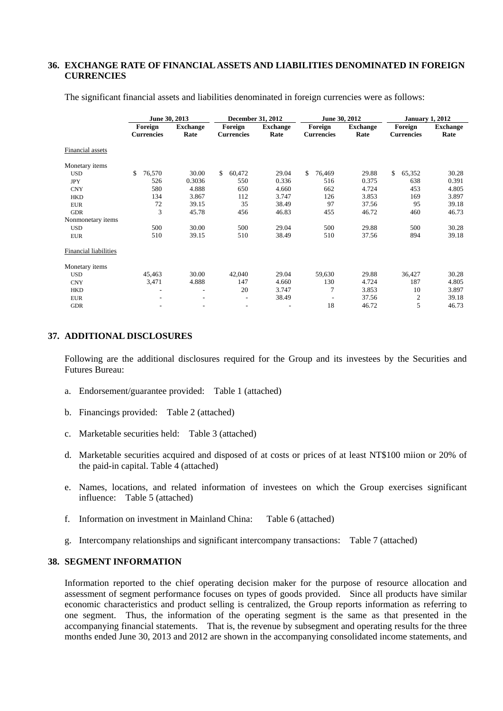## **36. EXCHANGE RATE OF FINANCIAL ASSETS AND LIABILITIES DENOMINATED IN FOREIGN CURRENCIES**

|                              | June 30, 2013                |                          |                              | December 31, 2012       |                              | June 30, 2012           | <b>January 1, 2012</b>       |                         |
|------------------------------|------------------------------|--------------------------|------------------------------|-------------------------|------------------------------|-------------------------|------------------------------|-------------------------|
|                              | Foreign<br><b>Currencies</b> | <b>Exchange</b><br>Rate  | Foreign<br><b>Currencies</b> | <b>Exchange</b><br>Rate | Foreign<br><b>Currencies</b> | <b>Exchange</b><br>Rate | Foreign<br><b>Currencies</b> | <b>Exchange</b><br>Rate |
| Financial assets             |                              |                          |                              |                         |                              |                         |                              |                         |
| Monetary items               |                              |                          |                              |                         |                              |                         |                              |                         |
| <b>USD</b>                   | \$<br>76,570                 | 30.00                    | \$<br>60,472                 | 29.04                   | \$<br>76,469                 | 29.88                   | \$<br>65,352                 | 30.28                   |
| <b>JPY</b>                   | 526                          | 0.3036                   | 550                          | 0.336                   | 516                          | 0.375                   | 638                          | 0.391                   |
| <b>CNY</b>                   | 580                          | 4.888                    | 650                          | 4.660                   | 662                          | 4.724                   | 453                          | 4.805                   |
| <b>HKD</b>                   | 134                          | 3.867                    | 112                          | 3.747                   | 126                          | 3.853                   | 169                          | 3.897                   |
| <b>EUR</b>                   | 72                           | 39.15                    | 35                           | 38.49                   | 97                           | 37.56                   | 95                           | 39.18                   |
| <b>GDR</b>                   | 3                            | 45.78                    | 456                          | 46.83                   | 455                          | 46.72                   | 460                          | 46.73                   |
| Nonmonetary items            |                              |                          |                              |                         |                              |                         |                              |                         |
| <b>USD</b>                   | 500                          | 30.00                    | 500                          | 29.04                   | 500                          | 29.88                   | 500                          | 30.28                   |
| <b>EUR</b>                   | 510                          | 39.15                    | 510                          | 38.49                   | 510                          | 37.56                   | 894                          | 39.18                   |
| <b>Financial liabilities</b> |                              |                          |                              |                         |                              |                         |                              |                         |
| Monetary items               |                              |                          |                              |                         |                              |                         |                              |                         |
| <b>USD</b>                   | 45,463                       | 30.00                    | 42,040                       | 29.04                   | 59,630                       | 29.88                   | 36,427                       | 30.28                   |
| <b>CNY</b>                   | 3,471                        | 4.888                    | 147                          | 4.660                   | 130                          | 4.724                   | 187                          | 4.805                   |
| <b>HKD</b>                   | ٠                            | $\overline{\phantom{a}}$ | 20                           | 3.747                   | 7                            | 3.853                   | 10                           | 3.897                   |
| <b>EUR</b>                   |                              | $\overline{\phantom{a}}$ | $\overline{\phantom{a}}$     | 38.49                   | $\overline{\phantom{a}}$     | 37.56                   | 2                            | 39.18                   |
| <b>GDR</b>                   |                              | ٠                        | $\overline{\phantom{a}}$     |                         | 18                           | 46.72                   | 5                            | 46.73                   |

The significant financial assets and liabilities denominated in foreign currencies were as follows:

## **37. ADDITIONAL DISCLOSURES**

Following are the additional disclosures required for the Group and its investees by the Securities and Futures Bureau:

- a. Endorsement/guarantee provided: Table 1 (attached)
- b. Financings provided: Table 2 (attached)
- c. Marketable securities held: Table 3 (attached)
- d. Marketable securities acquired and disposed of at costs or prices of at least NT\$100 miion or 20% of the paid-in capital. Table 4 (attached)
- e. Names, locations, and related information of investees on which the Group exercises significant influence: Table 5 (attached)
- f. Information on investment in Mainland China: Table 6 (attached)
- g. Intercompany relationships and significant intercompany transactions: Table 7 (attached)

## **38. SEGMENT INFORMATION**

Information reported to the chief operating decision maker for the purpose of resource allocation and assessment of segment performance focuses on types of goods provided. Since all products have similar economic characteristics and product selling is centralized, the Group reports information as referring to one segment. Thus, the information of the operating segment is the same as that presented in the accompanying financial statements. That is, the revenue by subsegment and operating results for the three months ended June 30, 2013 and 2012 are shown in the accompanying consolidated income statements, and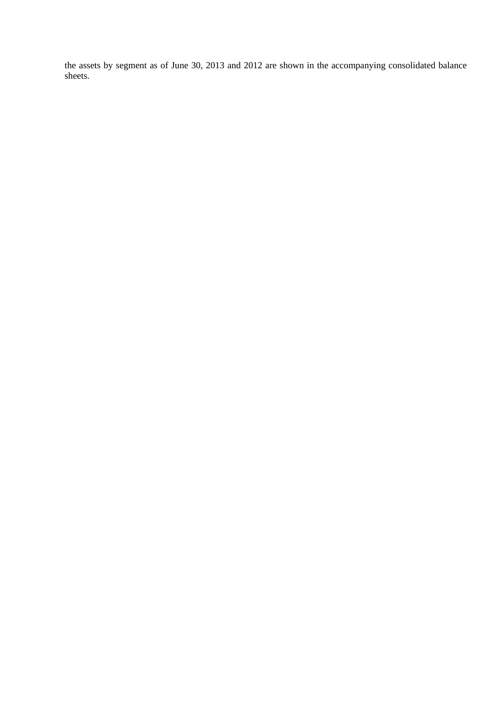the assets by segment as of June 30, 2013 and 2012 are shown in the accompanying consolidated balance sheets.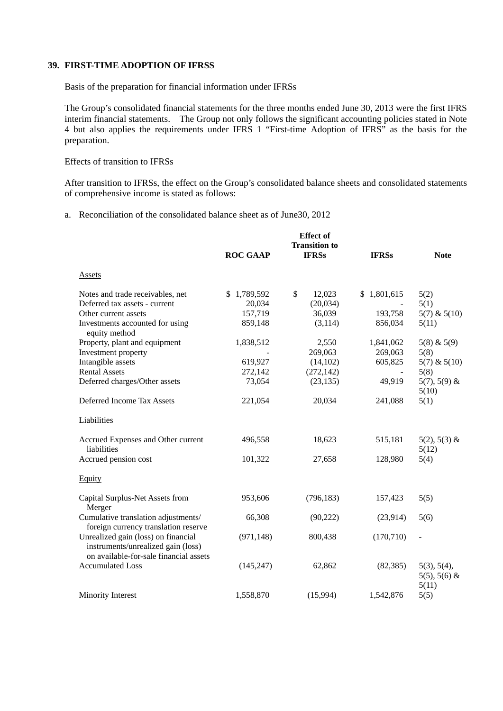# **39. FIRST-TIME ADOPTION OF IFRSS**

Basis of the preparation for financial information under IFRSs

The Group's consolidated financial statements for the three months ended June 30, 2013 were the first IFRS interim financial statements. The Group not only follows the significant accounting policies stated in Note 4 but also applies the requirements under IFRS 1 "First-time Adoption of IFRS" as the basis for the preparation.

# Effects of transition to IFRSs

After transition to IFRSs, the effect on the Group's consolidated balance sheets and consolidated statements of comprehensive income is stated as follows:

# a. Reconciliation of the consolidated balance sheet as of June30, 2012

|                                                                                                                     | <b>ROC GAAP</b> | <b>Effect</b> of<br><b>Transition to</b><br><b>IFRSs</b> | <b>IFRSs</b>    | <b>Note</b>                               |
|---------------------------------------------------------------------------------------------------------------------|-----------------|----------------------------------------------------------|-----------------|-------------------------------------------|
|                                                                                                                     |                 |                                                          |                 |                                           |
| <b>Assets</b>                                                                                                       |                 |                                                          |                 |                                           |
| Notes and trade receivables, net                                                                                    | \$1,789,592     | \$<br>12,023                                             | 1,801,615<br>\$ | 5(2)                                      |
| Deferred tax assets - current                                                                                       | 20,034          | (20, 034)                                                | $\blacksquare$  | 5(1)                                      |
| Other current assets                                                                                                | 157,719         | 36,039                                                   | 193,758         | $5(7)$ & $5(10)$                          |
| Investments accounted for using<br>equity method                                                                    | 859,148         | (3, 114)                                                 | 856,034         | 5(11)                                     |
| Property, plant and equipment                                                                                       | 1,838,512       | 2,550                                                    | 1,841,062       | $5(8)$ & $5(9)$                           |
| Investment property                                                                                                 |                 | 269,063                                                  | 269,063         | 5(8)                                      |
| Intangible assets                                                                                                   | 619,927         | (14,102)                                                 | 605,825         | $5(7)$ & $5(10)$                          |
| <b>Rental Assets</b>                                                                                                | 272,142         | (272, 142)                                               | $\blacksquare$  | 5(8)                                      |
| Deferred charges/Other assets                                                                                       | 73,054          | (23, 135)                                                | 49,919          | $5(7), 5(9)$ &<br>5(10)                   |
| Deferred Income Tax Assets                                                                                          | 221,054         | 20,034                                                   | 241,088         | 5(1)                                      |
| Liabilities                                                                                                         |                 |                                                          |                 |                                           |
| Accrued Expenses and Other current<br>liabilities                                                                   | 496,558         | 18,623                                                   | 515,181         | $5(2), 5(3)$ &<br>5(12)                   |
| Accrued pension cost                                                                                                | 101,322         | 27,658                                                   | 128,980         | 5(4)                                      |
| Equity                                                                                                              |                 |                                                          |                 |                                           |
| Capital Surplus-Net Assets from<br>Merger                                                                           | 953,606         | (796, 183)                                               | 157,423         | 5(5)                                      |
| Cumulative translation adjustments/<br>foreign currency translation reserve                                         | 66,308          | (90, 222)                                                | (23,914)        | 5(6)                                      |
| Unrealized gain (loss) on financial<br>instruments/unrealized gain (loss)<br>on available-for-sale financial assets | (971, 148)      | 800,438                                                  | (170, 710)      |                                           |
| <b>Accumulated Loss</b>                                                                                             | (145, 247)      | 62,862                                                   | (82, 385)       | 5(3), 5(4),<br>$5(5)$ , $5(6)$ &<br>5(11) |
| Minority Interest                                                                                                   | 1,558,870       | (15,994)                                                 | 1,542,876       | 5(5)                                      |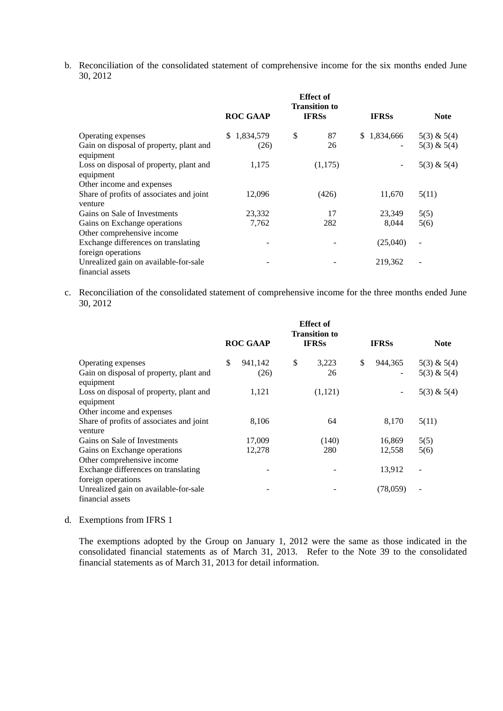b. Reconciliation of the consolidated statement of comprehensive income for the six months ended June 30, 2012

|                                                      | <b>ROC GAAP</b> | <b>Effect</b> of<br><b>Transition to</b><br><b>IFRSs</b> | <b>IFRSs</b>             | <b>Note</b>                  |
|------------------------------------------------------|-----------------|----------------------------------------------------------|--------------------------|------------------------------|
|                                                      |                 |                                                          |                          |                              |
| Operating expenses                                   | \$1,834,579     | \$<br>87                                                 | \$1,834,666              | $5(3)$ & $5(4)$              |
| Gain on disposal of property, plant and<br>equipment | (26)            | 26                                                       |                          | $5(3)$ & $5(4)$              |
| Loss on disposal of property, plant and<br>equipment | 1,175           | (1,175)                                                  | $\overline{\phantom{a}}$ | $5(3)$ & $5(4)$              |
| Other income and expenses                            |                 |                                                          |                          |                              |
| Share of profits of associates and joint<br>venture  | 12,096          | (426)                                                    | 11,670                   | 5(11)                        |
| Gains on Sale of Investments                         | 23,332          | 17                                                       | 23,349                   | 5(5)                         |
| Gains on Exchange operations                         | 7,762           | 282                                                      | 8,044                    | 5(6)                         |
| Other comprehensive income                           |                 |                                                          |                          |                              |
| Exchange differences on translating                  |                 |                                                          | (25,040)                 | $\overline{\phantom{a}}$     |
| foreign operations                                   |                 |                                                          |                          |                              |
| Unrealized gain on available-for-sale                |                 |                                                          | 219,362                  | $\qquad \qquad \blacksquare$ |
| financial assets                                     |                 |                                                          |                          |                              |

c. Reconciliation of the consolidated statement of comprehensive income for the three months ended June 30, 2012

|                                                      | <b>Effect</b> of<br><b>Transition to</b><br><b>IFRSs</b><br><b>ROC GAAP</b> |         |    |         |    | <b>IFRSs</b> | <b>Note</b>              |
|------------------------------------------------------|-----------------------------------------------------------------------------|---------|----|---------|----|--------------|--------------------------|
|                                                      |                                                                             |         |    |         |    |              |                          |
| Operating expenses                                   | \$                                                                          | 941,142 | \$ | 3,223   | \$ | 944,365      | $5(3)$ & $5(4)$          |
| Gain on disposal of property, plant and<br>equipment |                                                                             | (26)    |    | 26      |    | -            | $5(3)$ & $5(4)$          |
| Loss on disposal of property, plant and<br>equipment |                                                                             | 1,121   |    | (1,121) |    |              | $5(3)$ & $5(4)$          |
| Other income and expenses                            |                                                                             |         |    |         |    |              |                          |
| Share of profits of associates and joint<br>venture  |                                                                             | 8,106   |    | 64      |    | 8,170        | 5(11)                    |
| Gains on Sale of Investments                         |                                                                             | 17,009  |    | (140)   |    | 16,869       | 5(5)                     |
| Gains on Exchange operations                         |                                                                             | 12,278  |    | 280     |    | 12,558       | 5(6)                     |
| Other comprehensive income                           |                                                                             |         |    |         |    |              |                          |
| Exchange differences on translating                  |                                                                             |         |    |         |    | 13,912       |                          |
| foreign operations                                   |                                                                             |         |    |         |    |              |                          |
| Unrealized gain on available-for-sale                |                                                                             |         |    |         |    | (78,059)     | $\overline{\phantom{a}}$ |
| financial assets                                     |                                                                             |         |    |         |    |              |                          |

d. Exemptions from IFRS 1

The exemptions adopted by the Group on January 1, 2012 were the same as those indicated in the consolidated financial statements as of March 31, 2013. Refer to the Note 39 to the consolidated financial statements as of March 31, 2013 for detail information.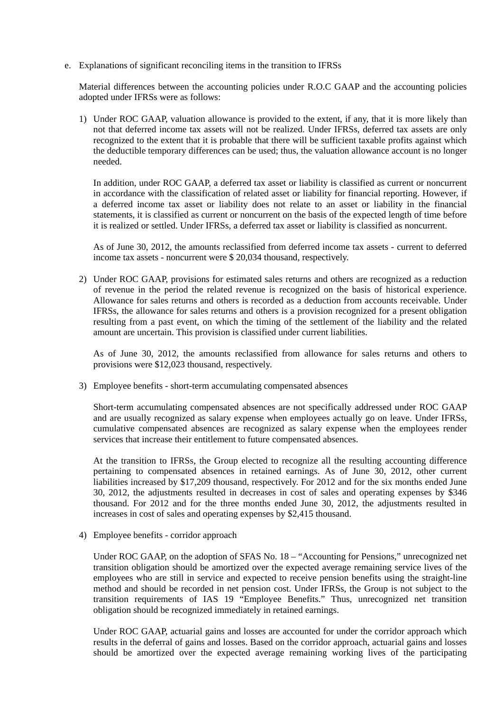e. Explanations of significant reconciling items in the transition to IFRSs

Material differences between the accounting policies under R.O.C GAAP and the accounting policies adopted under IFRSs were as follows:

1) Under ROC GAAP, valuation allowance is provided to the extent, if any, that it is more likely than not that deferred income tax assets will not be realized. Under IFRSs, deferred tax assets are only recognized to the extent that it is probable that there will be sufficient taxable profits against which the deductible temporary differences can be used; thus, the valuation allowance account is no longer needed.

In addition, under ROC GAAP, a deferred tax asset or liability is classified as current or noncurrent in accordance with the classification of related asset or liability for financial reporting. However, if a deferred income tax asset or liability does not relate to an asset or liability in the financial statements, it is classified as current or noncurrent on the basis of the expected length of time before it is realized or settled. Under IFRSs, a deferred tax asset or liability is classified as noncurrent.

As of June 30, 2012, the amounts reclassified from deferred income tax assets - current to deferred income tax assets - noncurrent were \$ 20,034 thousand, respectively.

2) Under ROC GAAP, provisions for estimated sales returns and others are recognized as a reduction of revenue in the period the related revenue is recognized on the basis of historical experience. Allowance for sales returns and others is recorded as a deduction from accounts receivable. Under IFRSs, the allowance for sales returns and others is a provision recognized for a present obligation resulting from a past event, on which the timing of the settlement of the liability and the related amount are uncertain. This provision is classified under current liabilities.

As of June 30, 2012, the amounts reclassified from allowance for sales returns and others to provisions were \$12,023 thousand, respectively.

3) Employee benefits - short-term accumulating compensated absences

Short-term accumulating compensated absences are not specifically addressed under ROC GAAP and are usually recognized as salary expense when employees actually go on leave. Under IFRSs, cumulative compensated absences are recognized as salary expense when the employees render services that increase their entitlement to future compensated absences.

At the transition to IFRSs, the Group elected to recognize all the resulting accounting difference pertaining to compensated absences in retained earnings. As of June 30, 2012, other current liabilities increased by \$17,209 thousand, respectively. For 2012 and for the six months ended June 30, 2012, the adjustments resulted in decreases in cost of sales and operating expenses by \$346 thousand. For 2012 and for the three months ended June 30, 2012, the adjustments resulted in increases in cost of sales and operating expenses by \$2,415 thousand.

4) Employee benefits - corridor approach

Under ROC GAAP, on the adoption of SFAS No. 18 – "Accounting for Pensions," unrecognized net transition obligation should be amortized over the expected average remaining service lives of the employees who are still in service and expected to receive pension benefits using the straight-line method and should be recorded in net pension cost. Under IFRSs, the Group is not subject to the transition requirements of IAS 19 "Employee Benefits." Thus, unrecognized net transition obligation should be recognized immediately in retained earnings.

Under ROC GAAP, actuarial gains and losses are accounted for under the corridor approach which results in the deferral of gains and losses. Based on the corridor approach, actuarial gains and losses should be amortized over the expected average remaining working lives of the participating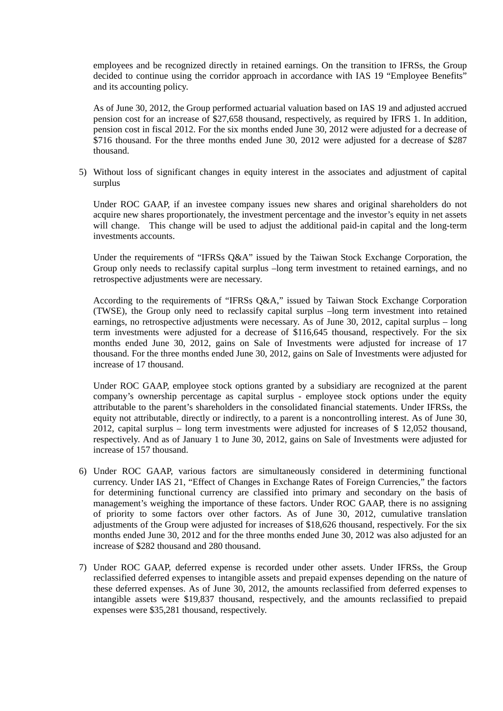employees and be recognized directly in retained earnings. On the transition to IFRSs, the Group decided to continue using the corridor approach in accordance with IAS 19 "Employee Benefits" and its accounting policy.

As of June 30, 2012, the Group performed actuarial valuation based on IAS 19 and adjusted accrued pension cost for an increase of \$27,658 thousand, respectively, as required by IFRS 1. In addition, pension cost in fiscal 2012. For the six months ended June 30, 2012 were adjusted for a decrease of \$716 thousand. For the three months ended June 30, 2012 were adjusted for a decrease of \$287 thousand.

5) Without loss of significant changes in equity interest in the associates and adjustment of capital surplus

Under ROC GAAP, if an investee company issues new shares and original shareholders do not acquire new shares proportionately, the investment percentage and the investor's equity in net assets will change. This change will be used to adjust the additional paid-in capital and the long-term investments accounts.

Under the requirements of "IFRSs Q&A" issued by the Taiwan Stock Exchange Corporation, the Group only needs to reclassify capital surplus –long term investment to retained earnings, and no retrospective adjustments were are necessary.

According to the requirements of "IFRSs Q&A," issued by Taiwan Stock Exchange Corporation (TWSE), the Group only need to reclassify capital surplus –long term investment into retained earnings, no retrospective adjustments were necessary. As of June 30, 2012, capital surplus – long term investments were adjusted for a decrease of \$116,645 thousand, respectively. For the six months ended June 30, 2012, gains on Sale of Investments were adjusted for increase of 17 thousand. For the three months ended June 30, 2012, gains on Sale of Investments were adjusted for increase of 17 thousand.

Under ROC GAAP, employee stock options granted by a subsidiary are recognized at the parent company's ownership percentage as capital surplus - employee stock options under the equity attributable to the parent's shareholders in the consolidated financial statements. Under IFRSs, the equity not attributable, directly or indirectly, to a parent is a noncontrolling interest. As of June 30, 2012, capital surplus – long term investments were adjusted for increases of \$ 12,052 thousand, respectively. And as of January 1 to June 30, 2012, gains on Sale of Investments were adjusted for increase of 157 thousand.

- 6) Under ROC GAAP, various factors are simultaneously considered in determining functional currency. Under IAS 21, "Effect of Changes in Exchange Rates of Foreign Currencies," the factors for determining functional currency are classified into primary and secondary on the basis of management's weighing the importance of these factors. Under ROC GAAP, there is no assigning of priority to some factors over other factors. As of June 30, 2012, cumulative translation adjustments of the Group were adjusted for increases of \$18,626 thousand, respectively. For the six months ended June 30, 2012 and for the three months ended June 30, 2012 was also adjusted for an increase of \$282 thousand and 280 thousand.
- 7) Under ROC GAAP, deferred expense is recorded under other assets. Under IFRSs, the Group reclassified deferred expenses to intangible assets and prepaid expenses depending on the nature of these deferred expenses. As of June 30, 2012, the amounts reclassified from deferred expenses to intangible assets were \$19,837 thousand, respectively, and the amounts reclassified to prepaid expenses were \$35,281 thousand, respectively.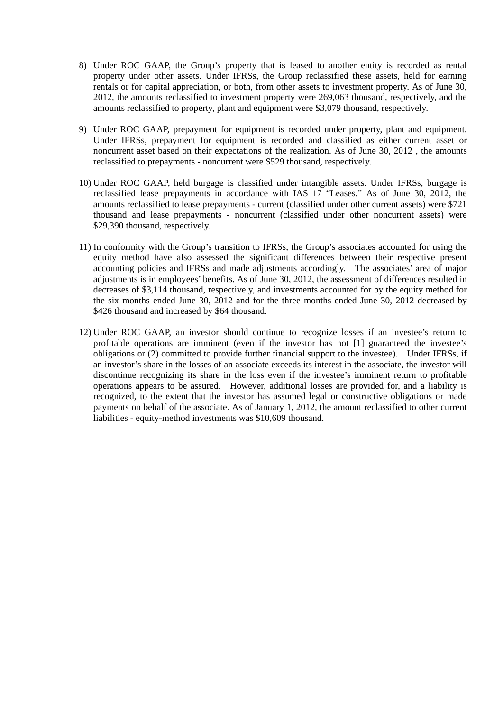- 8) Under ROC GAAP, the Group's property that is leased to another entity is recorded as rental property under other assets. Under IFRSs, the Group reclassified these assets, held for earning rentals or for capital appreciation, or both, from other assets to investment property. As of June 30, 2012, the amounts reclassified to investment property were 269,063 thousand, respectively, and the amounts reclassified to property, plant and equipment were \$3,079 thousand, respectively.
- 9) Under ROC GAAP, prepayment for equipment is recorded under property, plant and equipment. Under IFRSs, prepayment for equipment is recorded and classified as either current asset or noncurrent asset based on their expectations of the realization. As of June 30, 2012 , the amounts reclassified to prepayments - noncurrent were \$529 thousand, respectively.
- 10) Under ROC GAAP, held burgage is classified under intangible assets. Under IFRSs, burgage is reclassified lease prepayments in accordance with IAS 17 "Leases." As of June 30, 2012, the amounts reclassified to lease prepayments - current (classified under other current assets) were \$721 thousand and lease prepayments - noncurrent (classified under other noncurrent assets) were \$29,390 thousand, respectively.
- 11) In conformity with the Group's transition to IFRSs, the Group's associates accounted for using the equity method have also assessed the significant differences between their respective present accounting policies and IFRSs and made adjustments accordingly. The associates' area of major adjustments is in employees' benefits. As of June 30, 2012, the assessment of differences resulted in decreases of \$3,114 thousand, respectively, and investments accounted for by the equity method for the six months ended June 30, 2012 and for the three months ended June 30, 2012 decreased by \$426 thousand and increased by \$64 thousand.
- 12) Under ROC GAAP, an investor should continue to recognize losses if an investee's return to profitable operations are imminent (even if the investor has not [1] guaranteed the investee's obligations or (2) committed to provide further financial support to the investee). Under IFRSs, if an investor's share in the losses of an associate exceeds its interest in the associate, the investor will discontinue recognizing its share in the loss even if the investee's imminent return to profitable operations appears to be assured. However, additional losses are provided for, and a liability is recognized, to the extent that the investor has assumed legal or constructive obligations or made payments on behalf of the associate. As of January 1, 2012, the amount reclassified to other current liabilities - equity-method investments was \$10,609 thousand.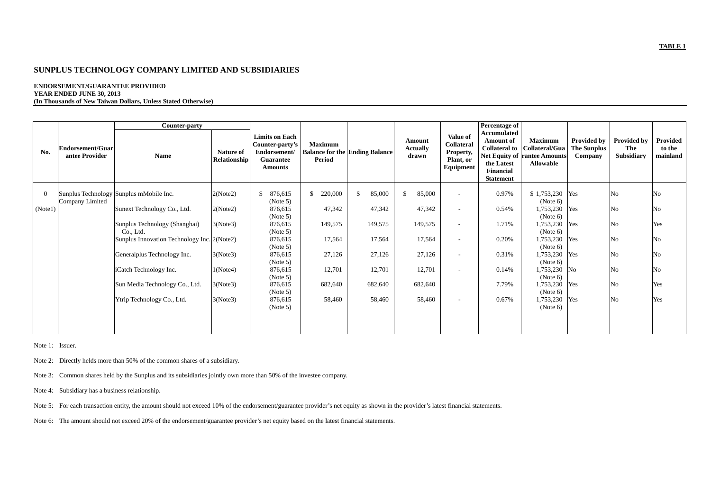### **ENDORSEMENT/GUARANTEE PROVIDED YEAR ENDED JUNE 30, 2013 (In Thousands of New Taiwan Dollars, Unless Stated Otherwise)**

|          |                                    | Counter-party                               |                                  |                                                                                                |                          |                                       |                                    |                                                                      | Percentage of                                                                                          |                                                                                             |                                              |                                  |                                |
|----------|------------------------------------|---------------------------------------------|----------------------------------|------------------------------------------------------------------------------------------------|--------------------------|---------------------------------------|------------------------------------|----------------------------------------------------------------------|--------------------------------------------------------------------------------------------------------|---------------------------------------------------------------------------------------------|----------------------------------------------|----------------------------------|--------------------------------|
| No.      | Endorsement/Guar<br>antee Provider | Name                                        | Nature of<br><b>Relationship</b> | <b>Limits on Each</b><br>Counter-party's<br>Endorsement/<br><b>Guarantee</b><br><b>Amounts</b> | <b>Maximum</b><br>Period | <b>Balance for the Ending Balance</b> | Amount<br><b>Actually</b><br>drawn | <b>Value of</b><br>Collateral<br>Property,<br>Plant, or<br>Equipment | Accumulated<br><b>Amount of</b><br><b>Collateral to</b><br>the Latest<br>Financial<br><b>Statement</b> | <b>Maximum</b><br>Collateral/Gua<br><b>Net Equity of rantee Amounts</b><br><b>Allowable</b> | Provided by<br><b>The Sunplus</b><br>Company | Provided by<br>The<br>Subsidiary | Provided<br>to the<br>mainland |
| $\theta$ | Company Limited                    | Sunplus Technology Sunplus mMobile Inc.     | 2(Note2)                         | \$<br>876,615<br>(Note 5)                                                                      | 220,000<br>\$            | \$<br>85,000                          | 85,000<br>-S                       | $\overline{\phantom{a}}$                                             | 0.97%                                                                                                  | \$1,753,230<br>(Note 6)                                                                     | Yes                                          | No                               | No                             |
| (Note1)  |                                    | Sunext Technology Co., Ltd.                 | 2(Note2)                         | 876,615<br>(Note 5)                                                                            | 47,342                   | 47,342                                | 47,342                             | $\overline{a}$                                                       | 0.54%                                                                                                  | 1,753,230<br>(Note 6)                                                                       | Yes                                          | No.                              | No                             |
|          |                                    | Sunplus Technology (Shanghai)<br>Co., Ltd.  | 3(Note3)                         | 876,615<br>(Note 5)                                                                            | 149,575                  | 149,575                               | 149,575                            | $\overline{\phantom{a}}$                                             | 1.71%                                                                                                  | 1,753,230<br>(Note 6)                                                                       | Yes                                          | No                               | Yes                            |
|          |                                    | Sunplus Innovation Technology Inc. 2(Note2) |                                  | 876,615<br>(Note 5)                                                                            | 17,564                   | 17,564                                | 17,564                             | $\overline{\phantom{a}}$                                             | 0.20%                                                                                                  | 1,753,230<br>(Note 6)                                                                       | Yes                                          | No                               | No                             |
|          |                                    | Generalplus Technology Inc.                 | 3(Note3)                         | 876,615<br>(Note 5)                                                                            | 27,126                   | 27,126                                | 27,126                             | $\overline{\phantom{a}}$                                             | 0.31%                                                                                                  | 1,753,230<br>(Note 6)                                                                       | Yes                                          | No                               | No.                            |
|          |                                    | iCatch Technology Inc.                      | 1(Note4)                         | 876,615<br>(Note 5)                                                                            | 12,701                   | 12,701                                | 12,701                             | $\overline{\phantom{a}}$                                             | 0.14%                                                                                                  | 1,753,230 No<br>(Note 6)                                                                    |                                              | No.                              | No                             |
|          |                                    | Sun Media Technology Co., Ltd.              | 3(Note3)                         | 876,615<br>(Note 5)                                                                            | 682,640                  | 682,640                               | 682,640                            |                                                                      | 7.79%                                                                                                  | 1,753,230<br>(Note 6)                                                                       | Yes                                          | No                               | Yes                            |
|          |                                    | Ytrip Technology Co., Ltd.                  | 3(Note3)                         | 876,615<br>(Note 5)                                                                            | 58,460                   | 58,460                                | 58,460                             |                                                                      | 0.67%                                                                                                  | 1,753,230<br>(Note 6)                                                                       | Yes                                          | No                               | Yes                            |
|          |                                    |                                             |                                  |                                                                                                |                          |                                       |                                    |                                                                      |                                                                                                        |                                                                                             |                                              |                                  |                                |

Note 1: Issuer.

Note 2: Directly helds more than 50% of the common shares of a subsidiary.

Note 3: Common shares held by the Sunplus and its subsidiaries jointly own more than 50% of the investee company.

Note 4: Subsidiary has a business relationship.

Note 5: For each transaction entity, the amount should not exceed 10% of the endorsement/guarantee provider's net equity as shown in the provider's latest financial statements.

Note 6: The amount should not exceed 20% of the endorsement/guarantee provider's net equity based on the latest financial statements.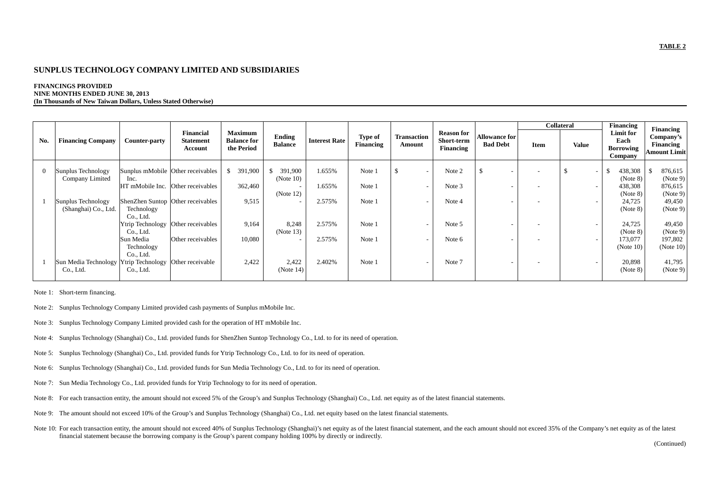### **FINANCINGS PROVIDED NINE MONTHS ENDED JUNE 30, 2013 (In Thousands of New Taiwan Dollars, Unless Stated Otherwise)**

|          |                                            |                                      |                                                 |                                                    |                             |                      |                             |                              |                                              |                                  |      | <b>Collateral</b>        | Financing                                        | <b>Financing</b>                              |
|----------|--------------------------------------------|--------------------------------------|-------------------------------------------------|----------------------------------------------------|-----------------------------|----------------------|-----------------------------|------------------------------|----------------------------------------------|----------------------------------|------|--------------------------|--------------------------------------------------|-----------------------------------------------|
| No.      | <b>Financing Company</b>                   | Counter-party                        | <b>Financial</b><br><b>Statement</b><br>Account | <b>Maximum</b><br><b>Balance for</b><br>the Period | Ending<br><b>Balance</b>    | <b>Interest Rate</b> | <b>Type of</b><br>Financing | <b>Transaction</b><br>Amount | <b>Reason for</b><br>Short-term<br>Financing | Allowance for<br><b>Bad Debt</b> | Item | <b>Value</b>             | Limit for<br>Each<br><b>Borrowing</b><br>Company | Company's<br>Financing<br><b>Amount Limit</b> |
| $\Omega$ | Sunplus Technology<br>Company Limited      | Inc.                                 | Sunplus mMobile Other receivables               | 391,900<br>S.                                      | 391,900<br>\$.<br>(Note 10) | 1.655%               | Note 1                      | \$.                          | Note 2                                       | \$                               |      | $\overline{\phantom{a}}$ | 438,308<br>(Note 8)                              | 876,615<br>(Note 9)                           |
|          |                                            | HT mMobile Inc. Other receivables    |                                                 | 362,460                                            | (Note 12)                   | 1.655%               | Note 1                      |                              | Note 3                                       |                                  |      | $\overline{\phantom{a}}$ | 438,308<br>(Note 8)                              | 876,615<br>(Note 9)                           |
|          | Sunplus Technology<br>(Shanghai) Co., Ltd. | Technology<br>Co., Ltd.              | ShenZhen Suntop Other receivables               | 9.515                                              | $\overline{\phantom{0}}$    | 2.575%               | Note 1                      |                              | Note 4                                       |                                  |      |                          | 24,725<br>(Note 8)                               | 49,450<br>(Note 9)                            |
|          |                                            | Ytrip Technology<br>Co., Ltd.        | Other receivables                               | 9,164                                              | 8,248<br>(Note 13)          | 2.575%               | Note 1                      |                              | Note 5                                       |                                  |      | $\overline{\phantom{a}}$ | 24,725<br>(Note 8)                               | 49,450<br>(Note 9)                            |
|          |                                            | Sun Media<br>Technology<br>Co., Ltd. | Other receivables                               | 10,080                                             | $\overline{\phantom{0}}$    | 2.575%               | Note 1                      |                              | Note 6                                       |                                  |      | $\overline{\phantom{a}}$ | 173,077<br>(Note 10)                             | 197,802<br>(Note 10)                          |
|          | Sun Media Technology<br>Co., Ltd.          | Ytrip Technology<br>Co., Ltd.        | Other receivable                                | 2,422                                              | 2,422<br>(Note 14)          | 2.402%               | Note 1                      |                              | Note 7                                       |                                  |      | $\overline{\phantom{a}}$ | 20,898<br>(Note 8)                               | 41,795<br>(Note 9)                            |

Note 1: Short-term financing.

- Note 2: Sunplus Technology Company Limited provided cash payments of Sunplus mMobile Inc.
- Note 3: Sunplus Technology Company Limited provided cash for the operation of HT mMobile Inc.
- Note 4: Sunplus Technology (Shanghai) Co., Ltd. provided funds for ShenZhen Suntop Technology Co., Ltd. to for its need of operation.
- Note 5: Sunplus Technology (Shanghai) Co., Ltd. provided funds for Ytrip Technology Co., Ltd. to for its need of operation.
- Note 6: Sunplus Technology (Shanghai) Co., Ltd. provided funds for Sun Media Technology Co., Ltd. to for its need of operation.
- Note 7: Sun Media Technology Co., Ltd. provided funds for Ytrip Technology to for its need of operation.
- Note 8: For each transaction entity, the amount should not exceed 5% of the Group's and Sunplus Technology (Shanghai) Co., Ltd. net equity as of the latest financial statements.
- Note 9: The amount should not exceed 10% of the Group's and Sunplus Technology (Shanghai) Co., Ltd. net equity based on the latest financial statements.
- Note 10: For each transaction entity, the amount should not exceed 40% of Sunplus Technology (Shanghai)'s net equity as of the latest financial statement, and the each amount should not exceed 35% of the Company's net equi financial statement because the borrowing company is the Group's parent company holding 100% by directly or indirectly.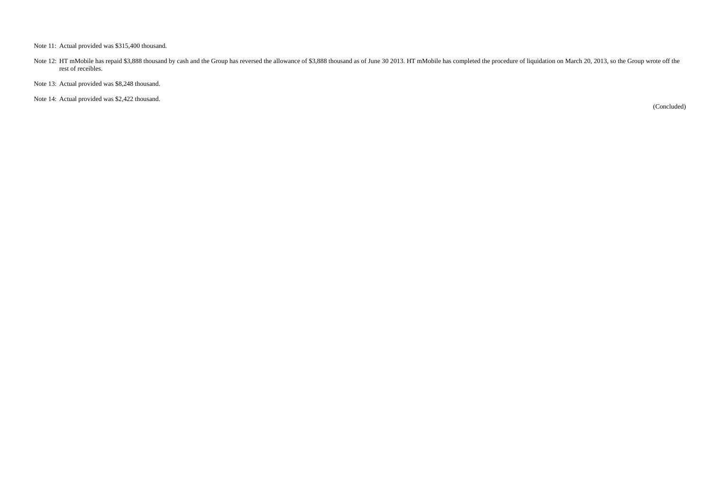Note 11: Actual provided was \$315,400 thousand.

Note 12: HT mMobile has repaid \$3,888 thousand by cash and the Group has reversed the allowance of \$3,888 thousand as of June 30 2013. HT mMobile has completed the procedure of liquidation on March 20, 2013, so the Group w rest of receibles.

Note 13: Actual provided was \$8,248 thousand.

Note 14: Actual provided was \$2,422 thousand.

(Concluded)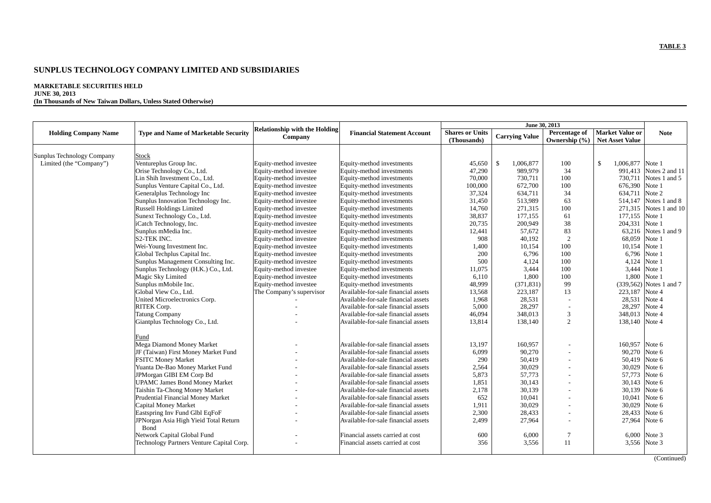### **MARKETABLE SECURITIES HELD JUNE 30, 2013**

# **(In Thousands of New Taiwan Dollars, Unless Stated Otherwise)**

|                             |                                                             |                                                 |                                     |                                       |                       | June 30, 2013                  |                                                  |                         |
|-----------------------------|-------------------------------------------------------------|-------------------------------------------------|-------------------------------------|---------------------------------------|-----------------------|--------------------------------|--------------------------------------------------|-------------------------|
| <b>Holding Company Name</b> | <b>Type and Name of Marketable Security</b>                 | <b>Relationship with the Holding</b><br>Company | <b>Financial Statement Account</b>  | <b>Shares or Units</b><br>(Thousands) | <b>Carrying Value</b> | Percentage of<br>Ownership (%) | <b>Market Value or</b><br><b>Net Asset Value</b> | <b>Note</b>             |
|                             |                                                             |                                                 |                                     |                                       |                       |                                |                                                  |                         |
| Sunplus Technology Company  | <b>Stock</b>                                                |                                                 |                                     |                                       | $\mathbb{S}$          |                                | \$<br>1,006,877 Note 1                           |                         |
| Limited (the "Company")     | Ventureplus Group Inc.                                      | Equity-method investee                          | Equity-method investments           | 45,650                                | 1,006,877<br>989,979  | 100<br>34                      |                                                  | 991,413 Notes 2 and 11  |
|                             | Orise Technology Co., Ltd.<br>Lin Shih Investment Co., Ltd. | Equity-method investee                          | Equity-method investments           | 47,290<br>70,000                      |                       |                                |                                                  | 730,711 Notes 1 and 5   |
|                             | Sunplus Venture Capital Co., Ltd.                           | Equity-method investee                          | Equity-method investments           | 100,000                               | 730,711<br>672,700    | 100<br>100                     | 676,390 Note 1                                   |                         |
|                             |                                                             | Equity-method investee                          | Equity-method investments           | 37,324                                | 634,711               | 34                             |                                                  |                         |
|                             | Generalplus Technology Inc                                  | Equity-method investee                          | Equity-method investments           | 31,450                                | 513,989               | 63                             | 634,711 Note 2<br>514,147                        | Notes 1 and 8           |
|                             | Sunplus Innovation Technology Inc.                          | Equity-method investee                          | Equity-method investments           |                                       |                       |                                |                                                  |                         |
|                             | <b>Russell Holdings Limited</b>                             | Equity-method investee                          | Equity-method investments           | 14,760                                | 271,315               | 100                            | 271,315                                          | Notes 1 and 10          |
|                             | Sunext Technology Co., Ltd.                                 | Equity-method investee                          | Equity-method investments           | 38,837                                | 177,155               | 61                             | 177,155 Note 1                                   |                         |
|                             | iCatch Technology, Inc.                                     | Equity-method investee                          | Equity-method investments           | 20,735                                | 200,949               | 38                             | 204,331 Note 1                                   |                         |
|                             | Sunplus mMedia Inc.                                         | Equity-method investee                          | Equity-method investments           | 12,441                                | 57,672                | 83                             | 63,216                                           | Notes 1 and 9           |
|                             | S2-TEK INC.                                                 | Equity-method investee                          | Equity-method investments           | 908                                   | 40,192                | $\overline{c}$                 | 68,059 Note 1                                    |                         |
|                             | Wei-Young Investment Inc.                                   | Equity-method investee                          | Equity-method investments           | 1,400                                 | 10,154                | 100                            | 10,154 Note 1                                    |                         |
|                             | Global Techplus Capital Inc.                                | Equity-method investee                          | Equity-method investments           | 200                                   | 6,796                 | 100                            |                                                  | 6,796 Note 1            |
|                             | Sunplus Management Consulting Inc.                          | Equity-method investee                          | Equity-method investments           | 500                                   | 4,124                 | 100                            |                                                  | 4,124 Note 1            |
|                             | Sunplus Technology (H.K.) Co., Ltd.                         | Equity-method investee                          | Equity-method investments           | 11,075                                | 3,444                 | 100                            |                                                  | 3,444 Note 1            |
|                             | Magic Sky Limited                                           | Equity-method investee                          | Equity-method investments           | 6,110                                 | 1,800                 | 100                            | 1,800                                            | Note 1                  |
|                             | Sunplus mMobile Inc.                                        | Equity-method investee                          | Equity-method investments           | 48,999                                | (371, 831)            | 99                             |                                                  | (339,562) Notes 1 and 7 |
|                             | Global View Co., Ltd.                                       | The Company's supervisor                        | Available-for-sale financial assets | 13,568                                | 223,187               | 13                             | 223,187 Note 4                                   |                         |
|                             | United Microelectronics Corp.                               |                                                 | Available-for-sale financial assets | 1,968                                 | 28,531                |                                | 28,531 Note 4                                    |                         |
|                             | RITEK Corp.                                                 |                                                 | Available-for-sale financial assets | 5,000                                 | 28,297                | $\overline{\phantom{a}}$       | 28,297                                           | Note 4                  |
|                             | <b>Tatung Company</b>                                       |                                                 | Available-for-sale financial assets | 46,094                                | 348,013               | 3                              | 348,013 Note 4                                   |                         |
|                             | Giantplus Technology Co., Ltd.                              |                                                 | Available-for-sale financial assets | 13,814                                | 138,140               | 2                              | 138,140 Note 4                                   |                         |
|                             | Fund                                                        |                                                 |                                     |                                       |                       |                                |                                                  |                         |
|                             | Mega Diamond Money Market                                   |                                                 | Available-for-sale financial assets | 13,197                                | 160,957               |                                | 160,957 Note 6                                   |                         |
|                             | JF (Taiwan) First Money Market Fund                         |                                                 | Available-for-sale financial assets | 6,099                                 | 90,270                |                                | 90,270 Note 6                                    |                         |
|                             | <b>FSITC Money Market</b>                                   |                                                 | Available-for-sale financial assets | 290                                   | 50,419                |                                | 50,419 Note 6                                    |                         |
|                             | Yuanta De-Bao Money Market Fund                             |                                                 | Available-for-sale financial assets | 2,564                                 | 30,029                |                                | 30,029                                           | Note 6                  |
|                             | JPMorgan GIBI EM Corp Bd                                    |                                                 | Available-for-sale financial assets | 5,873                                 | 57,773                | $\overline{a}$                 | 57,773                                           | Note 6                  |
|                             | <b>UPAMC James Bond Money Market</b>                        |                                                 | Available-for-sale financial assets | 1,851                                 | 30,143                |                                | 30,143                                           | Note 6                  |
|                             | Taishin Ta-Chong Money Market                               |                                                 | Available-for-sale financial assets | 2,178                                 | 30,139                |                                | 30,139                                           | Note 6                  |
|                             | Prudential Financial Money Market                           | $\overline{\phantom{a}}$                        | Available-for-sale financial assets | 652                                   | 10,041                | $\overline{a}$                 | 10,041 Note 6                                    |                         |
|                             | Capital Money Market                                        |                                                 | Available-for-sale financial assets | 1,911                                 | 30,029                |                                | 30,029 Note 6                                    |                         |
|                             | Eastspring Inv Fund Glbl EqFoF                              |                                                 | Available-for-sale financial assets | 2,300                                 | 28,433                |                                | 28,433                                           | Note 6                  |
|                             | JPNorgan Asia High Yieid Total Return<br>Bond               |                                                 | Available-for-sale financial assets | 2,499                                 | 27,964                | $\overline{a}$                 | 27,964 Note 6                                    |                         |
|                             | Network Capital Global Fund                                 |                                                 | Financial assets carried at cost    | 600                                   | 6,000                 | $\overline{7}$                 |                                                  | 6,000 Note 3            |
|                             | Technology Partners Venture Capital Corp.                   |                                                 | Financial assets carried at cost    | 356                                   | 3,556                 | 11                             |                                                  | 3,556 Note 3            |
|                             |                                                             |                                                 |                                     |                                       |                       |                                |                                                  |                         |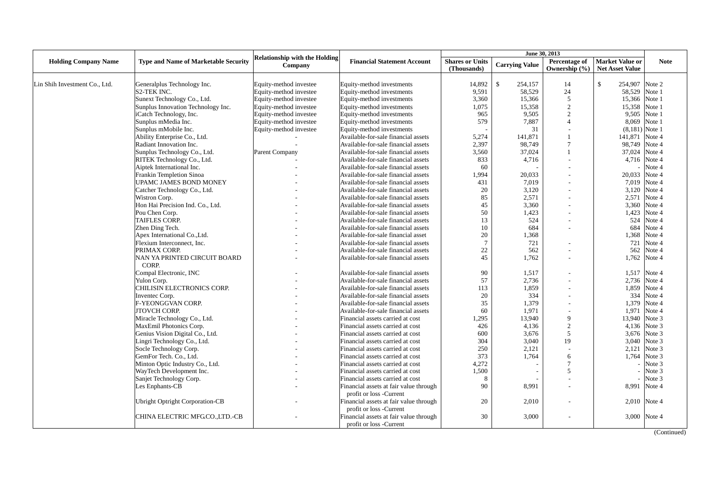|                               |                                             |                                                 |                                        | June 30, 2013                         |                         |                                    |                                                  |              |
|-------------------------------|---------------------------------------------|-------------------------------------------------|----------------------------------------|---------------------------------------|-------------------------|------------------------------------|--------------------------------------------------|--------------|
| <b>Holding Company Name</b>   | <b>Type and Name of Marketable Security</b> | <b>Relationship with the Holding</b><br>Company | <b>Financial Statement Account</b>     | <b>Shares or Units</b><br>(Thousands) | <b>Carrying Value</b>   | Percentage of<br>Ownership $(\% )$ | <b>Market Value or</b><br><b>Net Asset Value</b> | <b>Note</b>  |
|                               |                                             |                                                 |                                        |                                       |                         |                                    |                                                  |              |
| Lin Shih Investment Co., Ltd. | Generalplus Technology Inc.                 | Equity-method investee                          | Equity-method investments              | 14,892                                | $\mathbb{S}$<br>254,157 | 14                                 | $\mathbf S$<br>254,907                           | Note 2       |
|                               | S2-TEK INC.                                 | Equity-method investee                          | Equity-method investments              | 9,591                                 | 58,529                  | 24                                 | 58,529                                           | Note 1       |
|                               | Sunext Technology Co., Ltd.                 | Equity-method investee                          | Equity-method investments              | 3,360                                 | 15.366                  | 5                                  | 15,366 Note 1                                    |              |
|                               | Sunplus Innovation Technology Inc.          | Equity-method investee                          | Equity-method investments              | 1,075                                 | 15,358                  | $\overline{2}$                     | 15,358 Note 1                                    |              |
|                               | iCatch Technology, Inc.                     | Equity-method investee                          | Equity-method investments              | 965                                   | 9,505                   | $\mathcal{D}$                      | 9,505 Note 1                                     |              |
|                               | Sunplus mMedia Inc.                         | Equity-method investee                          | Equity-method investments              | 579                                   | 7,887                   | $\overline{4}$                     | 8,069                                            | Note 1       |
|                               | Sunplus mMobile Inc.                        | Equity-method investee                          | Equity-method investments              |                                       | 31                      |                                    | $(8,181)$ Note 1                                 |              |
|                               | Ability Enterprise Co., Ltd.                |                                                 | Available-for-sale financial assets    | 5,274                                 | 141,871                 |                                    | 141,871                                          | Note 4       |
|                               | Radiant Innovation Inc.                     |                                                 | Available-for-sale financial assets    | 2,397                                 | 98.749                  | $\overline{7}$                     | 98.749                                           | Note 4       |
|                               | Sunplus Technology Co., Ltd.                | Parent Company                                  | Available-for-sale financial assets    | 3,560                                 | 37,024                  |                                    | 37,024                                           | Note 4       |
|                               | RITEK Technology Co., Ltd.                  |                                                 | Available-for-sale financial assets    | 833                                   | 4,716                   |                                    | 4,716 Note 4                                     |              |
|                               | Aiptek International Inc.                   |                                                 | Available-for-sale financial assets    | 60                                    |                         |                                    |                                                  | Note 4       |
|                               | Frankin Templetion Sinoa                    |                                                 | Available-for-sale financial assets    | 1,994                                 | 20,033                  |                                    | 20,033                                           | Note 4       |
|                               | UPAMC JAMES BOND MONEY                      |                                                 | Available-for-sale financial assets    | 431                                   | 7,019                   |                                    | 7,019                                            | Note 4       |
|                               | Catcher Technology Co., Ltd.                |                                                 | Available-for-sale financial assets    | 20                                    | 3,120                   |                                    | 3,120                                            | Note 4       |
|                               | Wistron Corp.                               |                                                 | Available-for-sale financial assets    | 85                                    | 2,571                   |                                    | 2,571                                            | Note 4       |
|                               | Hon Hai Precision Ind. Co., Ltd.            |                                                 | Available-for-sale financial assets    | 45                                    | 3,360                   |                                    | 3,360                                            | Note 4       |
|                               | Pou Chen Corp.                              |                                                 | Available-for-sale financial assets    | 50                                    | 1,423                   |                                    | 1,423                                            | Note 4       |
|                               | <b>TAIFLES CORP.</b>                        |                                                 | Available-for-sale financial assets    | 13                                    | 524                     |                                    | 524                                              | Note 4       |
|                               | Zhen Ding Tech.                             |                                                 | Available-for-sale financial assets    | 10                                    | 684                     |                                    | 684                                              | Note 4       |
|                               | Apex International Co., Ltd.                |                                                 | Available-for-sale financial asset     | 20                                    | 1,368                   |                                    | 1,368                                            | Note 4       |
|                               | Flexium Interconnect, Inc.                  |                                                 | Available-for-sale financial assets    | $7\phantom{.0}$                       | 721                     |                                    | 721                                              | Note 4       |
|                               | PRIMAX CORP.                                |                                                 | Available-for-sale financial assets    | 22                                    | 562                     |                                    | 562                                              | Note 4       |
|                               | NAN YA PRINTED CIRCUIT BOARD                |                                                 | Available-for-sale financial assets    | 45                                    | 1,762                   |                                    | 1,762                                            | Note 4       |
|                               | CORP.                                       |                                                 |                                        |                                       |                         |                                    |                                                  |              |
|                               | Compal Electronic, INC                      |                                                 | Available-for-sale financial assets    | 90                                    | 1,517                   |                                    | 1,517                                            | Note 4       |
|                               | Yulon Corp.                                 |                                                 | Available-for-sale financial assets    | 57                                    | 2,736                   |                                    | 2,736                                            | Note 4       |
|                               | CHILISIN ELECTRONICS CORP.                  |                                                 | Available-for-sale financial assets    | 113                                   | 1.859                   |                                    | 1,859                                            | Note 4       |
|                               | Inventec Corp.                              |                                                 | Available-for-sale financial assets    | 20                                    | 334                     |                                    | 334                                              | Note 4       |
|                               | F-YEONGGVAN CORP.                           |                                                 | Available-for-sale financial assets    | 35                                    | 1.379                   |                                    | 1,379                                            | Note 4       |
|                               | JTOVCH CORP.                                |                                                 | Available-for-sale financial assets    | 60                                    | 1,971                   |                                    | 1,971                                            | Note 4       |
|                               | Miracle Technology Co., Ltd.                |                                                 | Financial assets carried at cost       | 1,295                                 | 13,940                  | 9                                  | 13,940 Note 3                                    |              |
|                               | MaxEmil Photonics Corp.                     |                                                 | Financial assets carried at cost       | 426                                   | 4,136                   | $\overline{2}$                     | 4,136 Note 3                                     |              |
|                               | Genius Vision Digital Co., Ltd.             |                                                 | Financial assets carried at cost       | 600                                   | 3,676                   | 5                                  | 3,676 Note 3                                     |              |
|                               | Lingri Technology Co., Ltd.                 |                                                 | Financial assets carried at cost       | 304                                   | 3.040                   | 19                                 |                                                  | 3,040 Note 3 |
|                               | Socle Technology Corp.                      |                                                 | Financial assets carried at cost       | 250                                   | 2,121                   |                                    | 2,121                                            | Note 3       |
|                               | GemFor Tech. Co., Ltd.                      |                                                 | Financial assets carried at cost       | 373                                   | 1,764                   | 6                                  | 1,764                                            | Note 3       |
|                               | Minton Optic Industry Co., Ltd.             |                                                 | Financial assets carried at cost       | 4,272                                 |                         | $\overline{7}$                     |                                                  | Note 3       |
|                               | WayTech Development Inc.                    |                                                 | Financial assets carried at cost       | 1,500                                 |                         | $\overline{2}$                     |                                                  | Note 3       |
|                               | Sanjet Technology Corp.                     |                                                 | Financial assets carried at cost       | 8                                     |                         |                                    |                                                  | Note 3       |
|                               | Les Enphants-CB                             |                                                 | Financial assets at fair value through | 90                                    | 8.991                   |                                    | 8,991                                            | Note 4       |
|                               |                                             |                                                 | profit or loss -Current                |                                       |                         |                                    |                                                  |              |
|                               | <b>Ubright Optright Corporation-CB</b>      |                                                 | Financial assets at fair value through | 20                                    | 2,010                   |                                    | 2,010 Note 4                                     |              |
|                               |                                             |                                                 | profit or loss -Current                |                                       |                         |                                    |                                                  |              |
|                               | CHINA ELECTRIC MFGCO.,LTD.-CB               |                                                 | Financial assets at fair value through | 30                                    | 3,000                   |                                    | 3,000 Note 4                                     |              |
|                               |                                             |                                                 | profit or loss -Current                |                                       |                         |                                    |                                                  |              |
|                               |                                             |                                                 |                                        |                                       |                         |                                    |                                                  | (Continued)  |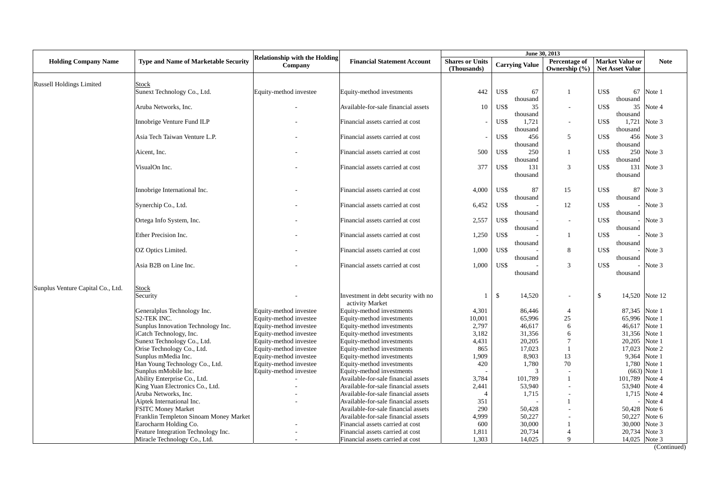|                                   |                                             |                                                 |                                                        | June 30, 2013                         |               |                       |                                |              |                                                  |             |
|-----------------------------------|---------------------------------------------|-------------------------------------------------|--------------------------------------------------------|---------------------------------------|---------------|-----------------------|--------------------------------|--------------|--------------------------------------------------|-------------|
| <b>Holding Company Name</b>       | <b>Type and Name of Marketable Security</b> | <b>Relationship with the Holding</b><br>Company | <b>Financial Statement Account</b>                     | <b>Shares or Units</b><br>(Thousands) |               | <b>Carrying Value</b> | Percentage of<br>Ownership (%) |              | <b>Market Value or</b><br><b>Net Asset Value</b> | <b>Note</b> |
| <b>Russell Holdings Limited</b>   | Stock                                       |                                                 |                                                        |                                       |               |                       |                                |              |                                                  |             |
|                                   | Sunext Technology Co., Ltd.                 | Equity-method investee                          | Equity-method investments                              | 442                                   | US\$          | 67<br>thousand        | 1                              | US\$         | 67<br>thousand                                   | Note 1      |
|                                   | Aruba Networks, Inc.                        |                                                 | Available-for-sale financial assets                    | 10                                    | US\$          | 35<br>thousand        |                                | US\$         | 35<br>thousand                                   | Note 4      |
|                                   | Innobrige Venture Fund ILP                  |                                                 | Financial assets carried at cost                       |                                       | US\$          | 1,721<br>thousand     |                                | US\$         | 1.721<br>thousand                                | Note 3      |
|                                   | Asia Tech Taiwan Venture L.P.               |                                                 | Financial assets carried at cost                       |                                       | US\$          | 456<br>thousand       | 5                              | US\$         | 456<br>thousand                                  | Note 3      |
|                                   | Aicent, Inc.                                |                                                 | Financial assets carried at cost                       | 500                                   | US\$          | 250<br>thousand       | -1                             | US\$         | 250<br>thousand                                  | Note 3      |
|                                   | VisualOn Inc.                               |                                                 | Financial assets carried at cost                       | 377                                   | US\$          | 131<br>thousand       | 3                              | US\$         | 131<br>thousand                                  | Note 3      |
|                                   | Innobrige International Inc.                |                                                 | Financial assets carried at cost                       | 4,000                                 | US\$          | 87<br>thousand        | 15                             | US\$         | 87<br>thousand                                   | Note 3      |
|                                   | Synerchip Co., Ltd.                         |                                                 | Financial assets carried at cost                       | 6,452                                 | US\$          | thousand              | 12                             | US\$         | thousand                                         | Note 3      |
|                                   | Ortega Info System, Inc.                    |                                                 | Financial assets carried at cost                       | 2,557                                 | US\$          | thousand              | $\overline{a}$                 | US\$         | thousand                                         | Note 3      |
|                                   | Ether Precision Inc.                        |                                                 | Financial assets carried at cost                       | 1,250                                 | US\$          | thousand              | 1                              | US\$         | thousand                                         | Note 3      |
|                                   | OZ Optics Limited.                          |                                                 | Financial assets carried at cost                       | 1.000                                 | US\$          | thousand              | 8                              | US\$         | thousand                                         | Note 3      |
|                                   | Asia B2B on Line Inc.                       |                                                 | Financial assets carried at cost                       | 1.000                                 | US\$          | thousand              | 3                              | US\$         | thousand                                         | Note 3      |
| Sunplus Venture Capital Co., Ltd. | Stock                                       |                                                 |                                                        |                                       |               |                       |                                |              |                                                  |             |
|                                   | Security                                    |                                                 | Investment in debt security with no<br>activity Market | 1                                     | $\mathcal{S}$ | 14,520                |                                | $\mathbb{S}$ | 14,520                                           | Note 12     |
|                                   | Generalplus Technology Inc.                 | Equity-method investee                          | Equity-method investments                              | 4,301                                 |               | 86,446                | $\overline{4}$                 |              | 87,345                                           | Note 1      |
|                                   | <b>S2-TEK INC.</b>                          | Equity-method investee                          | Equity-method investments                              | 10,001                                |               | 65,996                | 25                             |              | 65,996                                           | Note 1      |
|                                   | Sunplus Innovation Technology Inc.          | Equity-method investee                          | Equity-method investments                              | 2,797                                 |               | 46.617                | 6                              |              | 46,617                                           | Note 1      |
|                                   | iCatch Technology, Inc.                     | Equity-method investee                          | Equity-method investments                              | 3.182                                 |               | 31.356                | 6                              |              | 31,356 Note 1                                    |             |
|                                   | Sunext Technology Co., Ltd.                 | Equity-method investee                          | Equity-method investments                              | 4,431                                 |               | 20.205                | 7                              |              | 20,205                                           | Note 1      |
|                                   | Orise Technology Co., Ltd.                  | Equity-method investee                          | Equity-method investments                              | 865                                   |               | 17.023                |                                |              | 17.023                                           | Note 2      |
|                                   | Sunplus mMedia Inc.                         | Equity-method investee                          | Equity-method investments                              | 1,909                                 |               | 8.903                 | 13                             |              | 9,364                                            | Note 1      |
|                                   | Han Young Technology Co., Ltd.              | Equity-method investee                          | Equity-method investments                              | 420                                   |               | 1,780                 | 70                             |              | 1,780                                            | Note 1      |
|                                   | Sunplus mMobile Inc.                        | Equity-method investee                          | Equity-method investments                              |                                       |               | 3                     |                                |              | (663)                                            | Note 1      |
|                                   | Ability Enterprise Co., Ltd.                |                                                 | Available-for-sale financial assets                    | 3,784                                 |               | 101,789               | $\overline{1}$                 |              | 101,789                                          | Note 4      |
|                                   | King Yuan Electronics Co., Ltd.             |                                                 | Available-for-sale financial assets                    | 2,441                                 |               | 53,940                |                                |              | 53,940                                           | Note 4      |
|                                   | Aruba Networks, Inc.                        |                                                 | Available-for-sale financial assets                    | $\overline{4}$                        |               | 1,715                 |                                |              | 1,715                                            | Note 4      |
|                                   | Aiptek International Inc.                   |                                                 | Available-for-sale financial assets                    | 351                                   |               |                       |                                |              |                                                  | Note 4      |
|                                   | <b>FSITC Money Market</b>                   |                                                 | Available-for-sale financial assets                    | 290                                   |               | 50,428                |                                |              | 50,428                                           | Note 6      |
|                                   | Franklin Templeton Sinoam Money Market      |                                                 | Available-for-sale financial assets                    | 4,999                                 |               | 50,227                |                                |              | 50,227                                           | Note 6      |
|                                   | Earocharm Holding Co.                       |                                                 | Financial assets carried at cost                       | 600                                   |               | 30,000                |                                |              | 30,000                                           | Note 3      |
|                                   | Feature Integration Technology Inc.         |                                                 | Financial assets carried at cost                       | 1,811                                 |               | 20,734                | $\overline{4}$                 |              | 20,734                                           | Note 3      |
|                                   | Miracle Technology Co., Ltd.                |                                                 | Financial assets carried at cost                       | 1,303                                 |               | 14,025                | $\mathbf Q$                    |              | 14,025 Note 3                                    |             |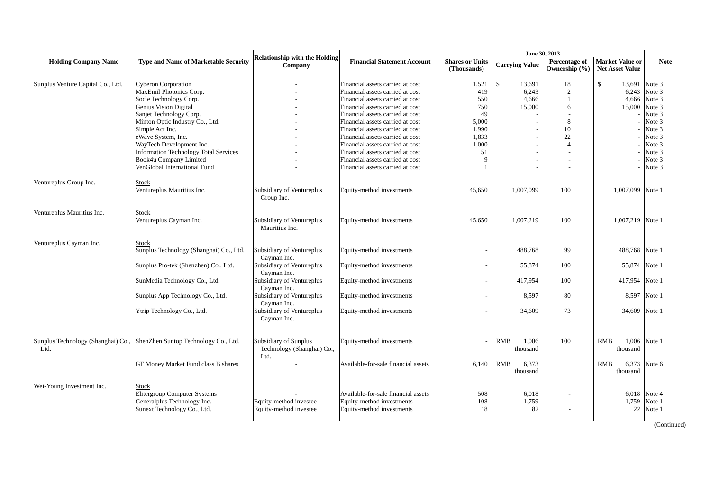|                                   |                                                                         |                                      |                                     |                          |                          | June 30, 2013  |                        |              |
|-----------------------------------|-------------------------------------------------------------------------|--------------------------------------|-------------------------------------|--------------------------|--------------------------|----------------|------------------------|--------------|
| <b>Holding Company Name</b>       | <b>Type and Name of Marketable Security</b>                             | <b>Relationship with the Holding</b> | <b>Financial Statement Account</b>  | <b>Shares or Units</b>   |                          | Percentage of  | <b>Market Value or</b> | <b>Note</b>  |
|                                   |                                                                         | Company                              |                                     | (Thousands)              | <b>Carrying Value</b>    | Ownership (%)  | <b>Net Asset Value</b> |              |
|                                   |                                                                         |                                      |                                     |                          |                          |                |                        |              |
| Sunplus Venture Capital Co., Ltd. | <b>Cyberon Corporation</b>                                              |                                      | Financial assets carried at cost    | 1,521                    | <sup>\$</sup><br>13,691  | 18             | \$<br>13,691           | Note 3       |
|                                   | MaxEmil Photonics Corp.                                                 |                                      | Financial assets carried at cost    | 419                      | 6,243                    | $\overline{2}$ | 6,243                  | Note 3       |
|                                   | Socle Technology Corp.                                                  |                                      | Financial assets carried at cost    | 550                      | 4,666                    | $\mathbf{1}$   | 4,666                  | Note 3       |
|                                   | Genius Vision Digital                                                   |                                      | Financial assets carried at cost    | 750                      | 15,000                   | 6              | 15,000                 | Note 3       |
|                                   | Sanjet Technology Corp.                                                 |                                      | Financial assets carried at cost    | 49                       |                          |                |                        | Note 3       |
|                                   | Minton Optic Industry Co., Ltd.                                         |                                      | Financial assets carried at cost    | 5.000                    |                          | 8              |                        | Note 3       |
|                                   | Simple Act Inc.                                                         |                                      | Financial assets carried at cost    | 1,990                    |                          | 10             |                        | Note 3       |
|                                   |                                                                         |                                      |                                     |                          |                          |                |                        |              |
|                                   | eWave System, Inc.                                                      |                                      | Financial assets carried at cost    | 1,833                    |                          | 22             |                        | Note 3       |
|                                   | WayTech Development Inc.                                                |                                      | Financial assets carried at cost    | 1.000                    |                          | $\overline{4}$ |                        | Note 3       |
|                                   | <b>Information Technology Total Services</b>                            |                                      | Financial assets carried at cost    | 51                       |                          |                |                        | Note 3       |
|                                   | Book4u Company Limited                                                  |                                      | Financial assets carried at cost    | $\mathbf Q$              | $\overline{\phantom{a}}$ |                |                        | Note 3       |
|                                   | VenGlobal International Fund                                            |                                      | Financial assets carried at cost    |                          |                          |                |                        | Note 3       |
|                                   |                                                                         |                                      |                                     |                          |                          |                |                        |              |
| Ventureplus Group Inc.            | <b>Stock</b>                                                            |                                      |                                     |                          |                          |                |                        |              |
|                                   | Ventureplus Mauritius Inc.                                              | Subsidiary of Ventureplus            | Equity-method investments           | 45,650                   | 1,007,099                | 100            | 1,007,099              | Note 1       |
|                                   |                                                                         | Group Inc.                           |                                     |                          |                          |                |                        |              |
|                                   |                                                                         |                                      |                                     |                          |                          |                |                        |              |
| Ventureplus Mauritius Inc.        | <b>Stock</b>                                                            |                                      |                                     |                          |                          |                |                        |              |
|                                   | Ventureplus Cayman Inc.                                                 | Subsidiary of Ventureplus            | Equity-method investments           | 45.650                   | 1,007,219                | 100            | 1,007,219 Note 1       |              |
|                                   |                                                                         | Mauritius Inc.                       |                                     |                          |                          |                |                        |              |
|                                   |                                                                         |                                      |                                     |                          |                          |                |                        |              |
| Ventureplus Cayman Inc.           | <b>Stock</b>                                                            |                                      |                                     |                          |                          |                |                        |              |
|                                   | Sunplus Technology (Shanghai) Co., Ltd.                                 | Subsidiary of Ventureplus            | Equity-method investments           |                          | 488,768                  | 99             | 488,768                | Note 1       |
|                                   |                                                                         | Cayman Inc.                          |                                     |                          |                          |                |                        |              |
|                                   |                                                                         |                                      |                                     |                          |                          |                |                        |              |
|                                   | Sunplus Pro-tek (Shenzhen) Co., Ltd.                                    | Subsidiary of Ventureplus            | Equity-method investments           | $\overline{\phantom{a}}$ | 55,874                   | 100            | 55,874                 | Note 1       |
|                                   |                                                                         | Cayman Inc.                          |                                     |                          |                          |                |                        |              |
|                                   | SunMedia Technology Co., Ltd.                                           | Subsidiary of Ventureplus            | Equity-method investments           | $\overline{\phantom{a}}$ | 417,954                  | 100            | 417,954                | Note 1       |
|                                   |                                                                         | Cayman Inc.                          |                                     |                          |                          |                |                        |              |
|                                   | Sunplus App Technology Co., Ltd.                                        | Subsidiary of Ventureplus            | Equity-method investments           | $\overline{\phantom{a}}$ | 8.597                    | 80             | 8,597                  | Note 1       |
|                                   |                                                                         | Cayman Inc.                          |                                     |                          |                          |                |                        |              |
|                                   | Ytrip Technology Co., Ltd.                                              | Subsidiary of Ventureplus            | Equity-method investments           | $\overline{\phantom{a}}$ | 34,609                   | 73             | 34,609                 | Note 1       |
|                                   |                                                                         | Cayman Inc.                          |                                     |                          |                          |                |                        |              |
|                                   |                                                                         |                                      |                                     |                          |                          |                |                        |              |
|                                   |                                                                         |                                      |                                     |                          |                          |                |                        |              |
|                                   | Sunplus Technology (Shanghai) Co., ShenZhen Suntop Technology Co., Ltd. | Subsidiary of Sunplus                | Equity-method investments           |                          | 1,006<br><b>RMB</b>      | 100            | <b>RMB</b>             | 1,006 Note 1 |
| Ltd.                              |                                                                         | Technology (Shanghai) Co.,           |                                     |                          | thousand                 |                | thousand               |              |
|                                   |                                                                         | Ltd.                                 |                                     |                          |                          |                |                        |              |
|                                   | GF Money Market Fund class B shares                                     |                                      | Available-for-sale financial assets | 6.140                    | <b>RMB</b><br>6,373      |                | 6,373<br><b>RMB</b>    | Note 6       |
|                                   |                                                                         |                                      |                                     |                          | thousand                 |                | thousand               |              |
|                                   |                                                                         |                                      |                                     |                          |                          |                |                        |              |
|                                   |                                                                         |                                      |                                     |                          |                          |                |                        |              |
| Wei-Young Investment Inc.         | Stock                                                                   |                                      |                                     |                          |                          |                |                        |              |
|                                   | Elitergroup Computer Systems                                            |                                      | Available-for-sale financial assets | 508                      | 6,018                    |                | 6,018                  | Note 4       |
|                                   | Generalplus Technology Inc.                                             | Equity-method investee               | Equity-method investments           | 108                      | 1,759                    |                | 1.759                  | Note 1       |
|                                   | Sunext Technology Co., Ltd.                                             | Equity-method investee               | Equity-method investments           | 18                       | 82                       |                | 22                     | Note 1       |
|                                   |                                                                         |                                      |                                     |                          |                          |                |                        |              |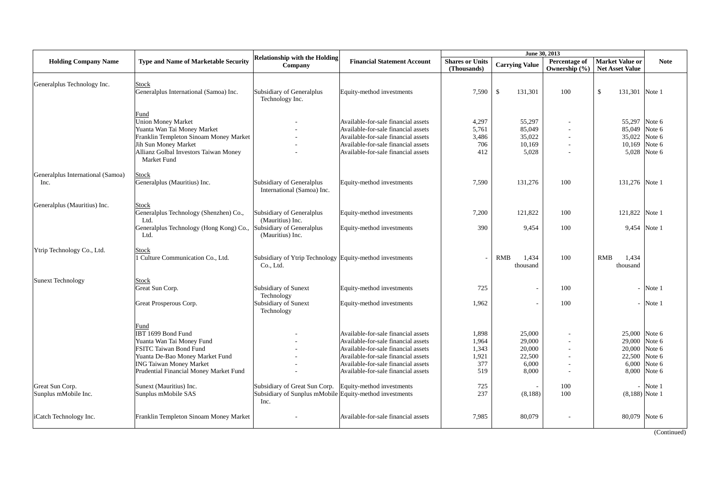|                                           |                                                                                                                                                                                                         | <b>Relationship with the Holding</b>                                                             |                                                                                                                                                                                                                                        |                                                |                                                        | June 30, 2013                      |                                                                             |                            |
|-------------------------------------------|---------------------------------------------------------------------------------------------------------------------------------------------------------------------------------------------------------|--------------------------------------------------------------------------------------------------|----------------------------------------------------------------------------------------------------------------------------------------------------------------------------------------------------------------------------------------|------------------------------------------------|--------------------------------------------------------|------------------------------------|-----------------------------------------------------------------------------|----------------------------|
| <b>Holding Company Name</b>               | Type and Name of Marketable Security                                                                                                                                                                    | Company                                                                                          | <b>Financial Statement Account</b>                                                                                                                                                                                                     | <b>Shares or Units</b><br>(Thousands)          | <b>Carrying Value</b>                                  | Percentage of<br>Ownership $(\% )$ | <b>Market Value or</b><br><b>Net Asset Value</b>                            | <b>Note</b>                |
| Generalplus Technology Inc.               | <b>Stock</b><br>Generalplus International (Samoa) Inc.                                                                                                                                                  | Subsidiary of Generalplus<br>Technology Inc.                                                     | Equity-method investments                                                                                                                                                                                                              | 7,590                                          | $\mathbf S$<br>131,301                                 | 100                                | $\mathcal{S}$<br>131,301 Note 1                                             |                            |
|                                           | Fund<br><b>Union Money Market</b><br>Yuanta Wan Tai Money Market<br>Franklin Templeton Sinoam Money Market<br>Jih Sun Money Market<br>Allianz Golbal Investors Taiwan Money<br>Market Fund              |                                                                                                  | Available-for-sale financial assets<br>Available-for-sale financial assets<br>Available-for-sale financial assets<br>Available-for-sale financial assets<br>Available-for-sale financial assets                                        | 4,297<br>5,761<br>3,486<br>706<br>412          | 55,297<br>85,049<br>35,022<br>10,169<br>5,028          |                                    | 55,297 Note 6<br>85,049 Note 6<br>35,022 Note 6<br>10,169 Note 6            | 5,028 Note 6               |
| Generalplus International (Samoa)<br>Inc. | Stock<br>Generalplus (Mauritius) Inc.                                                                                                                                                                   | Subsidiary of Generalplus<br>International (Samoa) Inc.                                          | Equity-method investments                                                                                                                                                                                                              | 7.590                                          | 131,276                                                | 100                                | 131,276 Note 1                                                              |                            |
| Generalplus (Mauritius) Inc.              | <b>Stock</b><br>Generalplus Technology (Shenzhen) Co.,<br>Ltd.<br>Generalplus Technology (Hong Kong) Co.,<br>Ltd.                                                                                       | Subsidiary of Generalplus<br>(Mauritius) Inc.<br>Subsidiary of Generalplus<br>(Mauritius) Inc.   | Equity-method investments<br>Equity-method investments                                                                                                                                                                                 | 7,200<br>390                                   | 121,822<br>9,454                                       | 100<br>100                         | 121,822 Note 1<br>9,454 Note 1                                              |                            |
| Ytrip Technology Co., Ltd.                | <b>Stock</b><br>1 Culture Communication Co., Ltd.                                                                                                                                                       | Subsidiary of Ytrip Technology Equity-method investments<br>Co., Ltd.                            |                                                                                                                                                                                                                                        |                                                | <b>RMB</b><br>1,434<br>thousand                        | 100                                | <b>RMB</b><br>1,434<br>thousand                                             |                            |
| <b>Sunext Technology</b>                  | <b>Stock</b><br>Great Sun Corp.<br>Great Prosperous Corp.                                                                                                                                               | Subsidiary of Sunext<br>Technology<br>Subsidiary of Sunext<br>Technology                         | Equity-method investments<br>Equity-method investments                                                                                                                                                                                 | 725<br>1,962                                   |                                                        | 100<br>100                         |                                                                             | Note 1<br>Note 1           |
|                                           | Fund<br>IBT 1699 Bond Fund<br>Yuanta Wan Tai Money Fund<br><b>FSITC Taiwan Bond Fund</b><br>Yuanta De-Bao Money Market Fund<br><b>ING Taiwan Money Market</b><br>Prudential Financial Money Market Fund |                                                                                                  | Available-for-sale financial assets<br>Available-for-sale financial assets<br>Available-for-sale financial assets<br>Available-for-sale financial assets<br>Available-for-sale financial assets<br>Available-for-sale financial assets | 1,898<br>1,964<br>1,343<br>1,921<br>377<br>519 | 25,000<br>29,000<br>20,000<br>22,500<br>6,000<br>8,000 | $\overline{\phantom{a}}$           | 25,000 Note 6<br>29,000 Note 6<br>20,000 Note 6<br>22,500<br>6.000<br>8,000 | Note 6<br>Note 6<br>Note 6 |
| Great Sun Corp.<br>Sunplus mMobile Inc.   | Sunext (Mauritius) Inc.<br>Sunplus mMobile SAS                                                                                                                                                          | Subsidiary of Great Sun Corp.<br>Subsidiary of Sunplus mMobile Equity-method investments<br>Inc. | Equity-method investments                                                                                                                                                                                                              | 725<br>237                                     | (8,188)                                                | 100<br>100                         | $(8,188)$ Note 1                                                            | Note 1                     |
| iCatch Technology Inc.                    | Franklin Templeton Sinoam Money Market                                                                                                                                                                  |                                                                                                  | Available-for-sale financial assets                                                                                                                                                                                                    | 7,985                                          | 80,079                                                 |                                    | 80,079 Note 6                                                               | (Continued)                |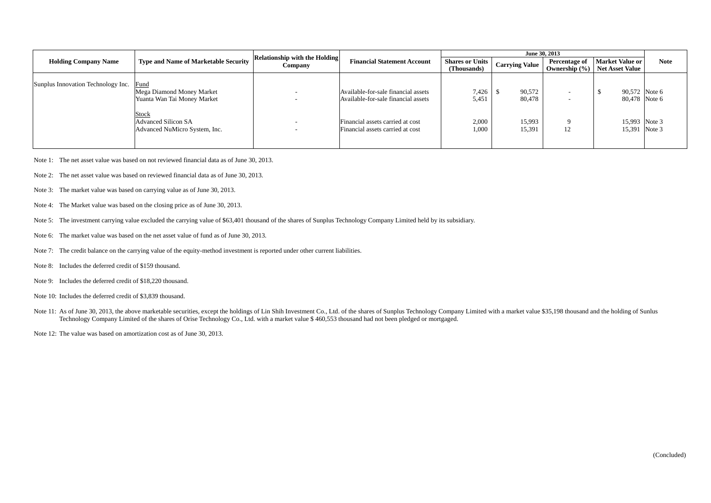|                                    |                                                                             |                                                 |                                                                            |                                       | June 30, 2013         |                                                      |                                           |             |
|------------------------------------|-----------------------------------------------------------------------------|-------------------------------------------------|----------------------------------------------------------------------------|---------------------------------------|-----------------------|------------------------------------------------------|-------------------------------------------|-------------|
| <b>Holding Company Name</b>        | <b>Type and Name of Marketable Security</b>                                 | <b>Relationship with the Holding</b><br>Company | <b>Financial Statement Account</b>                                         | <b>Shares or Units</b><br>(Thousands) | <b>Carrying Value</b> | <b>Percentage of</b><br>Ownership $(\% )$            | Market Value or<br><b>Net Asset Value</b> | <b>Note</b> |
| Sunplus Innovation Technology Inc. | Fund<br>Mega Diamond Money Market<br>Yuanta Wan Tai Money Market            | $\overline{\phantom{0}}$<br>-                   | Available-for-sale financial assets<br>Available-for-sale financial assets | 7,426<br>5,451                        | 90,572<br>80,478      | $\overline{\phantom{0}}$<br>$\overline{\phantom{0}}$ | 90,572 Note 6<br>80.478 Note 6            |             |
|                                    | <b>Stock</b><br><b>Advanced Silicon SA</b><br>Advanced NuMicro System, Inc. | -<br>$\overline{\phantom{a}}$                   | Financial assets carried at cost<br>Financial assets carried at cost       | 2,000<br>1,000                        | 15,993<br>15,391      | 12                                                   | 15,993 Note 3<br>15,391 Note 3            |             |

- Note 1: The net asset value was based on not reviewed financial data as of June 30, 2013.
- Note 2: The net asset value was based on reviewed financial data as of June 30, 2013.
- Note 3: The market value was based on carrying value as of June 30, 2013.
- Note 4: The Market value was based on the closing price as of June 30, 2013.
- Note 5: The investment carrying value excluded the carrying value of \$63,401 thousand of the shares of Sunplus Technology Company Limited held by its subsidiary.
- Note 6: The market value was based on the net asset value of fund as of June 30, 2013.
- Note 7: The credit balance on the carrying value of the equity-method investment is reported under other current liabilities.
- Note 8: Includes the deferred credit of \$159 thousand.
- Note 9: Includes the deferred credit of \$18,220 thousand.
- Note 10: Includes the deferred credit of \$3,839 thousand.
- Note 11: As of June 30, 2013, the above marketable securities, except the holdings of Lin Shih Investment Co., Ltd. of the shares of Sunplus Technology Company Limited with a market value \$35,198 thousand and the holding o Technology Company Limited of the shares of Orise Technology Co., Ltd. with a market value \$ 460,553 thousand had not been pledged or mortgaged.
- Note 12: The value was based on amortization cost as of June 30, 2013.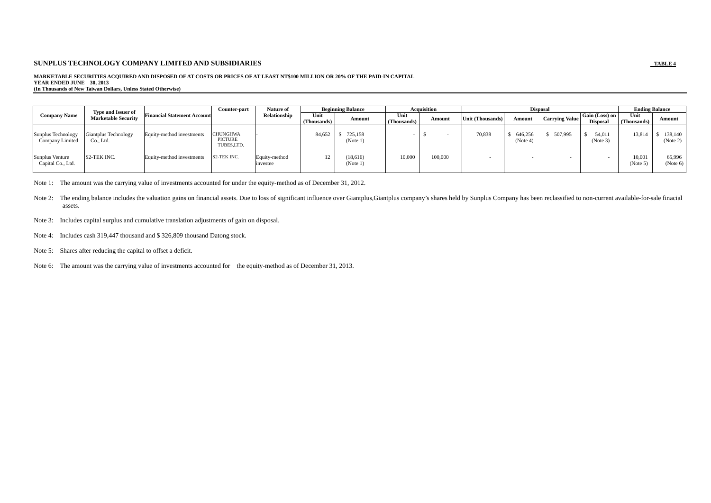#### **MARKETABLE SECURITIES ACQUIRED AND DISPOSED OF AT COSTS OR PRICES OF AT LEAST NT\$100 MILLION OR 20% OF THE PAID-IN CAPITAL YEAR ENDED JUNE 30, 2013 (In Thousands of New Taiwan Dollars, Unless Stated Otherwise)**

|                                       | <b>Type and Issuer of</b>                |                                    | Counter-part                             | Nature of                 |                     | <b>Beginning Balance</b> |                     | <b>Acquisition</b> |                  | <b>Disposal</b>     |                       |                                   |                     | <b>Ending Balance</b> |
|---------------------------------------|------------------------------------------|------------------------------------|------------------------------------------|---------------------------|---------------------|--------------------------|---------------------|--------------------|------------------|---------------------|-----------------------|-----------------------------------|---------------------|-----------------------|
| <b>Company Name</b>                   | <b>Marketable Security</b>               | <b>Financial Statement Account</b> |                                          | Relationship              | Unit<br>(Thousands) | Amount                   | Unit<br>(Thousands) | Amount             | Unit (Thousands) | Amount              | <b>Carrying Value</b> | Gain (Loss) on<br><b>Disposal</b> | Unit<br>(Thousands) | Amount                |
| Sunplus Technology<br>Company Limited | <b>Giantplus Technology</b><br>Co., Ltd. | Equity-method investments          | <b>CHUNGHWA</b><br>PICTURE<br>TUBES,LTD. |                           | 84,652              | 725.158<br>(Note 1)      |                     |                    | 70,838           | 646,256<br>(Note 4) | 507,995               | 54,011<br>(Note 3)                | 13,814              | 138,140<br>(Note 2)   |
| Sunplus Venture<br>Capital Co., Ltd.  | S <sub>2</sub> -TEK INC.                 | Equity-method investments          | S2-TEK INC.                              | Equity-method<br>investee |                     | (18,616)<br>(Note 1)     | 10,000              | 100,000            |                  |                     |                       |                                   | 10,001<br>(Note 5)  | 65,996<br>(Note 6)    |

Note 1: The amount was the carrying value of investments accounted for under the equity-method as of December 31, 2012.

Note 2: The ending balance includes the valuation gains on financial assets. Due to loss of significant influence over Giantplus, Giantplus company's shares held by Sunplus Company has been reclassified to non-current avai assets.

- Note 3: Includes capital surplus and cumulative translation adjustments of gain on disposal.
- Note 4: Includes cash 319,447 thousand and \$ 326,809 thousand Datong stock.
- Note 5: Shares after reducing the capital to offset a deficit.

Note 6: The amount was the carrying value of investments accounted for the equity-method as of December 31, 2013.

TABLE 4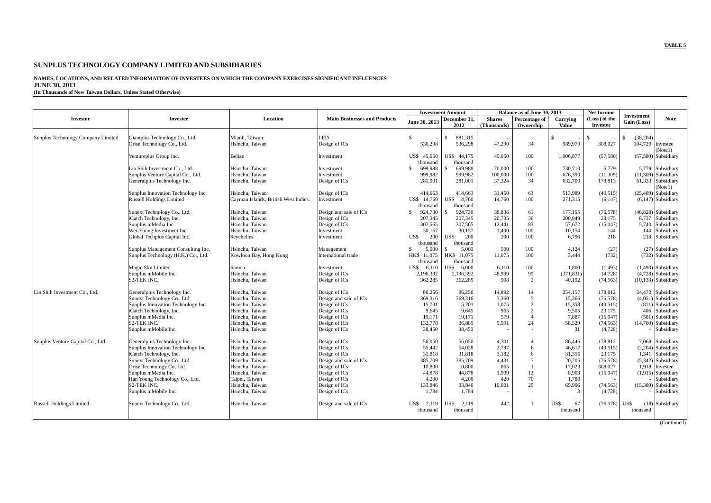# **NAMES, LOCATIONS, AND RELATED INFORMATION OF INVESTEES ON WHICH THE COMPANY EXERCISES SIGNIFICANT INFLUENCES JUNE 30, 2013**

**(In Thousands of New Taiwan Dollars, Unless Stated Otherwise)** 

|                                    |                                                                   |                                      |                                     | <b>Investment Amount</b> |                          | Balance as of June 30, 2013  |                                |                          | <b>Net Income</b>         | Investment                 |
|------------------------------------|-------------------------------------------------------------------|--------------------------------------|-------------------------------------|--------------------------|--------------------------|------------------------------|--------------------------------|--------------------------|---------------------------|----------------------------|
| <b>Investor</b>                    | <b>Investee</b>                                                   | Location                             | <b>Main Businesses and Products</b> | June 30, 2013            | December 31.<br>2012     | <b>Shares</b><br>(Thousands) | Percentage of<br>Ownership     | Carrving<br><b>Value</b> | (Loss) of the<br>Investee | <b>Note</b><br>Gain (Loss) |
|                                    |                                                                   |                                      |                                     |                          |                          |                              |                                |                          |                           |                            |
| Sunplus Technology Company Limited | Giantplus Technology Co., Ltd.<br>Orise Technology Co., Ltd.      | Miaoli, Taiwan<br>Hsinchu, Taiwan    | LED<br>Design of ICs                | S.<br>536.298            | 881,315<br>S.<br>536,298 | 47.290                       | $\overline{\phantom{a}}$<br>34 | $\mathbf{s}$<br>989,979  | $\mathcal{S}$<br>308,027  | (38, 204)<br>\$<br>104,729 |
|                                    |                                                                   |                                      |                                     |                          |                          |                              |                                |                          |                           | Investee<br>(Notel)        |
|                                    | Ventureplus Group Inc.                                            | Belize                               | Investment                          | US\$ 45,650              | US\$ 44,175              | 45.650                       | 100                            | 1.006.877                | (57, 580)                 | $(57,580)$ Subsidiary      |
|                                    |                                                                   |                                      |                                     | thousand                 | thousand                 |                              |                                |                          |                           |                            |
|                                    | Lin Shih Investment Co., Ltd.                                     | Hsinchu, Taiwan                      | Investment                          | 699,988<br>\$.           | 699,988                  | 70,000                       | 100                            | 730,710                  | 5,779                     | 5,779 Subsidiary           |
|                                    | Sunplus Venture Capital Co., Ltd.                                 | Hsinchu, Taiwan                      | Investment                          | 999,982                  | 999,982                  | 100,000                      | 100                            | 676,390                  | (11,309)                  | $(11,309)$ Subsidiary      |
|                                    | Generalplus Technology Inc.                                       | Hsinchu, Taiwan                      | Design of ICs                       | 281.001                  | 281,001                  | 37.324                       | 34                             | 632,700                  | 178,813                   | 61,333 Subsidiary          |
|                                    |                                                                   |                                      |                                     |                          |                          |                              |                                |                          |                           | (Notel)                    |
|                                    | Sunplus Innovation Technology Inc.                                | Hsinchu, Taiwan                      | Design of ICs                       | 414,663                  | 414,663                  | 31,450                       | 63                             | 513,989                  | (40, 515)                 | $(25,489)$ Subsidiary      |
|                                    | <b>Russell Holdings Limited</b>                                   | Cayman Islands, British West Indies. | Investment                          | 14,760<br>US\$           | US\$ 14,760              | 14,760                       | 100                            | 271,315                  | (6,147)                   | $(6,147)$ Subsidiary       |
|                                    |                                                                   |                                      |                                     | thousand                 | thousand                 |                              |                                |                          |                           |                            |
|                                    | Sunext Technology Co., Ltd.                                       | Hsinchu, Taiwan                      | Design and sale of ICs              | 924,730<br>$\mathcal{S}$ | 924,730                  | 38,836                       | 61                             | 177,155                  | (76, 578)                 | $(46,828)$ Subsidiary      |
|                                    | iCatch Technology, Inc.                                           | Hsinchu, Taiwan                      | Design of ICs                       | 207.345                  | 207,345                  | 20.735                       | 38                             | 200.949                  | 23.175                    | 8.737 Subsidiary           |
|                                    | Sunplus mMedia Inc.                                               | Hsinchu, Taiwan                      | Design of ICs                       | 307,565                  | 307,565                  | 12,441                       | 83                             | 57,672                   | (15,047)                  | 5,740 Subsidiary           |
|                                    | Wei-Young Investment Inc.                                         | Hsinchu, Taiwan                      | Investment                          | 30,157                   | 30,157                   | 1,400                        | 100                            | 10,154                   | 144                       | 144<br>Subsidiary          |
|                                    | Global Techplus Capital Inc.                                      | Seychelles                           | Investment                          | US\$<br>200              | US\$<br>200              | 200                          | 100                            | 6.796                    | 218                       | 218 Subsidiary             |
|                                    | Sunplus Management Consulting Inc.                                | Hsinchu. Taiwan                      |                                     | thousand<br>5,000<br>\$. | thousand<br>5.000<br>S.  | 500                          | 100                            | 4,124                    | (27)                      | (27) Subsidiary            |
|                                    | Sunplus Technology (H.K.) Co., Ltd.                               | Kowloon Bay, Hong Kong               | Management<br>International trade   | 11,075<br>HK\$           | HK\$ 11,075              | 11,075                       | 100                            | 3.444                    | (732)                     | (732) Subsidiary           |
|                                    |                                                                   |                                      |                                     | thousand                 | thousand                 |                              |                                |                          |                           |                            |
|                                    | Magic Sky Limited                                                 | Samoa                                | Investment                          | US\$<br>6,110            | US\$ 6.000               | 6,110                        | 100                            | 1.800                    | (1, 493)                  | $(1,493)$ Subsidiary       |
|                                    | Sunplus mMobile Inc.                                              | Hsinchu, Taiwan                      | Design of ICs                       | 2,196,392                | 2,196,392                | 48,999                       | 99                             | (371, 831)               | (4,728)                   | $(4,728)$ Subsidiary       |
|                                    | S2-TEK INC.                                                       | Hsinchu, Taiwan                      | Design of ICs                       | 362,285                  | 362,285                  | 908                          | $\mathcal{D}$                  | 40,192                   | (74, 563)                 | $(10,133)$ Subsidiary      |
|                                    |                                                                   |                                      |                                     |                          |                          |                              |                                |                          |                           |                            |
| Lin Shih Investment Co., Ltd.      | Generalplus Technology Inc.                                       | Hsinchu, Taiwan                      | Design of ICs                       | 86,256                   | 86,256                   | 14.892                       | 14                             | 254.157                  | 178.812                   | 24.472 Subsidiary          |
|                                    | Sunext Technology Co., Ltd                                        | Hsinchu, Taiwan                      | Design and sale of ICs              | 369,316                  | 369,316                  | 3,360                        | 5                              | 15,366                   | (76, 578)                 | $(4,051)$ Subsidiary       |
|                                    | Sunplus Innovation Technology Inc.                                | Hsinchu. Taiwan                      | Design of ICs                       | 15,701                   | 15,701                   | 1,075                        | $\overline{2}$                 | 15,358                   | (40,515)                  | $(871)$ Subsidiary         |
|                                    | iCatch Technology, Inc.                                           | Hsinchu, Taiwan                      | Design of ICs                       | 9.645                    | 9.645                    | 965                          | $\overline{2}$                 | 9.505                    | 23.175                    | 406 Subsidiary             |
|                                    | Sunplus mMedia Inc.                                               | Hsinchu, Taiwan                      | Design of ICs                       | 19,171                   | 19,171                   | 579                          | $\overline{4}$                 | 7,887                    | (15,047)                  | $(581)$ Subsidiary         |
|                                    | S2-TEK INC.                                                       | Hsinchu, Taiwan                      | Design of ICs                       | 132,778                  | 36,889                   | 9,591                        | 24                             | 58,529                   | (74, 563)                 | $(14,760)$ Subsidiary      |
|                                    | Sunplus mMobile Inc.                                              | Hsinchu, Taiwan                      | Design of ICs                       | 38,450                   | 38,450                   |                              |                                | 31                       | (4,728)                   | Subsidiary                 |
|                                    |                                                                   | Hsinchu, Taiwan                      |                                     | 56,050                   | 56,050                   | 4,301                        | $\overline{4}$                 | 86,446                   | 178,812                   | 7,068 Subsidiary           |
| Sunplus Venture Capital Co., Ltd.  | Generalplus Technology Inc.<br>Sunplus Innovation Technology Inc. | Hsinchu. Taiwan                      | Design of ICs<br>Design of ICs      | 55,442                   | 54,028                   | 2.797                        | 6                              | 46.617                   | (40,515)                  | $(2,204)$ Subsidiary       |
|                                    | iCatch Technology, Inc.                                           | Hsinchu, Taiwan                      | Design of ICs                       | 31,818                   | 31,818                   | 3,182                        | 6                              | 31,356                   | 23,175                    | 1,341<br>Subsidiary        |
|                                    | Sunext Technology Co., Ltd.                                       | Hsinchu, Taiwan                      | Design and sale of ICs              | 385,709                  | 385,709                  | 4,431                        | $7\phantom{.0}$                | 20,205                   | (76, 578)                 | $(5,342)$ Subsidiary       |
|                                    | Orise Technology Co, Ltd.                                         | Hsinchu, Taiwan                      | Design of ICs                       | 10,800                   | 10.800                   | 865                          | $\overline{1}$                 | 17,023                   | 308,027                   | 1,918 Investee             |
|                                    | Sunplus mMedia Inc.                                               | Hsinchu, Taiwan                      | Design of ICs                       | 44,878                   | 44,878                   | 1,909                        | 13                             | 8,903                    | (15,047)                  | $(1,915)$ Subsidiary       |
|                                    | Han Young Technology Co., Ltd.                                    | Taipei, Taiwan                       | Design of ICs                       | 4,200                    | 4.200                    | 420                          | 70                             | 1,780                    |                           | Subsidiary                 |
|                                    | S2-TEK INC.                                                       | Hsinchu, Taiwan                      | Design of ICs                       | 133,846                  | 33,846                   | 10,001                       | 25                             | 65,996                   | (74, 563)                 | $(15,389)$ Subsidiary      |
|                                    | Sunplus mMobile Inc.                                              | Hsinchu, Taiwan                      | Design of ICs                       | 1,784                    | 1,784                    |                              | $\overline{\phantom{a}}$       | 3                        | (4,728)                   | Subsidiary                 |
| <b>Russell Holdings Limited</b>    | Sunext Technology Co., Ltd.                                       | Hsinchu, Taiwan                      | Design and sale of ICs              | 2,119<br>US\$            | US\$<br>2.119            | 442                          |                                | US\$<br>67               | (76, 578)                 | US\$<br>$(18)$ Subsidiary  |
|                                    |                                                                   |                                      |                                     | thousand                 | thousand                 |                              |                                | thousand                 |                           | thousand                   |
|                                    |                                                                   |                                      |                                     |                          |                          |                              |                                |                          |                           |                            |
|                                    |                                                                   |                                      |                                     |                          |                          |                              |                                |                          |                           | (Continued)                |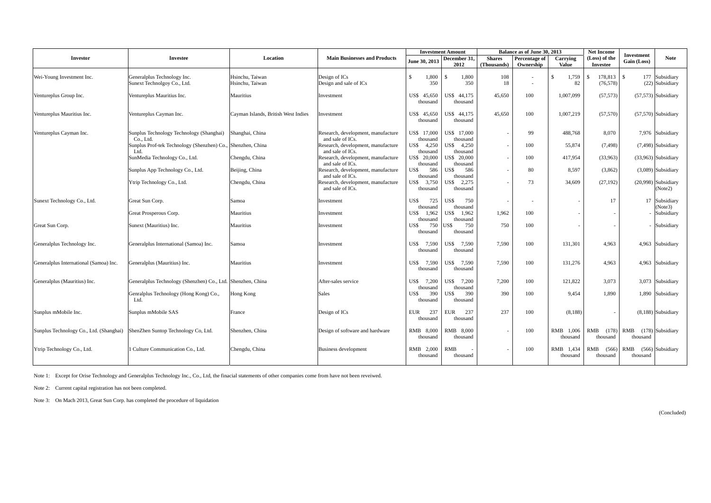|                                         |                                                                                  |                                     |                                                                            | <b>Investment Amount</b>            |                                         | Balance as of June 30, 2013  |                                    | <b>Net Income</b>                 | <b>Investment</b>                          |                                                     |
|-----------------------------------------|----------------------------------------------------------------------------------|-------------------------------------|----------------------------------------------------------------------------|-------------------------------------|-----------------------------------------|------------------------------|------------------------------------|-----------------------------------|--------------------------------------------|-----------------------------------------------------|
| <b>Investor</b>                         | <b>Investee</b>                                                                  | Location                            | <b>Main Businesses and Products</b>                                        | June 30, 2013                       | December 31.<br>2012                    | <b>Shares</b><br>(Thousands) | Percentage of<br>Ownership         | Carrying<br><b>Value</b>          | (Loss) of the<br><b>Investee</b>           | <b>Note</b><br>Gain (Loss)                          |
| Wei-Young Investment Inc.               | Generalplus Technology Inc.<br>Sunext Technolgoy Co., Ltd.                       | Hsinchu, Taiwan<br>Hsinchu, Taiwan  | Design of ICs<br>Design and sale of ICs                                    | $\mathcal{S}$<br>1.800<br>350       | 1,800<br>\$<br>350                      | 108<br>18                    | $\overline{\phantom{a}}$<br>$\sim$ | 1,759<br>$\mathbf{\hat{s}}$<br>82 | 178.813<br>$\mathbf{\hat{s}}$<br>(76, 578) | $\mathbf{s}$<br>177 Subsidiary<br>$(22)$ Subsidiary |
| Ventureplus Group Inc.                  | Ventureplus Mauritius Inc.                                                       | Mauritius                           | Investment                                                                 | US\$ 45,650<br>thousand             | US\$ 44,175<br>thousand                 | 45,650                       | 100                                | 1,007,099                         | (57, 573)                                  | $(57,573)$ Subsidiary                               |
| Ventureplus Mauritius Inc.              | Ventureplus Cayman Inc.                                                          | Cayman Islands, British West Indies | Investment                                                                 | US\$ 45,650<br>thousand             | US\$ 44,175<br>thousand                 | 45,650                       | 100                                | 1.007.219                         | (57, 570)                                  | $(57,570)$ Subsidiary                               |
| Ventureplus Cayman Inc.                 | Sunplus Technology Technology (Shanghai)                                         | Shanghai, China                     | Research, development, manufacture                                         | US\$ 17,000                         | US\$ 17,000                             | $\overline{\phantom{a}}$     | 99                                 | 488,768                           | 8,070                                      | 7,976 Subsidiary                                    |
|                                         | Co., Ltd.<br>Sunplus Prof-tek Technology (Shenzhen) Co., Shenzhen, China<br>Ltd. |                                     | and sale of ICs.<br>Research, development, manufacture<br>and sale of ICs. | thousand<br>US\$ 4,250<br>thousand  | thousand<br>4,250<br>US\$ -<br>thousand |                              | 100                                | 55,874                            | (7, 498)                                   | $(7,498)$ Subsidiary                                |
|                                         | SunMedia Technology Co., Ltd.                                                    | Chengdu, China                      | Research, development, manufacture<br>and sale of ICs.                     | US\$ 20,000<br>thousand             | US\$ 20,000<br>thousand                 |                              | 100                                | 417,954                           | (33,963)                                   | $(33,963)$ Subsidiary                               |
|                                         | Sunplus App Technology Co., Ltd.                                                 | Beijing, China                      | Research, development, manufacture<br>and sale of ICs.                     | US\$<br>586<br>thousand             | 586<br>US\$<br>thousand                 | $\overline{\phantom{a}}$     | 80                                 | 8.597                             | (3,862)                                    | $(3,089)$ Subsidiary                                |
|                                         | Ytrip Technology Co., Ltd.                                                       | Chengdu, China                      | Research, development, manufacture<br>and sale of ICs.                     | US\$ 3,750<br>thousand              | US\$<br>2,275<br>thousand               |                              | 73                                 | 34,609                            | (27, 192)                                  | $(20,998)$ Subsidiary<br>(Note2)                    |
| Sunext Technology Co., Ltd.             | Great Sun Corp.                                                                  | Samoa                               | Investment                                                                 | 725<br>US\$<br>thousand             | 750<br>US\$<br>thousand                 | $\overline{\phantom{a}}$     |                                    |                                   | 17                                         | 17 Subsidiary                                       |
|                                         | Great Prosperous Corp.                                                           | Mauritius                           | Investment                                                                 | 1,962<br>US\$                       | 1,962<br>US\$                           | 1,962                        | 100                                |                                   |                                            | (Note3)<br>Subsidiary                               |
| Great Sun Corp.                         | Sunext (Mauritius) Inc.                                                          | Mauritius                           | Investment                                                                 | thousand<br>US\$<br>750<br>thousand | thousand<br>US\$<br>750<br>thousand     | 750                          | 100                                |                                   |                                            | Subsidiary                                          |
| Generalplus Technology Inc.             | Generalplus International (Samoa) Inc.                                           | Samoa                               | Investment                                                                 | US\$<br>7,590<br>thousand           | US\$<br>7.590<br>thousand               | 7,590                        | 100                                | 131,301                           | 4,963                                      | 4,963 Subsidiary                                    |
| Generalplus International (Samoa) Inc.  | Generalplus (Mauritius) Inc.                                                     | Mauritius                           | Investment                                                                 | US\$<br>7,590<br>thousand           | US\$ 7,590<br>thousand                  | 7,590                        | 100                                | 131,276                           | 4,963                                      | 4,963 Subsidiary                                    |
| Generalplus (Mauritius) Inc.            | Generalplus Technology (Shenzhen) Co., Ltd. Shenzhen, China                      |                                     | After-sales service                                                        | US\$ 7.200                          | US\$ 7.200                              | 7.200                        | 100                                | 121,822                           | 3,073                                      | 3,073 Subsidiary                                    |
|                                         | Genralplus Technology (Hong Kong) Co.,<br>Ltd.                                   | Hong Kong                           | <b>Sales</b>                                                               | thousand<br>390<br>US\$<br>thousand | thousand<br>390<br>US\$<br>thousand     | 390                          | 100                                | 9.454                             | 1,890                                      | 1,890 Subsidiary                                    |
| Sunplus mMobile Inc.                    | Sunplus mMobile SAS                                                              | France                              | Design of ICs                                                              | <b>EUR</b><br>237<br>thousand       | 237<br><b>EUR</b><br>thousand           | 237                          | 100                                | (8,188)                           |                                            | $(8,188)$ Subsidiary                                |
| Sunplus Technology Co., Ltd. (Shanghai) | ShenZhen Suntop Technology Co, Ltd.                                              | Shenzhen, China                     | Design of software and hardware                                            | RMB 8,000<br>thousand               | RMB 8,000<br>thousand                   |                              | 100                                | RMB 1,006<br>thousand             | RMB<br>thousand                            | $(178)$ RMB $(178)$ Subsidiary<br>thousand          |
| Ytrip Technology Co., Ltd.              | Culture Communication Co., Ltd.                                                  | Chengdu, China                      | <b>Business development</b>                                                | RMB 2,000<br>thousand               | <b>RMB</b><br>thousand                  |                              | 100                                | RMB 1,434<br>thousand             | RMB (566)<br>thousand                      | RMB<br>$(566)$ Subsidiary<br>thousand               |

Note 1: Except for Orise Technology and Generalplus Technology Inc., Co., Ltd, the finacial statements of other companies come from have not been reveiwed.

Note 2: Current capital registration has not been completed.

Note 3: On Mach 2013, Great Sun Corp. has completed the procedure of liquidation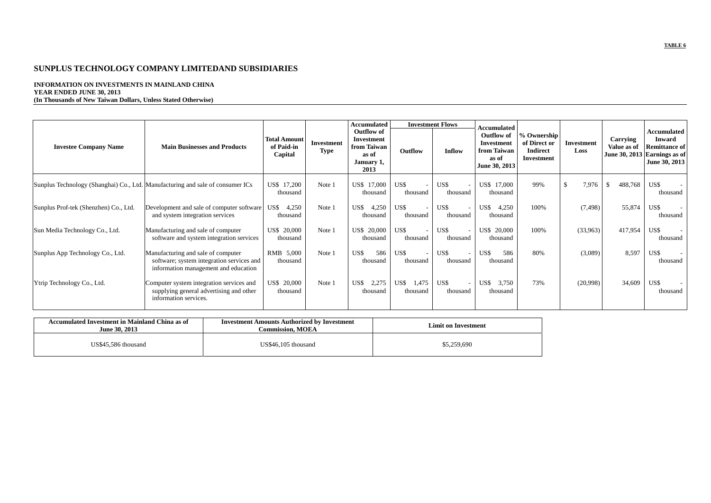### **INFORMATION ON INVESTMENTS IN MAINLAND CHINA YEAR ENDED JUNE 30, 2013 (In Thousands of New Taiwan Dollars, Unless Stated Otherwise)**

|                                                                                |                                                                                                                         |                                              |                                  | <b>Accumulated</b>                                                            |                        | <b>Investment Flows</b> |                                                                                  |                                                                     |                           |                                |                                                                                                       |
|--------------------------------------------------------------------------------|-------------------------------------------------------------------------------------------------------------------------|----------------------------------------------|----------------------------------|-------------------------------------------------------------------------------|------------------------|-------------------------|----------------------------------------------------------------------------------|---------------------------------------------------------------------|---------------------------|--------------------------------|-------------------------------------------------------------------------------------------------------|
| <b>Investee Company Name</b>                                                   | <b>Main Businesses and Products</b>                                                                                     | <b>Total Amount</b><br>of Paid-in<br>Capital | <b>Investment</b><br><b>Type</b> | <b>Outflow of</b><br>Investment<br>from Taiwan<br>as of<br>January 1,<br>2013 | Outflow                | Inflow                  | Accumulated<br>Outflow of<br>Investment<br>from Taiwan<br>as of<br>June 30, 2013 | % Ownership<br>of Direct or<br><b>Indirect</b><br><b>Investment</b> | <b>Investment</b><br>Loss | <b>Carrying</b><br>Value as of | Accumulated<br><b>Inward</b><br><b>Remittance of</b><br>June 30, 2013 Earnings as of<br>June 30, 2013 |
| Sunplus Technology (Shanghai) Co., Ltd. Manufacturing and sale of consumer ICs |                                                                                                                         | US\$ 17,200<br>thousand                      | Note 1                           | US\$ 17,000<br>thousand                                                       | US\$<br>thousand       | US\$<br>thousand        | US\$ 17,000<br>thousand                                                          | 99%                                                                 | 7,976                     | 488,768<br><sup>S</sup>        | US\$<br>thousand                                                                                      |
| Sunplus Prof-tek (Shenzhen) Co., Ltd.                                          | Development and sale of computer software<br>and system integration services                                            | 4,250<br>US\$<br>thousand                    | Note 1                           | US\$<br>4,250<br>thousand                                                     | US\$<br>thousand       | US\$<br>thousand        | US\$<br>4,250<br>thousand                                                        | 100%                                                                | (7, 498)                  | 55,874                         | US\$<br>thousand                                                                                      |
| Sun Media Technology Co., Ltd.                                                 | Manufacturing and sale of computer<br>software and system integration services                                          | US\$ 20,000<br>thousand                      | Note 1                           | US\$ 20,000<br>thousand                                                       | US\$<br>thousand       | US\$<br>thousand        | US\$ 20,000<br>thousand                                                          | 100%                                                                | (33,963)                  | 417,954                        | US\$<br>thousand                                                                                      |
| Sunplus App Technology Co., Ltd.                                               | Manufacturing and sale of computer<br>software; system integration services and<br>information management and education | RMB 5,000<br>thousand                        | Note 1                           | US\$<br>586<br>thousand                                                       | US\$<br>thousand       | US\$<br>thousand        | US\$<br>586<br>thousand                                                          | 80%                                                                 | (3,089)                   | 8,597                          | US\$<br>thousand                                                                                      |
| Ytrip Technology Co., Ltd.                                                     | Computer system integration services and<br>supplying general advertising and other<br>information services.            | US\$ 20,000<br>thousand                      | Note 1                           | US\$<br>2,275<br>thousand                                                     | US\$ 1,475<br>thousand | US\$<br>thousand        | US\$<br>3,750<br>thousand                                                        | 73%                                                                 | (20,998)                  | 34,609                         | US\$<br>thousand                                                                                      |

| Accumulated Investment in Mainland China as of<br>June 30, 2013 | <b>Investment Amounts Authorized by Investment</b><br>Commission. MOEA | <b>Limit on Investment</b> |
|-----------------------------------------------------------------|------------------------------------------------------------------------|----------------------------|
| US\$45.586 thousand                                             | US\$46.105 thousand                                                    | \$5,259,690                |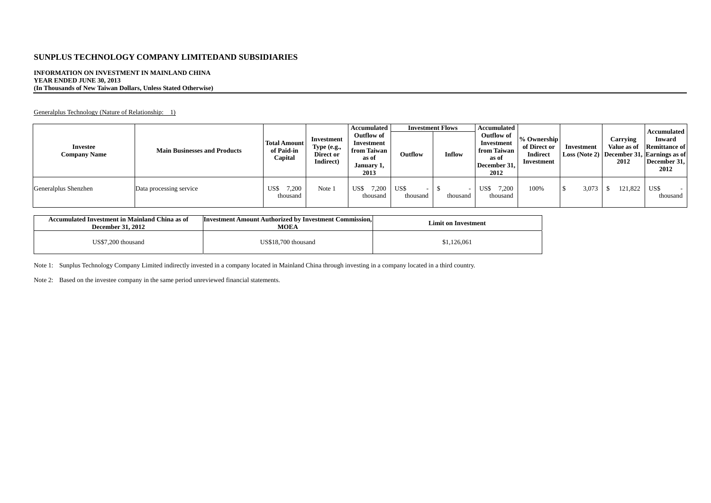### **INFORMATION ON INVESTMENT IN MAINLAND CHINA YEAR ENDED JUNE 30, 2013 (In Thousands of New Taiwan Dollars, Unless Stated Otherwise)**

Generalplus Technology (Nature of Relationship: 1)

| <b>Investee</b><br><b>Company Name</b> | <b>Main Businesses and Products</b> | <b>Total Amount</b><br>of Paid-in<br>Capital | Investment<br>Type $(e.g.,$<br>Direct or<br>Indirect) | Accumulated<br>Outflow of<br>Investment<br>from Taiwan<br>as of<br>January 1,<br>2013 | Outflow          | <b>Investment Flows</b><br>Inflow | Accumulated<br>Outflow of<br>Investment<br>from Taiwan<br>as of<br>December 31,<br>2012 | % Ownership<br>of Direct or<br><b>Indirect</b><br>Investment | Investment | <b>Carrying</b><br>Value as of<br>2012 | Accumulated<br><b>Inward</b><br><b>Remittance of</b><br>Loss (Note 2) December 31, Earnings as of<br>December 31,<br>2012 |
|----------------------------------------|-------------------------------------|----------------------------------------------|-------------------------------------------------------|---------------------------------------------------------------------------------------|------------------|-----------------------------------|-----------------------------------------------------------------------------------------|--------------------------------------------------------------|------------|----------------------------------------|---------------------------------------------------------------------------------------------------------------------------|
| Generalplus Shenzhen                   | Data processing service             | 1,200<br>US\$<br>thousand                    | Note 1                                                | 7,200<br>US\$<br>thousand                                                             | US\$<br>thousand | thousand                          | 7.200<br>US\$<br>thousand                                                               | 100%                                                         | 3,073      | 121,822                                | US\$<br>thousand                                                                                                          |

| Accumulated Investment in Mainland China as of<br><b>December 31, 2012</b> | Investment Amount Authorized by Investment Commission.<br><b>MOEA</b> | <b>Limit on Investment</b> |
|----------------------------------------------------------------------------|-----------------------------------------------------------------------|----------------------------|
| US\$7.200 thousand                                                         | US\$18.700 thousand                                                   | \$1,126,061                |

Note 1: Sunplus Technology Company Limited indirectly invested in a company located in Mainland China through investing in a company located in a third country.

Note 2: Based on the investee company in the same period unreviewed financial statements.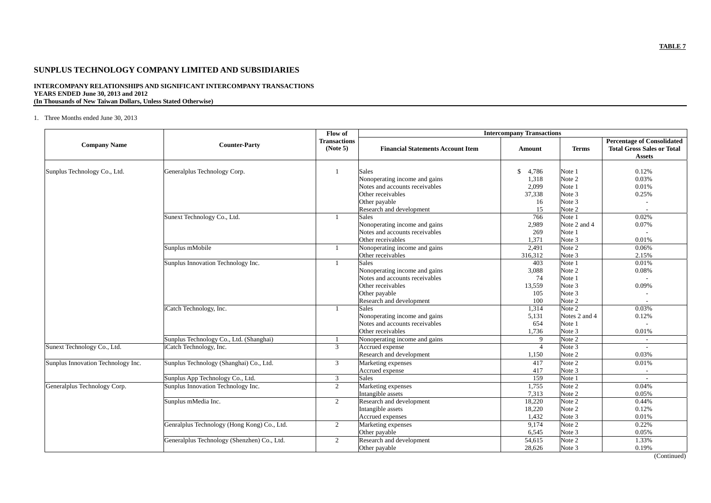### **INTERCOMPANY RELATIONSHIPS AND SIGNIFICANT INTERCOMPANY TRANSACTIONS YEARS ENDED June 30, 2013 and 2012 (In Thousands of New Taiwan Dollars, Unless Stated Otherwise)**

### 1. Three Months ended June 30, 2013

|                                    |                                             | Flow of                         | <b>Intercompany Transactions</b>                                                                                                                  |                                            |                                                          |                                                                                         |  |  |  |
|------------------------------------|---------------------------------------------|---------------------------------|---------------------------------------------------------------------------------------------------------------------------------------------------|--------------------------------------------|----------------------------------------------------------|-----------------------------------------------------------------------------------------|--|--|--|
| <b>Company Name</b>                | <b>Counter-Party</b>                        | <b>Transactions</b><br>(Note 5) | <b>Financial Statements Account Item</b>                                                                                                          | Amount                                     | <b>Terms</b>                                             | <b>Percentage of Consolidated</b><br><b>Total Gross Sales or Total</b><br><b>Assets</b> |  |  |  |
| Sunplus Technology Co., Ltd.       | Generalplus Technology Corp.                | 1                               | <b>Sales</b><br>Nonoperating income and gains<br>Notes and accounts receivables                                                                   | <sup>\$</sup><br>4,786<br>1,318<br>2,099   | Note 1<br>Note 2<br>Note 1                               | 0.12%<br>0.03%<br>0.01%                                                                 |  |  |  |
|                                    |                                             |                                 | Other receivables<br>Other payable<br>Research and development                                                                                    | 37,338<br>16<br>15                         | Note 3<br>Note 3<br>Note 2                               | 0.25%                                                                                   |  |  |  |
|                                    | Sunext Technology Co., Ltd.                 | -1                              | <b>Sales</b><br>Nonoperating income and gains<br>Notes and accounts receivables<br>Other receivables                                              | 766<br>2,989<br>269<br>1,371               | Note 1<br>Note 2 and 4<br>Note 1<br>Note 3               | 0.02%<br>0.07%<br>0.01%                                                                 |  |  |  |
|                                    | Sunplus mMobile                             | $\mathbf{1}$                    | Nonoperating income and gains<br>Other receivables                                                                                                | 2,491<br>316,312                           | Note 2<br>Note 3                                         | 0.06%<br>2.15%                                                                          |  |  |  |
|                                    | Sunplus Innovation Technology Inc.          | $\mathbf{1}$                    | <b>Sales</b><br>Nonoperating income and gains<br>Notes and accounts receivables<br>Other receivables<br>Other payable<br>Research and development | 403<br>3,088<br>74<br>13,559<br>105<br>100 | Note 1<br>Note 2<br>Note 1<br>Note 3<br>Note 3<br>Note 2 | 0.01%<br>0.08%<br>0.09%                                                                 |  |  |  |
|                                    | iCatch Technology, Inc.                     | $\mathbf{1}$                    | <b>Sales</b><br>Nonoperating income and gains<br>Notes and accounts receivables<br>Other receivables                                              | 1,314<br>5,131<br>654<br>1,736             | Note 2<br>Notes 2 and 4<br>Note 1<br>Note 3              | 0.03%<br>0.12%<br>0.01%                                                                 |  |  |  |
|                                    | Sunplus Technology Co., Ltd. (Shanghai)     | $\mathbf{1}$                    | Nonoperating income and gains                                                                                                                     | 9                                          | Note 2                                                   | $\sim$                                                                                  |  |  |  |
| Sunext Technology Co., Ltd.        | iCatch Technology, Inc.                     | 3                               | Accrued expense<br>Research and development                                                                                                       | $\overline{4}$<br>1,150                    | Note 3<br>Note 2                                         | 0.03%                                                                                   |  |  |  |
| Sunplus Innovation Technology Inc. | Sunplus Technology (Shanghai) Co., Ltd.     | 3                               | Marketing expenses<br>Accrued expense                                                                                                             | 417<br>417                                 | Note 2<br>Note 3                                         | 0.01%<br>$\overline{a}$                                                                 |  |  |  |
|                                    | Sunplus App Technology Co., Ltd.            | 3                               | <b>Sales</b>                                                                                                                                      | 159                                        | Note 1                                                   | $\overline{a}$                                                                          |  |  |  |
| Generalplus Technology Corp.       | Sunplus Innovation Technology Inc.          | 2                               | Marketing expenses<br>Intangible assets                                                                                                           | 1,755<br>7,313                             | Note 2<br>Note 2                                         | 0.04%<br>0.05%                                                                          |  |  |  |
|                                    | Sunplus mMedia Inc.                         | $\overline{2}$                  | Research and development<br>Intangible assets<br>Accrued expenses                                                                                 | 18,220<br>18,220<br>1,432                  | Note 2<br>Note 2<br>Note 3                               | 0.44%<br>0.12%<br>0.01%                                                                 |  |  |  |
|                                    | Genralplus Technology (Hong Kong) Co., Ltd. | $\overline{2}$                  | Marketing expenses<br>Other payable                                                                                                               | 9,174<br>6,545                             | Note 2<br>Note 3                                         | 0.22%<br>0.05%                                                                          |  |  |  |
|                                    | Generalplus Technology (Shenzhen) Co., Ltd. | $\overline{2}$                  | Research and development<br>Other payable                                                                                                         | 54,615<br>28,626                           | Note 2<br>Note 3                                         | 1.33%<br>0.19%                                                                          |  |  |  |